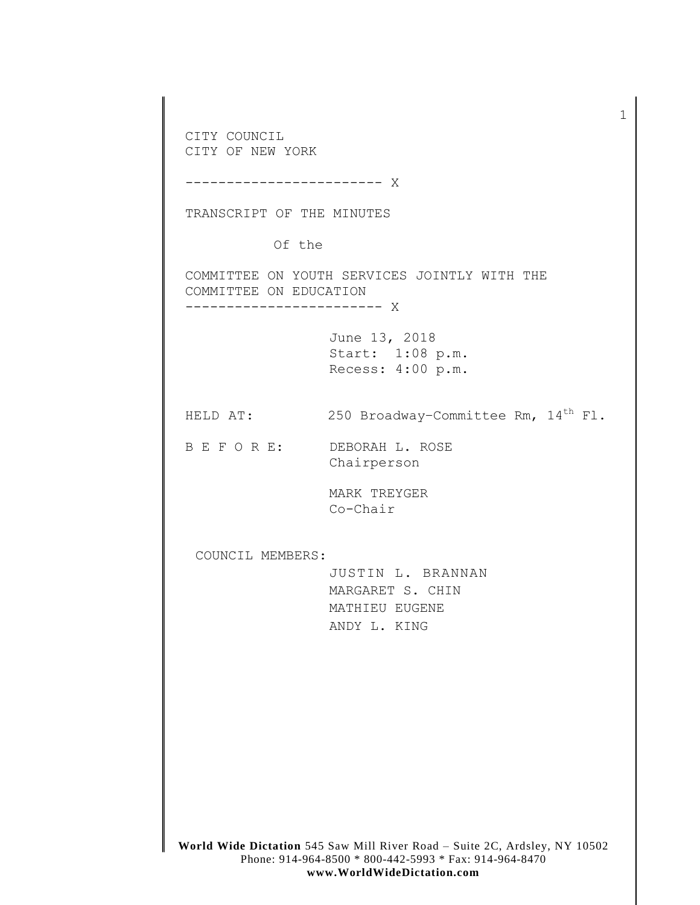**World Wide Dictation** 545 Saw Mill River Road – Suite 2C, Ardsley, NY 10502 Phone: 914-964-8500 \* 800-442-5993 \* Fax: 914-964-8470 CITY COUNCIL CITY OF NEW YORK ------------------------ X TRANSCRIPT OF THE MINUTES Of the COMMITTEE ON YOUTH SERVICES JOINTLY WITH THE COMMITTEE ON EDUCATION ------------------------ X June 13, 2018 Start: 1:08 p.m. Recess: 4:00 p.m. HELD AT:  $250$  Broadway-Committee Rm,  $14<sup>th</sup>$  Fl. B E F O R E: DEBORAH L. ROSE Chairperson MARK TREYGER Co-Chair COUNCIL MEMBERS: JUSTIN L. BRANNAN MARGARET S. CHIN MATHIEU EUGENE ANDY L. KING

1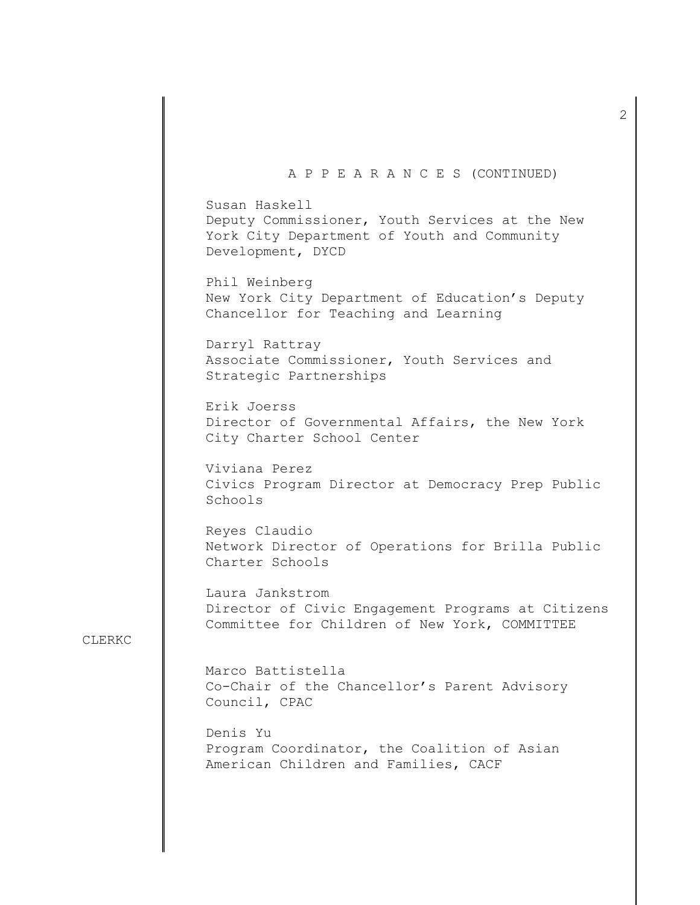#### A P P E A R A N C E S (CONTINUED)

Susan Haskell Deputy Commissioner, Youth Services at the New York City Department of Youth and Community Development, DYCD

Phil Weinberg New York City Department of Education's Deputy Chancellor for Teaching and Learning

Darryl Rattray Associate Commissioner, Youth Services and Strategic Partnerships

Erik Joerss Director of Governmental Affairs, the New York City Charter School Center

Viviana Perez Civics Program Director at Democracy Prep Public Schools

Reyes Claudio Network Director of Operations for Brilla Public Charter Schools

Laura Jankstrom Director of Civic Engagement Programs at Citizens Committee for Children of New York, COMMITTEE

#### CLERKC

Marco Battistella Co-Chair of the Chancellor's Parent Advisory Council, CPAC

Denis Yu Program Coordinator, the Coalition of Asian American Children and Families, CACF

2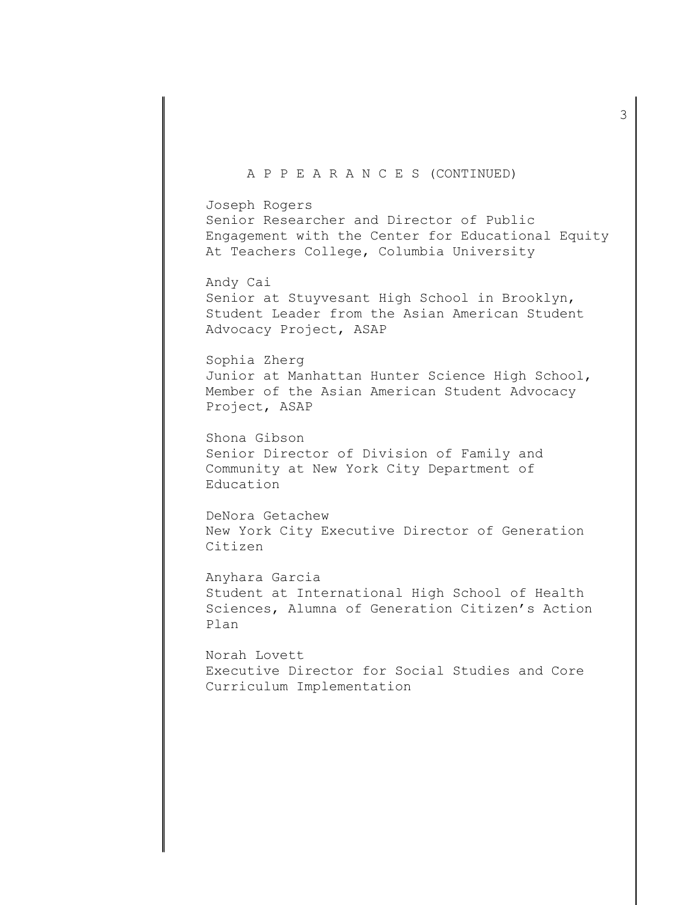#### A P P E A R A N C E S (CONTINUED)

Joseph Rogers Senior Researcher and Director of Public Engagement with the Center for Educational Equity At Teachers College, Columbia University

Andy Cai Senior at Stuyvesant High School in Brooklyn, Student Leader from the Asian American Student Advocacy Project, ASAP

Sophia Zherg Junior at Manhattan Hunter Science High School, Member of the Asian American Student Advocacy Project, ASAP

Shona Gibson Senior Director of Division of Family and Community at New York City Department of Education

DeNora Getachew New York City Executive Director of Generation Citizen

Anyhara Garcia Student at International High School of Health Sciences, Alumna of Generation Citizen's Action Plan

Norah Lovett Executive Director for Social Studies and Core Curriculum Implementation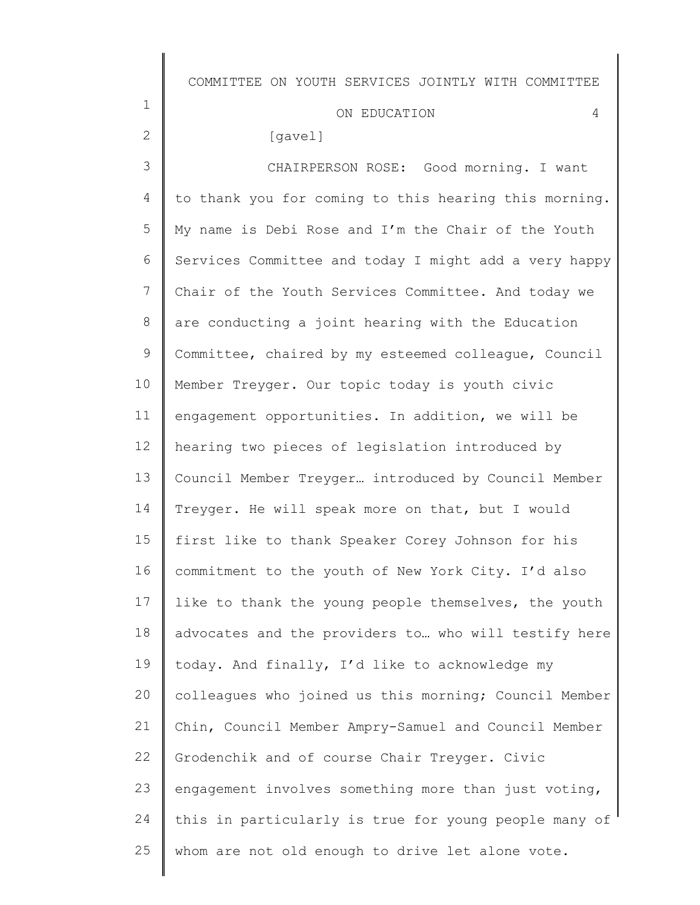# ON EDUCATION 4

# [gavel]

1

2

3 4 5 6 7 8 9 10 11 12 13 14 15 16 17 18 19 20 21 22 23 24 25 CHAIRPERSON ROSE: Good morning. I want to thank you for coming to this hearing this morning. My name is Debi Rose and I'm the Chair of the Youth Services Committee and today I might add a very happy Chair of the Youth Services Committee. And today we are conducting a joint hearing with the Education Committee, chaired by my esteemed colleague, Council Member Treyger. Our topic today is youth civic engagement opportunities. In addition, we will be hearing two pieces of legislation introduced by Council Member Treyger… introduced by Council Member Treyger. He will speak more on that, but I would first like to thank Speaker Corey Johnson for his commitment to the youth of New York City. I'd also like to thank the young people themselves, the youth advocates and the providers to… who will testify here today. And finally, I'd like to acknowledge my colleagues who joined us this morning; Council Member Chin, Council Member Ampry-Samuel and Council Member Grodenchik and of course Chair Treyger. Civic engagement involves something more than just voting, this in particularly is true for young people many of whom are not old enough to drive let alone vote.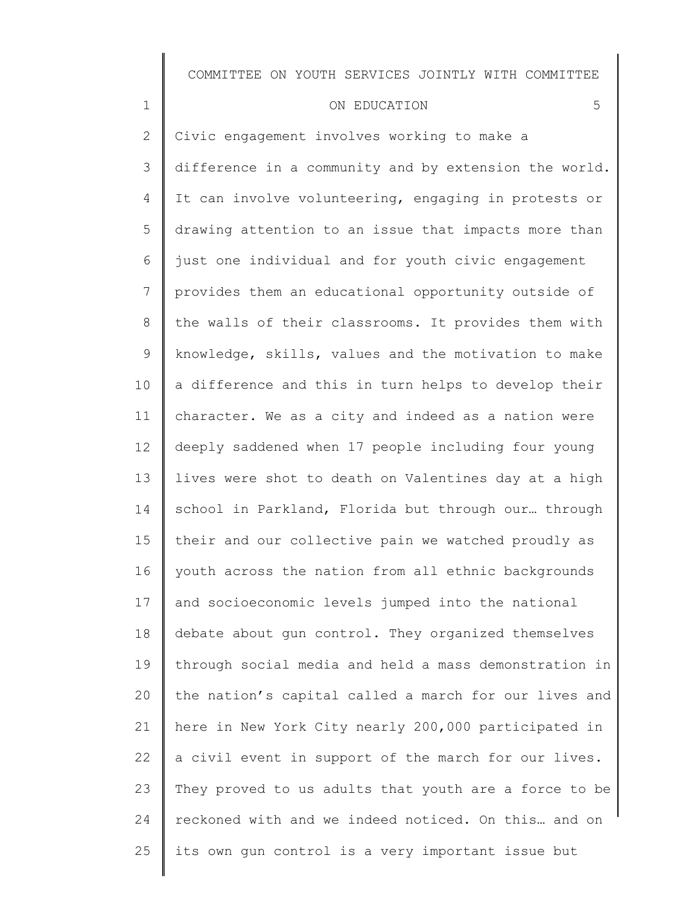#### ON EDUCATION 5

1

25

2 3 4 5 6 7 8 9 10 11 12 13 14 15 16 17 18 19 20 21 22 23 24 Civic engagement involves working to make a difference in a community and by extension the world. It can involve volunteering, engaging in protests or drawing attention to an issue that impacts more than just one individual and for youth civic engagement provides them an educational opportunity outside of the walls of their classrooms. It provides them with knowledge, skills, values and the motivation to make a difference and this in turn helps to develop their character. We as a city and indeed as a nation were deeply saddened when 17 people including four young lives were shot to death on Valentines day at a high school in Parkland, Florida but through our… through their and our collective pain we watched proudly as youth across the nation from all ethnic backgrounds and socioeconomic levels jumped into the national debate about gun control. They organized themselves through social media and held a mass demonstration in the nation's capital called a march for our lives and here in New York City nearly 200,000 participated in a civil event in support of the march for our lives. They proved to us adults that youth are a force to be reckoned with and we indeed noticed. On this… and on

its own gun control is a very important issue but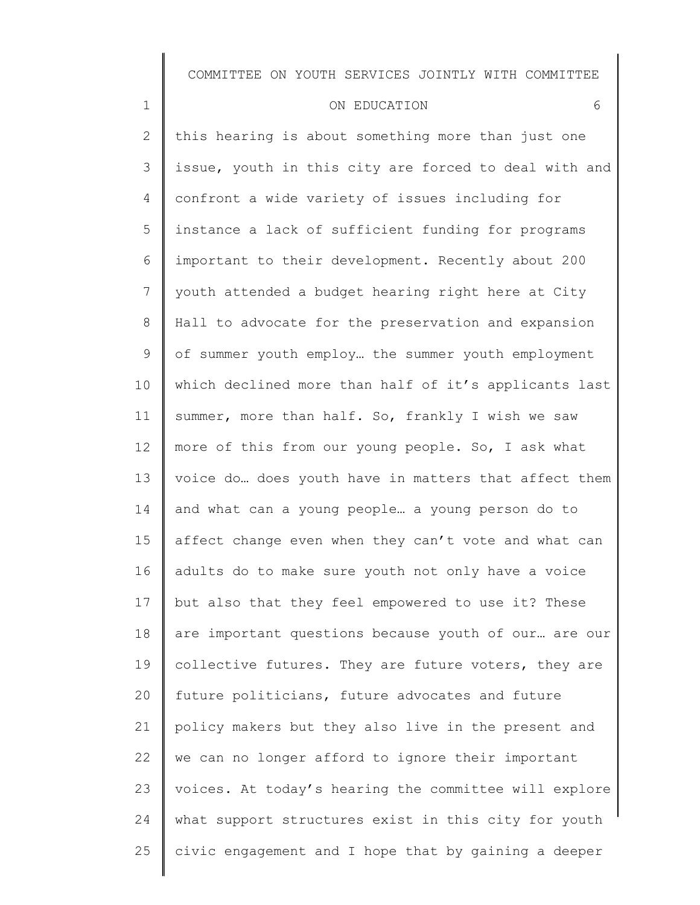#### ON EDUCATION 6

1

2 3 4 5 6 7 8 9 10 11 12 13 14 15 16 17 18 19 20 21 22 23 24 25 this hearing is about something more than just one issue, youth in this city are forced to deal with and confront a wide variety of issues including for instance a lack of sufficient funding for programs important to their development. Recently about 200 youth attended a budget hearing right here at City Hall to advocate for the preservation and expansion of summer youth employ… the summer youth employment which declined more than half of it's applicants last summer, more than half. So, frankly I wish we saw more of this from our young people. So, I ask what voice do… does youth have in matters that affect them and what can a young people… a young person do to affect change even when they can't vote and what can adults do to make sure youth not only have a voice but also that they feel empowered to use it? These are important questions because youth of our… are our collective futures. They are future voters, they are future politicians, future advocates and future policy makers but they also live in the present and we can no longer afford to ignore their important voices. At today's hearing the committee will explore what support structures exist in this city for youth civic engagement and I hope that by gaining a deeper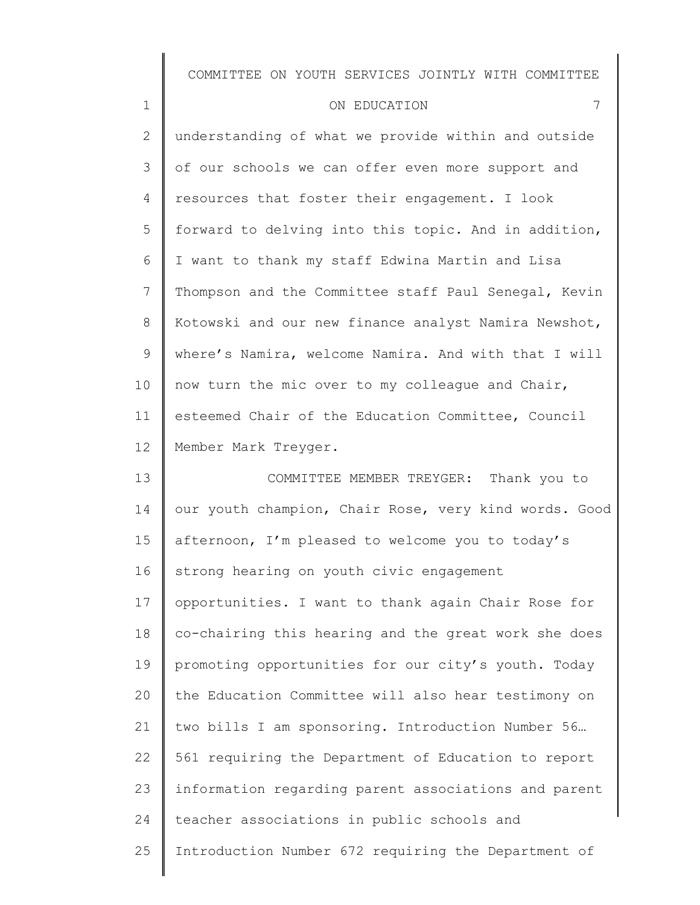#### ON EDUCATION 7

1

2 3 4 5 6 7 8 9 10 11 12 13 understanding of what we provide within and outside of our schools we can offer even more support and resources that foster their engagement. I look forward to delving into this topic. And in addition, I want to thank my staff Edwina Martin and Lisa Thompson and the Committee staff Paul Senegal, Kevin Kotowski and our new finance analyst Namira Newshot, where's Namira, welcome Namira. And with that I will now turn the mic over to my colleague and Chair, esteemed Chair of the Education Committee, Council Member Mark Treyger. COMMITTEE MEMBER TREYGER: Thank you to

14 15 16 17 18 19 20 21 22 23 24 25 our youth champion, Chair Rose, very kind words. Good afternoon, I'm pleased to welcome you to today's strong hearing on youth civic engagement opportunities. I want to thank again Chair Rose for co-chairing this hearing and the great work she does promoting opportunities for our city's youth. Today the Education Committee will also hear testimony on two bills I am sponsoring. Introduction Number 56… 561 requiring the Department of Education to report information regarding parent associations and parent teacher associations in public schools and Introduction Number 672 requiring the Department of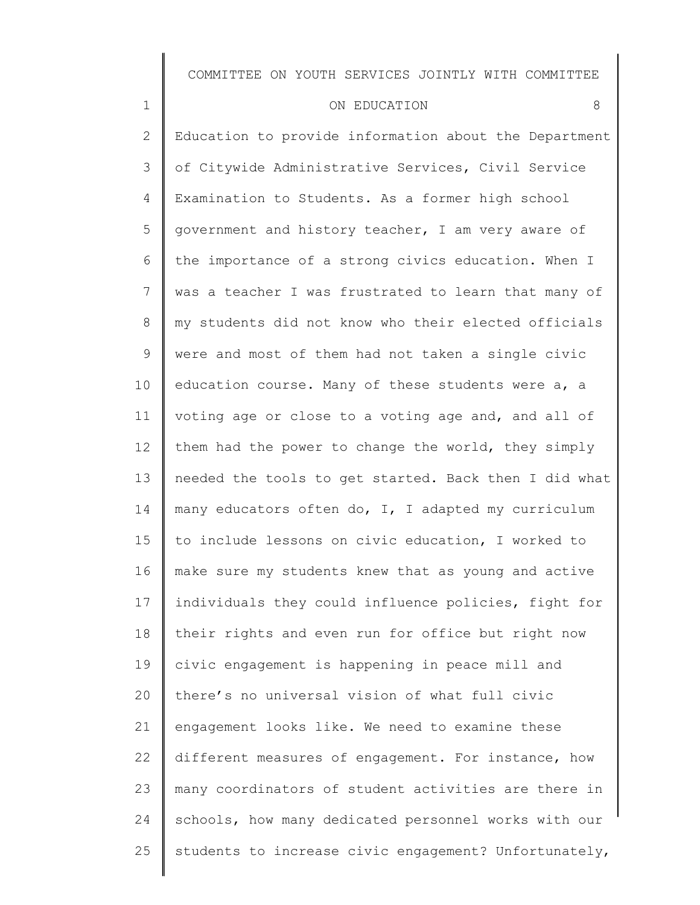| ON EDUCATION |  |
|--------------|--|
|--------------|--|

1

2 3 4 5 6 7 8 9 10 11 12 13 14 15 16 17 18 19 20 21 22 23 24 25 Education to provide information about the Department of Citywide Administrative Services, Civil Service Examination to Students. As a former high school government and history teacher, I am very aware of the importance of a strong civics education. When I was a teacher I was frustrated to learn that many of my students did not know who their elected officials were and most of them had not taken a single civic education course. Many of these students were a, a voting age or close to a voting age and, and all of them had the power to change the world, they simply needed the tools to get started. Back then I did what many educators often do, I, I adapted my curriculum to include lessons on civic education, I worked to make sure my students knew that as young and active individuals they could influence policies, fight for their rights and even run for office but right now civic engagement is happening in peace mill and there's no universal vision of what full civic engagement looks like. We need to examine these different measures of engagement. For instance, how many coordinators of student activities are there in schools, how many dedicated personnel works with our students to increase civic engagement? Unfortunately,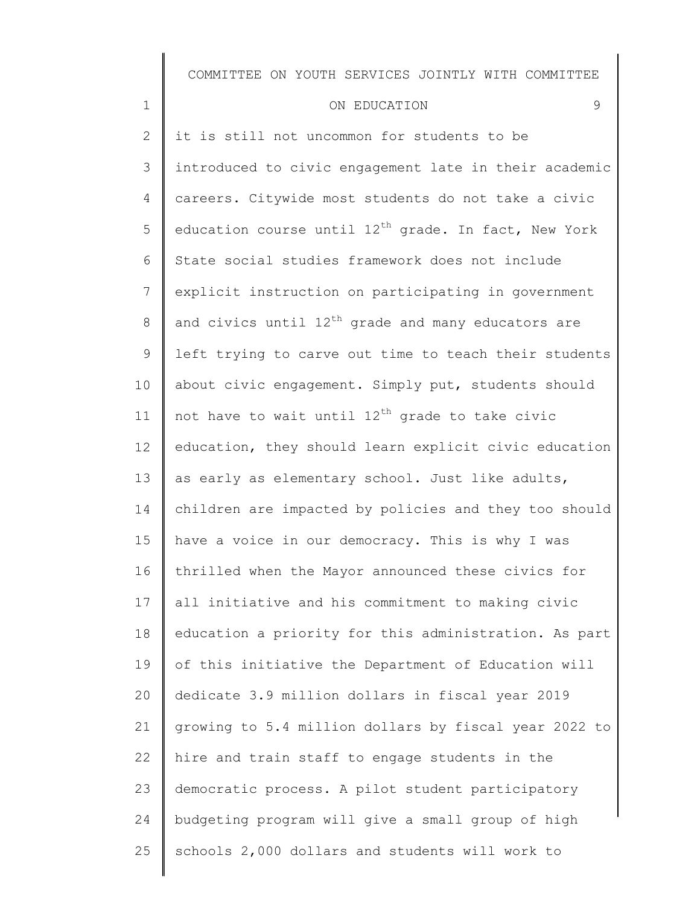#### ON EDUCATION 9

1

2 3 4 5 6 7 8 9 10 11 12 13 14 15 16 17 18 19 20 21 22 23 24 25 it is still not uncommon for students to be introduced to civic engagement late in their academic careers. Citywide most students do not take a civic education course until  $12^{th}$  grade. In fact, New York State social studies framework does not include explicit instruction on participating in government and civics until  $12^{th}$  grade and many educators are left trying to carve out time to teach their students about civic engagement. Simply put, students should not have to wait until  $12<sup>th</sup>$  grade to take civic education, they should learn explicit civic education as early as elementary school. Just like adults, children are impacted by policies and they too should have a voice in our democracy. This is why I was thrilled when the Mayor announced these civics for all initiative and his commitment to making civic education a priority for this administration. As part of this initiative the Department of Education will dedicate 3.9 million dollars in fiscal year 2019 growing to 5.4 million dollars by fiscal year 2022 to hire and train staff to engage students in the democratic process. A pilot student participatory budgeting program will give a small group of high schools 2,000 dollars and students will work to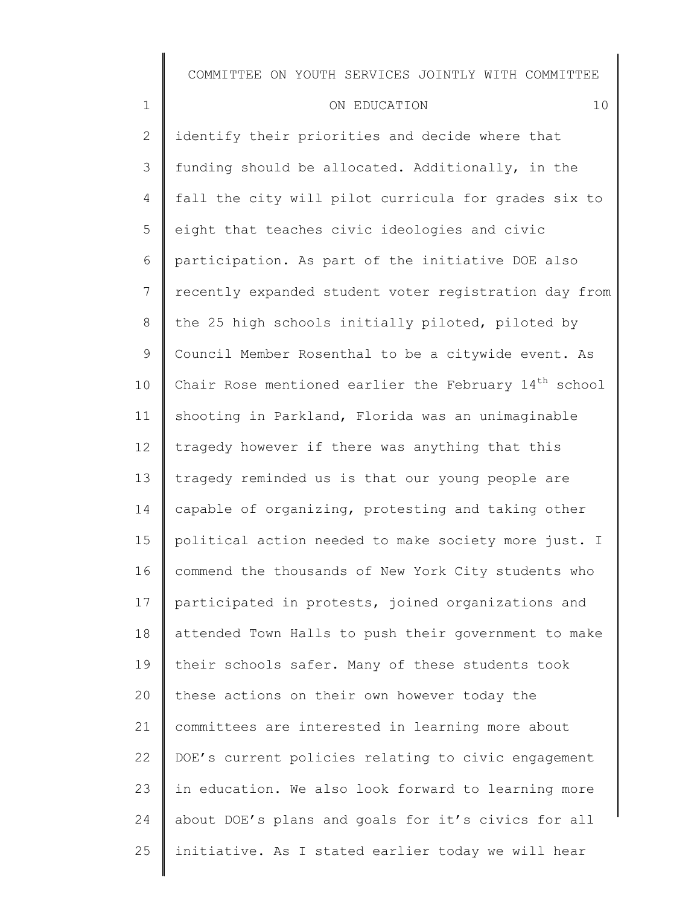| $\mathbf 1$    | 10<br>ON EDUCATION                                                |
|----------------|-------------------------------------------------------------------|
| $\mathbf{2}$   | identify their priorities and decide where that                   |
| 3              | funding should be allocated. Additionally, in the                 |
| 4              | fall the city will pilot curricula for grades six to              |
| 5              | eight that teaches civic ideologies and civic                     |
| 6              | participation. As part of the initiative DOE also                 |
| $7\phantom{.}$ | recently expanded student voter registration day from             |
| $8\,$          | the 25 high schools initially piloted, piloted by                 |
| 9              | Council Member Rosenthal to be a citywide event. As               |
| 10             | Chair Rose mentioned earlier the February 14 <sup>th</sup> school |
| 11             | shooting in Parkland, Florida was an unimaginable                 |
| 12             | tragedy however if there was anything that this                   |
| 13             | tragedy reminded us is that our young people are                  |
| 14             | capable of organizing, protesting and taking other                |
| 15             | political action needed to make society more just. I              |
| 16             | commend the thousands of New York City students who               |
| 17             | participated in protests, joined organizations and                |
| 18             | attended Town Halls to push their government to make              |
| 19             | their schools safer. Many of these students took                  |
| 20             | these actions on their own however today the                      |
| 21             | committees are interested in learning more about                  |
| 22             | DOE's current policies relating to civic engagement               |
| 23             | in education. We also look forward to learning more               |
| 24             | about DOE's plans and goals for it's civics for all               |

initiative. As I stated earlier today we will hear

25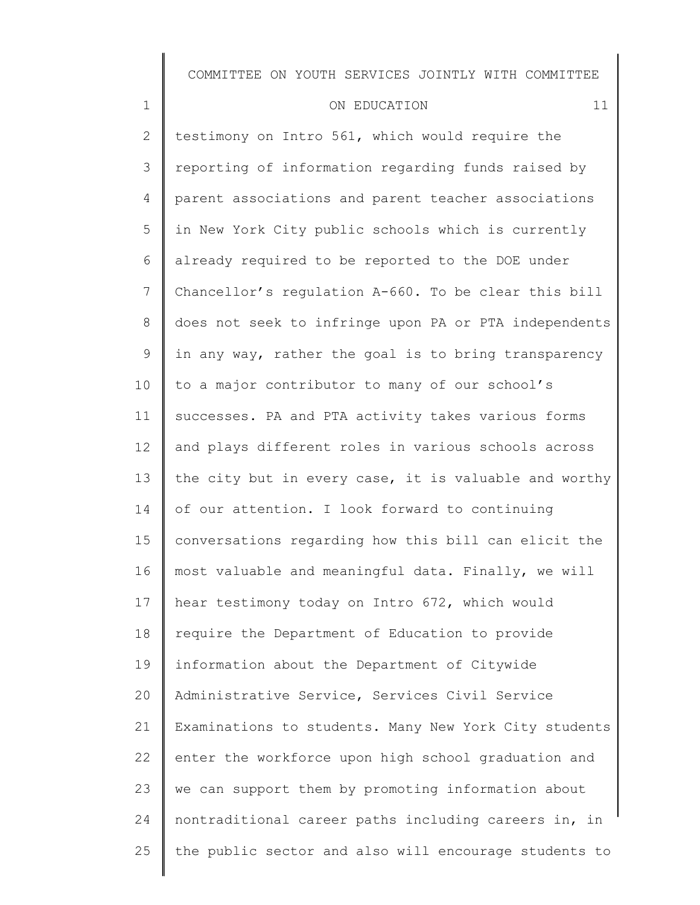#### ON EDUCATION 11

1

2 3 4 5 6 7 8 9 10 11 12 13 14 15 16 17 18 19 20 21 22 23 24 25 testimony on Intro 561, which would require the reporting of information regarding funds raised by parent associations and parent teacher associations in New York City public schools which is currently already required to be reported to the DOE under Chancellor's regulation A-660. To be clear this bill does not seek to infringe upon PA or PTA independents in any way, rather the goal is to bring transparency to a major contributor to many of our school's successes. PA and PTA activity takes various forms and plays different roles in various schools across the city but in every case, it is valuable and worthy of our attention. I look forward to continuing conversations regarding how this bill can elicit the most valuable and meaningful data. Finally, we will hear testimony today on Intro 672, which would require the Department of Education to provide information about the Department of Citywide Administrative Service, Services Civil Service Examinations to students. Many New York City students enter the workforce upon high school graduation and we can support them by promoting information about nontraditional career paths including careers in, in the public sector and also will encourage students to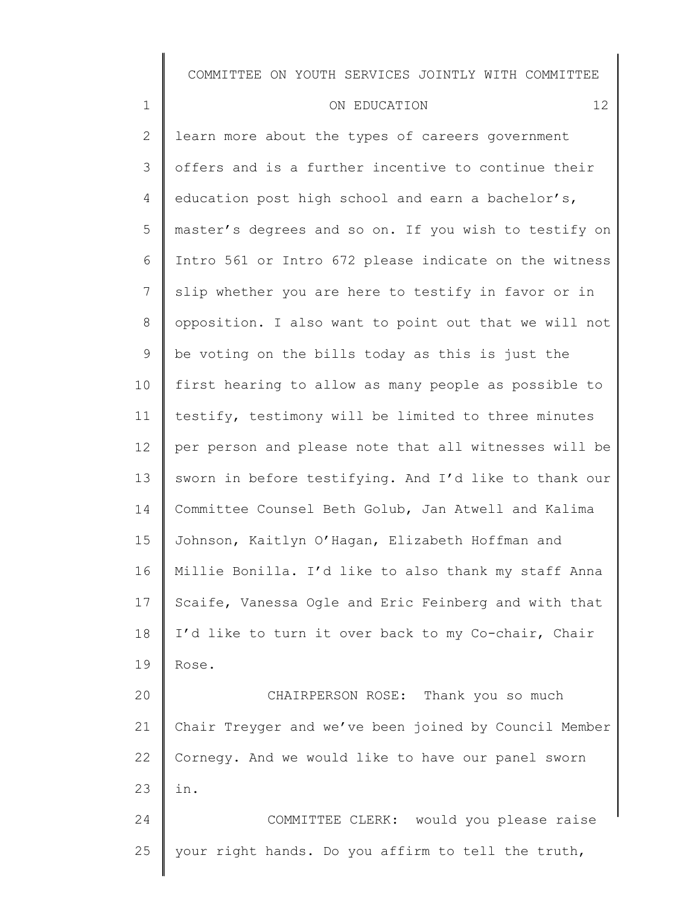| ON EDUCATION |  |
|--------------|--|

1

25

2 3 4 5 6 7 8 9 10 11 12 13 14 15 16 17 18 19 20 21 22 23 24 learn more about the types of careers government offers and is a further incentive to continue their education post high school and earn a bachelor's, master's degrees and so on. If you wish to testify on Intro 561 or Intro 672 please indicate on the witness slip whether you are here to testify in favor or in opposition. I also want to point out that we will not be voting on the bills today as this is just the first hearing to allow as many people as possible to testify, testimony will be limited to three minutes per person and please note that all witnesses will be sworn in before testifying. And I'd like to thank our Committee Counsel Beth Golub, Jan Atwell and Kalima Johnson, Kaitlyn O'Hagan, Elizabeth Hoffman and Millie Bonilla. I'd like to also thank my staff Anna Scaife, Vanessa Ogle and Eric Feinberg and with that I'd like to turn it over back to my Co-chair, Chair Rose. CHAIRPERSON ROSE: Thank you so much Chair Treyger and we've been joined by Council Member Cornegy. And we would like to have our panel sworn in. COMMITTEE CLERK: would you please raise

your right hands. Do you affirm to tell the truth,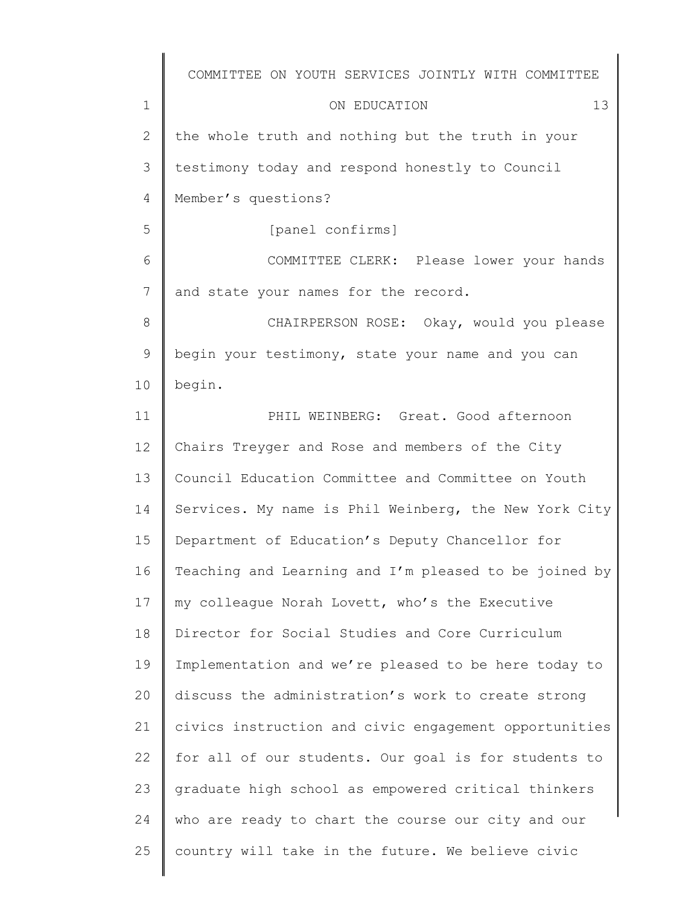|              | COMMITTEE ON YOUTH SERVICES JOINTLY WITH COMMITTEE    |
|--------------|-------------------------------------------------------|
| $\mathbf 1$  | 13<br>ON EDUCATION                                    |
| $\mathbf{2}$ | the whole truth and nothing but the truth in your     |
| 3            | testimony today and respond honestly to Council       |
| 4            | Member's questions?                                   |
| 5            | [panel confirms]                                      |
| 6            | COMMITTEE CLERK: Please lower your hands              |
| 7            | and state your names for the record.                  |
| 8            | CHAIRPERSON ROSE: Okay, would you please              |
| 9            | begin your testimony, state your name and you can     |
| 10           | begin.                                                |
| 11           | PHIL WEINBERG: Great. Good afternoon                  |
| 12           | Chairs Treyger and Rose and members of the City       |
| 13           | Council Education Committee and Committee on Youth    |
| 14           | Services. My name is Phil Weinberg, the New York City |
| 15           | Department of Education's Deputy Chancellor for       |
| 16           | Teaching and Learning and I'm pleased to be joined by |
| 17           | my colleague Norah Lovett, who's the Executive        |
| 18           | Director for Social Studies and Core Curriculum       |
| 19           | Implementation and we're pleased to be here today to  |
| 20           | discuss the administration's work to create strong    |
| 21           | civics instruction and civic engagement opportunities |
| 22           | for all of our students. Our goal is for students to  |
| 23           | graduate high school as empowered critical thinkers   |
| 24           | who are ready to chart the course our city and our    |
| 25           | country will take in the future. We believe civic     |
|              |                                                       |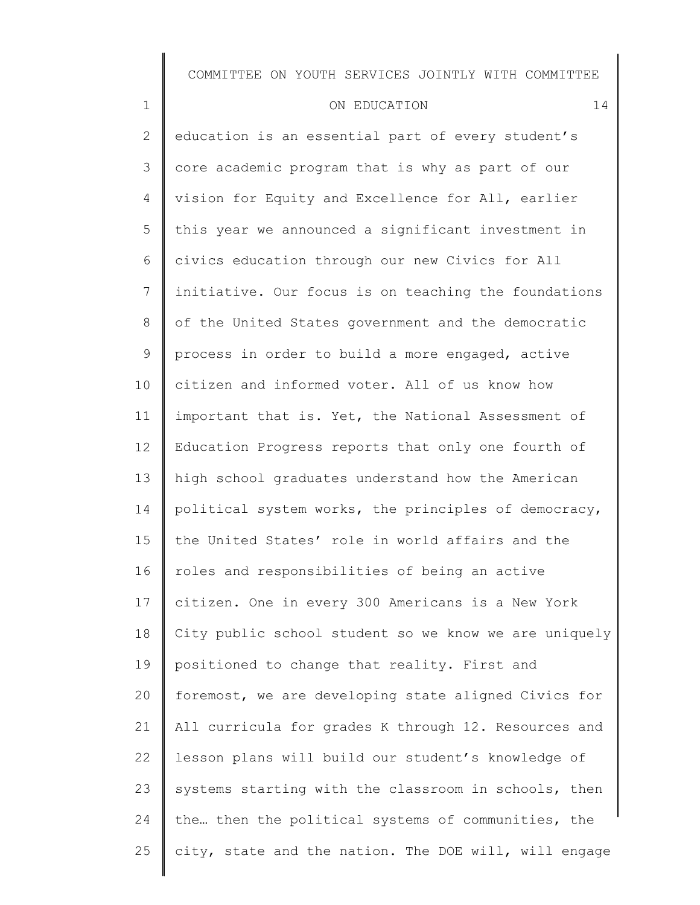# ON EDUCATION 14

1

2 3 4 5 6 7 8 9 10 11 12 13 14 15 16 17 18 19 20 21 22 23 24 25 education is an essential part of every student's core academic program that is why as part of our vision for Equity and Excellence for All, earlier this year we announced a significant investment in civics education through our new Civics for All initiative. Our focus is on teaching the foundations of the United States government and the democratic process in order to build a more engaged, active citizen and informed voter. All of us know how important that is. Yet, the National Assessment of Education Progress reports that only one fourth of high school graduates understand how the American political system works, the principles of democracy, the United States' role in world affairs and the roles and responsibilities of being an active citizen. One in every 300 Americans is a New York City public school student so we know we are uniquely positioned to change that reality. First and foremost, we are developing state aligned Civics for All curricula for grades K through 12. Resources and lesson plans will build our student's knowledge of systems starting with the classroom in schools, then the… then the political systems of communities, the city, state and the nation. The DOE will, will engage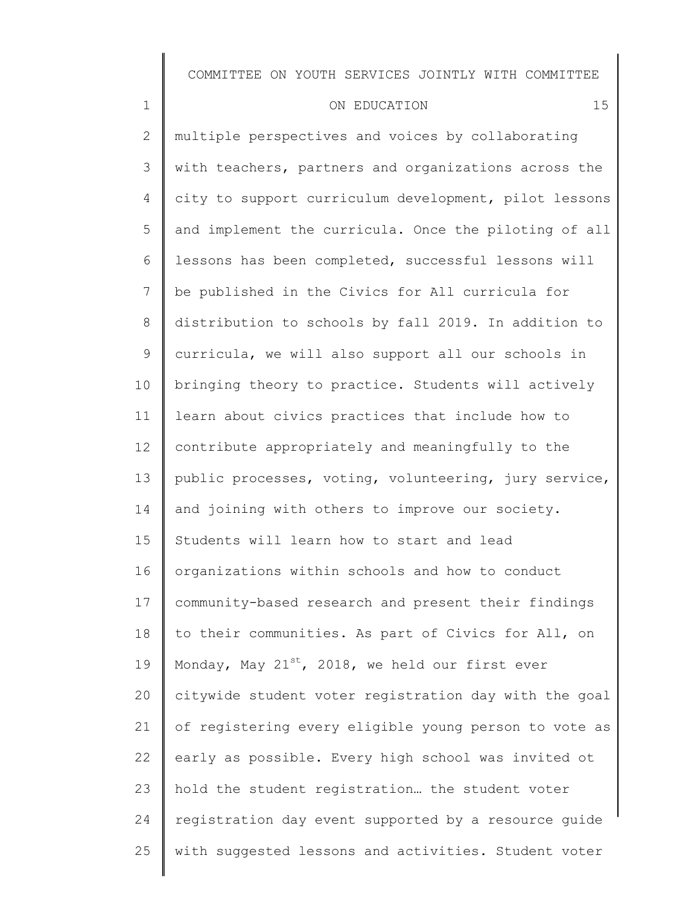#### ON EDUCATION 15

1

2 3 4 5 6 7 8 9 10 11 12 13 14 15 16 17 18 19 20 21 22 23 24 25 multiple perspectives and voices by collaborating with teachers, partners and organizations across the city to support curriculum development, pilot lessons and implement the curricula. Once the piloting of all lessons has been completed, successful lessons will be published in the Civics for All curricula for distribution to schools by fall 2019. In addition to curricula, we will also support all our schools in bringing theory to practice. Students will actively learn about civics practices that include how to contribute appropriately and meaningfully to the public processes, voting, volunteering, jury service, and joining with others to improve our society. Students will learn how to start and lead organizations within schools and how to conduct community-based research and present their findings to their communities. As part of Civics for All, on Monday, May  $21^{st}$ , 2018, we held our first ever citywide student voter registration day with the goal of registering every eligible young person to vote as early as possible. Every high school was invited ot hold the student registration… the student voter registration day event supported by a resource guide with suggested lessons and activities. Student voter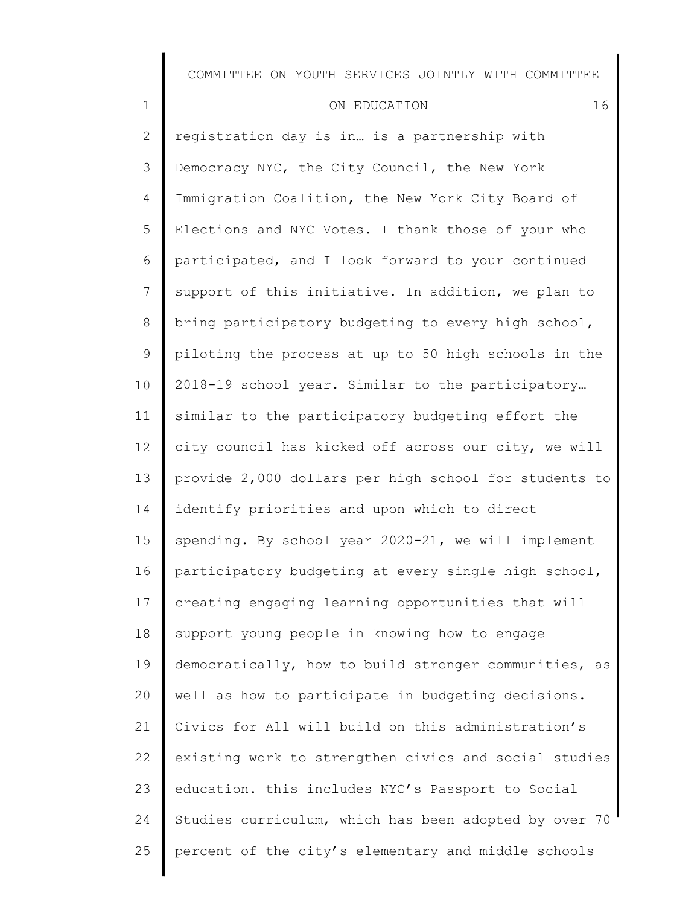| ON EDUCATION |  |  |  |
|--------------|--|--|--|
|--------------|--|--|--|

1

25

2 3 4 5 6 7 8 9 10 11 12 13 14 15 16 17 18 19 20 21 22 23 24 registration day is in… is a partnership with Democracy NYC, the City Council, the New York Immigration Coalition, the New York City Board of Elections and NYC Votes. I thank those of your who participated, and I look forward to your continued support of this initiative. In addition, we plan to bring participatory budgeting to every high school, piloting the process at up to 50 high schools in the 2018-19 school year. Similar to the participatory… similar to the participatory budgeting effort the city council has kicked off across our city, we will provide 2,000 dollars per high school for students to identify priorities and upon which to direct spending. By school year 2020-21, we will implement participatory budgeting at every single high school, creating engaging learning opportunities that will support young people in knowing how to engage democratically, how to build stronger communities, as well as how to participate in budgeting decisions. Civics for All will build on this administration's existing work to strengthen civics and social studies education. this includes NYC's Passport to Social Studies curriculum, which has been adopted by over 70 percent of the city's elementary and middle schools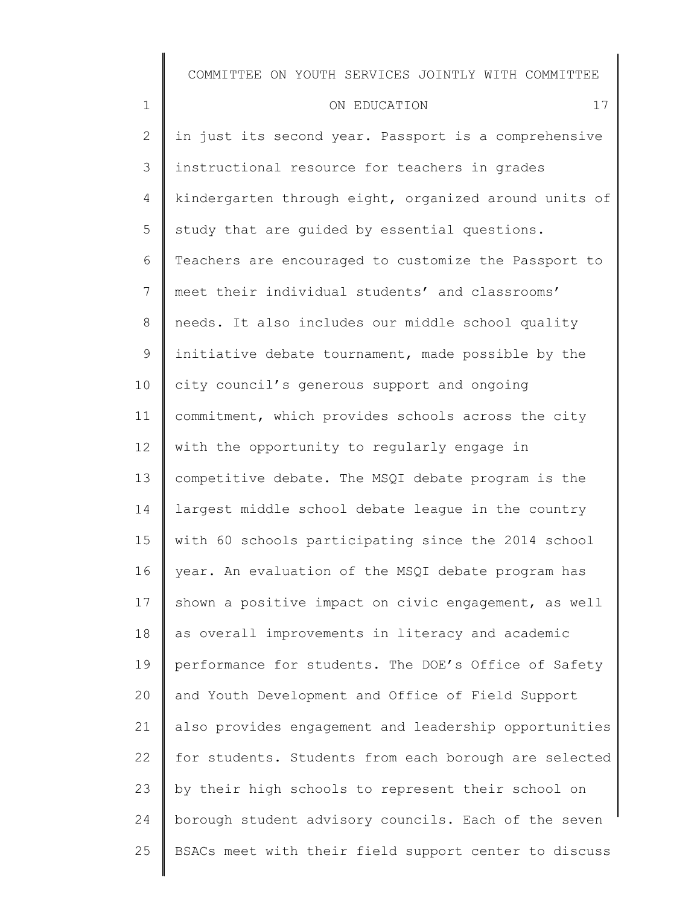| $\mathbf 1$    | 17<br>ON EDUCATION                                    |
|----------------|-------------------------------------------------------|
| $\overline{2}$ | in just its second year. Passport is a comprehensive  |
| 3              | instructional resource for teachers in grades         |
| 4              | kindergarten through eight, organized around units of |
| 5              | study that are guided by essential questions.         |
| 6              | Teachers are encouraged to customize the Passport to  |
| 7              | meet their individual students' and classrooms'       |
| 8              | needs. It also includes our middle school quality     |
| 9              | initiative debate tournament, made possible by the    |
| 10             | city council's generous support and ongoing           |
| 11             | commitment, which provides schools across the city    |
| 12             | with the opportunity to regularly engage in           |
| 13             | competitive debate. The MSQI debate program is the    |
| 14             | largest middle school debate league in the country    |
| 15             | with 60 schools participating since the 2014 school   |
| 16             | year. An evaluation of the MSQI debate program has    |
| 17             | shown a positive impact on civic engagement, as well  |
| 18             | as overall improvements in literacy and academic      |
| 19             | performance for students. The DOE's Office of Safety  |
| 20             | and Youth Development and Office of Field Support     |
| 21             | also provides engagement and leadership opportunities |
| 22             | for students. Students from each borough are selected |
| 23             | by their high schools to represent their school on    |
| 24             | borough student advisory councils. Each of the seven  |
| 25             | BSACs meet with their field support center to discuss |
|                |                                                       |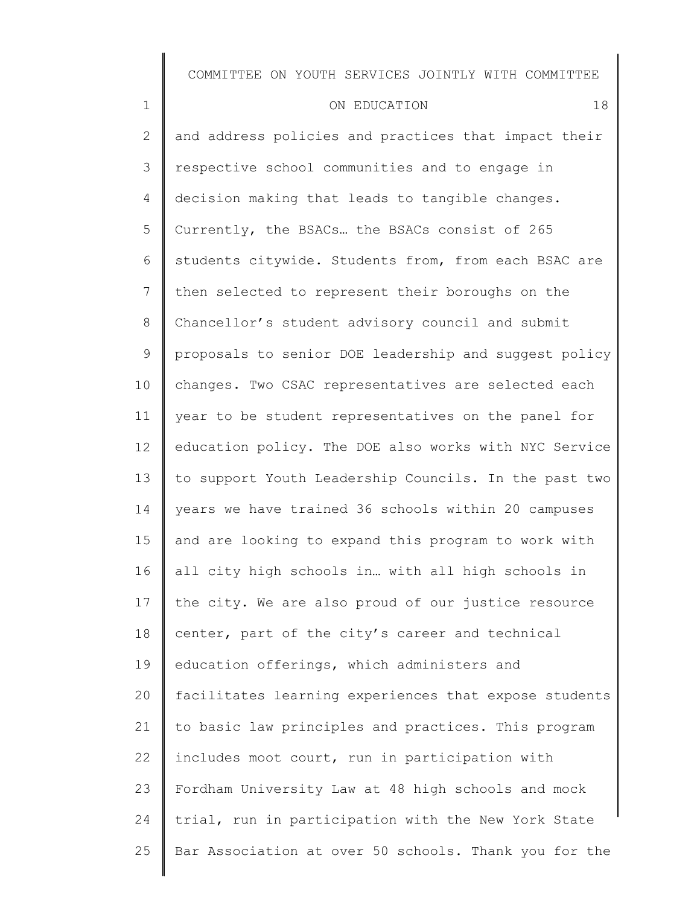| $\mathbf 1$     | 18<br>ON EDUCATION                                    |
|-----------------|-------------------------------------------------------|
| 2               | and address policies and practices that impact their  |
| 3               | respective school communities and to engage in        |
| 4               | decision making that leads to tangible changes.       |
| 5               | Currently, the BSACs the BSACs consist of 265         |
| 6               | students citywide. Students from, from each BSAC are  |
| $7\phantom{.}$  | then selected to represent their boroughs on the      |
| 8               | Chancellor's student advisory council and submit      |
| 9               | proposals to senior DOE leadership and suggest policy |
| 10 <sub>o</sub> | changes. Two CSAC representatives are selected each   |
| 11              | year to be student representatives on the panel for   |
| 12              | education policy. The DOE also works with NYC Service |
| 13              | to support Youth Leadership Councils. In the past two |
| 14              | years we have trained 36 schools within 20 campuses   |
| 15              | and are looking to expand this program to work with   |
| 16              | all city high schools in with all high schools in     |
| 17              | the city. We are also proud of our justice resource   |
| 18              | center, part of the city's career and technical       |
| 19              | education offerings, which administers and            |
| 20              | facilitates learning experiences that expose students |
| 21              | to basic law principles and practices. This program   |
| 22              | includes moot court, run in participation with        |
| 23              | Fordham University Law at 48 high schools and mock    |
| 24              | trial, run in participation with the New York State   |
| 25              | Bar Association at over 50 schools. Thank you for the |
|                 |                                                       |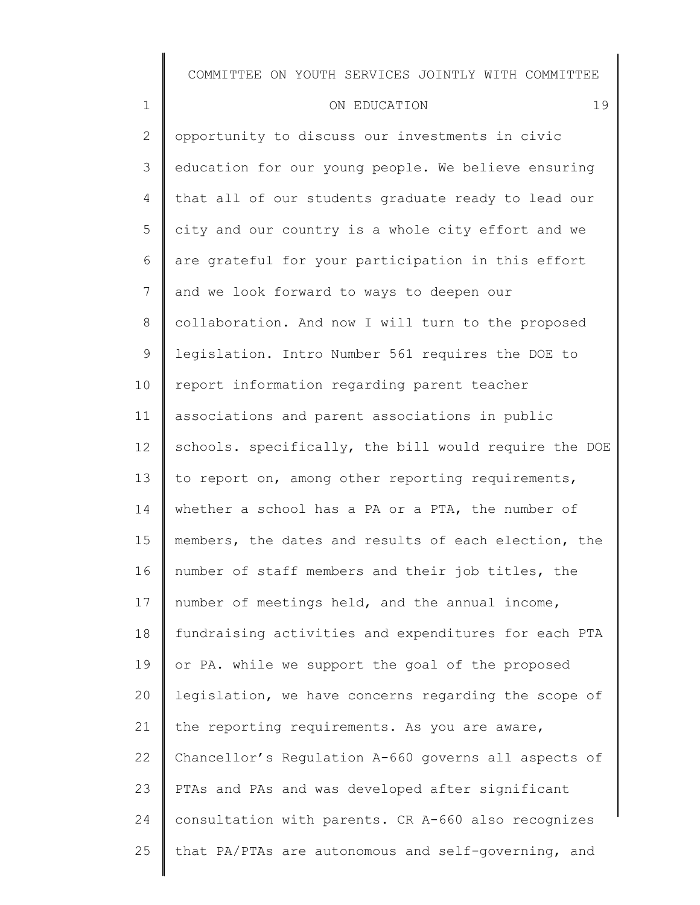| ON EDUCATION |  |
|--------------|--|

1

2 3 4 5 6 7 8 9 10 11 12 13 14 15 16 17 18 19 20 21 22 23 24 25 opportunity to discuss our investments in civic education for our young people. We believe ensuring that all of our students graduate ready to lead our city and our country is a whole city effort and we are grateful for your participation in this effort and we look forward to ways to deepen our collaboration. And now I will turn to the proposed legislation. Intro Number 561 requires the DOE to report information regarding parent teacher associations and parent associations in public schools. specifically, the bill would require the DOE to report on, among other reporting requirements, whether a school has a PA or a PTA, the number of members, the dates and results of each election, the number of staff members and their job titles, the number of meetings held, and the annual income, fundraising activities and expenditures for each PTA or PA. while we support the goal of the proposed legislation, we have concerns regarding the scope of the reporting requirements. As you are aware, Chancellor's Regulation A-660 governs all aspects of PTAs and PAs and was developed after significant consultation with parents. CR A-660 also recognizes that PA/PTAs are autonomous and self-governing, and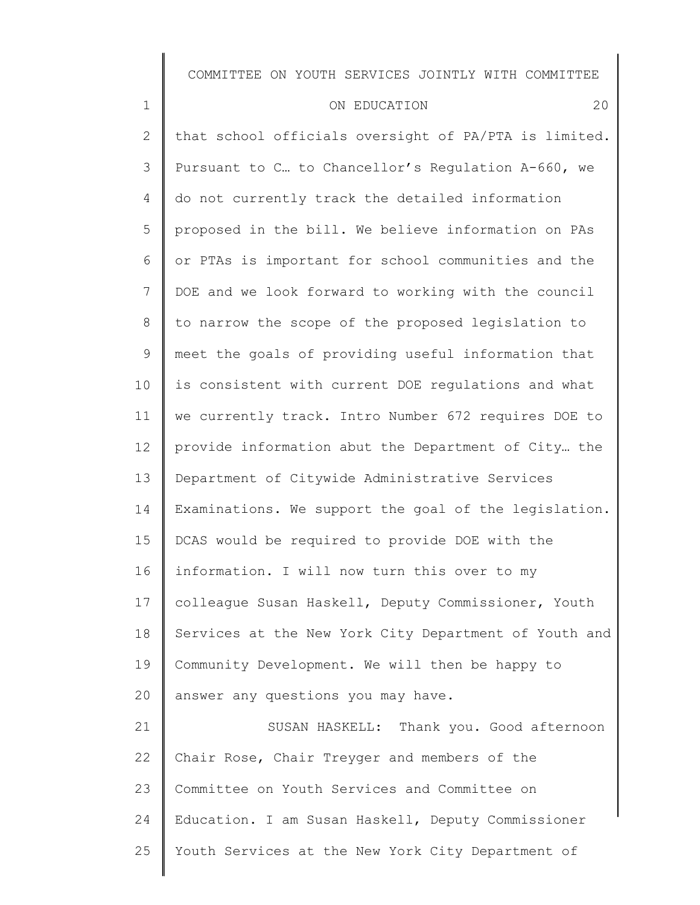| $\mathbf 1$    | 20<br>ON EDUCATION                                    |
|----------------|-------------------------------------------------------|
| $\mathbf{2}$   | that school officials oversight of PA/PTA is limited. |
| 3              | Pursuant to C to Chancellor's Regulation A-660, we    |
| 4              | do not currently track the detailed information       |
| 5              | proposed in the bill. We believe information on PAs   |
| 6              | or PTAs is important for school communities and the   |
| $\overline{7}$ | DOE and we look forward to working with the council   |
| 8              | to narrow the scope of the proposed legislation to    |
| 9              | meet the goals of providing useful information that   |
| 10             | is consistent with current DOE regulations and what   |
| 11             | we currently track. Intro Number 672 requires DOE to  |
| 12             | provide information abut the Department of City the   |
| 13             | Department of Citywide Administrative Services        |
| 14             | Examinations. We support the goal of the legislation. |
| 15             | DCAS would be required to provide DOE with the        |
| 16             | information. I will now turn this over to my          |
| 17             | colleague Susan Haskell, Deputy Commissioner, Youth   |
| 18             | Services at the New York City Department of Youth and |
| 19             | Community Development. We will then be happy to       |
| 20             | answer any questions you may have.                    |
| 21             | SUSAN HASKELL: Thank you. Good afternoon              |
| 22             | Chair Rose, Chair Treyger and members of the          |
| 23             | Committee on Youth Services and Committee on          |

Education. I am Susan Haskell, Deputy Commissioner

Youth Services at the New York City Department of

24

25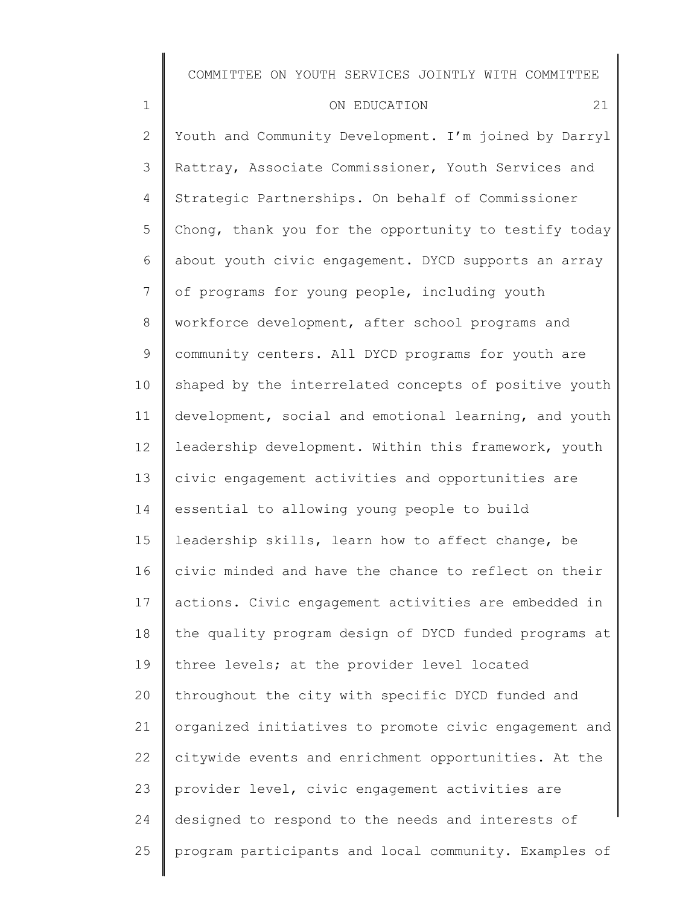| $\mathbf 1$     | 21<br>ON EDUCATION                                    |
|-----------------|-------------------------------------------------------|
| $\mathbf{2}$    | Youth and Community Development. I'm joined by Darryl |
| 3               | Rattray, Associate Commissioner, Youth Services and   |
| 4               | Strategic Partnerships. On behalf of Commissioner     |
| 5               | Chong, thank you for the opportunity to testify today |
| 6               | about youth civic engagement. DYCD supports an array  |
| $7\phantom{.0}$ | of programs for young people, including youth         |
| 8               | workforce development, after school programs and      |
| 9               | community centers. All DYCD programs for youth are    |
| 10              | shaped by the interrelated concepts of positive youth |
| 11              | development, social and emotional learning, and youth |
| 12              | leadership development. Within this framework, youth  |
| 13              | civic engagement activities and opportunities are     |
| 14              | essential to allowing young people to build           |
| 15              | leadership skills, learn how to affect change, be     |
| 16              | civic minded and have the chance to reflect on their  |
| 17              | actions. Civic engagement activities are embedded in  |
| 18              | the quality program design of DYCD funded programs at |
| 19              | three levels; at the provider level located           |
| 20              | throughout the city with specific DYCD funded and     |
| 21              | organized initiatives to promote civic engagement and |
| 22              | citywide events and enrichment opportunities. At the  |
| 23              | provider level, civic engagement activities are       |
| 24              | designed to respond to the needs and interests of     |
| 25              | program participants and local community. Examples of |
|                 |                                                       |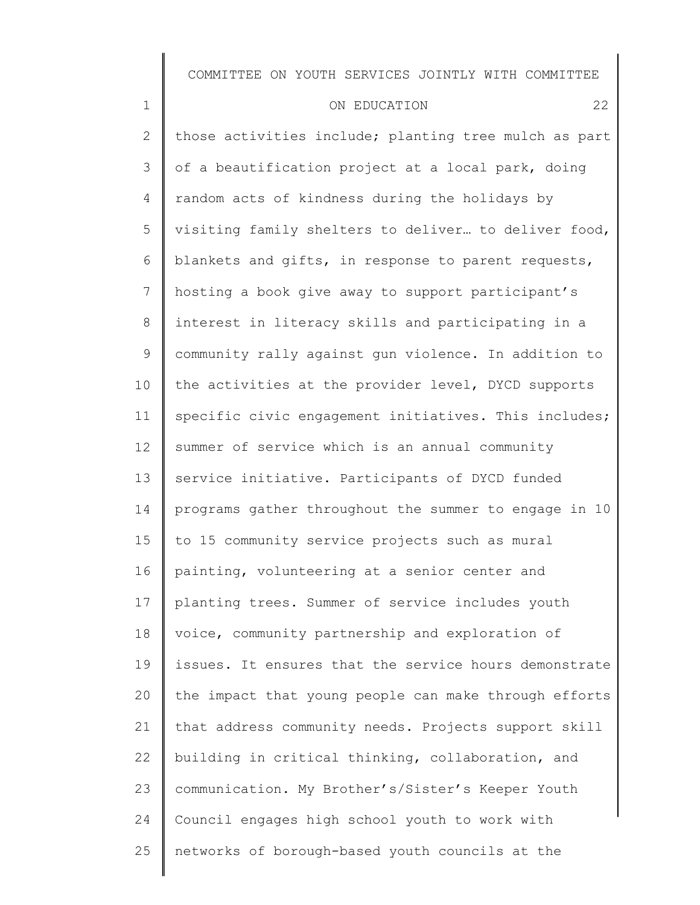| $\mathbf 1$    | 22<br>ON EDUCATION                                    |
|----------------|-------------------------------------------------------|
| $\mathbf{2}$   | those activities include; planting tree mulch as part |
| 3              | of a beautification project at a local park, doing    |
| 4              | random acts of kindness during the holidays by        |
| 5              | visiting family shelters to deliver to deliver food,  |
| 6              | blankets and gifts, in response to parent requests,   |
| $\overline{7}$ | hosting a book give away to support participant's     |
| 8              | interest in literacy skills and participating in a    |
| 9              | community rally against gun violence. In addition to  |
| 10             | the activities at the provider level, DYCD supports   |
| 11             | specific civic engagement initiatives. This includes; |
| 12             | summer of service which is an annual community        |
| 13             | service initiative. Participants of DYCD funded       |
| 14             | programs gather throughout the summer to engage in 10 |
| 15             | to 15 community service projects such as mural        |
| 16             | painting, volunteering at a senior center and         |
| 17             | planting trees. Summer of service includes youth      |
| 18             | voice, community partnership and exploration of       |
| 19             | issues. It ensures that the service hours demonstrate |
| 20             | the impact that young people can make through efforts |
| 21             | that address community needs. Projects support skill  |
| 22             | building in critical thinking, collaboration, and     |
| 23             | communication. My Brother's/Sister's Keeper Youth     |
| 24             | Council engages high school youth to work with        |
| 25             | networks of borough-based youth councils at the       |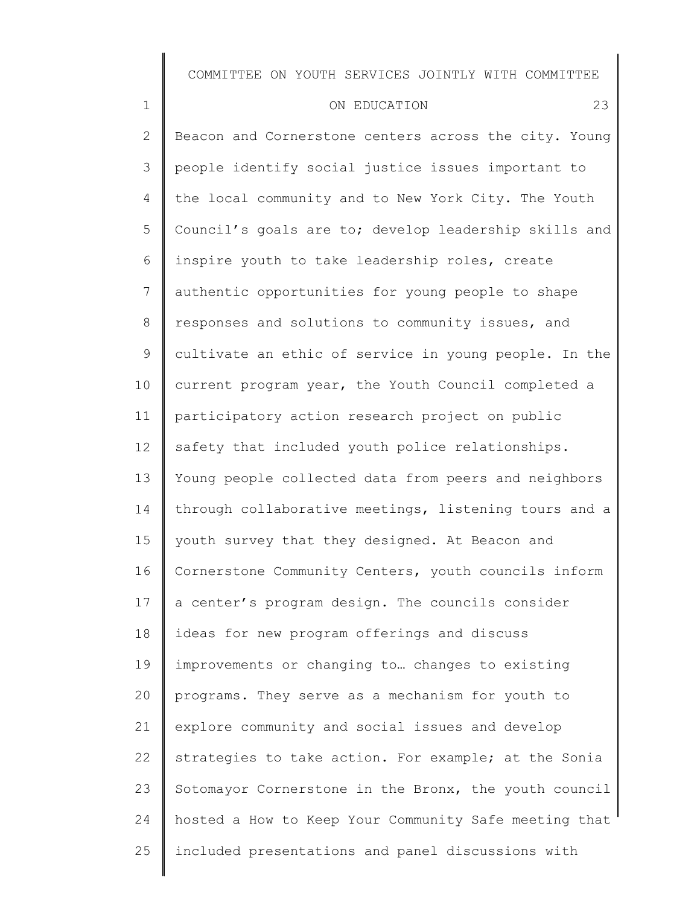| $1\,$           | 23<br>ON EDUCATION                                    |
|-----------------|-------------------------------------------------------|
| $\mathbf{2}$    | Beacon and Cornerstone centers across the city. Young |
| 3               | people identify social justice issues important to    |
| $\overline{4}$  | the local community and to New York City. The Youth   |
| 5               | Council's goals are to; develop leadership skills and |
| 6               | inspire youth to take leadership roles, create        |
| $7\overline{ }$ | authentic opportunities for young people to shape     |
| $8\,$           | responses and solutions to community issues, and      |
| $\mathsf 9$     | cultivate an ethic of service in young people. In the |
| 10              | current program year, the Youth Council completed a   |
| 11              | participatory action research project on public       |
| 12 <sup>°</sup> | safety that included youth police relationships.      |
| 13              | Young people collected data from peers and neighbors  |
| 14              | through collaborative meetings, listening tours and a |
| 15              | youth survey that they designed. At Beacon and        |
| 16              | Cornerstone Community Centers, youth councils inform  |
| 17              | a center's program design. The councils consider      |
| 18              | ideas for new program offerings and discuss           |
| 19              | improvements or changing to changes to existing       |
| 20              | programs. They serve as a mechanism for youth to      |
| 21              | explore community and social issues and develop       |
| 22              | strategies to take action. For example; at the Sonia  |
| 23              | Sotomayor Cornerstone in the Bronx, the youth council |
| 24              | hosted a How to Keep Your Community Safe meeting that |
| 25              | included presentations and panel discussions with     |
|                 |                                                       |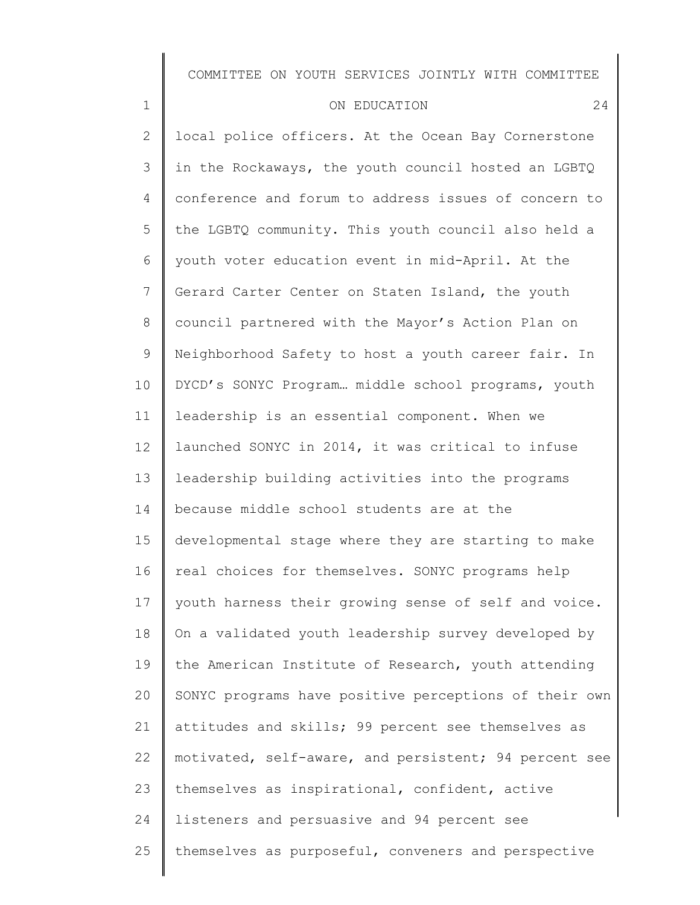# ON EDUCATION 24 local police officers. At the Ocean Bay Cornerstone

1

2

3 4 5 6 7 8 9 10 11 12 13 14 15 16 17 18 19 20 21 22 23 24 25 in the Rockaways, the youth council hosted an LGBTQ conference and forum to address issues of concern to the LGBTQ community. This youth council also held a youth voter education event in mid-April. At the Gerard Carter Center on Staten Island, the youth council partnered with the Mayor's Action Plan on Neighborhood Safety to host a youth career fair. In DYCD's SONYC Program… middle school programs, youth leadership is an essential component. When we launched SONYC in 2014, it was critical to infuse leadership building activities into the programs because middle school students are at the developmental stage where they are starting to make real choices for themselves. SONYC programs help youth harness their growing sense of self and voice. On a validated youth leadership survey developed by the American Institute of Research, youth attending SONYC programs have positive perceptions of their own attitudes and skills; 99 percent see themselves as motivated, self-aware, and persistent; 94 percent see themselves as inspirational, confident, active listeners and persuasive and 94 percent see themselves as purposeful, conveners and perspective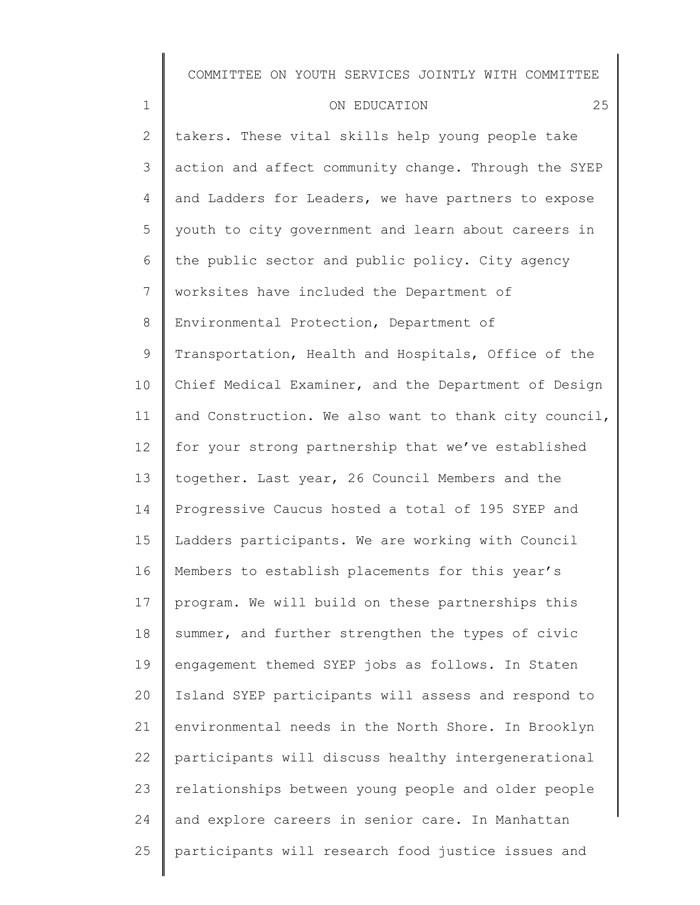| $\mathbf 1$  | 25<br>ON EDUCATION                                    |
|--------------|-------------------------------------------------------|
| $\mathbf{2}$ | takers. These vital skills help young people take     |
| 3            | action and affect community change. Through the SYEP  |
| 4            | and Ladders for Leaders, we have partners to expose   |
| 5            | youth to city government and learn about careers in   |
| 6            | the public sector and public policy. City agency      |
| 7            | worksites have included the Department of             |
| 8            | Environmental Protection, Department of               |
| 9            | Transportation, Health and Hospitals, Office of the   |
| 10           | Chief Medical Examiner, and the Department of Design  |
| 11           | and Construction. We also want to thank city council, |
| 12           | for your strong partnership that we've established    |
| 13           | together. Last year, 26 Council Members and the       |
| 14           | Progressive Caucus hosted a total of 195 SYEP and     |
| 15           | Ladders participants. We are working with Council     |
| 16           | Members to establish placements for this year's       |
| 17           | program. We will build on these partnerships this     |
| 18           | summer, and further strengthen the types of civic     |
| 19           | engagement themed SYEP jobs as follows. In Staten     |
| 20           | Island SYEP participants will assess and respond to   |
| 21           | environmental needs in the North Shore. In Brooklyn   |
| 22           | participants will discuss healthy intergenerational   |
| 23           | relationships between young people and older people   |
| 24           | and explore careers in senior care. In Manhattan      |
| 25           | participants will research food justice issues and    |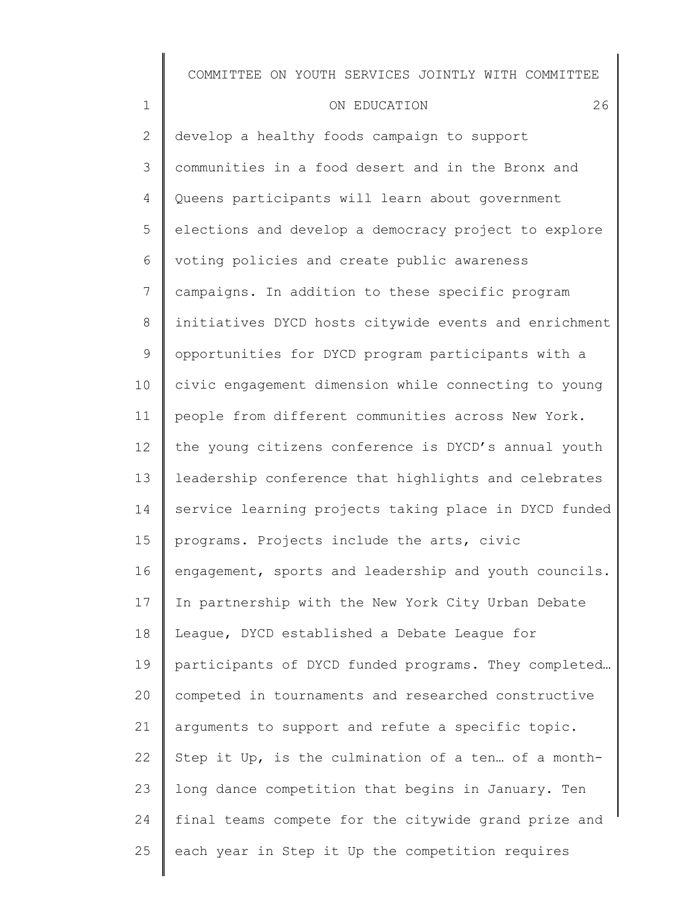1

2 3 4 5 6 7 8 9 10 11 12 13 14 15 16 17 18 19 20 21 22 23 24 25 develop a healthy foods campaign to support communities in a food desert and in the Bronx and Queens participants will learn about government elections and develop a democracy project to explore voting policies and create public awareness campaigns. In addition to these specific program initiatives DYCD hosts citywide events and enrichment opportunities for DYCD program participants with a civic engagement dimension while connecting to young people from different communities across New York. the young citizens conference is DYCD's annual youth leadership conference that highlights and celebrates service learning projects taking place in DYCD funded programs. Projects include the arts, civic engagement, sports and leadership and youth councils. In partnership with the New York City Urban Debate League, DYCD established a Debate League for participants of DYCD funded programs. They completed… competed in tournaments and researched constructive arguments to support and refute a specific topic. Step it Up, is the culmination of a ten… of a monthlong dance competition that begins in January. Ten final teams compete for the citywide grand prize and each year in Step it Up the competition requires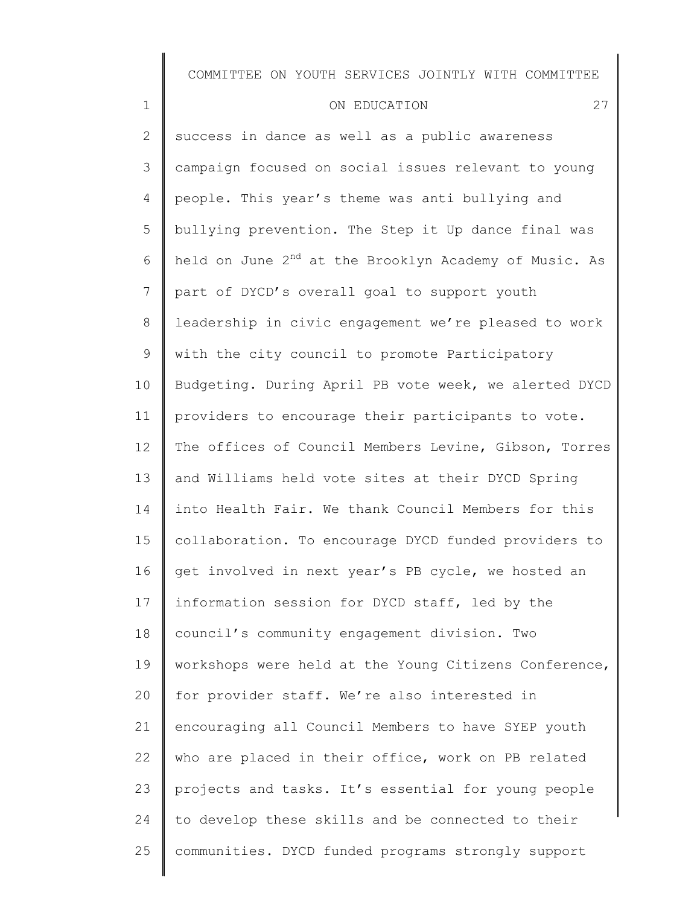#### ON EDUCATION 27

1

2 3 4 5 6 7 8 9 10 11 12 13 14 15 16 17 18 19 20 21 22 23 24 25 success in dance as well as a public awareness campaign focused on social issues relevant to young people. This year's theme was anti bullying and bullying prevention. The Step it Up dance final was held on June  $2^{nd}$  at the Brooklyn Academy of Music. As part of DYCD's overall goal to support youth leadership in civic engagement we're pleased to work with the city council to promote Participatory Budgeting. During April PB vote week, we alerted DYCD providers to encourage their participants to vote. The offices of Council Members Levine, Gibson, Torres and Williams held vote sites at their DYCD Spring into Health Fair. We thank Council Members for this collaboration. To encourage DYCD funded providers to get involved in next year's PB cycle, we hosted an information session for DYCD staff, led by the council's community engagement division. Two workshops were held at the Young Citizens Conference, for provider staff. We're also interested in encouraging all Council Members to have SYEP youth who are placed in their office, work on PB related projects and tasks. It's essential for young people to develop these skills and be connected to their communities. DYCD funded programs strongly support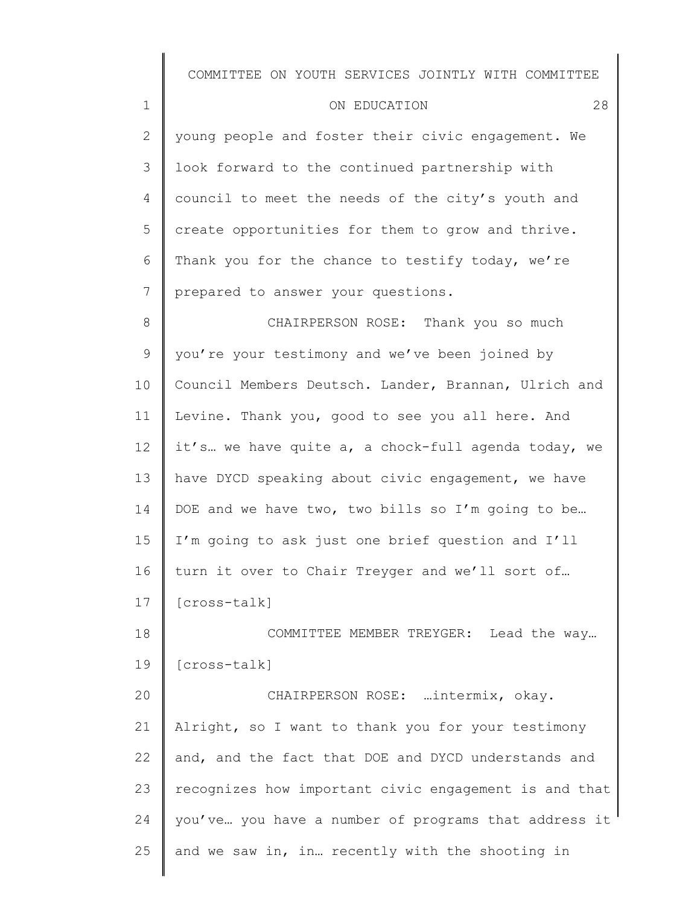| $\mathbf 1$    | 28<br>ON EDUCATION                                   |
|----------------|------------------------------------------------------|
| $\mathbf{2}$   | young people and foster their civic engagement. We   |
| $\mathcal{S}$  | look forward to the continued partnership with       |
| 4              | council to meet the needs of the city's youth and    |
| 5              | create opportunities for them to grow and thrive.    |
| 6              | Thank you for the chance to testify today, we're     |
| $\overline{7}$ | prepared to answer your questions.                   |
| $8\,$          | CHAIRPERSON ROSE: Thank you so much                  |
| $\mathsf 9$    | you're your testimony and we've been joined by       |
| 10             | Council Members Deutsch. Lander, Brannan, Ulrich and |
| 11             | Levine. Thank you, good to see you all here. And     |
| 12             | it's we have quite a, a chock-full agenda today, we  |
| 13             | have DYCD speaking about civic engagement, we have   |
| 14             | DOE and we have two, two bills so I'm going to be    |
| 15             | I'm going to ask just one brief question and I'll    |
| 16             | turn it over to Chair Treyger and we'll sort of      |
| 17             | [cross-talk]                                         |
| 18             | Lead the way<br>COMMITTEE MEMBER TREYGER:            |
| 19             | [cross-talk]                                         |
| 20             | CHAIRPERSON ROSE:  intermix, okay.                   |
| 21             | Alright, so I want to thank you for your testimony   |

25 and we saw in, in… recently with the shooting in

and, and the fact that DOE and DYCD understands and

recognizes how important civic engagement is and that

you've… you have a number of programs that address it

22

23

24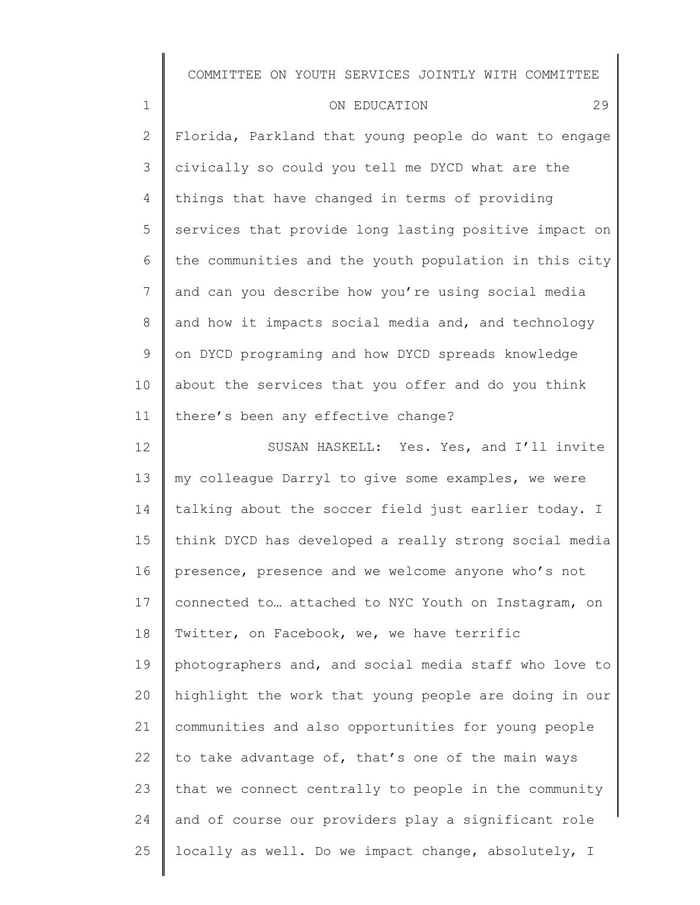| $\mathbf 1$    | 29<br>ON EDUCATION                                    |
|----------------|-------------------------------------------------------|
| $\overline{2}$ | Florida, Parkland that young people do want to engage |
| 3              | civically so could you tell me DYCD what are the      |
| 4              | things that have changed in terms of providing        |
| 5              | services that provide long lasting positive impact on |
| 6              | the communities and the youth population in this city |
| 7              | and can you describe how you're using social media    |
| $8\,$          | and how it impacts social media and, and technology   |
| 9              | on DYCD programing and how DYCD spreads knowledge     |
| 10             | about the services that you offer and do you think    |
| 11             | there's been any effective change?                    |
| 12             | SUSAN HASKELL: Yes. Yes, and I'll invite              |
| 13             | my colleague Darryl to give some examples, we were    |
| 14             | talking about the soccer field just earlier today. I  |
| 15             | think DYCD has developed a really strong social media |
| 16             | presence, presence and we welcome anyone who's not    |
| 17             | connected to attached to NYC Youth on Instagram, on   |
| 18             | Twitter, on Facebook, we, we have terrific            |
| 19             | photographers and, and social media staff who love to |
| 20             | highlight the work that young people are doing in our |
| 21             | communities and also opportunities for young people   |
| 22             | to take advantage of, that's one of the main ways     |
| 23             | that we connect centrally to people in the community  |
| 24             | and of course our providers play a significant role   |
| 25             | locally as well. Do we impact change, absolutely, I   |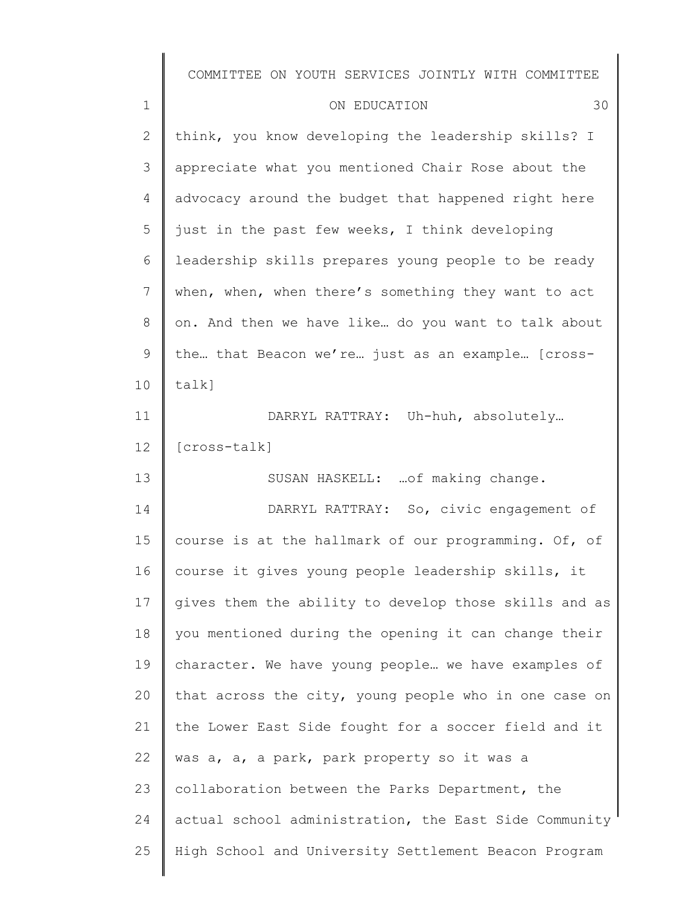| $\mathbf 1$  | 30<br>ON EDUCATION                                    |
|--------------|-------------------------------------------------------|
| $\mathbf{2}$ | think, you know developing the leadership skills? I   |
| 3            | appreciate what you mentioned Chair Rose about the    |
| 4            | advocacy around the budget that happened right here   |
| 5            | just in the past few weeks, I think developing        |
| 6            | leadership skills prepares young people to be ready   |
| 7            | when, when, when there's something they want to act   |
| 8            | on. And then we have like do you want to talk about   |
| $\mathsf 9$  | the that Beacon we're just as an example [cross-      |
| 10           | $talk$ ]                                              |
| 11           | DARRYL RATTRAY: Uh-huh, absolutely                    |
| 12           | [cross-talk]                                          |
| 13           | SUSAN HASKELL:  of making change.                     |
| 14           | DARRYL RATTRAY: So, civic engagement of               |
| 15           | course is at the hallmark of our programming. Of, of  |
| 16           | course it gives young people leadership skills, it    |
| 17           | gives them the ability to develop those skills and as |
| 18           | you mentioned during the opening it can change their  |
| 19           | character. We have young people  we have examples of  |
| 20           | that across the city, young people who in one case on |
| 21           | the Lower East Side fought for a soccer field and it  |
| 22           | was a, a, a park, park property so it was a           |
| 23           | collaboration between the Parks Department, the       |
| 24           | actual school administration, the East Side Community |
| 25           | High School and University Settlement Beacon Program  |
|              |                                                       |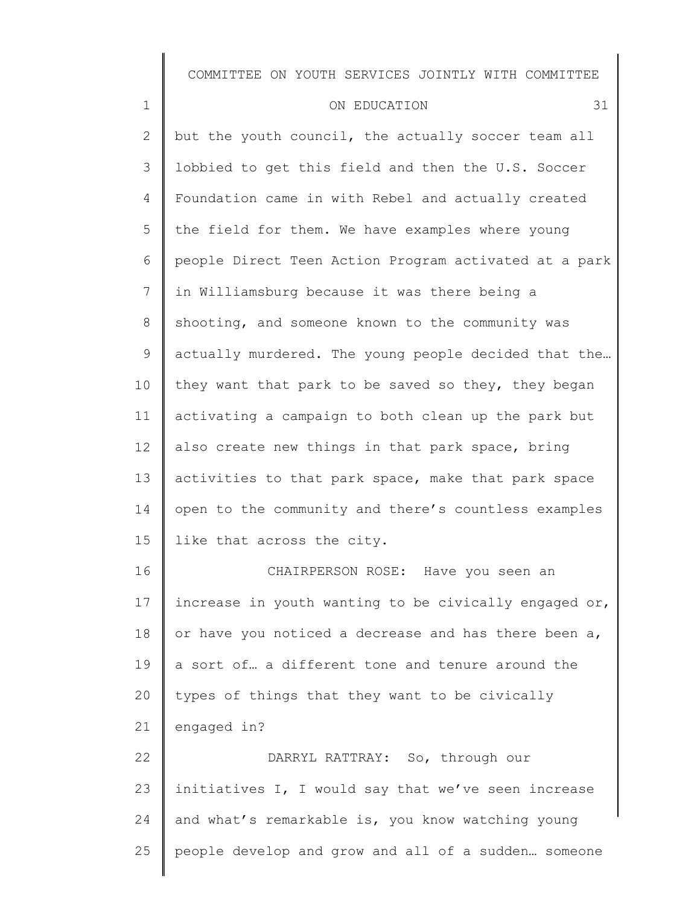| $\mathbf 1$    | 31<br>ON EDUCATION                                    |
|----------------|-------------------------------------------------------|
| 2              | but the youth council, the actually soccer team all   |
| 3              | lobbied to get this field and then the U.S. Soccer    |
| 4              | Foundation came in with Rebel and actually created    |
| 5              | the field for them. We have examples where young      |
| 6              | people Direct Teen Action Program activated at a park |
| $7\phantom{.}$ | in Williamsburg because it was there being a          |
| 8              | shooting, and someone known to the community was      |
| 9              | actually murdered. The young people decided that the  |
| 10             | they want that park to be saved so they, they began   |
| 11             | activating a campaign to both clean up the park but   |
| 12             | also create new things in that park space, bring      |
| 13             | activities to that park space, make that park space   |
| 14             | open to the community and there's countless examples  |
| 15             | like that across the city.                            |
| 16             | CHAIRPERSON ROSE: Have you seen an                    |
| 17             | increase in youth wanting to be civically engaged or, |
| 18             | or have you noticed a decrease and has there been a,  |
| 19             | a sort of a different tone and tenure around the      |
| 20             | types of things that they want to be civically        |
| 21             | engaged in?                                           |
| 22             | DARRYL RATTRAY: So, through our                       |
| 23             | initiatives I, I would say that we've seen increase   |
| 24             | and what's remarkable is, you know watching young     |
| 25             | people develop and grow and all of a sudden someone   |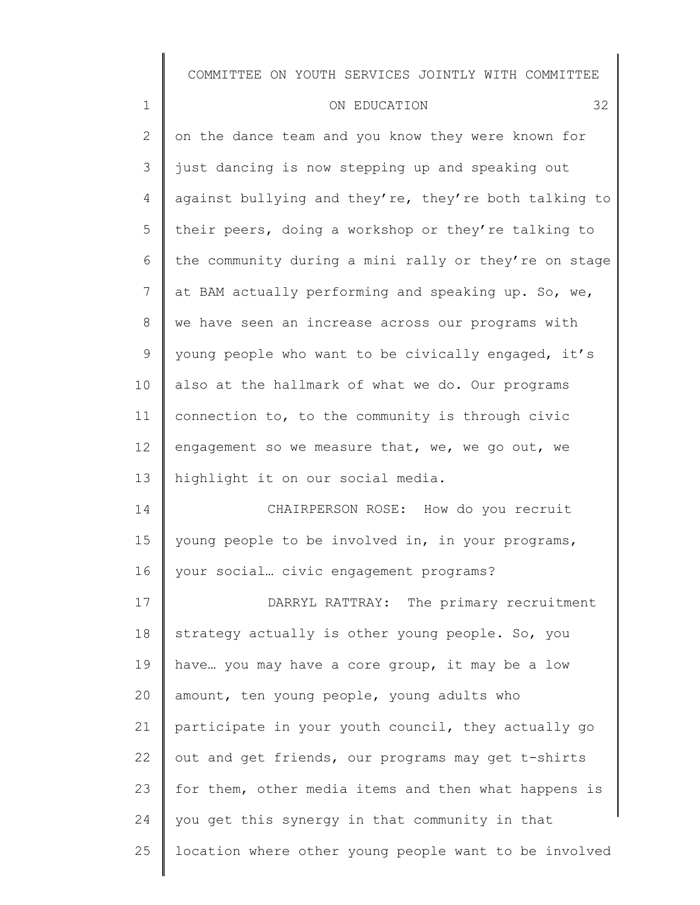| ON EDUCATION |
|--------------|
|--------------|

1

2 3 4 5 6 7 8 9 10 11 12 13 14 on the dance team and you know they were known for just dancing is now stepping up and speaking out against bullying and they're, they're both talking to their peers, doing a workshop or they're talking to the community during a mini rally or they're on stage at BAM actually performing and speaking up. So, we, we have seen an increase across our programs with young people who want to be civically engaged, it's also at the hallmark of what we do. Our programs connection to, to the community is through civic engagement so we measure that, we, we go out, we highlight it on our social media. CHAIRPERSON ROSE: How do you recruit

15 16 young people to be involved in, in your programs, your social… civic engagement programs?

17 18 19 20 21 22 23 24 25 DARRYL RATTRAY: The primary recruitment strategy actually is other young people. So, you have… you may have a core group, it may be a low amount, ten young people, young adults who participate in your youth council, they actually go out and get friends, our programs may get t-shirts for them, other media items and then what happens is you get this synergy in that community in that location where other young people want to be involved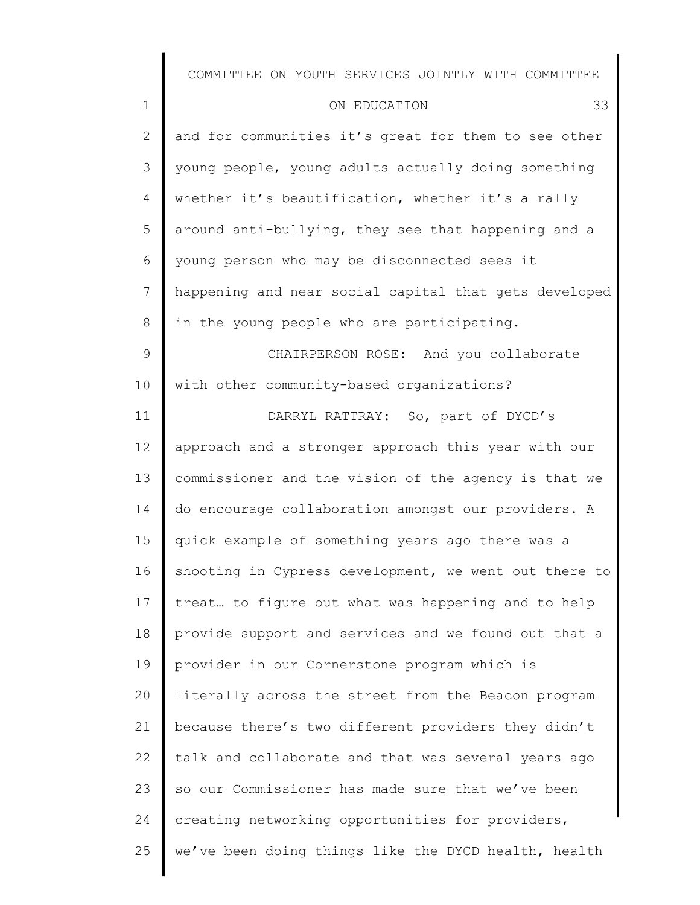| $\mathbf 1$    | 33<br>ON EDUCATION                                    |
|----------------|-------------------------------------------------------|
| $\overline{2}$ | and for communities it's great for them to see other  |
| 3              | young people, young adults actually doing something   |
| 4              | whether it's beautification, whether it's a rally     |
| 5              | around anti-bullying, they see that happening and a   |
| 6              | young person who may be disconnected sees it          |
| 7              | happening and near social capital that gets developed |
| 8              | in the young people who are participating.            |
| $\mathsf 9$    | CHAIRPERSON ROSE: And you collaborate                 |
| 10             | with other community-based organizations?             |
| 11             | DARRYL RATTRAY: So, part of DYCD's                    |
| 12             | approach and a stronger approach this year with our   |
| 13             | commissioner and the vision of the agency is that we  |
| 14             | do encourage collaboration amongst our providers. A   |
| 15             | quick example of something years ago there was a      |
| 16             | shooting in Cypress development, we went out there to |
| 17             | treat to figure out what was happening and to help    |
| 18             | provide support and services and we found out that a  |
| 19             | provider in our Cornerstone program which is          |
| 20             | literally across the street from the Beacon program   |
| 21             | because there's two different providers they didn't   |
| 22             | talk and collaborate and that was several years ago   |
| 23             | so our Commissioner has made sure that we've been     |
| 24             | creating networking opportunities for providers,      |
| 25             | we've been doing things like the DYCD health, health  |
|                |                                                       |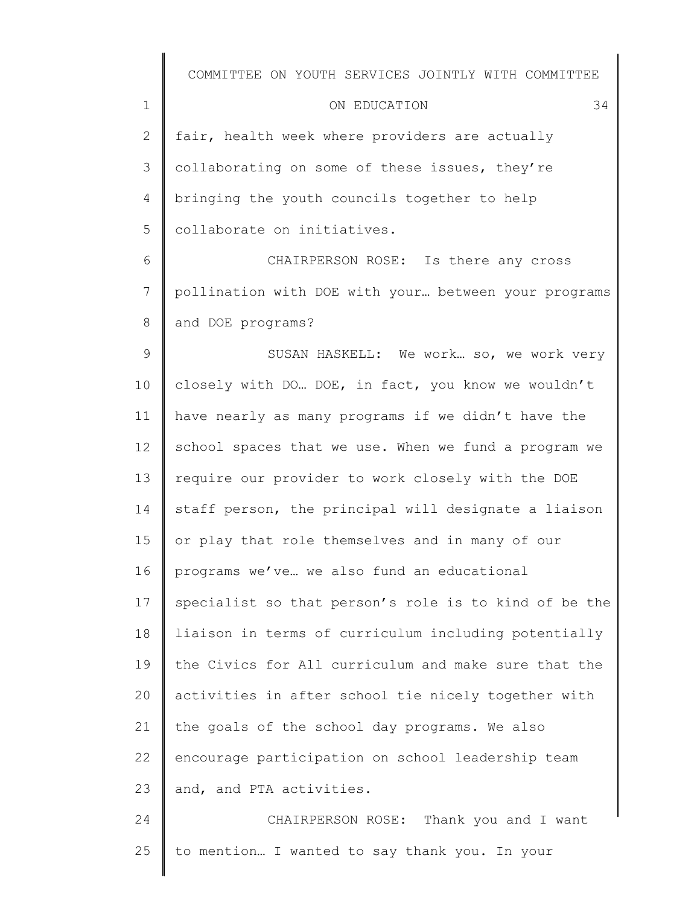| COMMITTEE ON YOUTH SERVICES JOINTLY WITH COMMITTEE |  |  |  |  |  |  |
|----------------------------------------------------|--|--|--|--|--|--|
|----------------------------------------------------|--|--|--|--|--|--|

| ON EDUCATION |  |
|--------------|--|
|              |  |

2 3 4 5 fair, health week where providers are actually collaborating on some of these issues, they're bringing the youth councils together to help collaborate on initiatives.

1

6 7 8 CHAIRPERSON ROSE: Is there any cross pollination with DOE with your… between your programs and DOE programs?

9 10 11 12 13 14 15 16 17 18 19 20 21 22 23 SUSAN HASKELL: We work… so, we work very closely with DO… DOE, in fact, you know we wouldn't have nearly as many programs if we didn't have the school spaces that we use. When we fund a program we require our provider to work closely with the DOE staff person, the principal will designate a liaison or play that role themselves and in many of our programs we've… we also fund an educational specialist so that person's role is to kind of be the liaison in terms of curriculum including potentially the Civics for All curriculum and make sure that the activities in after school tie nicely together with the goals of the school day programs. We also encourage participation on school leadership team and, and PTA activities.

24 25 CHAIRPERSON ROSE: Thank you and I want to mention… I wanted to say thank you. In your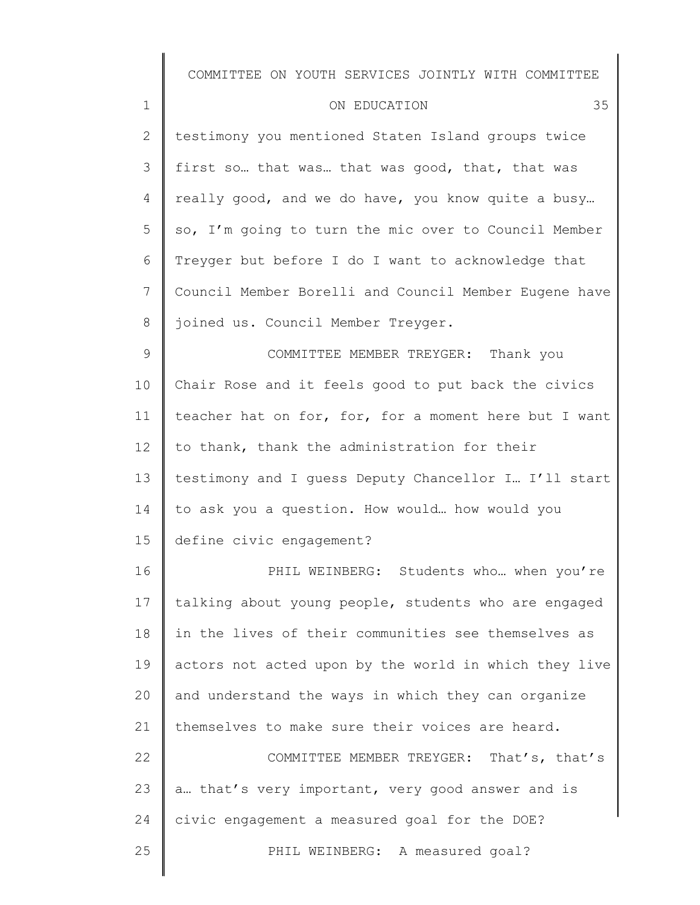| $\mathbf 1$ | 35<br>ON EDUCATION                                    |
|-------------|-------------------------------------------------------|
| 2           | testimony you mentioned Staten Island groups twice    |
| 3           | first so that was that was good, that, that was       |
| 4           | really good, and we do have, you know quite a busy    |
| 5           | so, I'm going to turn the mic over to Council Member  |
| 6           | Treyger but before I do I want to acknowledge that    |
| 7           | Council Member Borelli and Council Member Eugene have |
| 8           | joined us. Council Member Treyger.                    |
| 9           | COMMITTEE MEMBER TREYGER: Thank you                   |

10 11 12 13 14 15 Chair Rose and it feels good to put back the civics teacher hat on for, for, for a moment here but I want to thank, thank the administration for their testimony and I guess Deputy Chancellor I… I'll start to ask you a question. How would… how would you define civic engagement?

16 17 18 19 20 21 22 23 24 25 PHIL WEINBERG: Students who... when you're talking about young people, students who are engaged in the lives of their communities see themselves as actors not acted upon by the world in which they live and understand the ways in which they can organize themselves to make sure their voices are heard. COMMITTEE MEMBER TREYGER: That's, that's a… that's very important, very good answer and is civic engagement a measured goal for the DOE? PHIL WEINBERG: A measured goal?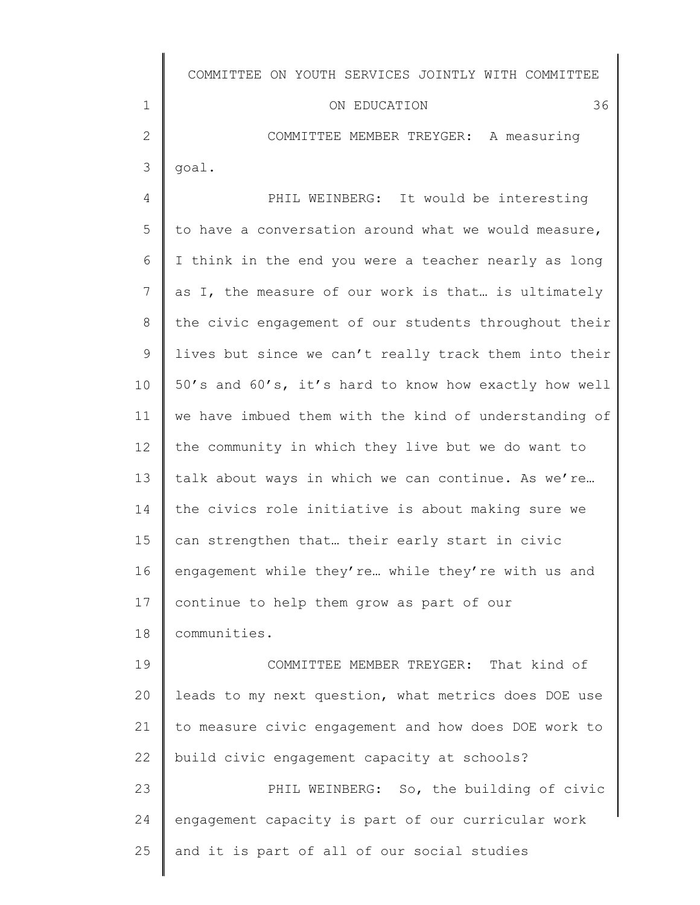1 2 3 4 5 6 7 8 9 10 11 12 13 14 15 16 17 18 19 20 21 22 23 24 25 COMMITTEE ON YOUTH SERVICES JOINTLY WITH COMMITTEE ON EDUCATION 36 COMMITTEE MEMBER TREYGER: A measuring goal. PHIL WEINBERG: It would be interesting to have a conversation around what we would measure, I think in the end you were a teacher nearly as long as I, the measure of our work is that… is ultimately the civic engagement of our students throughout their lives but since we can't really track them into their 50's and 60's, it's hard to know how exactly how well we have imbued them with the kind of understanding of the community in which they live but we do want to talk about ways in which we can continue. As we're… the civics role initiative is about making sure we can strengthen that… their early start in civic engagement while they're… while they're with us and continue to help them grow as part of our communities. COMMITTEE MEMBER TREYGER: That kind of leads to my next question, what metrics does DOE use to measure civic engagement and how does DOE work to build civic engagement capacity at schools? PHIL WEINBERG: So, the building of civic engagement capacity is part of our curricular work and it is part of all of our social studies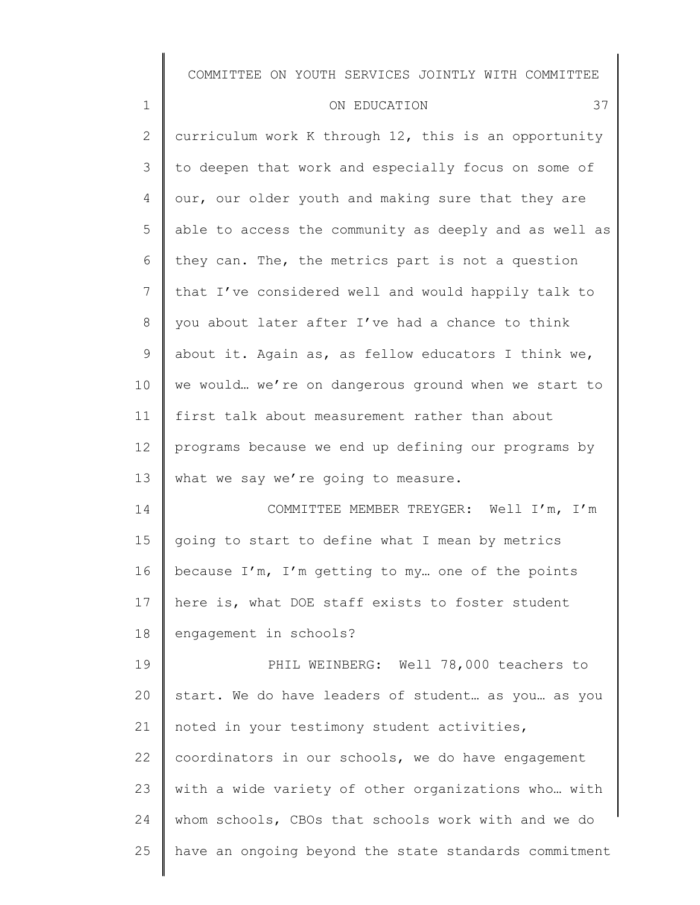| $\mathbf 1$  | 37<br>ON EDUCATION                                    |
|--------------|-------------------------------------------------------|
| $\mathbf{2}$ | curriculum work K through 12, this is an opportunity  |
| 3            | to deepen that work and especially focus on some of   |
| 4            | our, our older youth and making sure that they are    |
| 5            | able to access the community as deeply and as well as |
| 6            | they can. The, the metrics part is not a question     |
| 7            | that I've considered well and would happily talk to   |
| 8            | you about later after I've had a chance to think      |
| 9            | about it. Again as, as fellow educators I think we,   |
| 10           | we would we're on dangerous ground when we start to   |
| 11           | first talk about measurement rather than about        |
| 12           | programs because we end up defining our programs by   |
| 13           | what we say we're going to measure.                   |
| 14           | COMMITTEE MEMBER TREYGER: Well I'm, I'm               |
| 15           | going to start to define what I mean by metrics       |
| 16           | because I'm, I'm getting to my one of the points      |
| 17           | here is, what DOE staff exists to foster student      |
| 18           | engagement in schools?                                |
| 19           | PHIL WEINBERG: Well 78,000 teachers to                |
| 20           | start. We do have leaders of student as you as you    |
| 21           | noted in your testimony student activities,           |
| 22           | coordinators in our schools, we do have engagement    |
| 23           | with a wide variety of other organizations who  with  |
| 24           | whom schools, CBOs that schools work with and we do   |
| 25           | have an ongoing beyond the state standards commitment |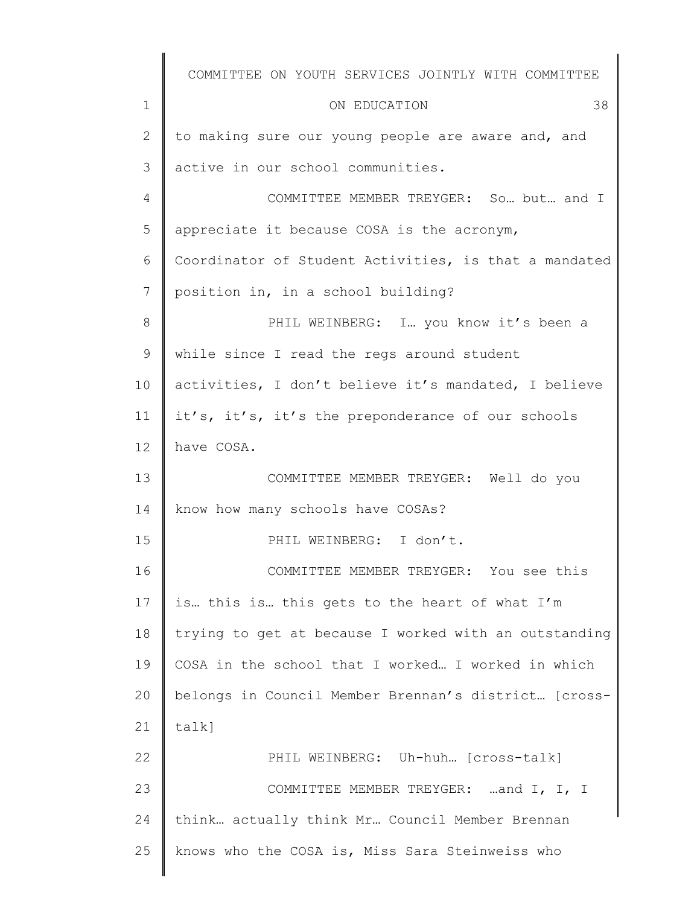|             | COMMITTEE ON YOUTH SERVICES JOINTLY WITH COMMITTEE    |
|-------------|-------------------------------------------------------|
| $\mathbf 1$ | 38<br>ON EDUCATION                                    |
| 2           | to making sure our young people are aware and, and    |
| 3           | active in our school communities.                     |
| 4           | COMMITTEE MEMBER TREYGER: So but and I                |
| 5           | appreciate it because COSA is the acronym,            |
| 6           | Coordinator of Student Activities, is that a mandated |
| 7           | position in, in a school building?                    |
| 8           | PHIL WEINBERG: I you know it's been a                 |
| 9           | while since I read the regs around student            |
| 10          | activities, I don't believe it's mandated, I believe  |
| 11          | it's, it's, it's the preponderance of our schools     |
| 12          | have COSA.                                            |
| 13          | COMMITTEE MEMBER TREYGER: Well do you                 |
| 14          | know how many schools have COSAs?                     |
| 15          | PHIL WEINBERG: I don't.                               |
| 16          | COMMITTEE MEMBER TREYGER: You see this                |
| 17          | is this is this gets to the heart of what I'm         |
| 18          | trying to get at because I worked with an outstanding |
| 19          | COSA in the school that I worked I worked in which    |
| 20          | belongs in Council Member Brennan's district [cross-  |
| 21          | talk]                                                 |
| 22          | PHIL WEINBERG: Uh-huh [cross-talk]                    |
| 23          | COMMITTEE MEMBER TREYGER: and I, I, I                 |
| 24          | think actually think Mr Council Member Brennan        |
| 25          | knows who the COSA is, Miss Sara Steinweiss who       |
|             |                                                       |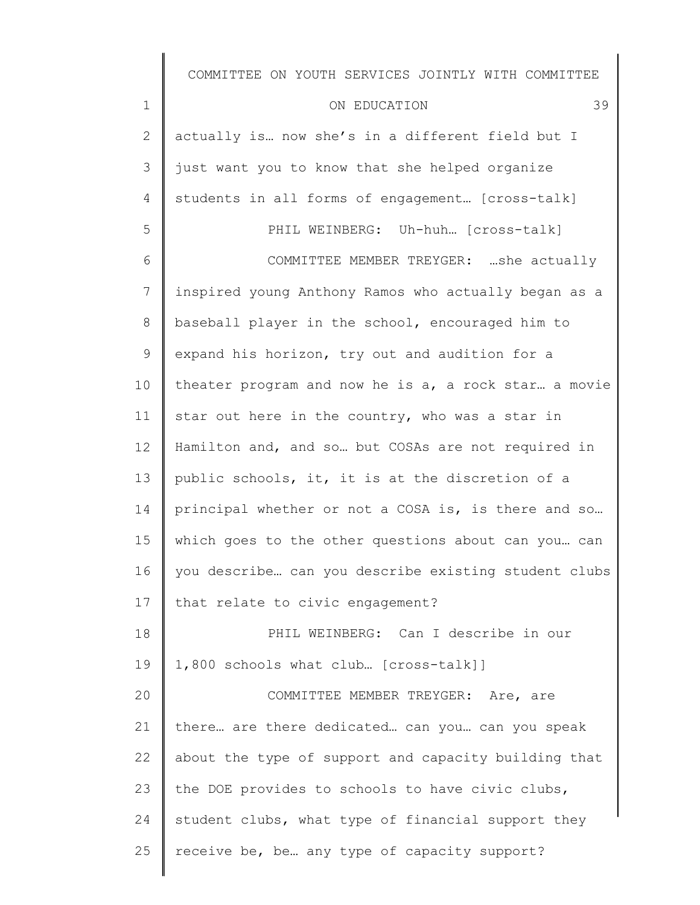| $\mathbf 1$  | 39<br>ON EDUCATION                                   |
|--------------|------------------------------------------------------|
| $\mathbf{2}$ | actually is now she's in a different field but I     |
| 3            | just want you to know that she helped organize       |
| 4            | students in all forms of engagement [cross-talk]     |
| 5            | PHIL WEINBERG: Uh-huh [cross-talk]                   |
| 6            | COMMITTEE MEMBER TREYGER: she actually               |
| 7            | inspired young Anthony Ramos who actually began as a |
| $8\,$        | baseball player in the school, encouraged him to     |
| $\mathsf 9$  | expand his horizon, try out and audition for a       |
| 10           | theater program and now he is a, a rock star a movie |
| 11           | star out here in the country, who was a star in      |
| 12           | Hamilton and, and so but COSAs are not required in   |
| 13           | public schools, it, it is at the discretion of a     |
| 14           | principal whether or not a COSA is, is there and so  |
| 15           | which goes to the other questions about can you can  |
| 16           | you describe can you describe existing student clubs |
| 17           | that relate to civic engagement?                     |
| 18           | PHIL WEINBERG: Can I describe in our                 |
| 19           | 1,800 schools what club [cross-talk]]                |
| 20           | COMMITTEE MEMBER TREYGER: Are, are                   |
| 21           | there are there dedicated can you can you speak      |
| 22           | about the type of support and capacity building that |
| 23           | the DOE provides to schools to have civic clubs,     |

24 student clubs, what type of financial support they

25 receive be, be… any type of capacity support?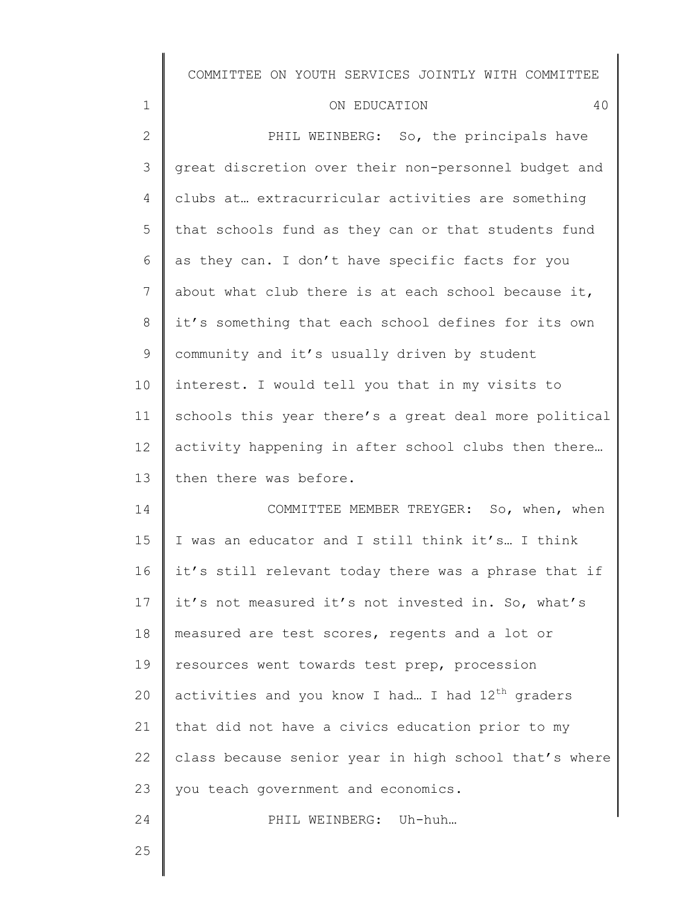| ON EDUCATION |  |
|--------------|--|
|--------------|--|

2 3 4 5 6 7 8 9 10 11 12 13 14 15 16 17 18 19 PHIL WEINBERG: So, the principals have great discretion over their non-personnel budget and clubs at… extracurricular activities are something that schools fund as they can or that students fund as they can. I don't have specific facts for you about what club there is at each school because it, it's something that each school defines for its own community and it's usually driven by student interest. I would tell you that in my visits to schools this year there's a great deal more political activity happening in after school clubs then there… then there was before. COMMITTEE MEMBER TREYGER: So, when, when I was an educator and I still think it's… I think it's still relevant today there was a phrase that if it's not measured it's not invested in. So, what's measured are test scores, regents and a lot or resources went towards test prep, procession

20 21 22 23 activities and you know I had... I had  $12<sup>th</sup>$  graders that did not have a civics education prior to my class because senior year in high school that's where you teach government and economics.

PHIL WEINBERG: Uh-huh…

25

24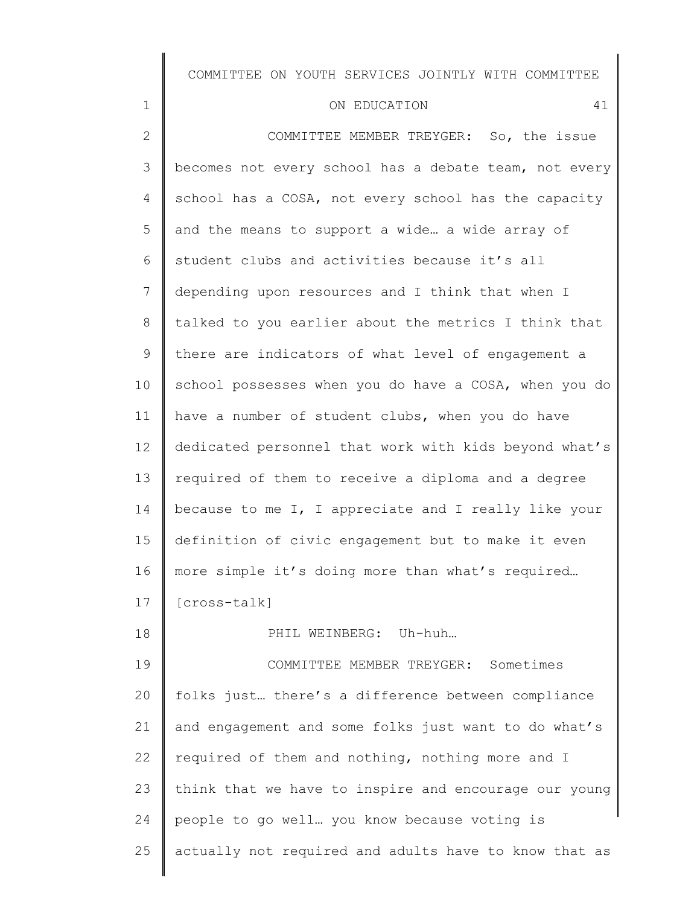| 41<br>ON EDUCATION                                    |
|-------------------------------------------------------|
| COMMITTEE MEMBER TREYGER: So, the issue               |
| becomes not every school has a debate team, not every |
| school has a COSA, not every school has the capacity  |
| and the means to support a wide a wide array of       |
| student clubs and activities because it's all         |
| depending upon resources and I think that when I      |
| talked to you earlier about the metrics I think that  |
| there are indicators of what level of engagement a    |
| school possesses when you do have a COSA, when you do |
| have a number of student clubs, when you do have      |
| dedicated personnel that work with kids beyond what's |
| required of them to receive a diploma and a degree    |

14 15 16 because to me I, I appreciate and I really like your definition of civic engagement but to make it even more simple it's doing more than what's required…

17 [cross-talk]

1

2

3

4

5

6

7

8

9

10

11

12

13

18

PHIL WEINBERG: Uh-huh…

19 20 21 22 23 24 25 COMMITTEE MEMBER TREYGER: Sometimes folks just… there's a difference between compliance and engagement and some folks just want to do what's required of them and nothing, nothing more and I think that we have to inspire and encourage our young people to go well… you know because voting is actually not required and adults have to know that as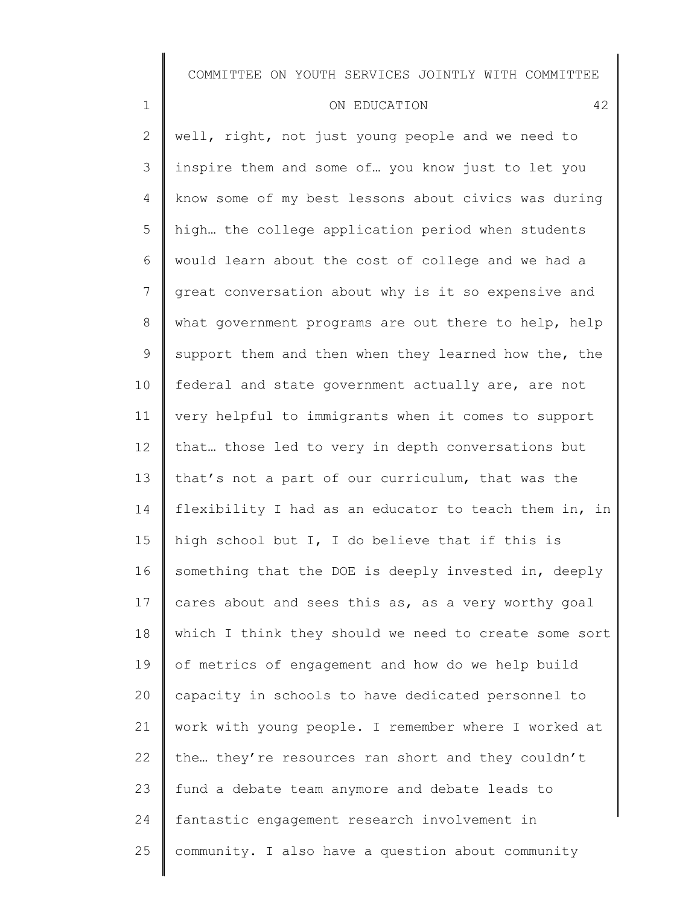#### ON EDUCATION 42

1

2 3 4 5 6 7 8 9 10 11 12 13 14 15 16 17 18 19 20 21 22 23 24 25 well, right, not just young people and we need to inspire them and some of… you know just to let you know some of my best lessons about civics was during high… the college application period when students would learn about the cost of college and we had a great conversation about why is it so expensive and what government programs are out there to help, help support them and then when they learned how the, the federal and state government actually are, are not very helpful to immigrants when it comes to support that… those led to very in depth conversations but that's not a part of our curriculum, that was the flexibility I had as an educator to teach them in, in high school but I, I do believe that if this is something that the DOE is deeply invested in, deeply cares about and sees this as, as a very worthy goal which I think they should we need to create some sort of metrics of engagement and how do we help build capacity in schools to have dedicated personnel to work with young people. I remember where I worked at the… they're resources ran short and they couldn't fund a debate team anymore and debate leads to fantastic engagement research involvement in community. I also have a question about community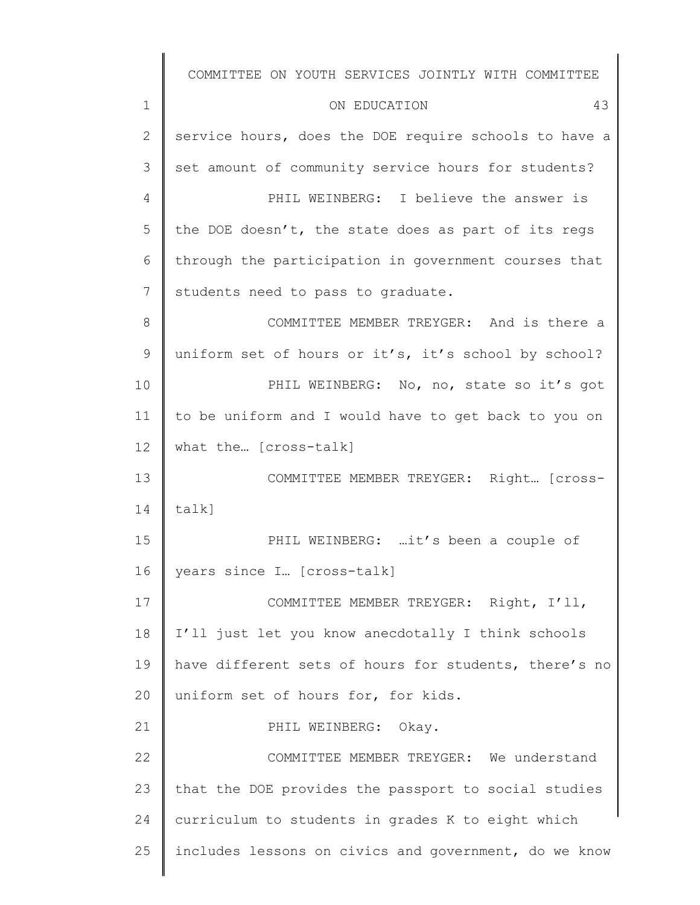1 2 3 4 5 6 7 8 9 10 11 12 13 14 15 16 17 18 19 20 21 22 23 24 25 COMMITTEE ON YOUTH SERVICES JOINTLY WITH COMMITTEE ON EDUCATION 43 service hours, does the DOE require schools to have a set amount of community service hours for students? PHIL WEINBERG: I believe the answer is the DOE doesn't, the state does as part of its regs through the participation in government courses that students need to pass to graduate. COMMITTEE MEMBER TREYGER: And is there a uniform set of hours or it's, it's school by school? PHIL WEINBERG: No, no, state so it's got to be uniform and I would have to get back to you on what the… [cross-talk] COMMITTEE MEMBER TREYGER: Right… [crosstalk] PHIL WEINBERG: ...it's been a couple of years since I… [cross-talk] COMMITTEE MEMBER TREYGER: Right, I'll, I'll just let you know anecdotally I think schools have different sets of hours for students, there's no uniform set of hours for, for kids. PHIL WEINBERG: Okay. COMMITTEE MEMBER TREYGER: We understand that the DOE provides the passport to social studies curriculum to students in grades K to eight which includes lessons on civics and government, do we know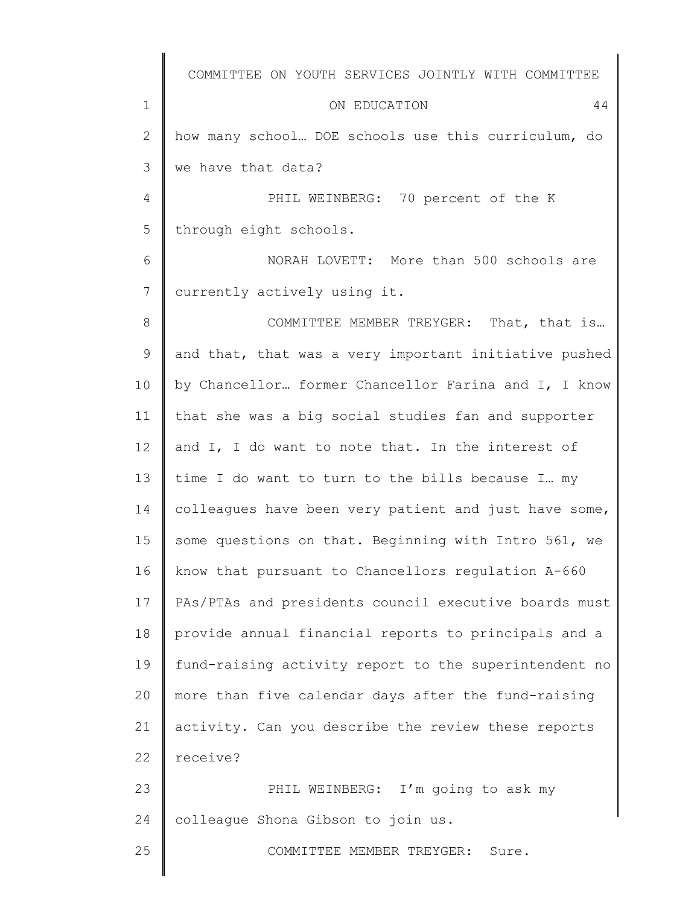1 2 3 4 5 6 7 8 9 10 11 12 13 14 15 16 17 18 19 20 21 22 23 24 25 COMMITTEE ON YOUTH SERVICES JOINTLY WITH COMMITTEE ON EDUCATION 44 how many school… DOE schools use this curriculum, do we have that data? PHIL WEINBERG: 70 percent of the K through eight schools. NORAH LOVETT: More than 500 schools are currently actively using it. COMMITTEE MEMBER TREYGER: That, that is… and that, that was a very important initiative pushed by Chancellor… former Chancellor Farina and I, I know that she was a big social studies fan and supporter and I, I do want to note that. In the interest of time I do want to turn to the bills because I… my colleagues have been very patient and just have some, some questions on that. Beginning with Intro 561, we know that pursuant to Chancellors regulation A-660 PAs/PTAs and presidents council executive boards must provide annual financial reports to principals and a fund-raising activity report to the superintendent no more than five calendar days after the fund-raising activity. Can you describe the review these reports receive? PHIL WEINBERG: I'm going to ask my colleague Shona Gibson to join us. COMMITTEE MEMBER TREYGER: Sure.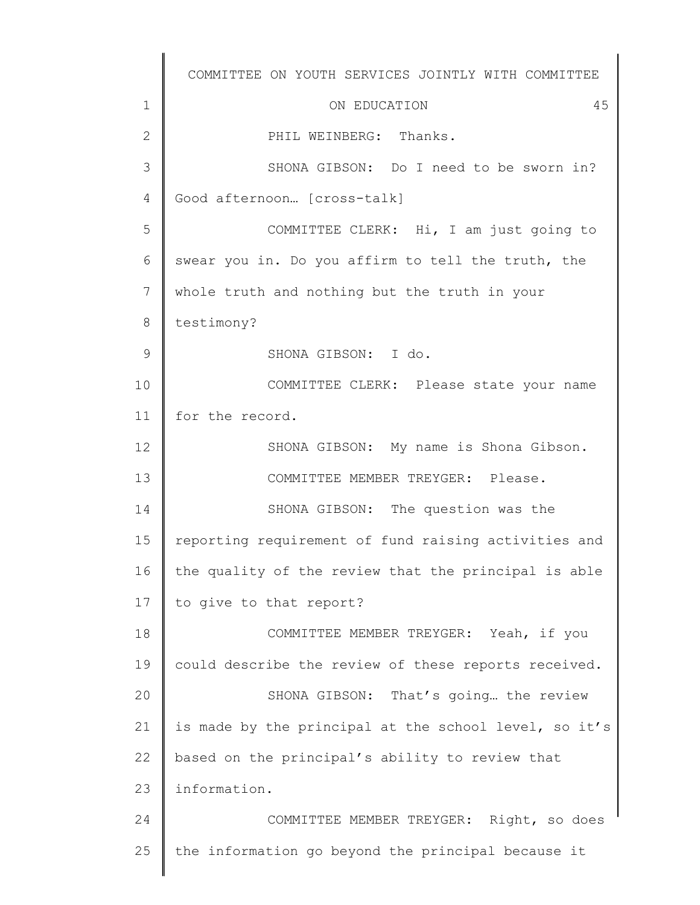1 2 3 4 5 6 7 8 9 10 11 12 13 14 15 16 17 18 19 20 21 22 23 24 25 COMMITTEE ON YOUTH SERVICES JOINTLY WITH COMMITTEE ON EDUCATION 45 PHIL WEINBERG: Thanks. SHONA GIBSON: Do I need to be sworn in? Good afternoon… [cross-talk] COMMITTEE CLERK: Hi, I am just going to swear you in. Do you affirm to tell the truth, the whole truth and nothing but the truth in your testimony? SHONA GIBSON: I do. COMMITTEE CLERK: Please state your name for the record. SHONA GIBSON: My name is Shona Gibson. COMMITTEE MEMBER TREYGER: Please. SHONA GIBSON: The question was the reporting requirement of fund raising activities and the quality of the review that the principal is able to give to that report? COMMITTEE MEMBER TREYGER: Yeah, if you could describe the review of these reports received. SHONA GIBSON: That's going… the review is made by the principal at the school level, so it's based on the principal's ability to review that information. COMMITTEE MEMBER TREYGER: Right, so does the information go beyond the principal because it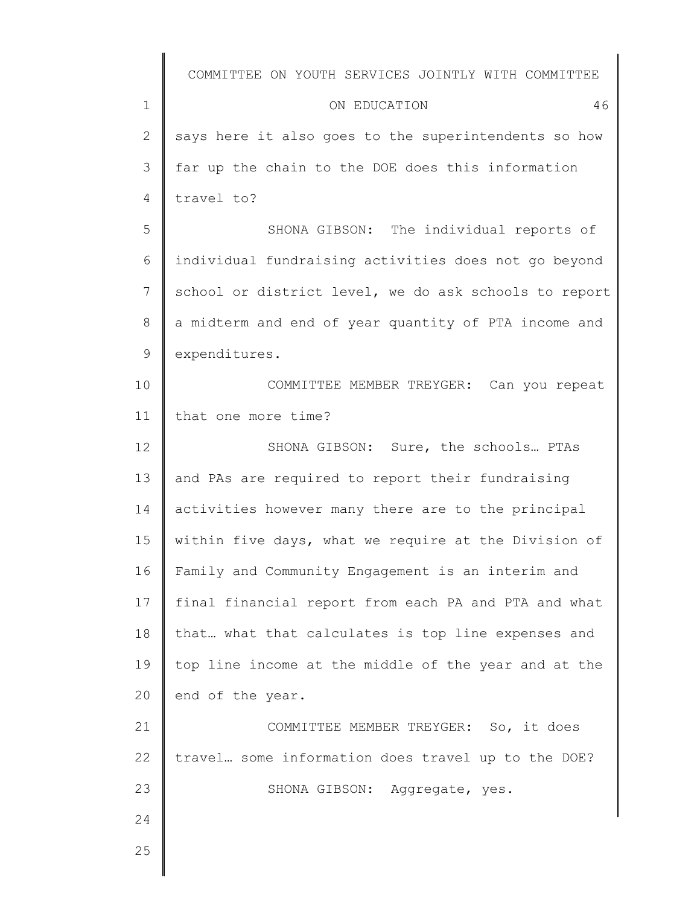|              | COMMITTEE ON YOUTH SERVICES JOINTLY WITH COMMITTEE    |
|--------------|-------------------------------------------------------|
| $\mathbf 1$  | ON EDUCATION<br>46                                    |
| $\mathbf{2}$ | says here it also goes to the superintendents so how  |
| 3            | far up the chain to the DOE does this information     |
| 4            | travel to?                                            |
| 5            | SHONA GIBSON: The individual reports of               |
| 6            | individual fundraising activities does not go beyond  |
| 7            | school or district level, we do ask schools to report |
| 8            | a midterm and end of year quantity of PTA income and  |
| $\mathsf 9$  | expenditures.                                         |
| 10           | COMMITTEE MEMBER TREYGER: Can you repeat              |
| 11           | that one more time?                                   |
| 12           | SHONA GIBSON: Sure, the schools PTAs                  |
| 13           | and PAs are required to report their fundraising      |
| 14           | activities however many there are to the principal    |
| 15           | within five days, what we require at the Division of  |
| 16           | Family and Community Engagement is an interim and     |
| 17           | final financial report from each PA and PTA and what  |
| 18           | that what that calculates is top line expenses and    |
| 19           | top line income at the middle of the year and at the  |
| 20           | end of the year.                                      |
| 21           | COMMITTEE MEMBER TREYGER: So, it does                 |
| 22           | travel some information does travel up to the DOE?    |
| 23           | SHONA GIBSON: Aggregate, yes.                         |
| 24           |                                                       |
| 25           |                                                       |
|              |                                                       |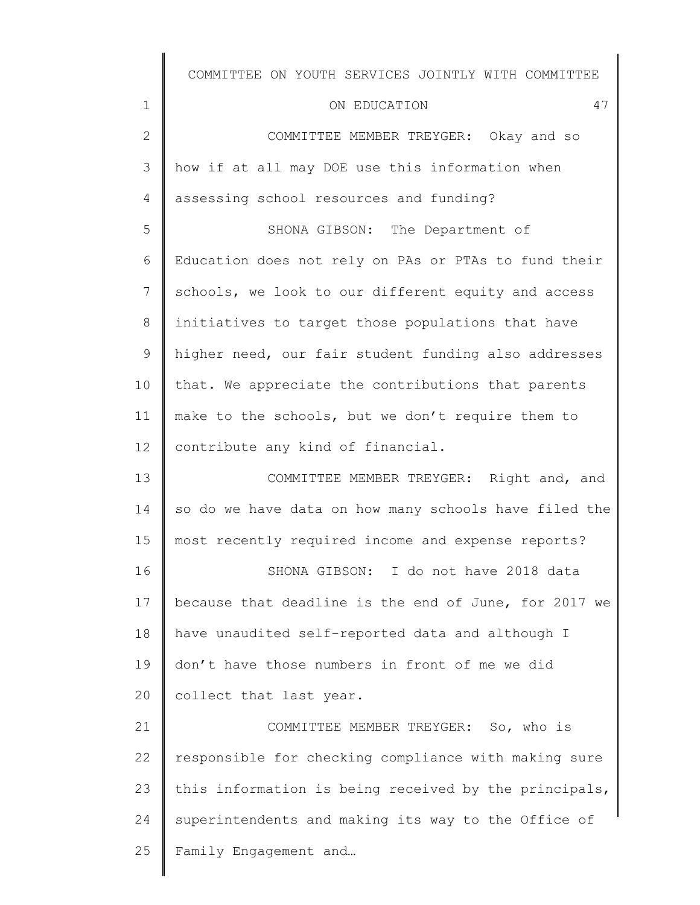| $\mathbf 1$    | 47<br>ON EDUCATION                                    |
|----------------|-------------------------------------------------------|
| $\mathbf{2}$   | COMMITTEE MEMBER TREYGER: Okay and so                 |
| 3              | how if at all may DOE use this information when       |
| $\overline{4}$ | assessing school resources and funding?               |
| 5              | SHONA GIBSON: The Department of                       |
| 6              | Education does not rely on PAs or PTAs to fund their  |
| $7\phantom{.}$ | schools, we look to our different equity and access   |
| 8              | initiatives to target those populations that have     |
| 9              | higher need, our fair student funding also addresses  |
| 10             | that. We appreciate the contributions that parents    |
| 11             | make to the schools, but we don't require them to     |
| 12             | contribute any kind of financial.                     |
| 13             | COMMITTEE MEMBER TREYGER: Right and, and              |
| 14             | so do we have data on how many schools have filed the |
| 15             | most recently required income and expense reports?    |
| 16             | SHONA GIBSON: I do not have 2018 data                 |
| 17             | because that deadline is the end of June, for 2017 we |

18 19 20 have unaudited self-reported data and although I don't have those numbers in front of me we did collect that last year.

21 22 23 24 25 COMMITTEE MEMBER TREYGER: So, who is responsible for checking compliance with making sure this information is being received by the principals, superintendents and making its way to the Office of Family Engagement and…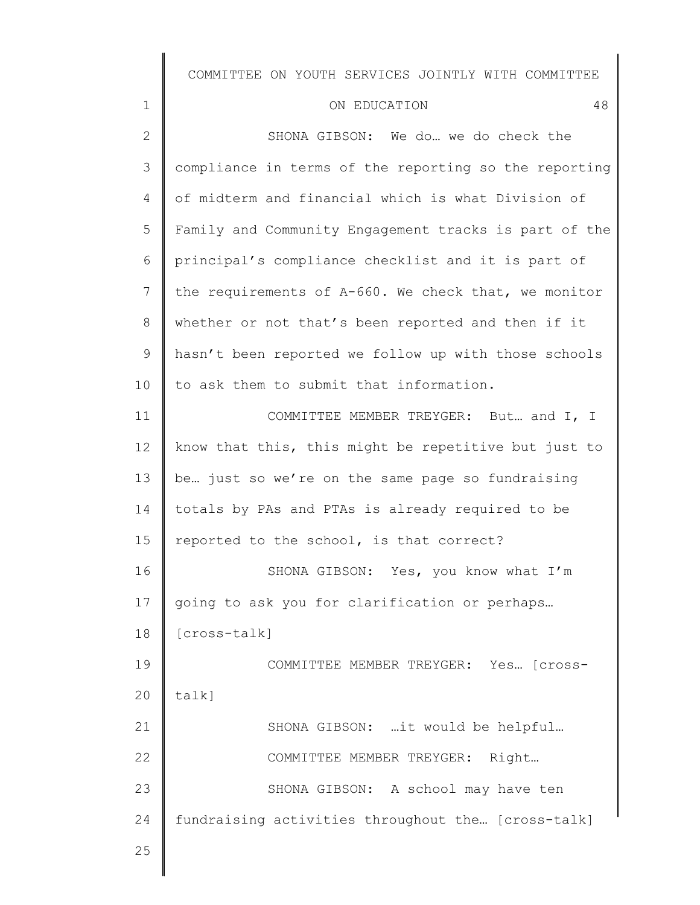### ON EDUCATION 48

| $\mathbf{2}$   | SHONA GIBSON: We do we do check the                   |
|----------------|-------------------------------------------------------|
| $\mathfrak{Z}$ | compliance in terms of the reporting so the reporting |
| 4              | of midterm and financial which is what Division of    |
| 5              | Family and Community Engagement tracks is part of the |
| 6              | principal's compliance checklist and it is part of    |
| 7              | the requirements of A-660. We check that, we monitor  |
| 8              | whether or not that's been reported and then if it    |
| 9              | hasn't been reported we follow up with those schools  |
| 10             | to ask them to submit that information.               |
| 11             | COMMITTEE MEMBER TREYGER: But and I, I                |
| 12             | know that this, this might be repetitive but just to  |
| 13             | be just so we're on the same page so fundraising      |
| 14             | totals by PAs and PTAs is already required to be      |
| 15             | reported to the school, is that correct?              |
| 16             | SHONA GIBSON: Yes, you know what I'm                  |
| 17             | going to ask you for clarification or perhaps         |
| 18             | [cross-talk]                                          |
| 19             | COMMITTEE MEMBER TREYGER: Yes [Cross-                 |
| 20             | talk]                                                 |
| 21             | SHONA GIBSON: it would be helpful                     |
| 22             | COMMITTEE MEMBER TREYGER: Right                       |
| 23             | SHONA GIBSON: A school may have ten                   |
| 24             | fundraising activities throughout the [cross-talk]    |
| 25             |                                                       |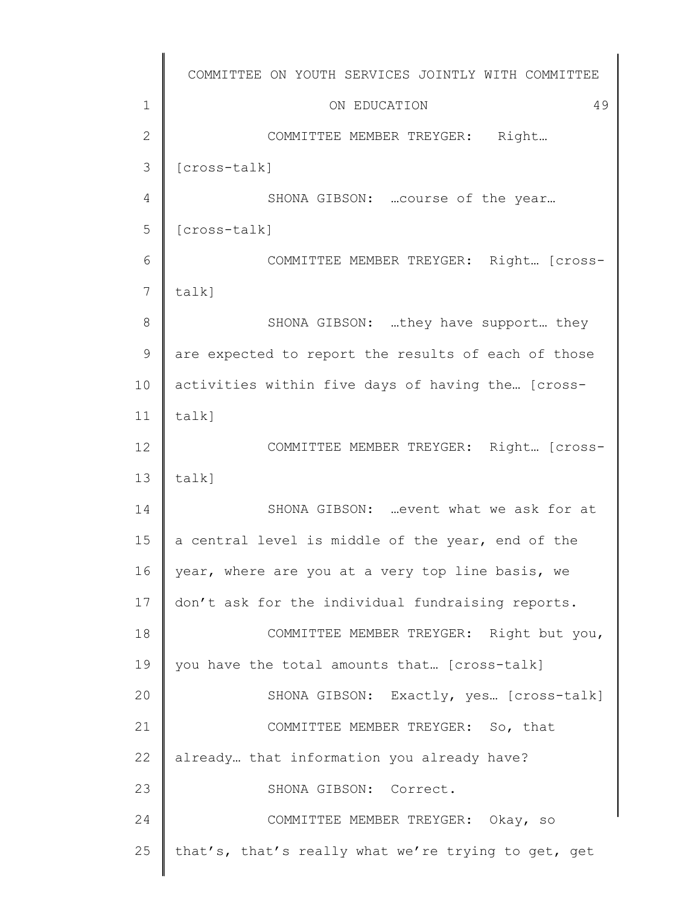|               | COMMITTEE ON YOUTH SERVICES JOINTLY WITH COMMITTEE  |
|---------------|-----------------------------------------------------|
| $\mathbf 1$   | 49<br>ON EDUCATION                                  |
| $\mathbf{2}$  | COMMITTEE MEMBER TREYGER: Right                     |
| 3             | [cross-talk]                                        |
| 4             | SHONA GIBSON:  course of the year                   |
| 5             | [cross-talk]                                        |
| 6             | COMMITTEE MEMBER TREYGER: Right [Cross-             |
| 7             | talk]                                               |
| 8             | SHONA GIBSON: they have support they                |
| $\mathcal{G}$ | are expected to report the results of each of those |
| 10            | activities within five days of having the [cross-   |
| 11            | talk]                                               |
| 12            | COMMITTEE MEMBER TREYGER: Right [Cross-             |
| 13            | talk]                                               |
| 14            | SHONA GIBSON:  event what we ask for at             |
| 15            | a central level is middle of the year, end of the   |
| 16            | year, where are you at a very top line basis, we    |
| 17            | don't ask for the individual fundraising reports.   |
| 18            | COMMITTEE MEMBER TREYGER: Right but you,            |
| 19            | you have the total amounts that [cross-talk]        |
| 20            | SHONA GIBSON: Exactly, yes [cross-talk]             |
| 21            | COMMITTEE MEMBER TREYGER: So, that                  |
| 22            | already that information you already have?          |
| 23            | SHONA GIBSON: Correct.                              |
| 24            | COMMITTEE MEMBER TREYGER: Okay, so                  |
| 25            | that's, that's really what we're trying to get, get |
|               |                                                     |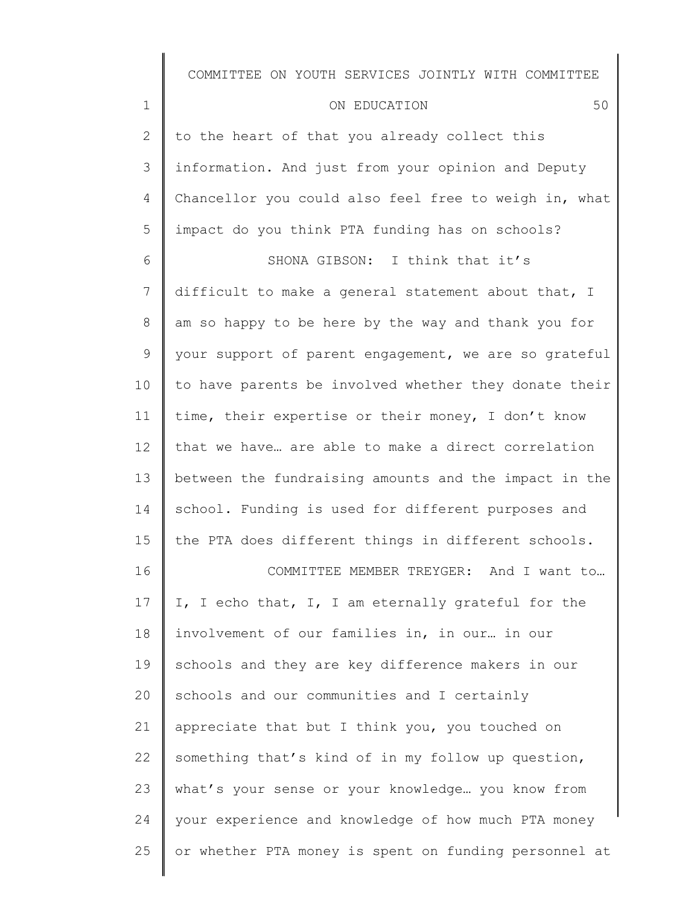#### ON EDUCATION 50

1

2 3 4 5 to the heart of that you already collect this information. And just from your opinion and Deputy Chancellor you could also feel free to weigh in, what impact do you think PTA funding has on schools?

6 7 8 9 10 11 12 13 14 15 16 SHONA GIBSON: I think that it's difficult to make a general statement about that, I am so happy to be here by the way and thank you for your support of parent engagement, we are so grateful to have parents be involved whether they donate their time, their expertise or their money, I don't know that we have… are able to make a direct correlation between the fundraising amounts and the impact in the school. Funding is used for different purposes and the PTA does different things in different schools. COMMITTEE MEMBER TREYGER: And I want to…

17 18 19 20 21 22 23 24 25 I, I echo that, I, I am eternally grateful for the involvement of our families in, in our… in our schools and they are key difference makers in our schools and our communities and I certainly appreciate that but I think you, you touched on something that's kind of in my follow up question, what's your sense or your knowledge… you know from your experience and knowledge of how much PTA money or whether PTA money is spent on funding personnel at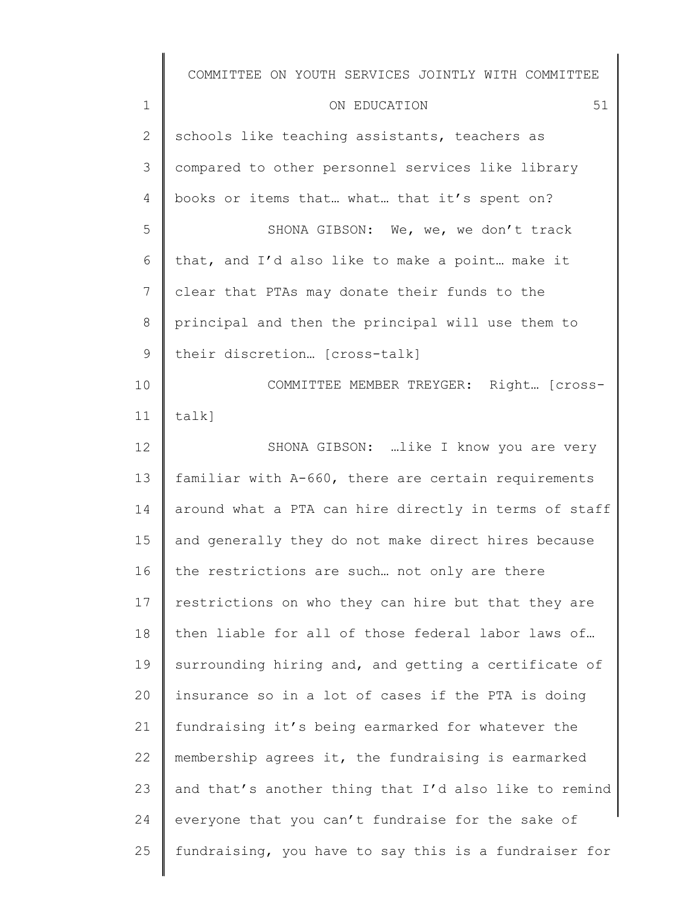|               | COMMITTEE ON YOUTH SERVICES JOINTLY WITH COMMITTEE    |
|---------------|-------------------------------------------------------|
| $\mathbf 1$   | 51<br>ON EDUCATION                                    |
| $\mathbf{2}$  | schools like teaching assistants, teachers as         |
| 3             | compared to other personnel services like library     |
| 4             | books or items that what that it's spent on?          |
| 5             | SHONA GIBSON: We, we, we don't track                  |
| 6             | that, and I'd also like to make a point make it       |
| 7             | clear that PTAs may donate their funds to the         |
| $8\,$         | principal and then the principal will use them to     |
| $\mathcal{G}$ | their discretion [cross-talk]                         |
| 10            | COMMITTEE MEMBER TREYGER: Right [Cross-               |
| 11            | $talk$ ]                                              |
| $12 \,$       | SHONA GIBSON:  like I know you are very               |
| 13            | familiar with A-660, there are certain requirements   |
| 14            | around what a PTA can hire directly in terms of staff |
| 15            | and generally they do not make direct hires because   |
| 16            | the restrictions are such not only are there          |
| 17            | restrictions on who they can hire but that they are   |
| 18            | then liable for all of those federal labor laws of    |
| 19            | surrounding hiring and, and getting a certificate of  |
| 20            | insurance so in a lot of cases if the PTA is doing    |
| 21            | fundraising it's being earmarked for whatever the     |
| 22            | membership agrees it, the fundraising is earmarked    |
| 23            | and that's another thing that I'd also like to remind |
| 24            | everyone that you can't fundraise for the sake of     |
| 25            | fundraising, you have to say this is a fundraiser for |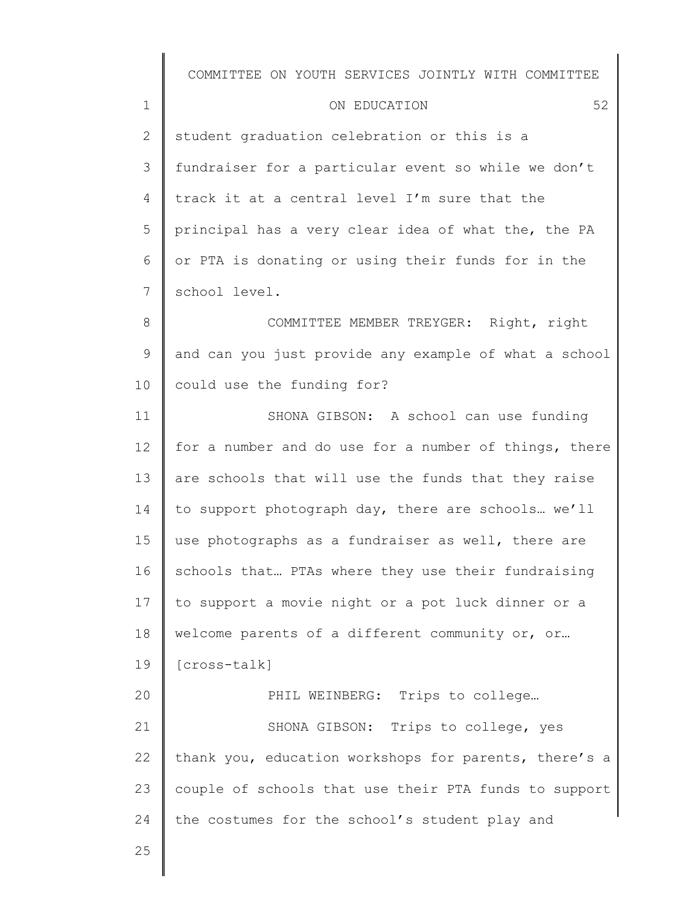#### ON EDUCATION 52

2 3 4 5 6 7 student graduation celebration or this is a fundraiser for a particular event so while we don't track it at a central level I'm sure that the principal has a very clear idea of what the, the PA or PTA is donating or using their funds for in the school level.

8 9 10 COMMITTEE MEMBER TREYGER: Right, right and can you just provide any example of what a school could use the funding for?

11 12 13 14 15 16 17 18 19 20 SHONA GIBSON: A school can use funding for a number and do use for a number of things, there are schools that will use the funds that they raise to support photograph day, there are schools… we'll use photographs as a fundraiser as well, there are schools that… PTAs where they use their fundraising to support a movie night or a pot luck dinner or a welcome parents of a different community or, or… [cross-talk] PHIL WEINBERG: Trips to college...

21 22 23 24 SHONA GIBSON: Trips to college, yes thank you, education workshops for parents, there's a couple of schools that use their PTA funds to support the costumes for the school's student play and

25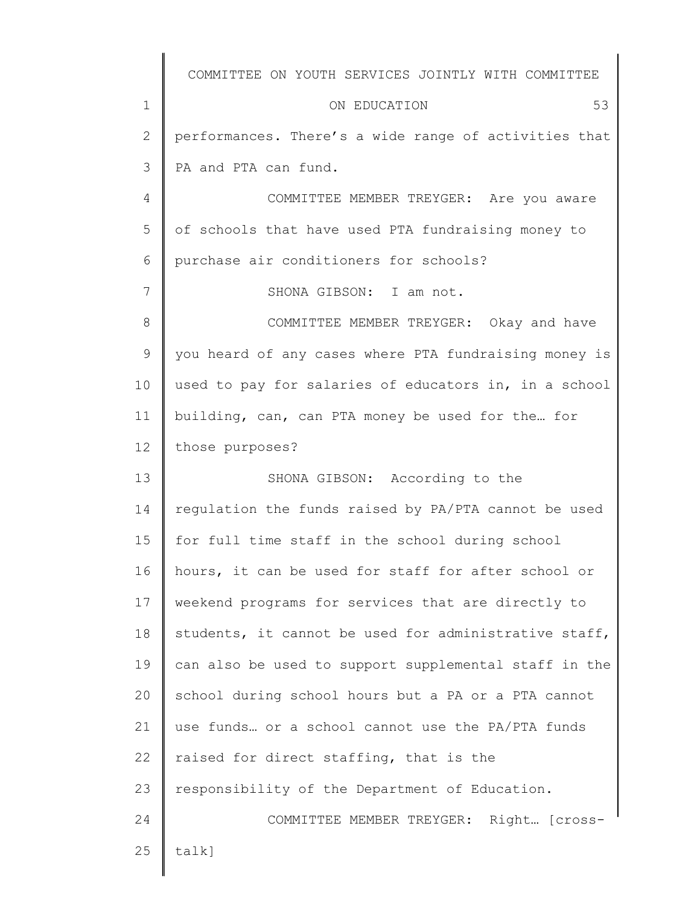|              | COMMITTEE ON YOUTH SERVICES JOINTLY WITH COMMITTEE    |
|--------------|-------------------------------------------------------|
| 1            | 53<br>ON EDUCATION                                    |
| $\mathbf{2}$ | performances. There's a wide range of activities that |
| 3            | PA and PTA can fund.                                  |
| 4            | COMMITTEE MEMBER TREYGER: Are you aware               |
| 5            | of schools that have used PTA fundraising money to    |
| 6            | purchase air conditioners for schools?                |
| 7            | SHONA GIBSON: I am not.                               |
| 8            | COMMITTEE MEMBER TREYGER: Okay and have               |
| 9            | you heard of any cases where PTA fundraising money is |
| 10           | used to pay for salaries of educators in, in a school |
| 11           | building, can, can PTA money be used for the for      |
| 12           | those purposes?                                       |
| 13           | SHONA GIBSON: According to the                        |
| 14           | regulation the funds raised by PA/PTA cannot be used  |
| 15           | for full time staff in the school during school       |
| 16           | hours, it can be used for staff for after school or   |
| 17           | weekend programs for services that are directly to    |
| 18           | students, it cannot be used for administrative staff, |
| 19           | can also be used to support supplemental staff in the |
| 20           | school during school hours but a PA or a PTA cannot   |
| 21           | use funds or a school cannot use the PA/PTA funds     |
| 22           | raised for direct staffing, that is the               |
| 23           | responsibility of the Department of Education.        |
| 24           | COMMITTEE MEMBER TREYGER: Right [Cross-               |
| 25           | $talk$ ]                                              |
|              |                                                       |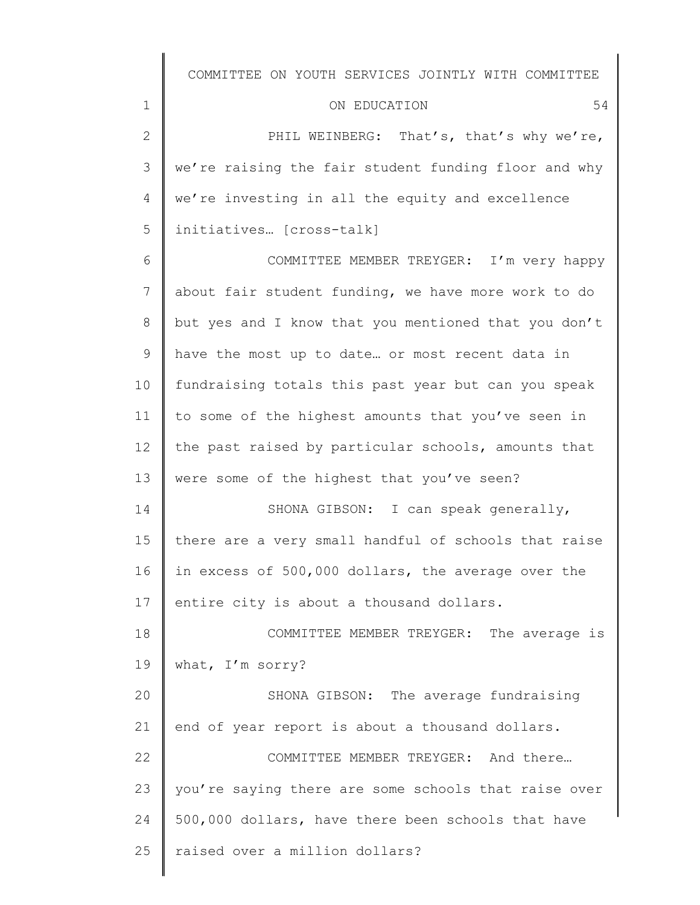| ON EDUCATION |
|--------------|
|--------------|

1

| 2 $\parallel$ | PHIL WEINBERG: That's, that's why we're,                       |
|---------------|----------------------------------------------------------------|
|               | 3   we're raising the fair student funding floor and why       |
|               | $4 \parallel$ we're investing in all the equity and excellence |
|               | 5   initiatives [cross-talk]                                   |

6 7 8 9 10 11 12 13 14 15 16 17 COMMITTEE MEMBER TREYGER: I'm very happy about fair student funding, we have more work to do but yes and I know that you mentioned that you don't have the most up to date… or most recent data in fundraising totals this past year but can you speak to some of the highest amounts that you've seen in the past raised by particular schools, amounts that were some of the highest that you've seen? SHONA GIBSON: I can speak generally, there are a very small handful of schools that raise in excess of 500,000 dollars, the average over the entire city is about a thousand dollars.

18 19 20 COMMITTEE MEMBER TREYGER: The average is what, I'm sorry? SHONA GIBSON: The average fundraising

21 22 23 24 25 end of year report is about a thousand dollars. COMMITTEE MEMBER TREYGER: And there… you're saying there are some schools that raise over 500,000 dollars, have there been schools that have raised over a million dollars?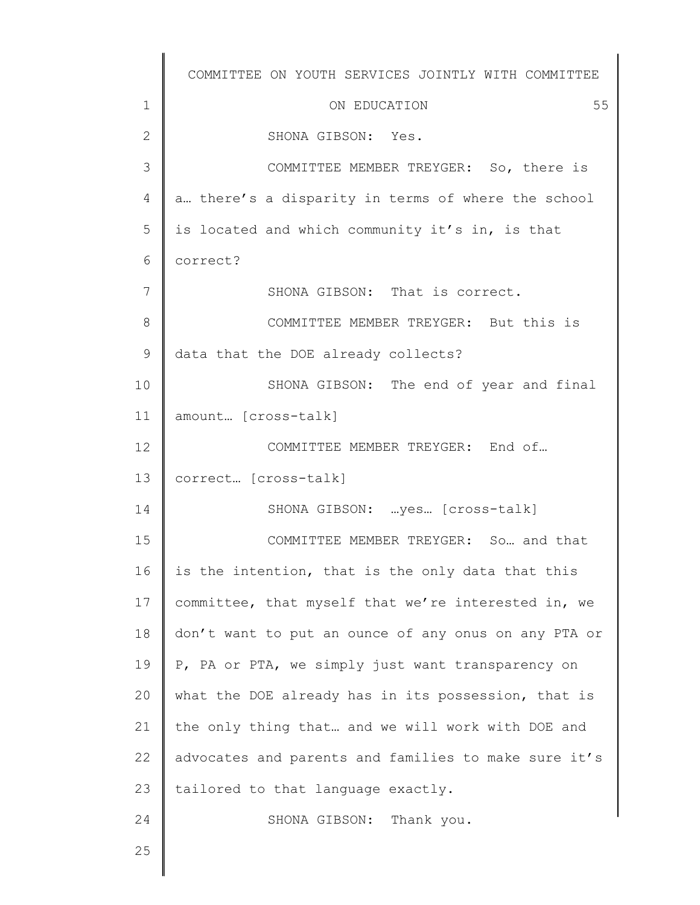1 2 3 4 5 6 7 8 9 10 11 12 13 14 15 16 17 18 19 20 21 22 23 24 25 COMMITTEE ON YOUTH SERVICES JOINTLY WITH COMMITTEE ON EDUCATION 55 SHONA GIBSON: Yes. COMMITTEE MEMBER TREYGER: So, there is a… there's a disparity in terms of where the school is located and which community it's in, is that correct? SHONA GIBSON: That is correct. COMMITTEE MEMBER TREYGER: But this is data that the DOE already collects? SHONA GIBSON: The end of year and final amount… [cross-talk] COMMITTEE MEMBER TREYGER: End of… correct… [cross-talk] SHONA GIBSON: …yes… [cross-talk] COMMITTEE MEMBER TREYGER: So… and that is the intention, that is the only data that this committee, that myself that we're interested in, we don't want to put an ounce of any onus on any PTA or P, PA or PTA, we simply just want transparency on what the DOE already has in its possession, that is the only thing that… and we will work with DOE and advocates and parents and families to make sure it's tailored to that language exactly. SHONA GIBSON: Thank you.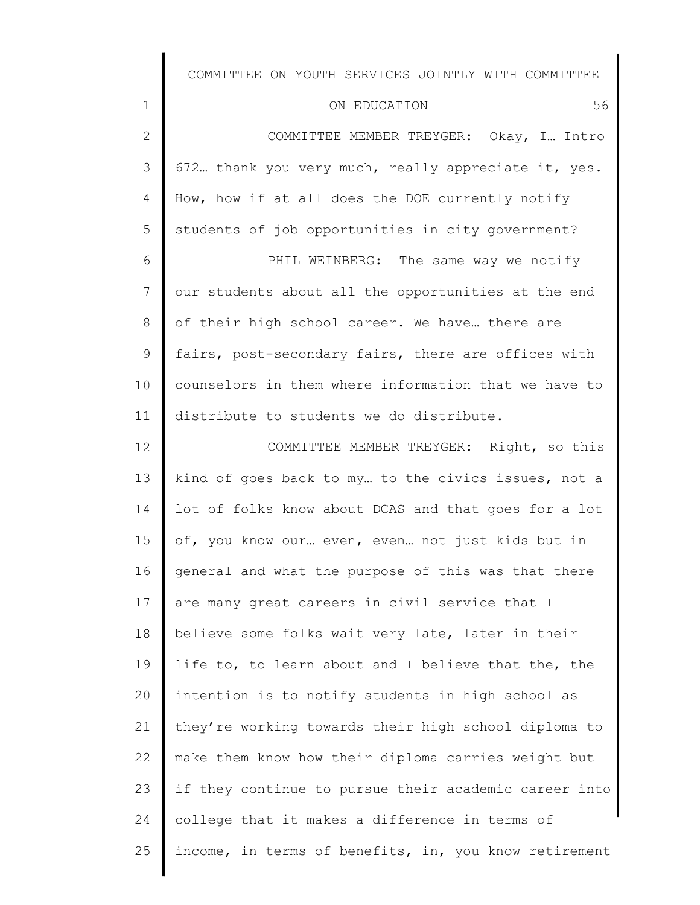| ON EDUCATION | 56 |
|--------------|----|
|              |    |

1

Ι

| $\mathbf{2}$   | COMMITTEE MEMBER TREYGER: Okay, I Intro               |
|----------------|-------------------------------------------------------|
| 3              | 672 thank you very much, really appreciate it, yes.   |
| 4              | How, how if at all does the DOE currently notify      |
| 5              | students of job opportunities in city government?     |
| 6              | PHIL WEINBERG: The same way we notify                 |
| $7\phantom{.}$ | our students about all the opportunities at the end   |
| 8              | of their high school career. We have there are        |
| 9              | fairs, post-secondary fairs, there are offices with   |
| 10             | counselors in them where information that we have to  |
| 11             | distribute to students we do distribute.              |
| 12             | COMMITTEE MEMBER TREYGER: Right, so this              |
| 13             | kind of goes back to my to the civics issues, not a   |
| 14             | lot of folks know about DCAS and that goes for a lot  |
| 15             | of, you know our even, even not just kids but in      |
| 16             | general and what the purpose of this was that there   |
| 17             | are many great careers in civil service that I        |
| 18             | believe some folks wait very late, later in their     |
| 19             | life to, to learn about and I believe that the, the   |
| 20             | intention is to notify students in high school as     |
| 21             | they're working towards their high school diploma to  |
| 22             | make them know how their diploma carries weight but   |
| 23             | if they continue to pursue their academic career into |
| 24             | college that it makes a difference in terms of        |
| 25             | income, in terms of benefits, in, you know retirement |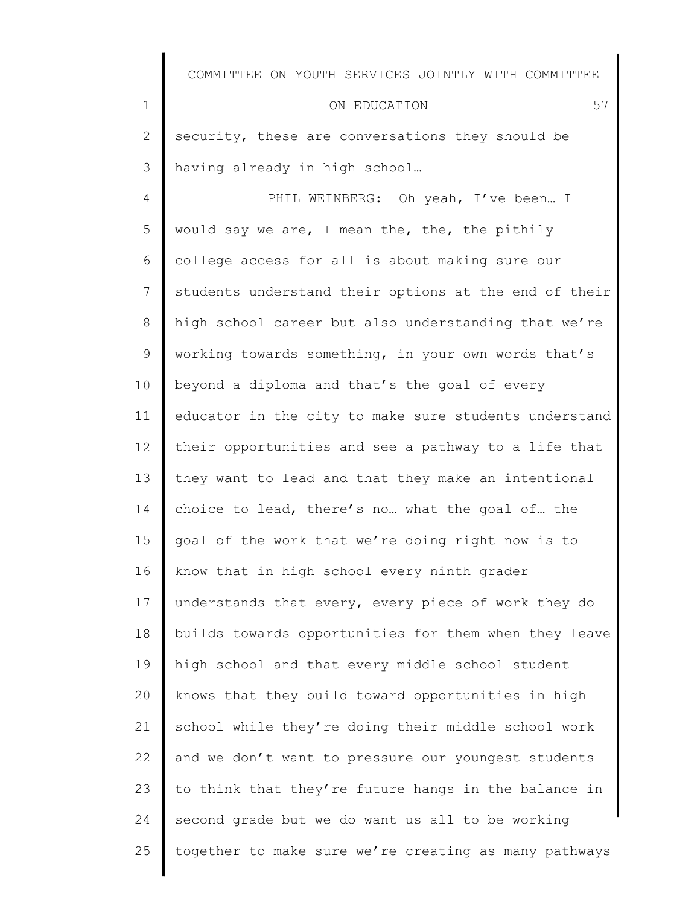|                | COMMITTEE ON YOUTH SERVICES JOINTLY WITH COMMITTEE    |
|----------------|-------------------------------------------------------|
| $\mathbf 1$    | 57<br>ON EDUCATION                                    |
| 2              | security, these are conversations they should be      |
| 3              | having already in high school                         |
| $\overline{4}$ | PHIL WEINBERG: Oh yeah, I've been I                   |
| 5              | would say we are, I mean the, the, the pithily        |
| 6              | college access for all is about making sure our       |
| 7              | students understand their options at the end of their |
| 8              | high school career but also understanding that we're  |
| 9              | working towards something, in your own words that's   |
| 10             | beyond a diploma and that's the goal of every         |
| 11             | educator in the city to make sure students understand |
| 12             | their opportunities and see a pathway to a life that  |
| 13             | they want to lead and that they make an intentional   |
| 14             | choice to lead, there's no what the goal of the       |
| 15             | goal of the work that we're doing right now is to     |
| 16             | know that in high school every ninth grader           |
| 17             | understands that every, every piece of work they do   |
| 18             | builds towards opportunities for them when they leave |
| 19             | high school and that every middle school student      |
| 20             | knows that they build toward opportunities in high    |
| 21             | school while they're doing their middle school work   |
| 22             | and we don't want to pressure our youngest students   |
| 23             | to think that they're future hangs in the balance in  |
| 24             | second grade but we do want us all to be working      |
| 25             | together to make sure we're creating as many pathways |
|                |                                                       |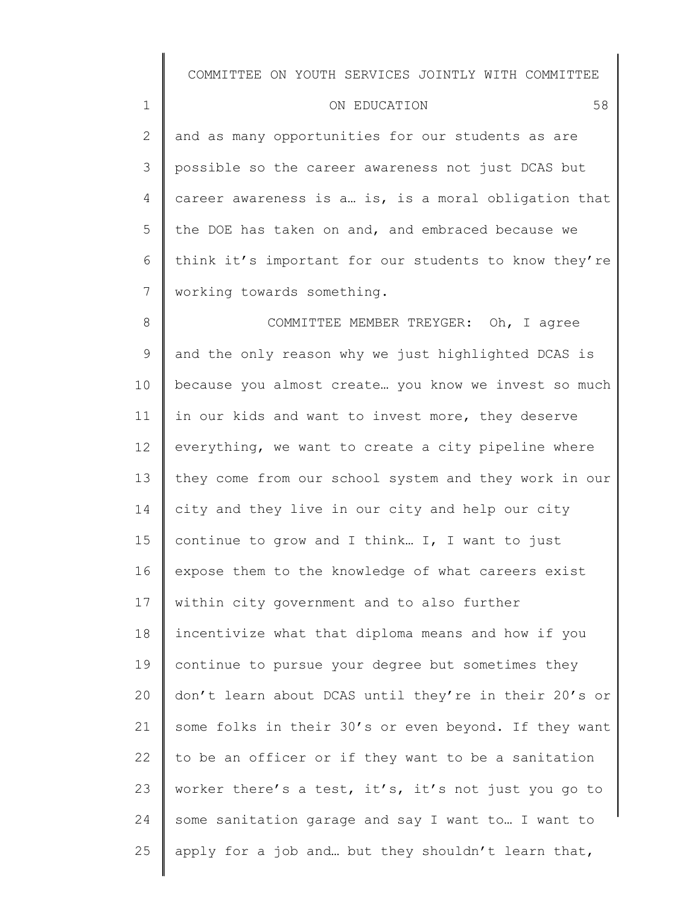1

2 3 4 5 6 7 and as many opportunities for our students as are possible so the career awareness not just DCAS but career awareness is a… is, is a moral obligation that the DOE has taken on and, and embraced because we think it's important for our students to know they're working towards something.

8 9 10 11 12 13 14 15 16 17 18 19 20 21 22 23 24 25 COMMITTEE MEMBER TREYGER: Oh, I agree and the only reason why we just highlighted DCAS is because you almost create… you know we invest so much in our kids and want to invest more, they deserve everything, we want to create a city pipeline where they come from our school system and they work in our city and they live in our city and help our city continue to grow and I think… I, I want to just expose them to the knowledge of what careers exist within city government and to also further incentivize what that diploma means and how if you continue to pursue your degree but sometimes they don't learn about DCAS until they're in their 20's or some folks in their 30's or even beyond. If they want to be an officer or if they want to be a sanitation worker there's a test, it's, it's not just you go to some sanitation garage and say I want to… I want to apply for a job and… but they shouldn't learn that,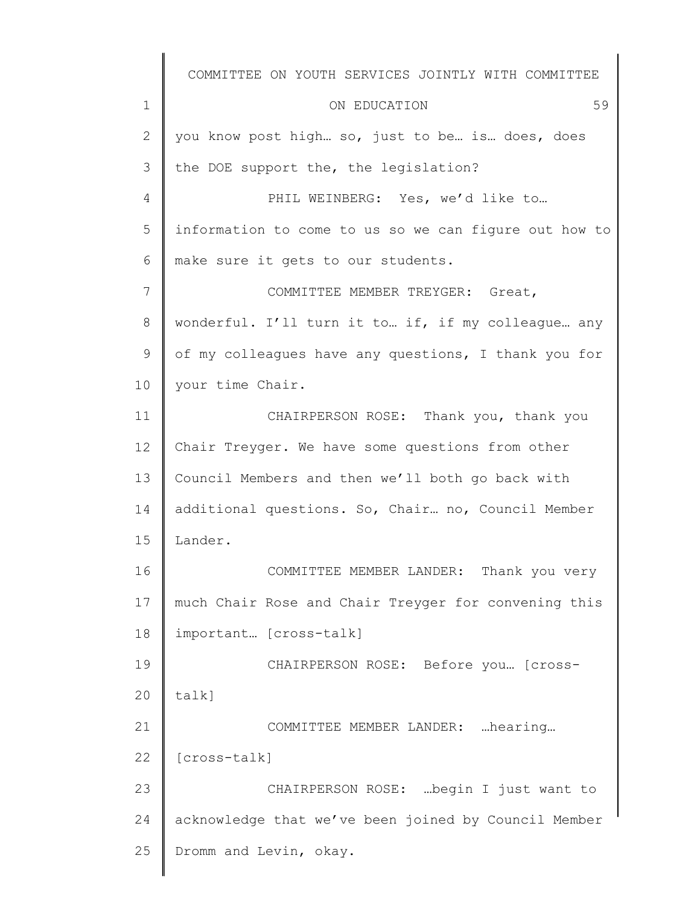1 2 3 4 5 6 7 8 9 10 11 12 13 14 15 16 17 18 19 20 21 22 23 24 25 COMMITTEE ON YOUTH SERVICES JOINTLY WITH COMMITTEE ON EDUCATION 59 you know post high… so, just to be… is… does, does the DOE support the, the legislation? PHIL WEINBERG: Yes, we'd like to... information to come to us so we can figure out how to make sure it gets to our students. COMMITTEE MEMBER TREYGER: Great, wonderful. I'll turn it to… if, if my colleague… any of my colleagues have any questions, I thank you for your time Chair. CHAIRPERSON ROSE: Thank you, thank you Chair Treyger. We have some questions from other Council Members and then we'll both go back with additional questions. So, Chair… no, Council Member Lander. COMMITTEE MEMBER LANDER: Thank you very much Chair Rose and Chair Treyger for convening this important… [cross-talk] CHAIRPERSON ROSE: Before you… [crosstalk] COMMITTEE MEMBER LANDER: …hearing… [cross-talk] CHAIRPERSON ROSE: …begin I just want to acknowledge that we've been joined by Council Member Dromm and Levin, okay.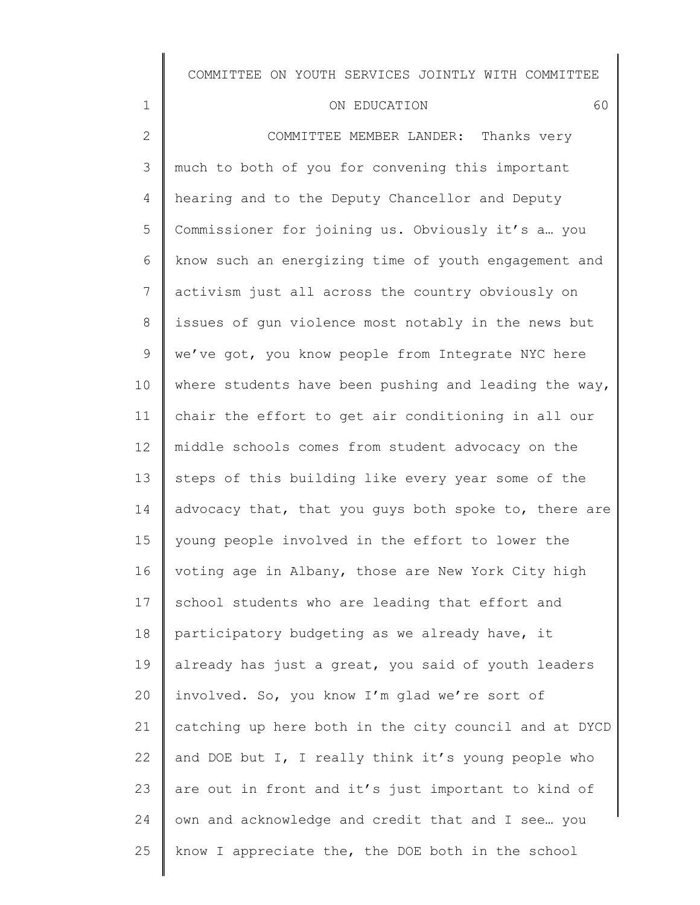#### ON EDUCATION 60

1

25

2 3 4 5 6 7 8 9 10 11 12 13 14 15 16 17 18 19 20 21 22 23 24 COMMITTEE MEMBER LANDER: Thanks very much to both of you for convening this important hearing and to the Deputy Chancellor and Deputy Commissioner for joining us. Obviously it's a… you know such an energizing time of youth engagement and activism just all across the country obviously on issues of gun violence most notably in the news but we've got, you know people from Integrate NYC here where students have been pushing and leading the way, chair the effort to get air conditioning in all our middle schools comes from student advocacy on the steps of this building like every year some of the advocacy that, that you guys both spoke to, there are young people involved in the effort to lower the voting age in Albany, those are New York City high school students who are leading that effort and participatory budgeting as we already have, it already has just a great, you said of youth leaders involved. So, you know I'm glad we're sort of catching up here both in the city council and at DYCD and DOE but I, I really think it's young people who are out in front and it's just important to kind of own and acknowledge and credit that and I see… you

know I appreciate the, the DOE both in the school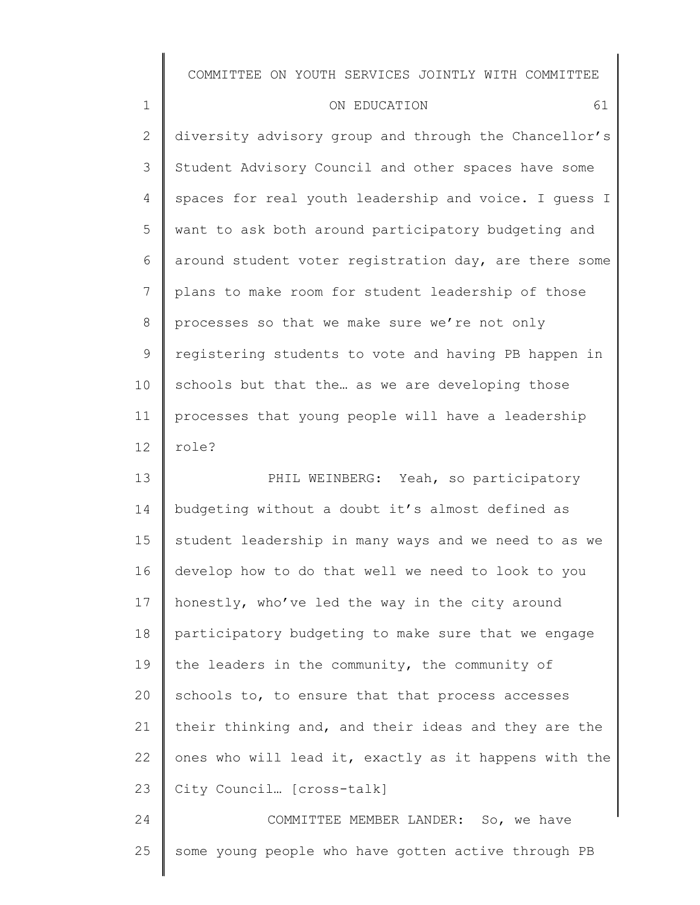| 1               | 61<br>ON EDUCATION                                    |
|-----------------|-------------------------------------------------------|
| $\mathbf{2}$    | diversity advisory group and through the Chancellor's |
| 3               | Student Advisory Council and other spaces have some   |
| 4               | spaces for real youth leadership and voice. I quess I |
| 5               | want to ask both around participatory budgeting and   |
| 6               | around student voter registration day, are there some |
| 7               | plans to make room for student leadership of those    |
| 8               | processes so that we make sure we're not only         |
| 9               | registering students to vote and having PB happen in  |
| 10              | schools but that the as we are developing those       |
| 11              | processes that young people will have a leadership    |
| 12 <sup>°</sup> | role?                                                 |

13 14 15 16 17 18 19 20 21 22 23 PHIL WEINBERG: Yeah, so participatory budgeting without a doubt it's almost defined as student leadership in many ways and we need to as we develop how to do that well we need to look to you honestly, who've led the way in the city around participatory budgeting to make sure that we engage the leaders in the community, the community of schools to, to ensure that that process accesses their thinking and, and their ideas and they are the ones who will lead it, exactly as it happens with the City Council… [cross-talk]

24 25 COMMITTEE MEMBER LANDER: So, we have some young people who have gotten active through PB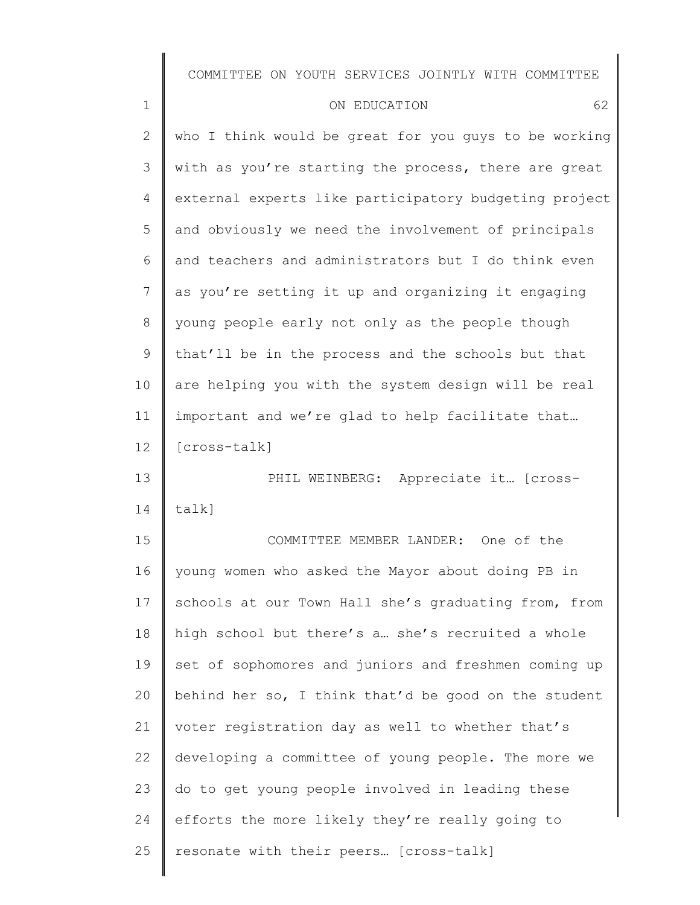| $\mathbf 1$  | 62<br>ON EDUCATION                                    |
|--------------|-------------------------------------------------------|
| $\mathbf{2}$ | who I think would be great for you guys to be working |
| 3            | with as you're starting the process, there are great  |
| 4            | external experts like participatory budgeting project |
| 5            | and obviously we need the involvement of principals   |
| 6            | and teachers and administrators but I do think even   |
| 7            | as you're setting it up and organizing it engaging    |
| $\,8\,$      | young people early not only as the people though      |
| 9            | that'll be in the process and the schools but that    |
| 10           | are helping you with the system design will be real   |
| 11           | important and we're glad to help facilitate that      |
| 12           | [cross-talk]                                          |
| 13           | PHIL WEINBERG: Appreciate it [cross-                  |
| 14           | talk]                                                 |
| 15           | COMMITTEE MEMBER LANDER: One of the                   |
| 16           | young women who asked the Mayor about doing PB in     |
| 17           | schools at our Town Hall she's graduating from, from  |
| 18           | high school but there's a she's recruited a whole     |
| 19           | set of sophomores and juniors and freshmen coming up  |
| 20           | behind her so, I think that'd be good on the student  |
| 21           | voter registration day as well to whether that's      |
| 22           | developing a committee of young people. The more we   |
| 23           | do to get young people involved in leading these      |
| 24           | efforts the more likely they're really going to       |
| 25           | resonate with their peers [cross-talk]                |
|              |                                                       |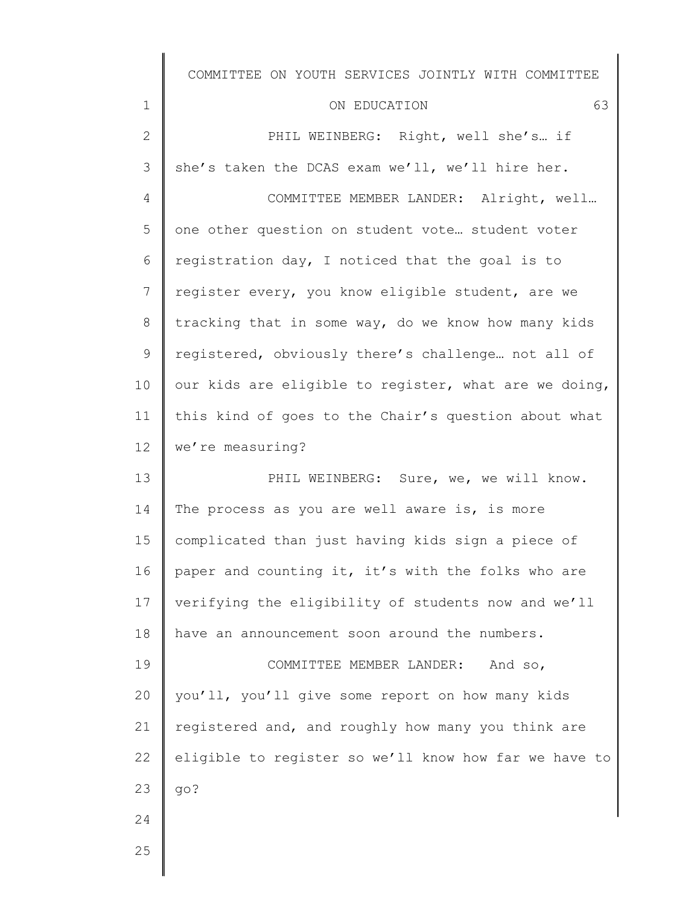#### ON EDUCATION 63

1 2 3 4 5 6 7 8 9 10 11 12 13 14 15 16 17 18 19 20 21 22 23 24 PHIL WEINBERG: Right, well she's… if she's taken the DCAS exam we'll, we'll hire her. COMMITTEE MEMBER LANDER: Alright, well… one other question on student vote… student voter registration day, I noticed that the goal is to register every, you know eligible student, are we tracking that in some way, do we know how many kids registered, obviously there's challenge… not all of our kids are eligible to register, what are we doing, this kind of goes to the Chair's question about what we're measuring? PHIL WEINBERG: Sure, we, we will know. The process as you are well aware is, is more complicated than just having kids sign a piece of paper and counting it, it's with the folks who are verifying the eligibility of students now and we'll have an announcement soon around the numbers. COMMITTEE MEMBER LANDER: And so, you'll, you'll give some report on how many kids registered and, and roughly how many you think are eligible to register so we'll know how far we have to go?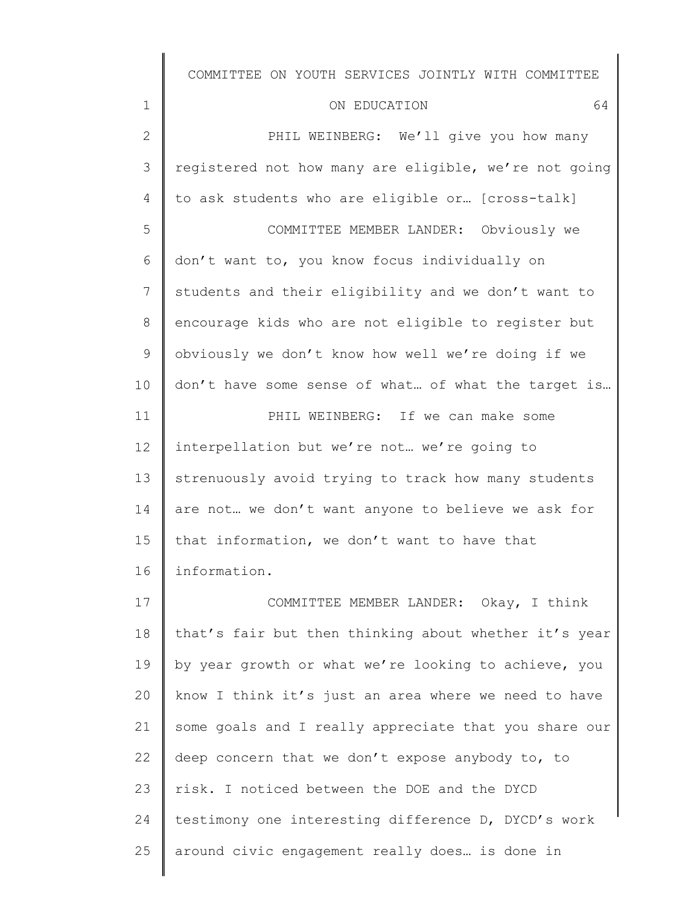| COMMITTEE ON YOUTH SERVICES JOINTLY WITH COMMITTEE |  |  |
|----------------------------------------------------|--|--|
|----------------------------------------------------|--|--|

| ON EDUCATION |
|--------------|
|--------------|

| $\mathbf 1$  | 64<br>ON EDUCATION                                    |
|--------------|-------------------------------------------------------|
| $\mathbf{2}$ | PHIL WEINBERG: We'll give you how many                |
| 3            | registered not how many are eligible, we're not going |
| 4            | to ask students who are eligible or [cross-talk]      |
| 5            | COMMITTEE MEMBER LANDER: Obviously we                 |
| 6            | don't want to, you know focus individually on         |
| 7            | students and their eligibility and we don't want to   |
| 8            | encourage kids who are not eligible to register but   |
| 9            | obviously we don't know how well we're doing if we    |
| 10           | don't have some sense of what of what the target is   |
| 11           | PHIL WEINBERG: If we can make some                    |
| 12           | interpellation but we're not we're going to           |
| 13           | strenuously avoid trying to track how many students   |
| 14           | are not we don't want anyone to believe we ask for    |
| 15           | that information, we don't want to have that          |
| 16           | information.                                          |
| 17           | COMMITTEE MEMBER LANDER: Okay, I think                |
| 18           | that's fair but then thinking about whether it's year |
| 19           | by year growth or what we're looking to achieve, you  |
| 20           | know I think it's just an area where we need to have  |
| 21           | some goals and I really appreciate that you share our |
| 22           | deep concern that we don't expose anybody to, to      |
| 23           | risk. I noticed between the DOE and the DYCD          |
| 24           | testimony one interesting difference D, DYCD's work   |
| 25           | around civic engagement really does is done in        |
|              |                                                       |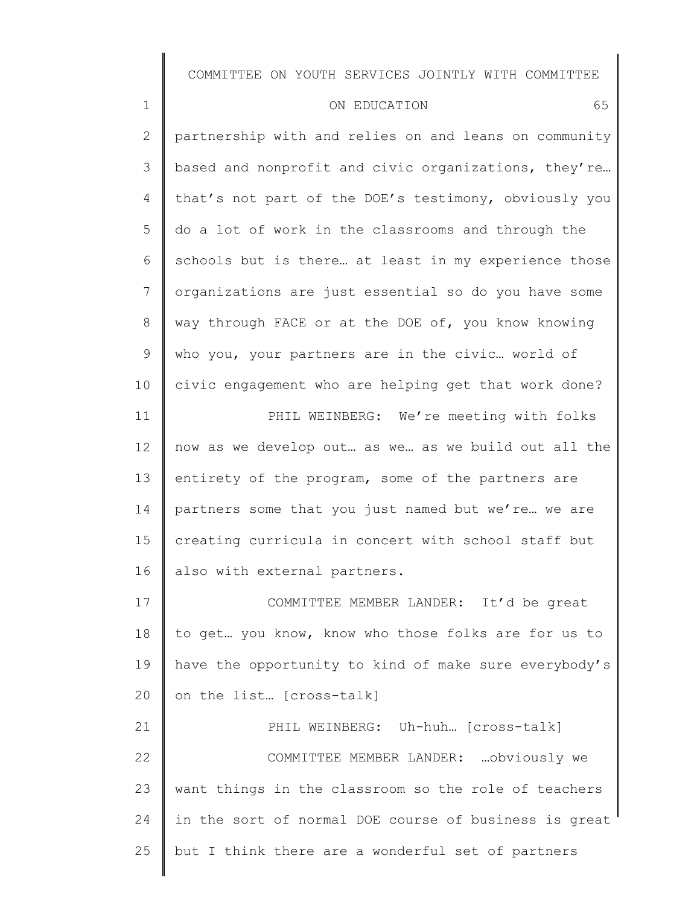| $\mathbf 1$  | 65<br>ON EDUCATION                                    |
|--------------|-------------------------------------------------------|
| $\mathbf{2}$ | partnership with and relies on and leans on community |
| 3            | based and nonprofit and civic organizations, they're  |
| 4            | that's not part of the DOE's testimony, obviously you |
| 5            | do a lot of work in the classrooms and through the    |
| 6            | schools but is there at least in my experience those  |
| 7            | organizations are just essential so do you have some  |
| 8            | way through FACE or at the DOE of, you know knowing   |
| 9            | who you, your partners are in the civic world of      |
| 10           | civic engagement who are helping get that work done?  |
| 11           | PHIL WEINBERG: We're meeting with folks               |
| 12           | now as we develop out as we as we build out all the   |
| 13           | entirety of the program, some of the partners are     |
| 14           | partners some that you just named but we're we are    |
| 15           | creating curricula in concert with school staff but   |
| 16           | also with external partners.                          |
| 17           | COMMITTEE MEMBER LANDER:<br>It'd be great             |
| 18           | to get you know, know who those folks are for us to   |
| 19           | have the opportunity to kind of make sure everybody's |
| 20           | on the list [cross-talk]                              |
| 21           | PHIL WEINBERG: Uh-huh [cross-talk]                    |
| 22           | COMMITTEE MEMBER LANDER:  obviously we                |
| 23           | want things in the classroom so the role of teachers  |
| 24           | in the sort of normal DOE course of business is great |
| 25           | but I think there are a wonderful set of partners     |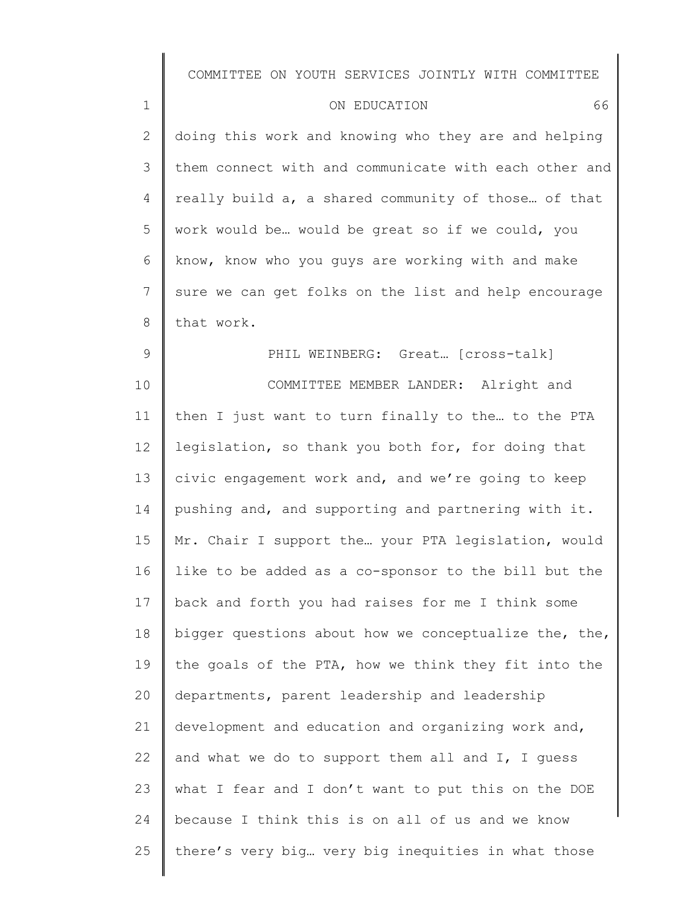| $\mathbf{1}$   | 66<br>ON EDUCATION                                    |
|----------------|-------------------------------------------------------|
| 2              | doing this work and knowing who they are and helping  |
| 3              | them connect with and communicate with each other and |
| $\overline{4}$ | really build a, a shared community of those of that   |
| 5              | work would be would be great so if we could, you      |
| 6              | know, know who you guys are working with and make     |
| 7              | sure we can get folks on the list and help encourage  |
| 8              | that work.                                            |

PHIL WEINBERG: Great... [cross-talk]

9

10 11 12 13 14 15 16 17 18 19 20 21 22 23 24 25 COMMITTEE MEMBER LANDER: Alright and then I just want to turn finally to the… to the PTA legislation, so thank you both for, for doing that civic engagement work and, and we're going to keep pushing and, and supporting and partnering with it. Mr. Chair I support the… your PTA legislation, would like to be added as a co-sponsor to the bill but the back and forth you had raises for me I think some bigger questions about how we conceptualize the, the, the goals of the PTA, how we think they fit into the departments, parent leadership and leadership development and education and organizing work and, and what we do to support them all and I, I guess what I fear and I don't want to put this on the DOE because I think this is on all of us and we know there's very big… very big inequities in what those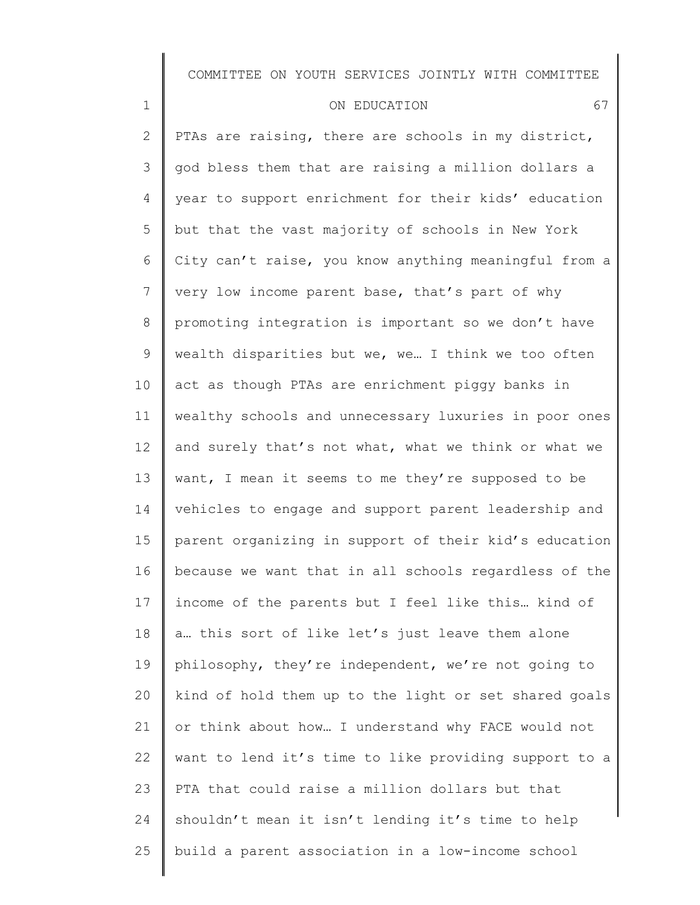| $\mathbf 1$     | 67<br>ON EDUCATION                                    |
|-----------------|-------------------------------------------------------|
| $\mathbf{2}$    | PTAs are raising, there are schools in my district,   |
| 3               | god bless them that are raising a million dollars a   |
| $\overline{4}$  | year to support enrichment for their kids' education  |
| 5               | but that the vast majority of schools in New York     |
| 6               | City can't raise, you know anything meaningful from a |
| $\overline{7}$  | very low income parent base, that's part of why       |
| $8\,$           | promoting integration is important so we don't have   |
| 9               | wealth disparities but we, we I think we too often    |
| 10              | act as though PTAs are enrichment piggy banks in      |
| 11              | wealthy schools and unnecessary luxuries in poor ones |
| 12 <sup>°</sup> | and surely that's not what, what we think or what we  |
| 13              | want, I mean it seems to me they're supposed to be    |
| 14              | vehicles to engage and support parent leadership and  |
| 15              | parent organizing in support of their kid's education |
| 16              | because we want that in all schools regardless of the |
| 17              | income of the parents but I feel like this kind of    |
| 18              | a this sort of like let's just leave them alone       |
| 19              | philosophy, they're independent, we're not going to   |
| 20              | kind of hold them up to the light or set shared goals |
| 21              | or think about how I understand why FACE would not    |
| 22              | want to lend it's time to like providing support to a |
| 23              | PTA that could raise a million dollars but that       |

24 shouldn't mean it isn't lending it's time to help

build a parent association in a low-income school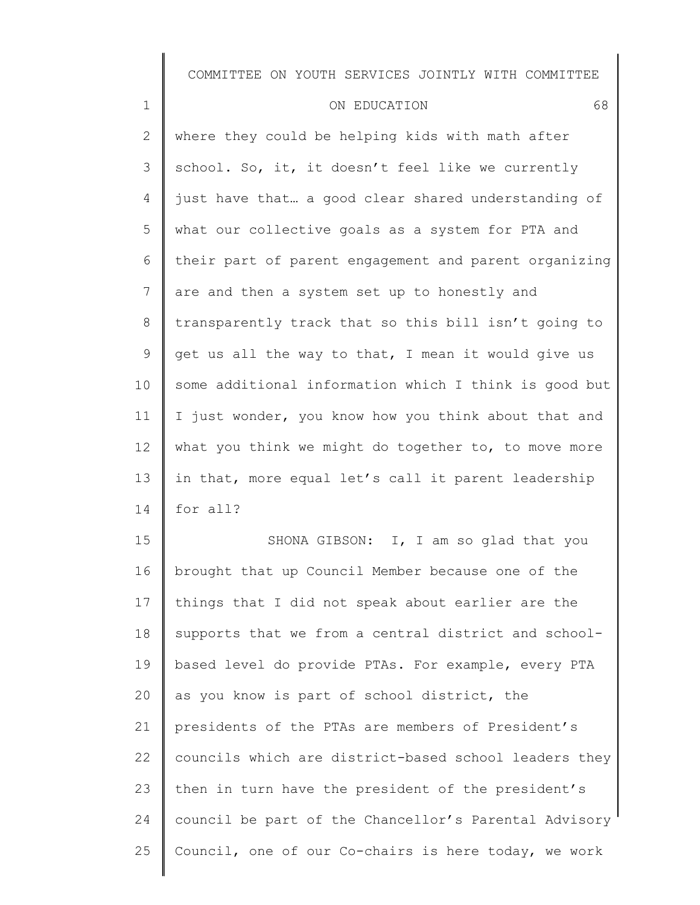| $\mathbf 1$    | ON EDUCATION                                          | 68 |
|----------------|-------------------------------------------------------|----|
| 2              | where they could be helping kids with math after      |    |
| 3              | school. So, it, it doesn't feel like we currently     |    |
| 4              | just have that a good clear shared understanding of   |    |
| 5              | what our collective goals as a system for PTA and     |    |
| 6              | their part of parent engagement and parent organizing |    |
| $\overline{7}$ | are and then a system set up to honestly and          |    |
| 8              | transparently track that so this bill isn't going to  |    |
| 9              | get us all the way to that, I mean it would give us   |    |
| 10             | some additional information which I think is good but |    |
| 11             | I just wonder, you know how you think about that and  |    |
| 12             | what you think we might do together to, to move more  |    |
| 13             | in that, more equal let's call it parent leadership   |    |
| 14             | for all?                                              |    |

15 16 17 18 19 20 21 22 23 24 25 SHONA GIBSON: I, I am so glad that you brought that up Council Member because one of the things that I did not speak about earlier are the supports that we from a central district and schoolbased level do provide PTAs. For example, every PTA as you know is part of school district, the presidents of the PTAs are members of President's councils which are district-based school leaders they then in turn have the president of the president's council be part of the Chancellor's Parental Advisory Council, one of our Co-chairs is here today, we work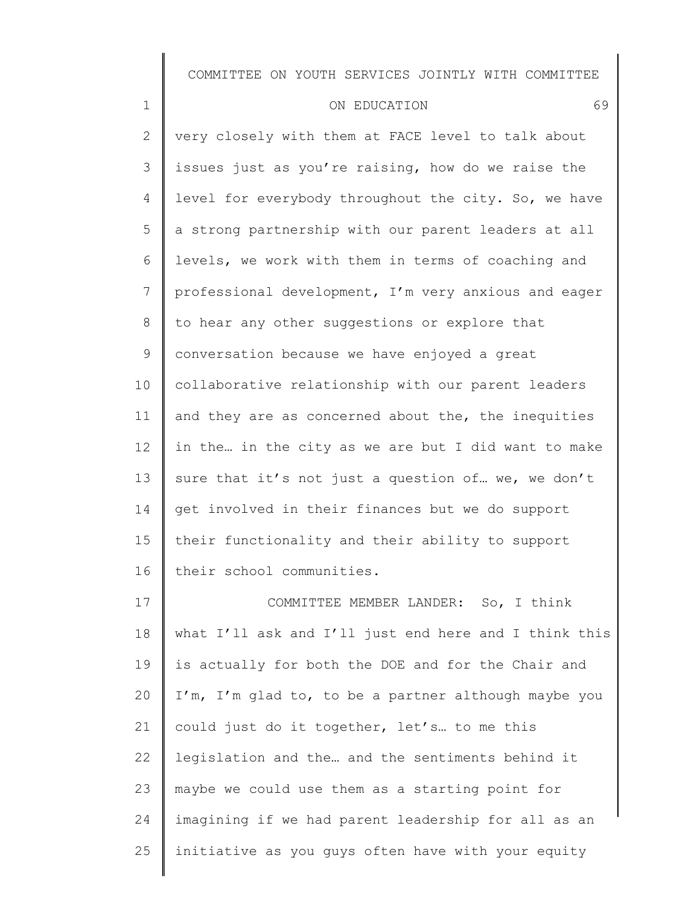| $\mathbf{1}$   | 69<br>ON EDUCATION                                   |
|----------------|------------------------------------------------------|
| $\mathbf{2}$   | very closely with them at FACE level to talk about   |
| 3              | issues just as you're raising, how do we raise the   |
| 4              | level for everybody throughout the city. So, we have |
| 5              | a strong partnership with our parent leaders at all  |
| 6              | levels, we work with them in terms of coaching and   |
| $7\phantom{.}$ | professional development, I'm very anxious and eager |
| 8              | to hear any other suggestions or explore that        |
| $\mathcal{G}$  | conversation because we have enjoyed a great         |
| 10             | collaborative relationship with our parent leaders   |
| 11             | and they are as concerned about the, the inequities  |
| 12             | in the in the city as we are but I did want to make  |
| 13             | sure that it's not just a question of we, we don't   |
| 14             | get involved in their finances but we do support     |
| 15             | their functionality and their ability to support     |
| 16             | their school communities.                            |

17 18 19 20 21 22 23 24 25 COMMITTEE MEMBER LANDER: So, I think what I'll ask and I'll just end here and I think this is actually for both the DOE and for the Chair and I'm, I'm glad to, to be a partner although maybe you could just do it together, let's… to me this legislation and the… and the sentiments behind it maybe we could use them as a starting point for imagining if we had parent leadership for all as an initiative as you guys often have with your equity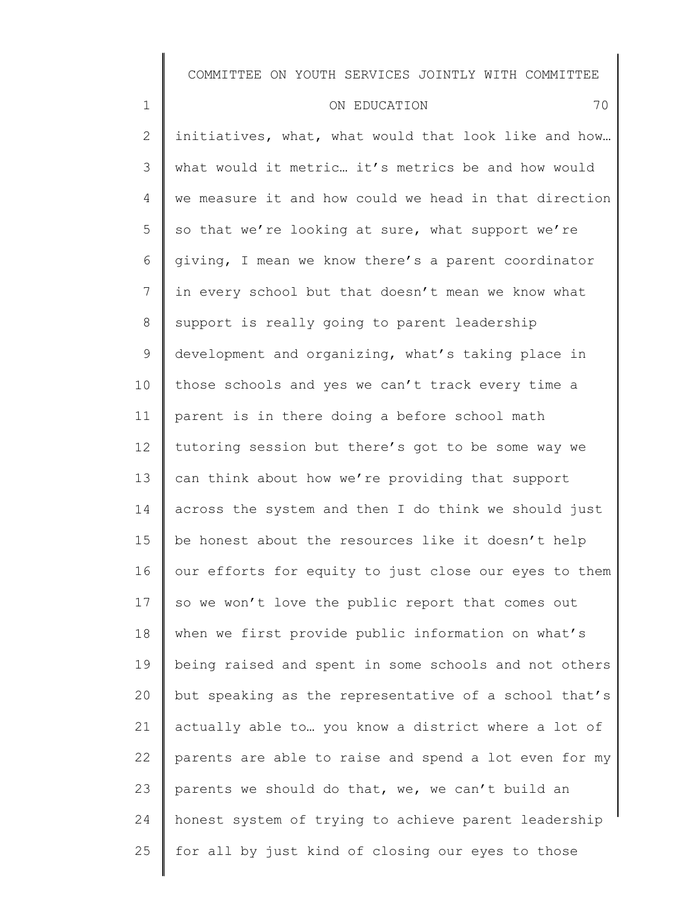| $\mathbf 1$    | 70<br>ON EDUCATION                                    |
|----------------|-------------------------------------------------------|
| $\overline{2}$ | initiatives, what, what would that look like and how  |
| 3              | what would it metric it's metrics be and how would    |
| $\overline{4}$ | we measure it and how could we head in that direction |
| 5              | so that we're looking at sure, what support we're     |
| 6              | giving, I mean we know there's a parent coordinator   |
| 7              | in every school but that doesn't mean we know what    |
| 8              | support is really going to parent leadership          |
| 9              | development and organizing, what's taking place in    |
| 10             | those schools and yes we can't track every time a     |
| 11             | parent is in there doing a before school math         |
| 12             | tutoring session but there's got to be some way we    |
| 13             | can think about how we're providing that support      |
| 14             | across the system and then I do think we should just  |
| 15             | be honest about the resources like it doesn't help    |
| 16             | our efforts for equity to just close our eyes to them |
| 17             | so we won't love the public report that comes out     |
| 18             | when we first provide public information on what's    |
| 19             | being raised and spent in some schools and not others |
| 20             | but speaking as the representative of a school that's |
| 21             | actually able to  you know a district where a lot of  |
| 22             | parents are able to raise and spend a lot even for my |
| 23             | parents we should do that, we, we can't build an      |
| 24             | honest system of trying to achieve parent leadership  |
| 25             | for all by just kind of closing our eyes to those     |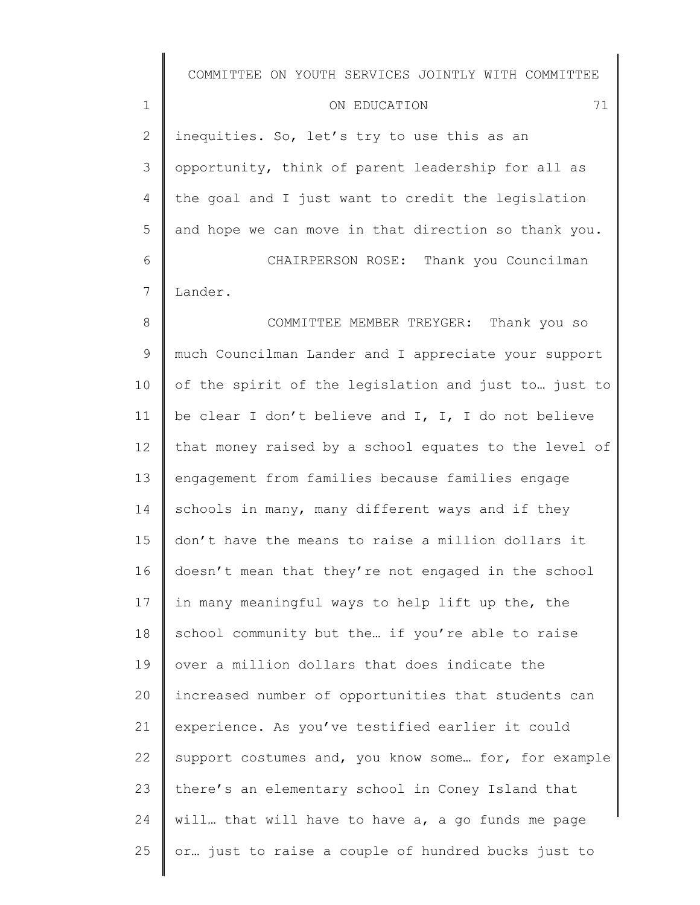| ON EDUCATION |  |
|--------------|--|
|--------------|--|

2 3 4 5 6 inequities. So, let's try to use this as an opportunity, think of parent leadership for all as the goal and I just want to credit the legislation and hope we can move in that direction so thank you. CHAIRPERSON ROSE: Thank you Councilman

7 Lander.

1

8 9 10 11 12 13 14 15 16 17 18 19 20 21 22 23 24 25 COMMITTEE MEMBER TREYGER: Thank you so much Councilman Lander and I appreciate your support of the spirit of the legislation and just to… just to be clear I don't believe and I, I, I do not believe that money raised by a school equates to the level of engagement from families because families engage schools in many, many different ways and if they don't have the means to raise a million dollars it doesn't mean that they're not engaged in the school in many meaningful ways to help lift up the, the school community but the… if you're able to raise over a million dollars that does indicate the increased number of opportunities that students can experience. As you've testified earlier it could support costumes and, you know some… for, for example there's an elementary school in Coney Island that will... that will have to have a, a go funds me page or… just to raise a couple of hundred bucks just to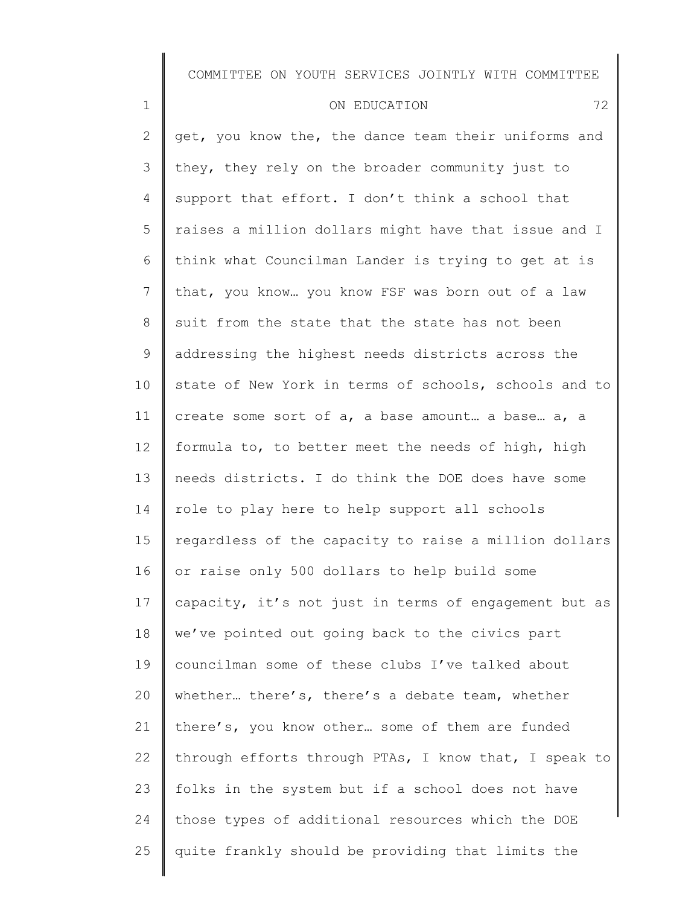| $\mathbf 1$     | 72<br>ON EDUCATION                                    |
|-----------------|-------------------------------------------------------|
| $\overline{2}$  | get, you know the, the dance team their uniforms and  |
| 3               | they, they rely on the broader community just to      |
| $\overline{4}$  | support that effort. I don't think a school that      |
| 5               | raises a million dollars might have that issue and I  |
| 6               | think what Councilman Lander is trying to get at is   |
| $7\phantom{.}$  | that, you know you know FSF was born out of a law     |
| 8               | suit from the state that the state has not been       |
| 9               | addressing the highest needs districts across the     |
| 10              | state of New York in terms of schools, schools and to |
| 11              | create some sort of a, a base amount a base a, a      |
| 12 <sup>°</sup> | formula to, to better meet the needs of high, high    |
| 13              | needs districts. I do think the DOE does have some    |
| 14              | role to play here to help support all schools         |
| 15              | regardless of the capacity to raise a million dollars |
| 16              | or raise only 500 dollars to help build some          |
| 17              | capacity, it's not just in terms of engagement but as |
| 18              | we've pointed out going back to the civics part       |
| 19              | councilman some of these clubs I've talked about      |
| 20              | whether there's, there's a debate team, whether       |
| 21              | there's, you know other some of them are funded       |
| 22              | through efforts through PTAs, I know that, I speak to |
| 23              | folks in the system but if a school does not have     |
| 24              | those types of additional resources which the DOE     |
| 25              | quite frankly should be providing that limits the     |
|                 |                                                       |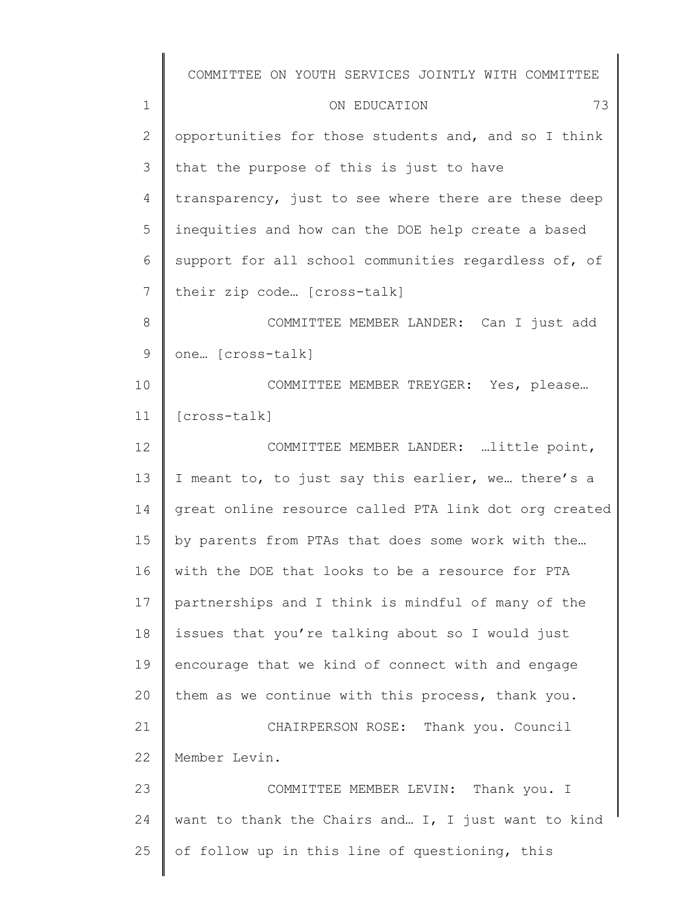|              | COMMITTEE ON YOUTH SERVICES JOINTLY WITH COMMITTEE    |
|--------------|-------------------------------------------------------|
| $\mathbf 1$  | ON EDUCATION<br>73                                    |
| $\mathbf{2}$ | opportunities for those students and, and so I think  |
| 3            | that the purpose of this is just to have              |
| 4            | transparency, just to see where there are these deep  |
| 5            | inequities and how can the DOE help create a based    |
| 6            | support for all school communities regardless of, of  |
| 7            | their zip code [cross-talk]                           |
| 8            | COMMITTEE MEMBER LANDER: Can I just add               |
| $\mathsf 9$  | one [cross-talk]                                      |
| 10           | COMMITTEE MEMBER TREYGER: Yes, please                 |
| 11           | $[cross-talk]$                                        |
| 12           | COMMITTEE MEMBER LANDER: little point,                |
| 13           | I meant to, to just say this earlier, we there's a    |
| 14           | great online resource called PTA link dot org created |
| 15           | by parents from PTAs that does some work with the     |
| 16           | with the DOE that looks to be a resource for PTA      |
| 17           | partnerships and I think is mindful of many of the    |
| 18           | issues that you're talking about so I would just      |
| 19           | encourage that we kind of connect with and engage     |
| 20           | them as we continue with this process, thank you.     |
| 21           | CHAIRPERSON ROSE: Thank you. Council                  |
| 22           | Member Levin.                                         |
| 23           | COMMITTEE MEMBER LEVIN: Thank you. I                  |
| 24           | want to thank the Chairs and I, I just want to kind   |
| 25           | of follow up in this line of questioning, this        |
|              |                                                       |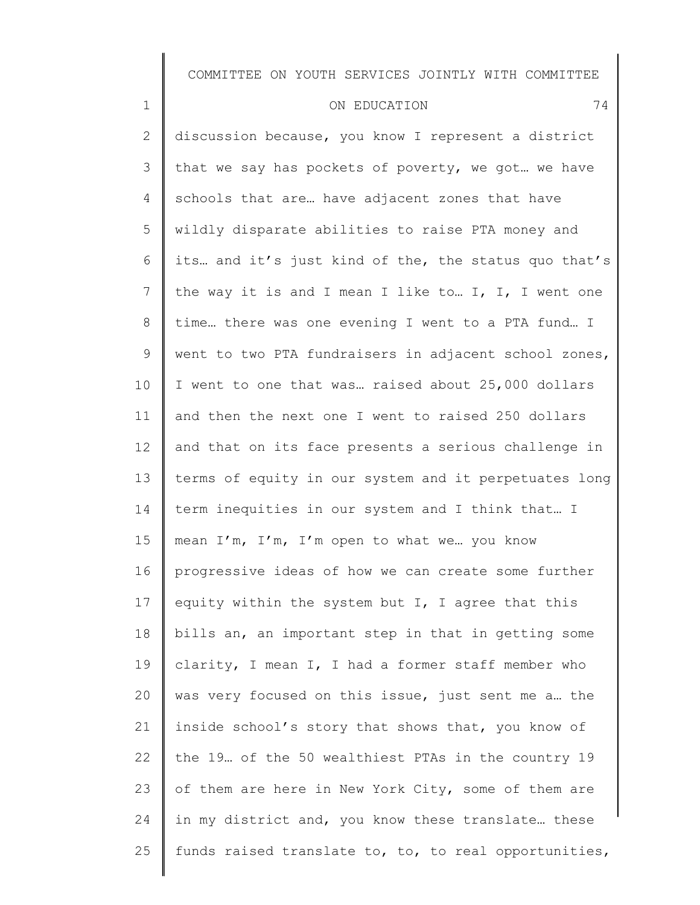| $\mathbf 1$     | 74<br>ON EDUCATION                                    |
|-----------------|-------------------------------------------------------|
| $\mathbf{2}$    | discussion because, you know I represent a district   |
| 3               | that we say has pockets of poverty, we got we have    |
| $\overline{4}$  | schools that are have adjacent zones that have        |
| 5               | wildly disparate abilities to raise PTA money and     |
| 6               | its and it's just kind of the, the status quo that's  |
| $7\phantom{.0}$ | the way it is and I mean I like to I, I, I went one   |
| 8               | time there was one evening I went to a PTA fund I     |
| 9               | went to two PTA fundraisers in adjacent school zones, |
| 10              | I went to one that was raised about 25,000 dollars    |
| 11              | and then the next one I went to raised 250 dollars    |
| 12 <sup>°</sup> | and that on its face presents a serious challenge in  |
| 13              | terms of equity in our system and it perpetuates long |
| 14              | term inequities in our system and I think that I      |
| 15              | mean I'm, I'm, I'm open to what we you know           |
| 16              | progressive ideas of how we can create some further   |
| 17              | equity within the system but I, I agree that this     |
| 18              | bills an, an important step in that in getting some   |
| 19              | clarity, I mean I, I had a former staff member who    |
| 20              | was very focused on this issue, just sent me a the    |
| 21              | inside school's story that shows that, you know of    |
| 22              | the 19. of the 50 wealthiest PTAs in the country 19   |
| 23              | of them are here in New York City, some of them are   |
| 24              | in my district and, you know these translate these    |

funds raised translate to, to, to real opportunities,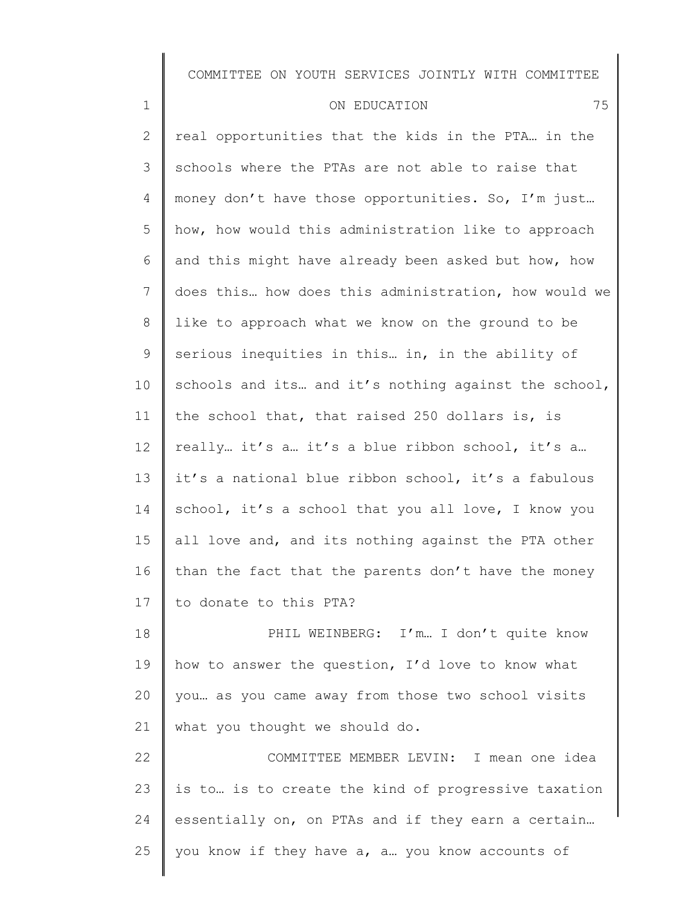#### ON EDUCATION 75

1

2 3 4 5 6 7 8 9 10 11 12 13 14 15 16 17 real opportunities that the kids in the PTA… in the schools where the PTAs are not able to raise that money don't have those opportunities. So, I'm just… how, how would this administration like to approach and this might have already been asked but how, how does this… how does this administration, how would we like to approach what we know on the ground to be serious inequities in this… in, in the ability of schools and its... and it's nothing against the school, the school that, that raised 250 dollars is, is really… it's a… it's a blue ribbon school, it's a… it's a national blue ribbon school, it's a fabulous school, it's a school that you all love, I know you all love and, and its nothing against the PTA other than the fact that the parents don't have the money to donate to this PTA?

18 19 20 21 PHIL WEINBERG: I'm... I don't quite know how to answer the question, I'd love to know what you… as you came away from those two school visits what you thought we should do.

22 23 24 25 COMMITTEE MEMBER LEVIN: I mean one idea is to… is to create the kind of progressive taxation essentially on, on PTAs and if they earn a certain… you know if they have a, a… you know accounts of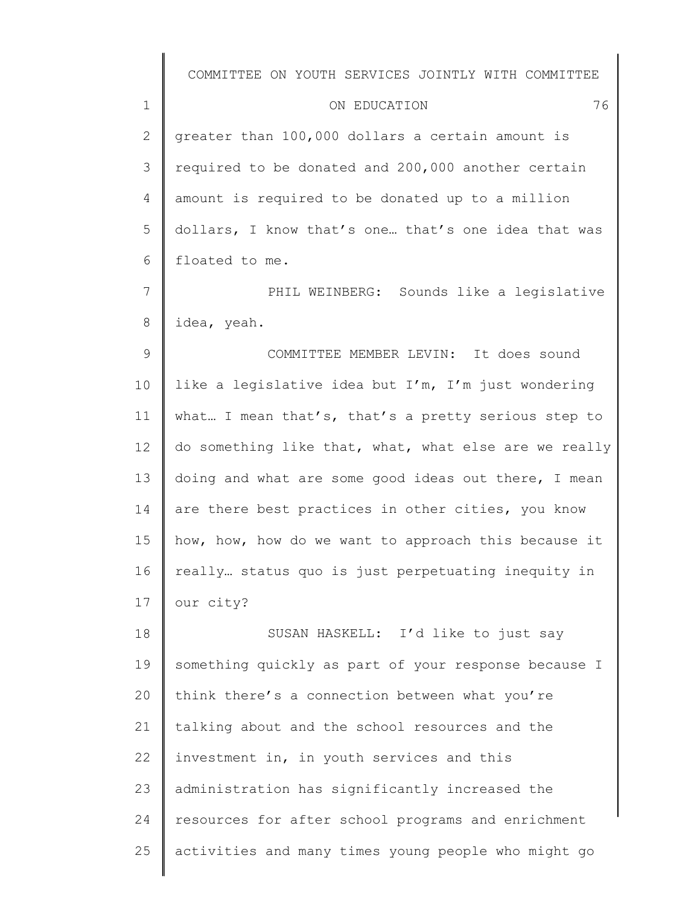#### ON EDUCATION 76

1

2 3 4 5 6 greater than 100,000 dollars a certain amount is required to be donated and 200,000 another certain amount is required to be donated up to a million dollars, I know that's one… that's one idea that was floated to me.

7 8 PHIL WEINBERG: Sounds like a legislative idea, yeah.

9 10 11 12 13 14 15 16 17 COMMITTEE MEMBER LEVIN: It does sound like a legislative idea but I'm, I'm just wondering what... I mean that's, that's a pretty serious step to do something like that, what, what else are we really doing and what are some good ideas out there, I mean are there best practices in other cities, you know how, how, how do we want to approach this because it really… status quo is just perpetuating inequity in our city?

18 19 20 21 22 23 24 25 SUSAN HASKELL: I'd like to just say something quickly as part of your response because I think there's a connection between what you're talking about and the school resources and the investment in, in youth services and this administration has significantly increased the resources for after school programs and enrichment activities and many times young people who might go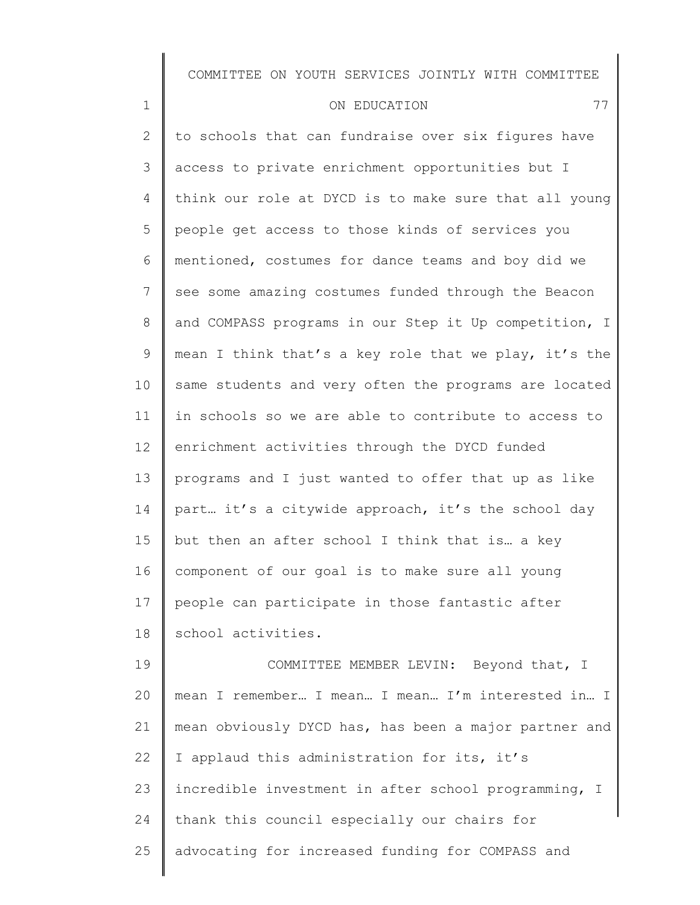| 1               | ON EDUCATION<br>77                                    |
|-----------------|-------------------------------------------------------|
| $\mathbf{2}$    | to schools that can fundraise over six figures have   |
| 3               | access to private enrichment opportunities but I      |
| 4               | think our role at DYCD is to make sure that all young |
| 5               | people get access to those kinds of services you      |
| 6               | mentioned, costumes for dance teams and boy did we    |
| $7\phantom{.0}$ | see some amazing costumes funded through the Beacon   |
| 8               | and COMPASS programs in our Step it Up competition, I |
| $\mathsf 9$     | mean I think that's a key role that we play, it's the |
| 10              | same students and very often the programs are located |
| 11              | in schools so we are able to contribute to access to  |
| 12              | enrichment activities through the DYCD funded         |
| 13              | programs and I just wanted to offer that up as like   |
| 14              | part it's a citywide approach, it's the school day    |
| 15              | but then an after school I think that is a key        |
| 16              | component of our goal is to make sure all young       |
| 17              | people can participate in those fantastic after       |
| 18              | school activities.                                    |
| 19              | COMMITTEE MEMBER LEVIN: Beyond that, I                |

20 21 22 23 24 25 mean I remember… I mean… I mean… I'm interested in… I mean obviously DYCD has, has been a major partner and I applaud this administration for its, it's incredible investment in after school programming, I thank this council especially our chairs for advocating for increased funding for COMPASS and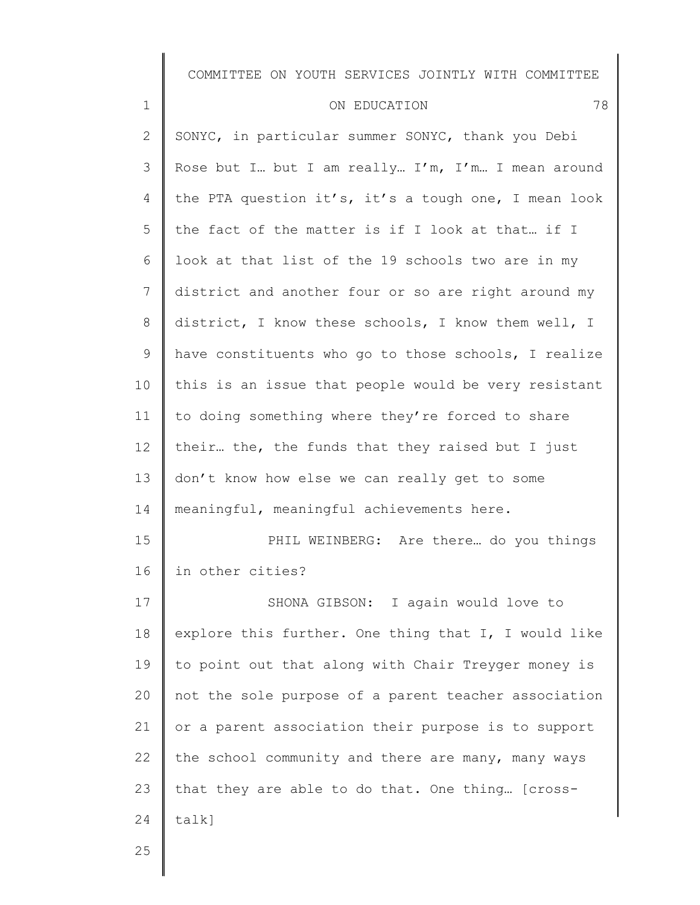#### ON EDUCATION 78

2 3 4 5 6 7 8 9 10 11 12 13 14 15 16 17 18 19 20 21 22 23 24 SONYC, in particular summer SONYC, thank you Debi Rose but I… but I am really… I'm, I'm… I mean around the PTA question it's, it's a tough one, I mean look the fact of the matter is if I look at that… if I look at that list of the 19 schools two are in my district and another four or so are right around my district, I know these schools, I know them well, I have constituents who go to those schools, I realize this is an issue that people would be very resistant to doing something where they're forced to share their… the, the funds that they raised but I just don't know how else we can really get to some meaningful, meaningful achievements here. PHIL WEINBERG: Are there… do you things in other cities? SHONA GIBSON: I again would love to explore this further. One thing that I, I would like to point out that along with Chair Treyger money is not the sole purpose of a parent teacher association or a parent association their purpose is to support the school community and there are many, many ways that they are able to do that. One thing… [crosstalk]

25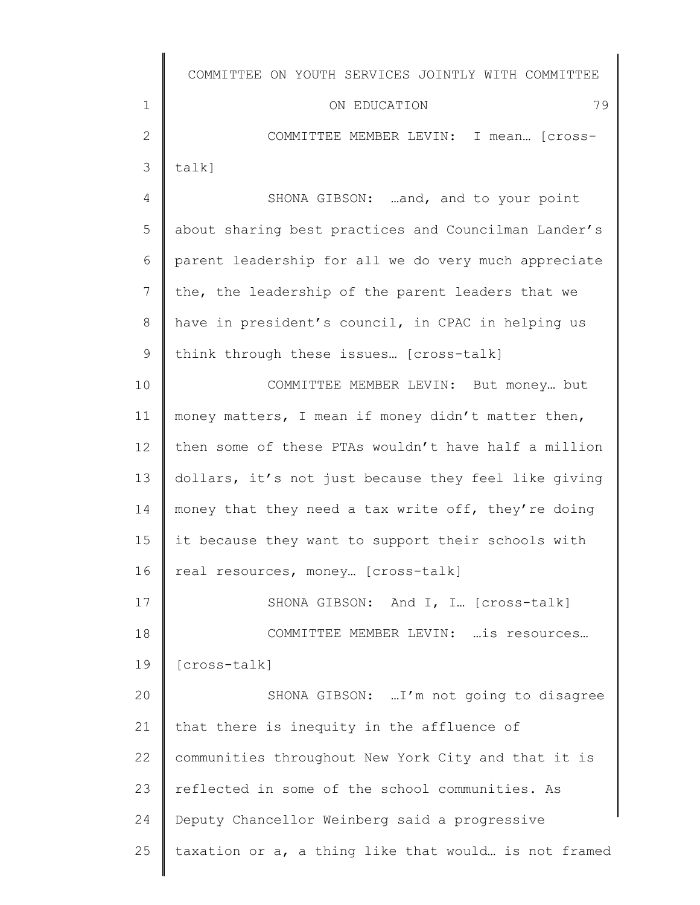|                | COMMITTEE ON YOUTH SERVICES JOINTLY WITH COMMITTEE   |
|----------------|------------------------------------------------------|
| 1              | 79<br>ON EDUCATION                                   |
| $\mathbf{2}$   | COMMITTEE MEMBER LEVIN: I mean [cross-               |
| 3              | $talk$ ]                                             |
| $\overline{4}$ | SHONA GIBSON: and, and to your point                 |
| 5              | about sharing best practices and Councilman Lander's |
| 6              | parent leadership for all we do very much appreciate |
| 7              | the, the leadership of the parent leaders that we    |
| 8              | have in president's council, in CPAC in helping us   |
| $\mathcal{G}$  | think through these issues [cross-talk]              |
| 10             | COMMITTEE MEMBER LEVIN: But money but                |
| 11             | money matters, I mean if money didn't matter then,   |
| 12             | then some of these PTAs wouldn't have half a million |
| 13             | dollars, it's not just because they feel like giving |
| 14             | money that they need a tax write off, they're doing  |
| 15             | it because they want to support their schools with   |
| 16             | real resources, money [cross-talk]                   |
| 17             | SHONA GIBSON: And I, I [cross-talk]                  |
| 18             | COMMITTEE MEMBER LEVIN:  is resources                |
| 19             | [cross-talk]                                         |
| 20             | SHONA GIBSON:  I'm not going to disagree             |
| 21             | that there is inequity in the affluence of           |
| 22             | communities throughout New York City and that it is  |
| 23             | reflected in some of the school communities. As      |
| 24             | Deputy Chancellor Weinberg said a progressive        |
| 25             | taxation or a, a thing like that would is not framed |
|                |                                                      |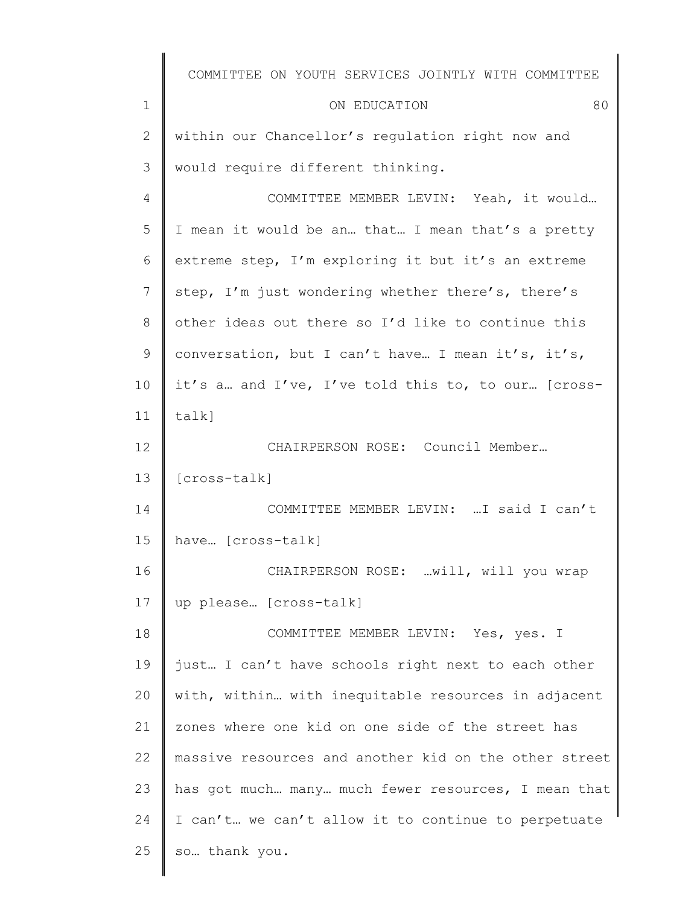|              | COMMITTEE ON YOUTH SERVICES JOINTLY WITH COMMITTEE    |
|--------------|-------------------------------------------------------|
| 1            | 80<br>ON EDUCATION                                    |
| $\mathbf{2}$ | within our Chancellor's regulation right now and      |
| 3            | would require different thinking.                     |
| 4            | COMMITTEE MEMBER LEVIN: Yeah, it would                |
| 5            | I mean it would be an that I mean that's a pretty     |
| 6            | extreme step, I'm exploring it but it's an extreme    |
| 7            | step, I'm just wondering whether there's, there's     |
| 8            | other ideas out there so I'd like to continue this    |
| 9            | conversation, but I can't have I mean it's, it's,     |
| 10           | it's a and I've, I've told this to, to our [cross-    |
| 11           | talk]                                                 |
| 12           | CHAIRPERSON ROSE: Council Member                      |
| 13           | [cross-talk]                                          |
| 14           | COMMITTEE MEMBER LEVIN:  I said I can't               |
| 15           | have [cross-talk]                                     |
| 16           | CHAIRPERSON ROSE: will, will you wrap                 |
| 17           | up please [cross-talk]                                |
| 18           | COMMITTEE MEMBER LEVIN: Yes, yes. I                   |
| 19           | just I can't have schools right next to each other    |
| 20           | with, within with inequitable resources in adjacent   |
| 21           | zones where one kid on one side of the street has     |
| 22           | massive resources and another kid on the other street |
| 23           | has got much many much fewer resources, I mean that   |
| 24           | I can't we can't allow it to continue to perpetuate   |
| 25           | so thank you.                                         |
|              |                                                       |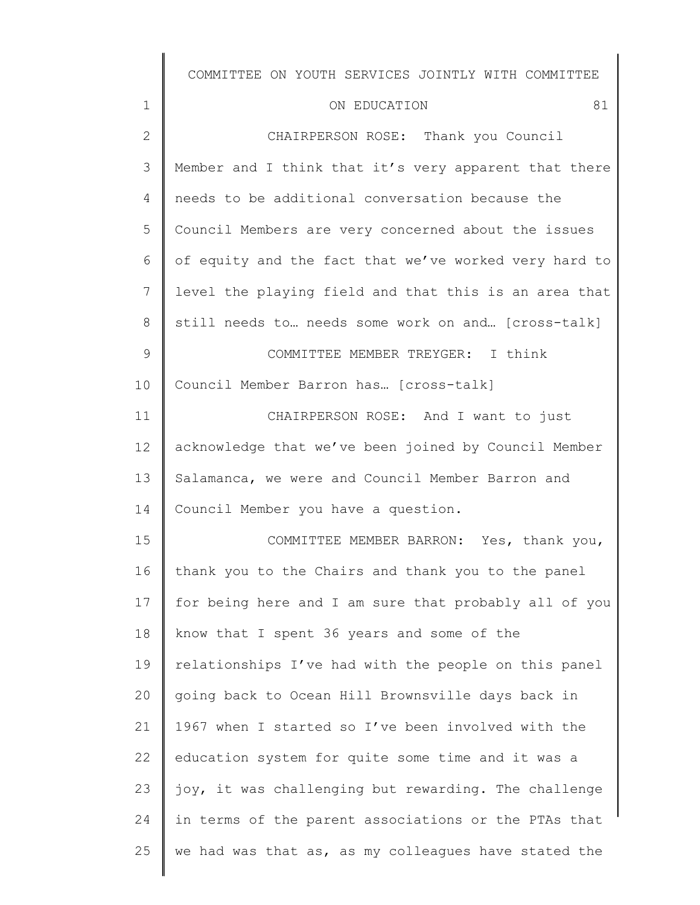# ON EDUCATION 81

| $\mathbf{2}$   | CHAIRPERSON ROSE: Thank you Council                   |
|----------------|-------------------------------------------------------|
| 3              | Member and I think that it's very apparent that there |
| $\overline{4}$ | needs to be additional conversation because the       |
| 5              | Council Members are very concerned about the issues   |
| 6              | of equity and the fact that we've worked very hard to |
| 7              | level the playing field and that this is an area that |
| 8              | still needs to needs some work on and [cross-talk]    |
| $\mathcal{G}$  | COMMITTEE MEMBER TREYGER: I think                     |
| 10             | Council Member Barron has [cross-talk]                |
| 11             | CHAIRPERSON ROSE: And I want to just                  |
| 12             | acknowledge that we've been joined by Council Member  |
| 13             | Salamanca, we were and Council Member Barron and      |
| 14             | Council Member you have a question.                   |
| 15             | COMMITTEE MEMBER BARRON: Yes, thank you,              |
| 16             | thank you to the Chairs and thank you to the panel    |
| 17             | for being here and I am sure that probably all of you |
| 18             | know that I spent 36 years and some of the            |
| 19             | relationships I've had with the people on this panel  |
| 20             | going back to Ocean Hill Brownsville days back in     |
| 21             | 1967 when I started so I've been involved with the    |
| 22             | education system for quite some time and it was a     |
| 23             | joy, it was challenging but rewarding. The challenge  |
| 24             | in terms of the parent associations or the PTAs that  |
| 25             | we had was that as, as my colleagues have stated the  |
|                |                                                       |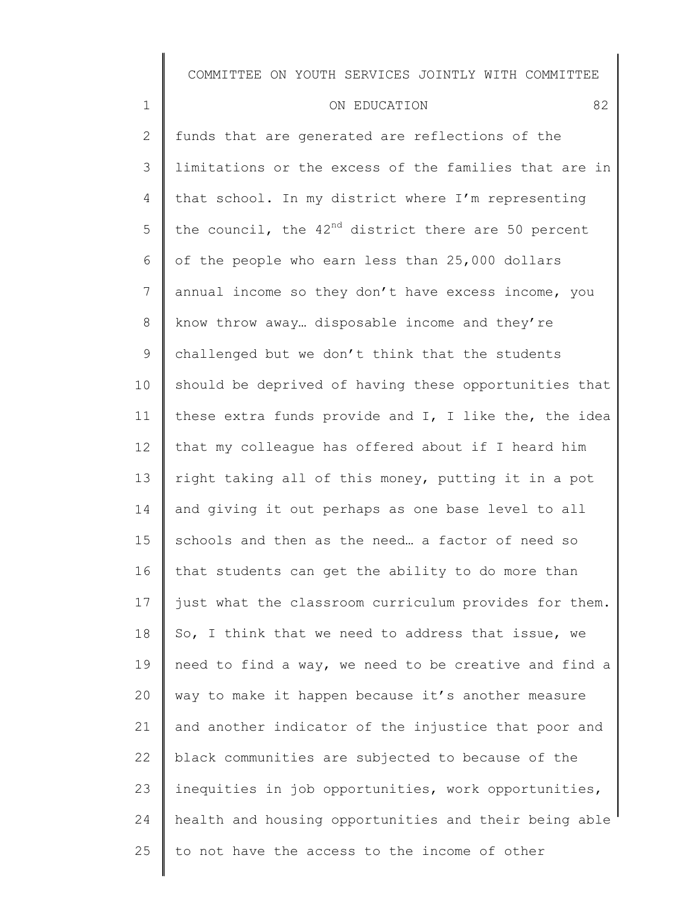| ON EDUCATION |  |
|--------------|--|
|              |  |

1

2 3 4 5 6 7 8 9 10 11 12 13 14 15 16 17 18 19 20 21 22 23 24 25 funds that are generated are reflections of the limitations or the excess of the families that are in that school. In my district where I'm representing the council, the  $42<sup>nd</sup>$  district there are 50 percent of the people who earn less than 25,000 dollars annual income so they don't have excess income, you know throw away… disposable income and they're challenged but we don't think that the students should be deprived of having these opportunities that these extra funds provide and I, I like the, the idea that my colleague has offered about if I heard him right taking all of this money, putting it in a pot and giving it out perhaps as one base level to all schools and then as the need… a factor of need so that students can get the ability to do more than just what the classroom curriculum provides for them. So, I think that we need to address that issue, we need to find a way, we need to be creative and find a way to make it happen because it's another measure and another indicator of the injustice that poor and black communities are subjected to because of the inequities in job opportunities, work opportunities, health and housing opportunities and their being able to not have the access to the income of other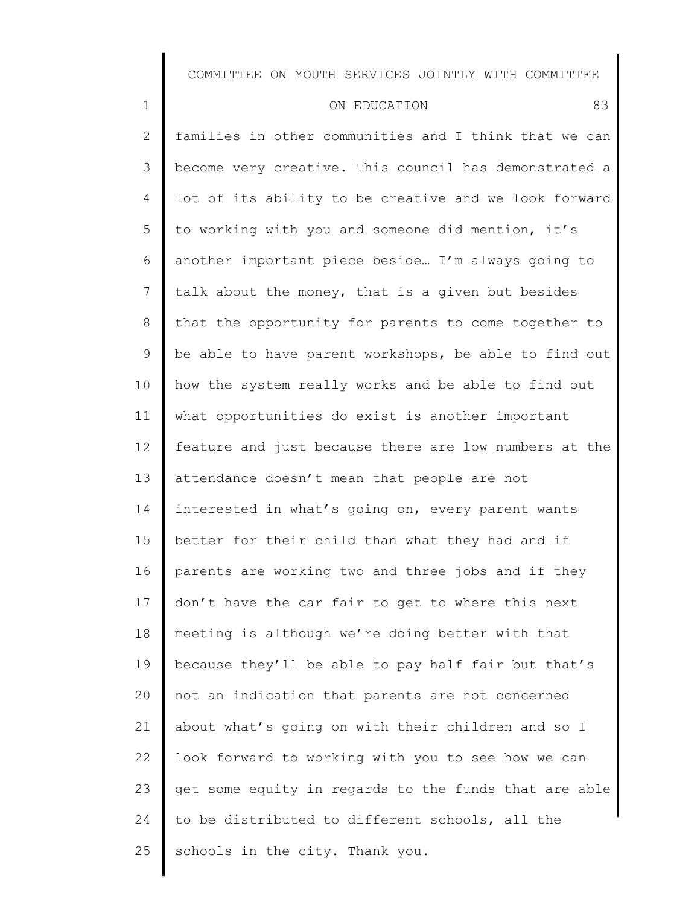| $1\,$           | 83<br>ON EDUCATION                                    |
|-----------------|-------------------------------------------------------|
| $\mathbf{2}$    | families in other communities and I think that we can |
| 3               | become very creative. This council has demonstrated a |
| 4               | lot of its ability to be creative and we look forward |
| 5               | to working with you and someone did mention, it's     |
| 6               | another important piece beside I'm always going to    |
| 7               | talk about the money, that is a given but besides     |
| $8\,$           | that the opportunity for parents to come together to  |
| 9               | be able to have parent workshops, be able to find out |
| 10              | how the system really works and be able to find out   |
| 11              | what opportunities do exist is another important      |
| 12 <sup>°</sup> | feature and just because there are low numbers at the |
| 13              | attendance doesn't mean that people are not           |
| 14              | interested in what's going on, every parent wants     |
| 15              | better for their child than what they had and if      |
| 16              | parents are working two and three jobs and if they    |
| 17              | don't have the car fair to get to where this next     |
| 18              | meeting is although we're doing better with that      |
| 19              | because they'll be able to pay half fair but that's   |
| 20              | not an indication that parents are not concerned      |
| 21              | about what's going on with their children and so I    |
| 22              | look forward to working with you to see how we can    |
| 23              | get some equity in regards to the funds that are able |
| 24              | to be distributed to different schools, all the       |
| 25              | schools in the city. Thank you.                       |
|                 |                                                       |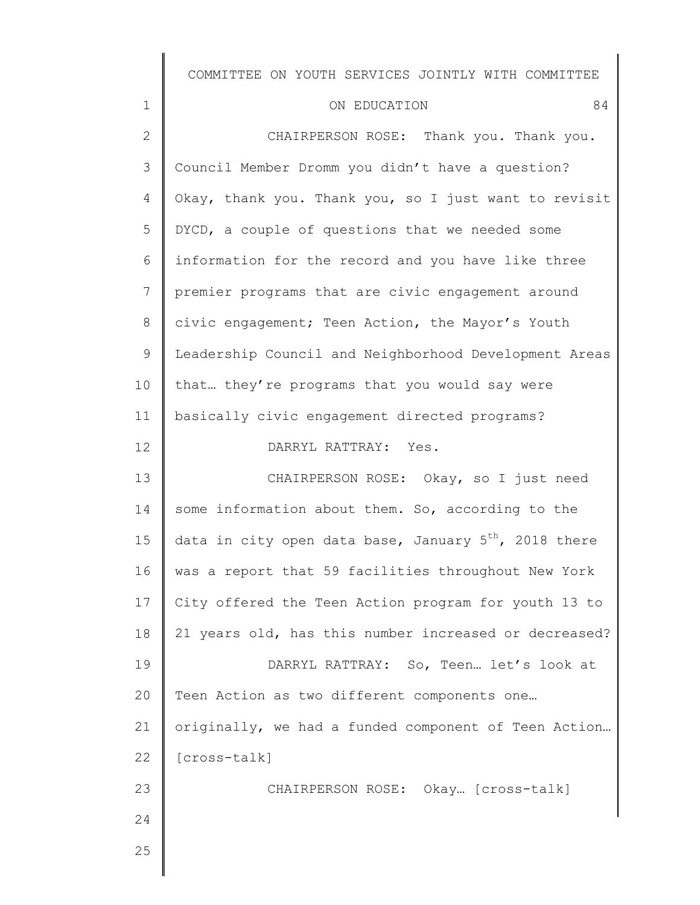|                | COMMITIEE ON IONIH SEKAICES JOINITI MITH COMMITIEE                |
|----------------|-------------------------------------------------------------------|
| $\mathbf 1$    | 84<br>ON EDUCATION                                                |
| $\mathbf{2}$   | CHAIRPERSON ROSE: Thank you. Thank you.                           |
| 3              | Council Member Dromm you didn't have a question?                  |
| $\overline{4}$ | Okay, thank you. Thank you, so I just want to revisit             |
| 5              | DYCD, a couple of questions that we needed some                   |
| 6              | information for the record and you have like three                |
| $\overline{7}$ | premier programs that are civic engagement around                 |
| 8              | civic engagement; Teen Action, the Mayor's Youth                  |
| $\mathsf 9$    | Leadership Council and Neighborhood Development Areas             |
| 10             | that they're programs that you would say were                     |
| 11             | basically civic engagement directed programs?                     |
| 12             | DARRYL RATTRAY: Yes.                                              |
| 13             | CHAIRPERSON ROSE: Okay, so I just need                            |
| 14             | some information about them. So, according to the                 |
| 15             | data in city open data base, January 5 <sup>th</sup> , 2018 there |
| 16             | was a report that 59 facilities throughout New York               |
| 17             | City offered the Teen Action program for youth 13 to              |
| 18             | 21 years old, has this number increased or decreased?             |
| 19             | DARRYL RATTRAY: So, Teen let's look at                            |
| 20             | Teen Action as two different components one                       |
| 21             | originally, we had a funded component of Teen Action              |

22 [cross-talk]

CHAIRPERSON ROSE: Okay… [cross-talk]

25

23

 $\parallel$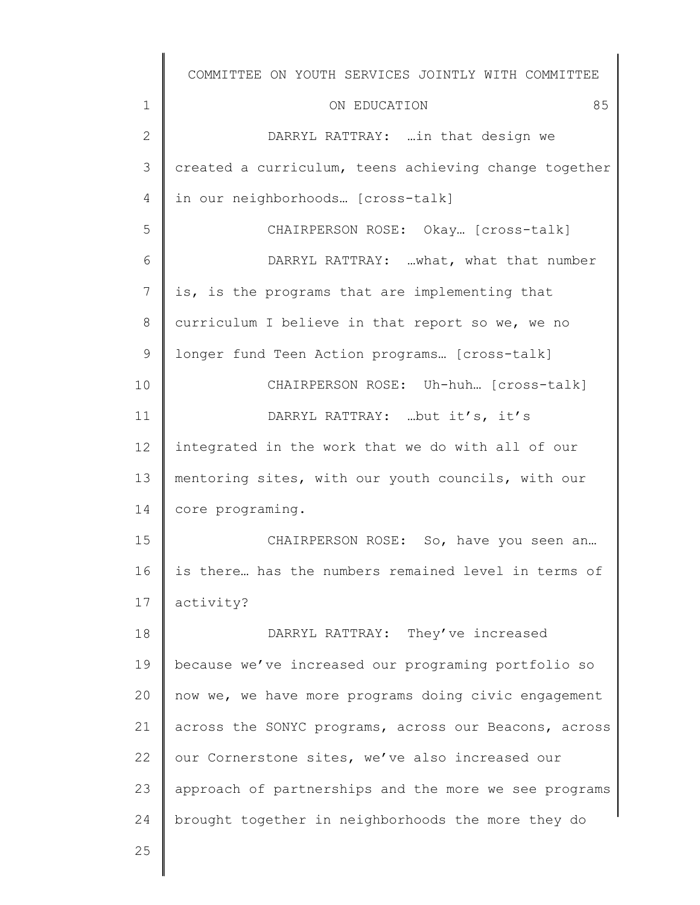|              | COMMITTEE ON YOUTH SERVICES JOINTLY WITH COMMITTEE    |
|--------------|-------------------------------------------------------|
| $\mathbf 1$  | 85<br>ON EDUCATION                                    |
| $\mathbf{2}$ | DARRYL RATTRAY:  in that design we                    |
| 3            | created a curriculum, teens achieving change together |
| 4            | in our neighborhoods [cross-talk]                     |
| 5            | CHAIRPERSON ROSE: Okay [cross-talk]                   |
| 6            | DARRYL RATTRAY: what, what that number                |
| 7            | is, is the programs that are implementing that        |
| 8            | curriculum I believe in that report so we, we no      |
| 9            | longer fund Teen Action programs [cross-talk]         |
| 10           | CHAIRPERSON ROSE: Uh-huh [cross-talk]                 |
| 11           | DARRYL RATTRAY: but it's, it's                        |
| 12           | integrated in the work that we do with all of our     |
| 13           | mentoring sites, with our youth councils, with our    |
| 14           | core programing.                                      |
| 15           | CHAIRPERSON ROSE: So, have you seen an                |
| 16           | is there has the numbers remained level in terms of   |
| 17           | activity?                                             |
| 18           | DARRYL RATTRAY: They've increased                     |
| 19           | because we've increased our programing portfolio so   |
| 20           | now we, we have more programs doing civic engagement  |
| 21           | across the SONYC programs, across our Beacons, across |
| 22           | our Cornerstone sites, we've also increased our       |
| 23           | approach of partnerships and the more we see programs |
| 24           | brought together in neighborhoods the more they do    |
| 25           |                                                       |
|              |                                                       |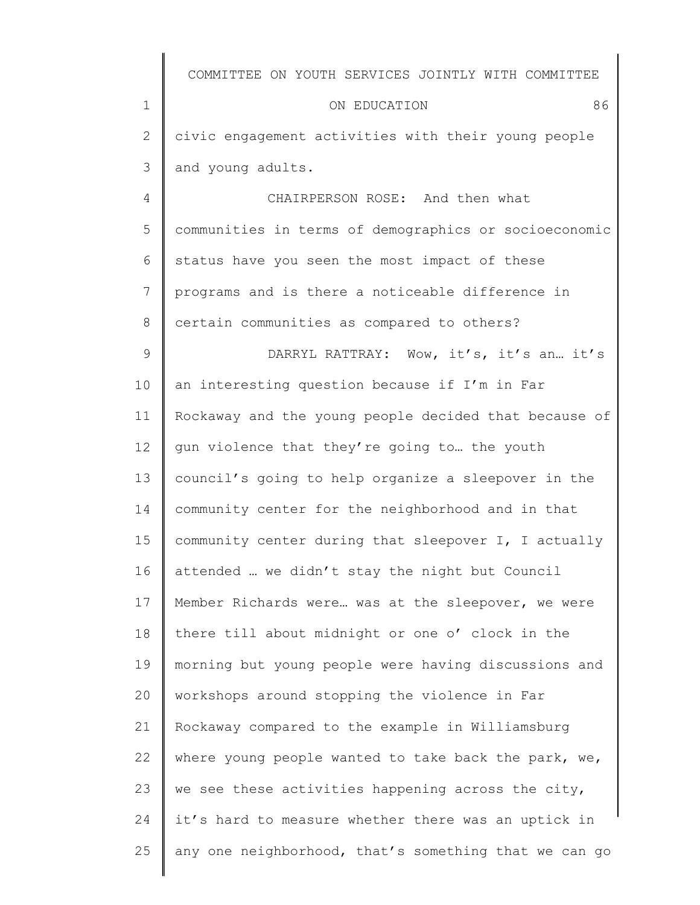|              | COMMITTEE ON YOUTH SERVICES JOINTLY WITH COMMITTEE    |
|--------------|-------------------------------------------------------|
| $\mathbf 1$  | 86<br>ON EDUCATION                                    |
| $\mathbf{2}$ | civic engagement activities with their young people   |
| 3            | and young adults.                                     |
| 4            | CHAIRPERSON ROSE: And then what                       |
| 5            | communities in terms of demographics or socioeconomic |
| 6            | status have you seen the most impact of these         |
| 7            | programs and is there a noticeable difference in      |
| 8            | certain communities as compared to others?            |
| $\mathsf 9$  | DARRYL RATTRAY: Wow, it's, it's an. it's              |
| 10           | an interesting question because if I'm in Far         |
| 11           | Rockaway and the young people decided that because of |
| 12           | gun violence that they're going to the youth          |
| 13           | council's going to help organize a sleepover in the   |
| 14           | community center for the neighborhood and in that     |
| 15           | community center during that sleepover I, I actually  |
| 16           | attended  we didn't stay the night but Council        |
| 17           | Member Richards were was at the sleepover, we were    |
| 18           | there till about midnight or one o' clock in the      |
| 19           | morning but young people were having discussions and  |
| 20           | workshops around stopping the violence in Far         |
| 21           | Rockaway compared to the example in Williamsburg      |
| 22           | where young people wanted to take back the park, we,  |
| 23           | we see these activities happening across the city,    |
| 24           | it's hard to measure whether there was an uptick in   |
| 25           | any one neighborhood, that's something that we can go |
|              |                                                       |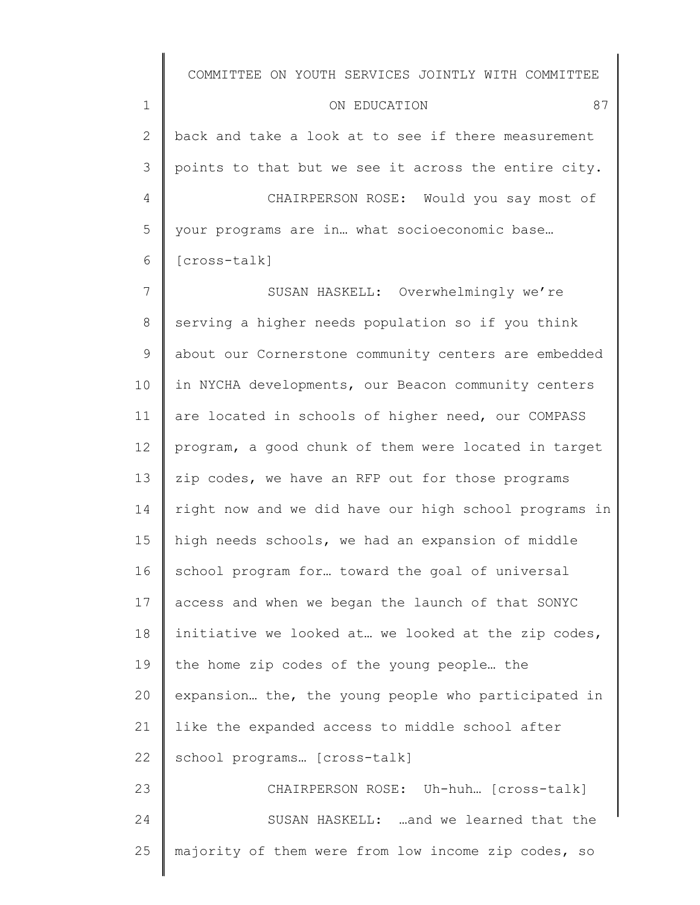1 2 3 4 5 6 ON EDUCATION 87 back and take a look at to see if there measurement points to that but we see it across the entire city. CHAIRPERSON ROSE: Would you say most of your programs are in… what socioeconomic base… [cross-talk]

7 8 9 10 11 12 13 14 15 16 17 18 19 20 21 22 23 SUSAN HASKELL: Overwhelmingly we're serving a higher needs population so if you think about our Cornerstone community centers are embedded in NYCHA developments, our Beacon community centers are located in schools of higher need, our COMPASS program, a good chunk of them were located in target zip codes, we have an RFP out for those programs right now and we did have our high school programs in high needs schools, we had an expansion of middle school program for… toward the goal of universal access and when we began the launch of that SONYC initiative we looked at… we looked at the zip codes, the home zip codes of the young people… the expansion… the, the young people who participated in like the expanded access to middle school after school programs… [cross-talk] CHAIRPERSON ROSE: Uh-huh… [cross-talk]

24 25 SUSAN HASKELL: …and we learned that the majority of them were from low income zip codes, so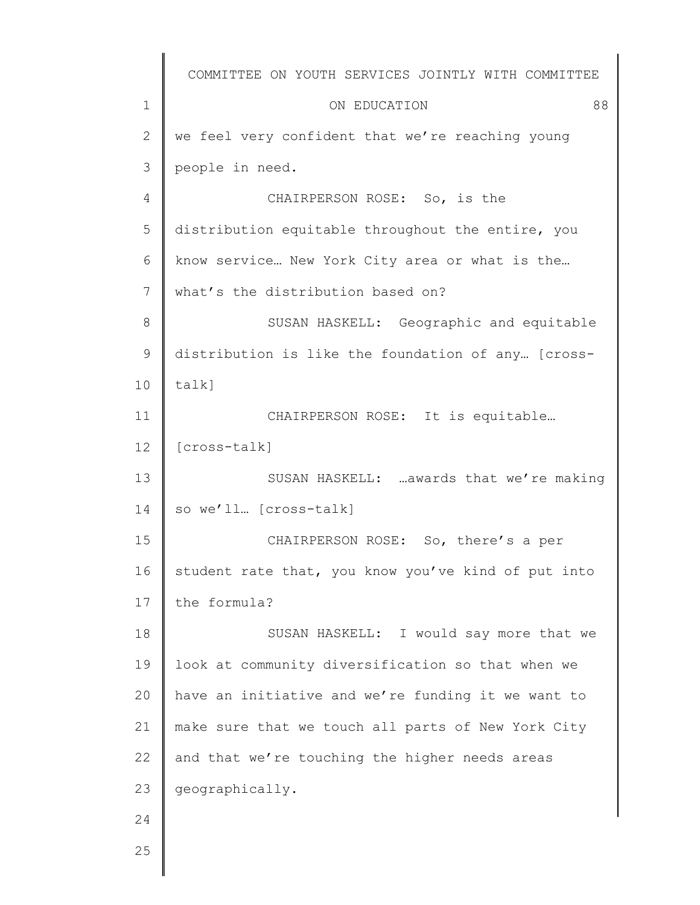|                | COMMITTEE ON YOUTH SERVICES JOINTLY WITH COMMITTEE  |
|----------------|-----------------------------------------------------|
| $\mathbf 1$    | 88<br>ON EDUCATION                                  |
| $\overline{2}$ | we feel very confident that we're reaching young    |
| 3              | people in need.                                     |
| $\overline{4}$ | CHAIRPERSON ROSE: So, is the                        |
| 5              | distribution equitable throughout the entire, you   |
| 6              | know service New York City area or what is the      |
| 7              | what's the distribution based on?                   |
| $8\,$          | SUSAN HASKELL: Geographic and equitable             |
| $\mathcal{G}$  | distribution is like the foundation of any [cross-  |
| 10             | talk]                                               |
| 11             | CHAIRPERSON ROSE: It is equitable                   |
| 12             | [cross-talk]                                        |
| 13             | SUSAN HASKELL:  awards that we're making            |
| 14             | so we'll [cross-talk]                               |
| 15             | CHAIRPERSON ROSE: So, there's a per                 |
| 16             | student rate that, you know you've kind of put into |
| 17             | the formula?                                        |
| 18             | SUSAN HASKELL: I would say more that we             |
| 19             | look at community diversification so that when we   |
| 20             | have an initiative and we're funding it we want to  |
| 21             | make sure that we touch all parts of New York City  |
| 22             | and that we're touching the higher needs areas      |
| 23             | geographically.                                     |
| 24             |                                                     |
| 25             |                                                     |
|                |                                                     |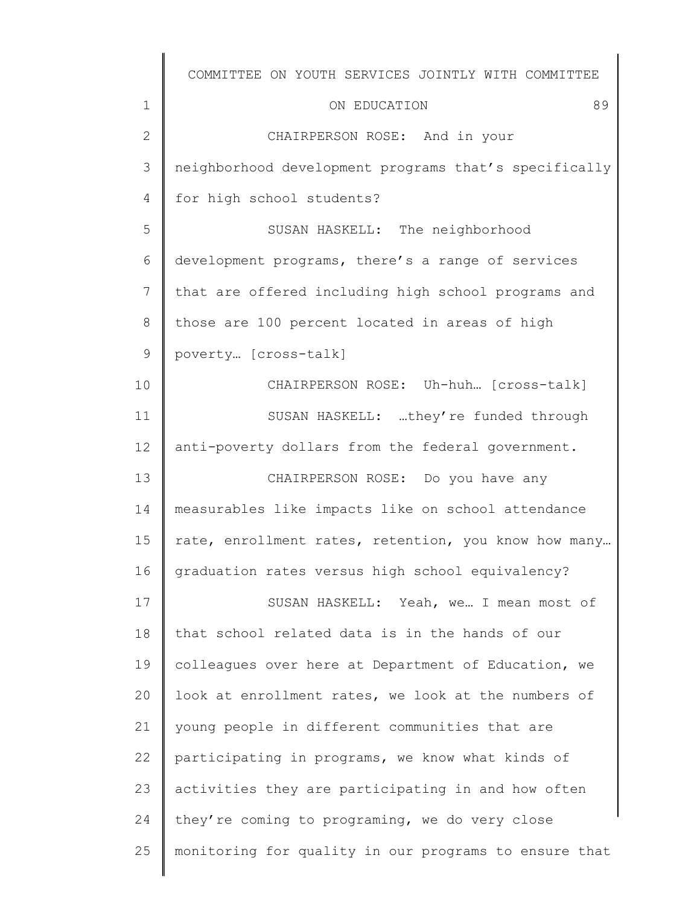|               | COMMITTEE ON YOUTH SERVICES JOINTLY WITH COMMITTEE    |
|---------------|-------------------------------------------------------|
| $\mathbf 1$   | 89<br>ON EDUCATION                                    |
| $\mathbf{2}$  | CHAIRPERSON ROSE: And in your                         |
| 3             | neighborhood development programs that's specifically |
| 4             | for high school students?                             |
| 5             | SUSAN HASKELL: The neighborhood                       |
| 6             | development programs, there's a range of services     |
| 7             | that are offered including high school programs and   |
| $8\,$         | those are 100 percent located in areas of high        |
| $\mathcal{G}$ | poverty [cross-talk]                                  |
| 10            | CHAIRPERSON ROSE: Uh-huh [cross-talk]                 |
| 11            | SUSAN HASKELL: they're funded through                 |
| 12            | anti-poverty dollars from the federal government.     |
| 13            | CHAIRPERSON ROSE: Do you have any                     |
| 14            | measurables like impacts like on school attendance    |
| 15            | rate, enrollment rates, retention, you know how many  |
| 16            | graduation rates versus high school equivalency?      |
| 17            | SUSAN HASKELL: Yeah, we I mean most of                |
| 18            | that school related data is in the hands of our       |
| 19            | colleagues over here at Department of Education, we   |
| 20            | look at enrollment rates, we look at the numbers of   |
| 21            | young people in different communities that are        |
| 22            | participating in programs, we know what kinds of      |
| 23            | activities they are participating in and how often    |
| 24            | they're coming to programing, we do very close        |
| 25            | monitoring for quality in our programs to ensure that |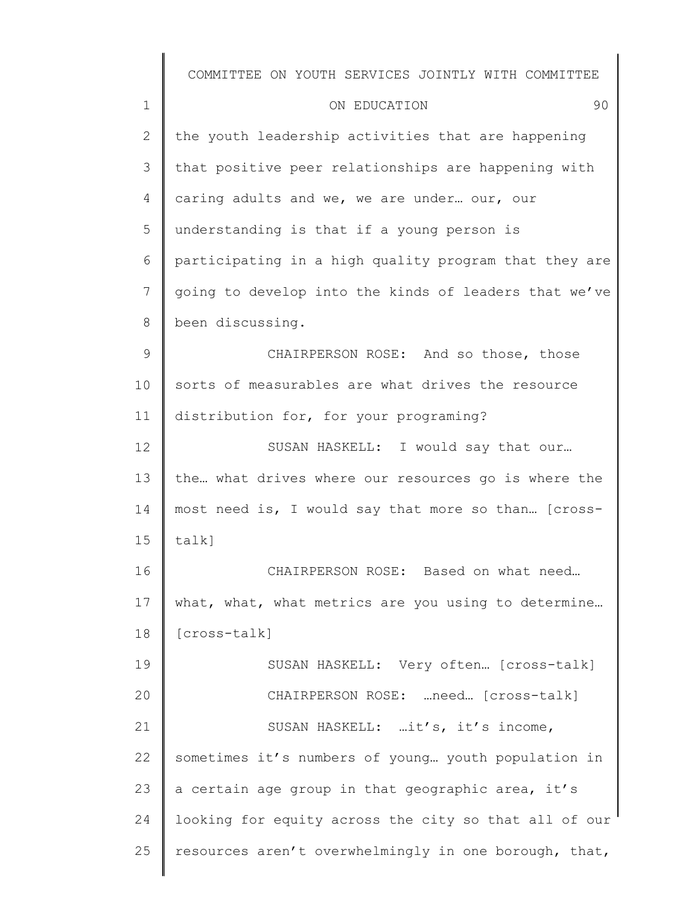1 2 3 4 5 6 7 8 9 10 11 12 13 14 15 16 17 18 19 20 21 22 23 24 25 COMMITTEE ON YOUTH SERVICES JOINTLY WITH COMMITTEE ON EDUCATION 90 the youth leadership activities that are happening that positive peer relationships are happening with caring adults and we, we are under… our, our understanding is that if a young person is participating in a high quality program that they are going to develop into the kinds of leaders that we've been discussing. CHAIRPERSON ROSE: And so those, those sorts of measurables are what drives the resource distribution for, for your programing? SUSAN HASKELL: I would say that our… the… what drives where our resources go is where the most need is, I would say that more so than… [crosstalk] CHAIRPERSON ROSE: Based on what need… what, what, what metrics are you using to determine... [cross-talk] SUSAN HASKELL: Very often… [cross-talk] CHAIRPERSON ROSE: …need… [cross-talk] SUSAN HASKELL: …it's, it's income, sometimes it's numbers of young… youth population in a certain age group in that geographic area, it's looking for equity across the city so that all of our resources aren't overwhelmingly in one borough, that,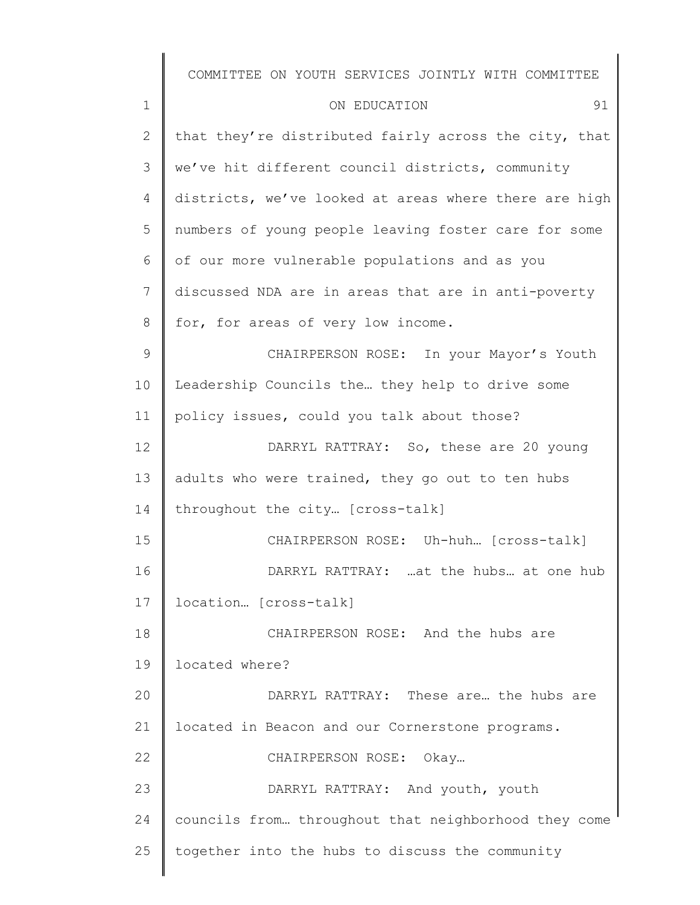1 2 3 4 5 6 7 8 9 10 11 12 13 14 15 16 17 18 19 20 21 22 23 24 25 COMMITTEE ON YOUTH SERVICES JOINTLY WITH COMMITTEE ON EDUCATION 91 that they're distributed fairly across the city, that we've hit different council districts, community districts, we've looked at areas where there are high numbers of young people leaving foster care for some of our more vulnerable populations and as you discussed NDA are in areas that are in anti-poverty for, for areas of very low income. CHAIRPERSON ROSE: In your Mayor's Youth Leadership Councils the… they help to drive some policy issues, could you talk about those? DARRYL RATTRAY: So, these are 20 young adults who were trained, they go out to ten hubs throughout the city… [cross-talk] CHAIRPERSON ROSE: Uh-huh… [cross-talk] DARRYL RATTRAY: …at the hubs… at one hub location… [cross-talk] CHAIRPERSON ROSE: And the hubs are located where? DARRYL RATTRAY: These are… the hubs are located in Beacon and our Cornerstone programs. CHAIRPERSON ROSE: Okay… DARRYL RATTRAY: And youth, youth councils from… throughout that neighborhood they come together into the hubs to discuss the community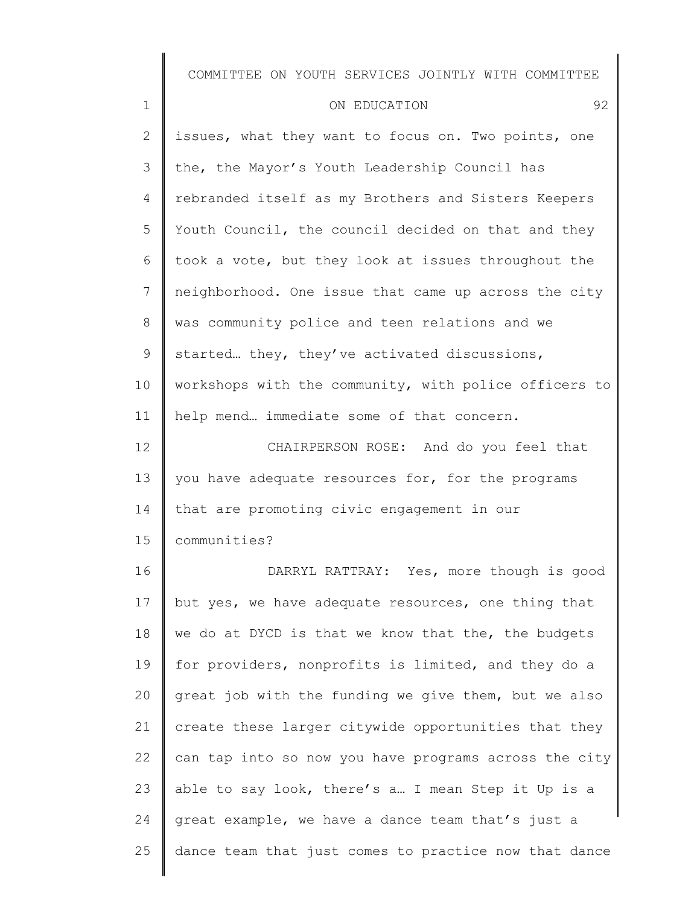| $\mathbf 1$     | 92<br>ON EDUCATION                                    |
|-----------------|-------------------------------------------------------|
| $\mathbf{2}$    | issues, what they want to focus on. Two points, one   |
| 3               | the, the Mayor's Youth Leadership Council has         |
| 4               | rebranded itself as my Brothers and Sisters Keepers   |
| 5               | Youth Council, the council decided on that and they   |
| 6               | took a vote, but they look at issues throughout the   |
| 7               | neighborhood. One issue that came up across the city  |
| 8               | was community police and teen relations and we        |
| 9               | started they, they've activated discussions,          |
| 10 <sub>o</sub> | workshops with the community, with police officers to |
| 11              | help mend immediate some of that concern.             |
| 12              | CHAIRPERSON ROSE: And do you feel that                |
| 13              | you have adequate resources for, for the programs     |
| 14              | that are promoting civic engagement in our            |
| 15              | communities?                                          |
| 16              | DARRYL RATTRAY: Yes, more though is good              |
| 17              | but yes, we have adequate resources, one thing that   |
| 18              | we do at DYCD is that we know that the, the budgets   |
| 19              | for providers, nonprofits is limited, and they do a   |
| 20              | great job with the funding we give them, but we also  |
| 21              | create these larger citywide opportunities that they  |
| 22              | can tap into so now you have programs across the city |
| 23              | able to say look, there's a I mean Step it Up is a    |
| 24              | great example, we have a dance team that's just a     |
|                 |                                                       |

25 dance team that just comes to practice now that dance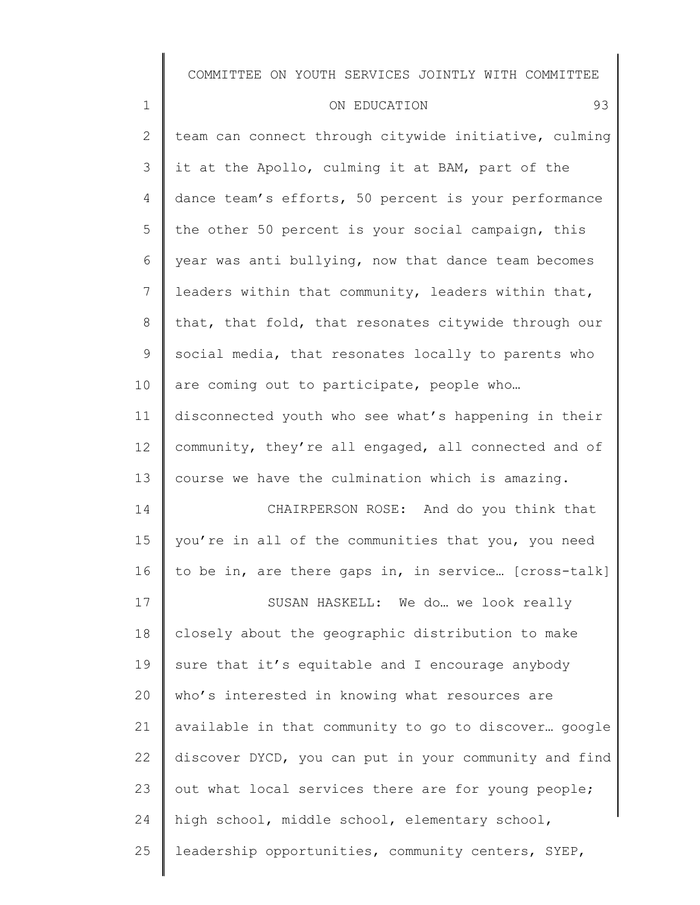| $\mathbf 1$    | 93<br>ON EDUCATION                                    |
|----------------|-------------------------------------------------------|
| $\overline{2}$ | team can connect through citywide initiative, culming |
| 3              | it at the Apollo, culming it at BAM, part of the      |
| 4              | dance team's efforts, 50 percent is your performance  |
| 5              | the other 50 percent is your social campaign, this    |
| 6              | year was anti bullying, now that dance team becomes   |
| 7              | leaders within that community, leaders within that,   |
| 8              | that, that fold, that resonates citywide through our  |
| 9              | social media, that resonates locally to parents who   |
| 10             | are coming out to participate, people who             |
| 11             | disconnected youth who see what's happening in their  |
| 12             | community, they're all engaged, all connected and of  |
| 13             | course we have the culmination which is amazing.      |
| 14             | CHAIRPERSON ROSE: And do you think that               |
| 15             | you're in all of the communities that you, you need   |
| 16             | to be in, are there gaps in, in service [cross-talk]  |
| 17             | SUSAN HASKELL: We do  we look really                  |
| 18             | closely about the geographic distribution to make     |
| 19             | sure that it's equitable and I encourage anybody      |
| 20             | who's interested in knowing what resources are        |
| 21             | available in that community to go to discover google  |
| 22             | discover DYCD, you can put in your community and find |
| 23             | out what local services there are for young people;   |
| 24             | high school, middle school, elementary school,        |
| 25             | leadership opportunities, community centers, SYEP,    |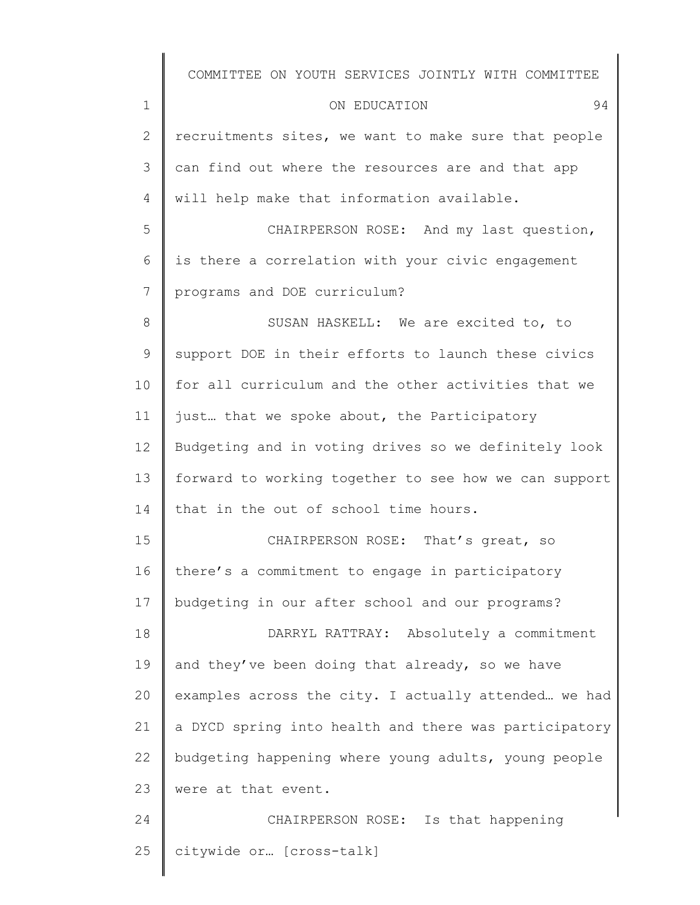|                | COMMITTEE ON YOUTH SERVICES JOINTLY WITH COMMITTEE    |
|----------------|-------------------------------------------------------|
| $\mathbf 1$    | ON EDUCATION<br>94                                    |
| $\overline{2}$ | recruitments sites, we want to make sure that people  |
| 3              | can find out where the resources are and that app     |
| 4              | will help make that information available.            |
| 5              | CHAIRPERSON ROSE: And my last question,               |
| 6              | is there a correlation with your civic engagement     |
| 7              | programs and DOE curriculum?                          |
| 8              | SUSAN HASKELL: We are excited to, to                  |
| $\mathsf 9$    | support DOE in their efforts to launch these civics   |
| 10             | for all curriculum and the other activities that we   |
| 11             | just that we spoke about, the Participatory           |
| 12             | Budgeting and in voting drives so we definitely look  |
| 13             | forward to working together to see how we can support |
| 14             | that in the out of school time hours.                 |
| 15             | CHAIRPERSON ROSE: That's great, so                    |
| 16             | there's a commitment to engage in participatory       |
| 17             | budgeting in our after school and our programs?       |
| 18             | DARRYL RATTRAY: Absolutely a commitment               |
| 19             | and they've been doing that already, so we have       |
| 20             | examples across the city. I actually attended we had  |
| 21             | a DYCD spring into health and there was participatory |
| 22             | budgeting happening where young adults, young people  |
| 23             | were at that event.                                   |
| 24             | CHAIRPERSON ROSE: Is that happening                   |
| 25             | citywide or [cross-talk]                              |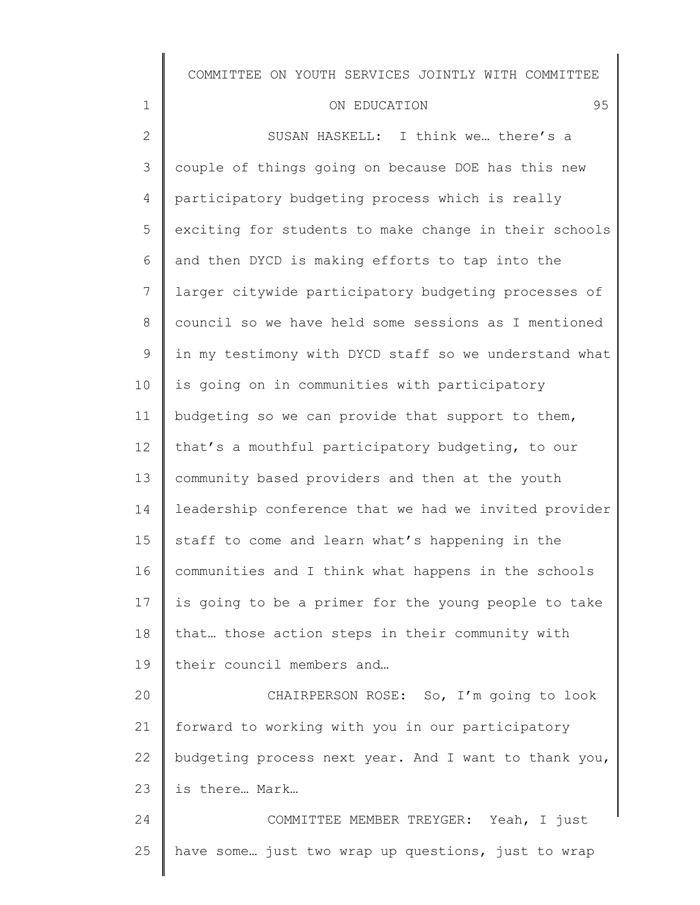# ON EDUCATION 95

| $\mathbf{2}$ | SUSAN HASKELL: I think we there's a                   |
|--------------|-------------------------------------------------------|
| 3            | couple of things going on because DOE has this new    |
| 4            | participatory budgeting process which is really       |
| 5            | exciting for students to make change in their schools |
| 6            | and then DYCD is making efforts to tap into the       |
| 7            | larger citywide participatory budgeting processes of  |
| 8            | council so we have held some sessions as I mentioned  |
| $\mathsf 9$  | in my testimony with DYCD staff so we understand what |
| 10           | is going on in communities with participatory         |
| 11           | budgeting so we can provide that support to them,     |
| 12           | that's a mouthful participatory budgeting, to our     |
| 13           | community based providers and then at the youth       |
| 14           | leadership conference that we had we invited provider |
| 15           | staff to come and learn what's happening in the       |
| 16           | communities and I think what happens in the schools   |
| 17           | is going to be a primer for the young people to take  |
| 18           | that those action steps in their community with       |
| 19           | their council members and                             |
| 20           | CHAIRPERSON ROSE: So, I'm going to look               |
| 21           | forward to working with you in our participatory      |
| 22           | budgeting process next year. And I want to thank you, |
| 23           | is there Mark                                         |
| 24           | COMMITTEE MEMBER TREYGER: Yeah, I just                |
| 25           | have some just two wrap up questions, just to wrap    |
|              |                                                       |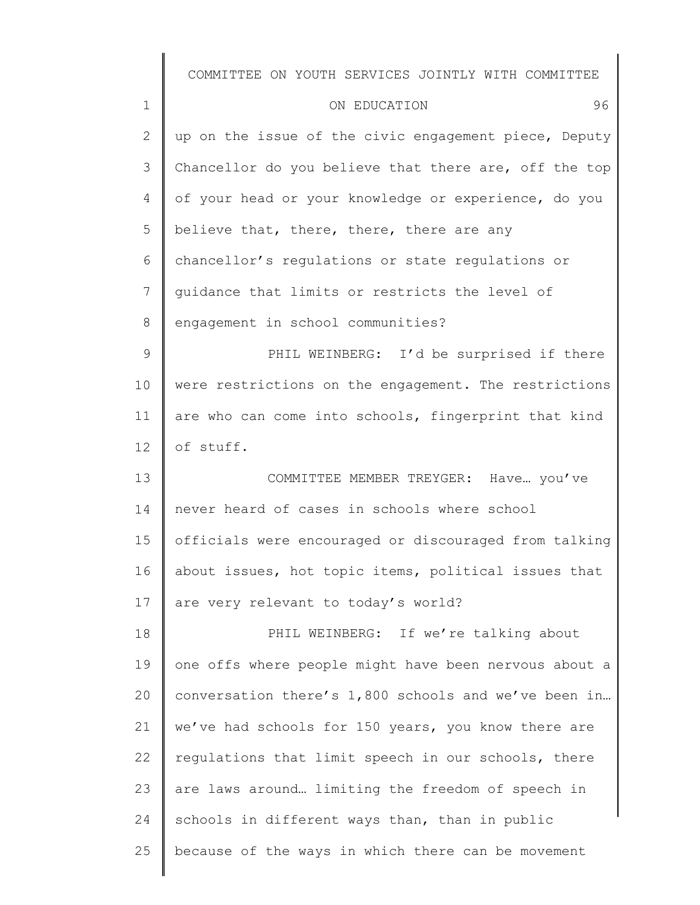|              | COMMITTEE ON YOUTH SERVICES JOINTLY WITH COMMITTEE    |
|--------------|-------------------------------------------------------|
| $\mathbf 1$  | 96<br>ON EDUCATION                                    |
| $\mathbf{2}$ | up on the issue of the civic engagement piece, Deputy |
| 3            | Chancellor do you believe that there are, off the top |
| 4            | of your head or your knowledge or experience, do you  |
| 5            | believe that, there, there, there are any             |
| 6            | chancellor's regulations or state regulations or      |
| 7            | quidance that limits or restricts the level of        |
| 8            | engagement in school communities?                     |
| 9            | PHIL WEINBERG: I'd be surprised if there              |
| 10           | were restrictions on the engagement. The restrictions |
| 11           | are who can come into schools, fingerprint that kind  |
| 12           | of stuff.                                             |
| 13           | COMMITTEE MEMBER TREYGER: Have you've                 |
| 14           | never heard of cases in schools where school          |
| 15           | officials were encouraged or discouraged from talking |
| 16           | about issues, hot topic items, political issues that  |
| 17           | are very relevant to today's world?                   |
| 18           | PHIL WEINBERG: If we're talking about                 |
| 19           | one offs where people might have been nervous about a |
| 20           | conversation there's 1,800 schools and we've been in  |
| 21           | we've had schools for 150 years, you know there are   |
| 22           | regulations that limit speech in our schools, there   |
| 23           | are laws around limiting the freedom of speech in     |
| 24           | schools in different ways than, than in public        |
| 25           | because of the ways in which there can be movement    |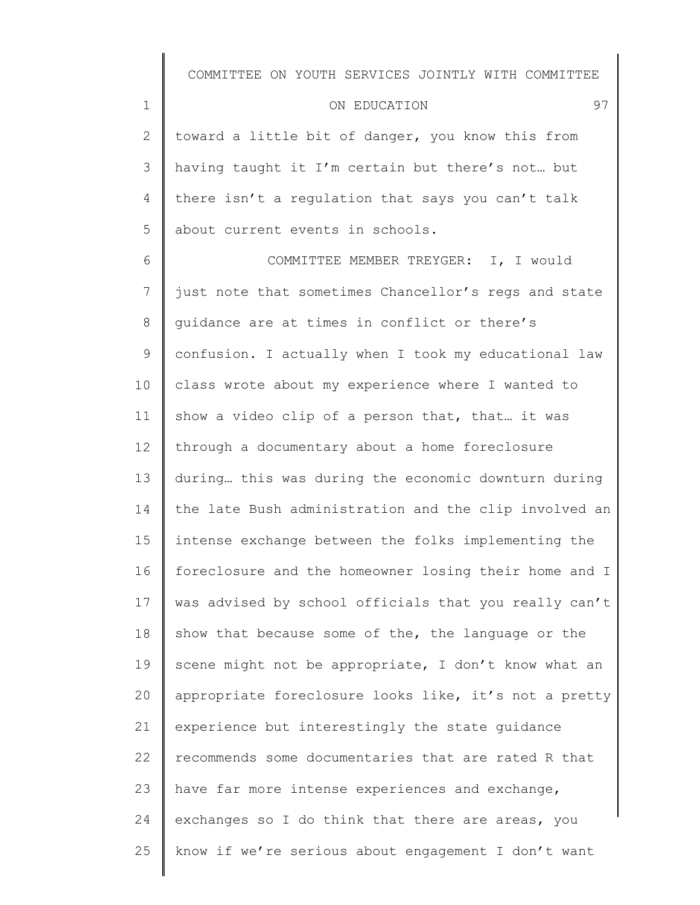#### ON EDUCATION 97

1

2 3 4 5 toward a little bit of danger, you know this from having taught it I'm certain but there's not… but there isn't a regulation that says you can't talk about current events in schools.

6 7 8 9 10 11 12 13 14 15 16 17 18 19 20 21 22 23 24 25 COMMITTEE MEMBER TREYGER: I, I would just note that sometimes Chancellor's regs and state guidance are at times in conflict or there's confusion. I actually when I took my educational law class wrote about my experience where I wanted to show a video clip of a person that, that… it was through a documentary about a home foreclosure during… this was during the economic downturn during the late Bush administration and the clip involved an intense exchange between the folks implementing the foreclosure and the homeowner losing their home and I was advised by school officials that you really can't show that because some of the, the language or the scene might not be appropriate, I don't know what an appropriate foreclosure looks like, it's not a pretty experience but interestingly the state guidance recommends some documentaries that are rated R that have far more intense experiences and exchange, exchanges so I do think that there are areas, you know if we're serious about engagement I don't want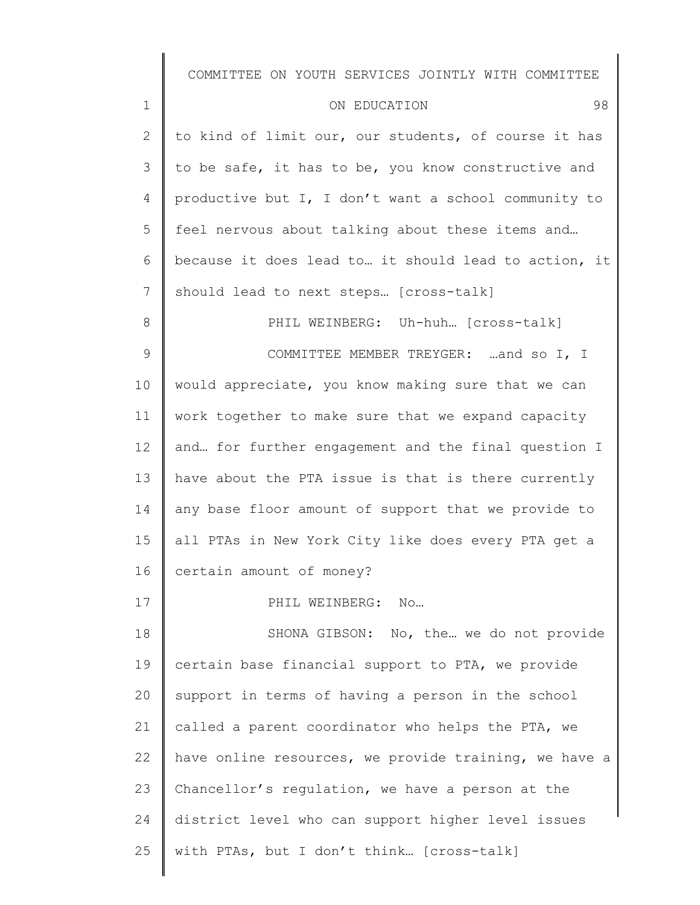| $\mathbf 1$   | 98<br>ON EDUCATION                                    |
|---------------|-------------------------------------------------------|
| 2             | to kind of limit our, our students, of course it has  |
| 3             | to be safe, it has to be, you know constructive and   |
| 4             | productive but I, I don't want a school community to  |
| 5             | feel nervous about talking about these items and      |
| 6             | because it does lead to it should lead to action, it  |
| 7             | should lead to next steps [cross-talk]                |
| 8             | PHIL WEINBERG: Uh-huh [cross-talk]                    |
| $\mathcal{G}$ | COMMITTEE MEMBER TREYGER: and so I, I                 |
| 10            | would appreciate, you know making sure that we can    |
| 11            | work together to make sure that we expand capacity    |
| 12            | and for further engagement and the final question I   |
| 13            | have about the PTA issue is that is there currently   |
| 14            | any base floor amount of support that we provide to   |
| 15            | all PTAs in New York City like does every PTA get a   |
| 16            | certain amount of money?                              |
| 17            | PHIL WEINBERG:<br>N0                                  |
| 18            | SHONA GIBSON: No, the  we do not provide              |
| 19            | certain base financial support to PTA, we provide     |
| 20            | support in terms of having a person in the school     |
| 21            | called a parent coordinator who helps the PTA, we     |
| 22            | have online resources, we provide training, we have a |
| 23            | Chancellor's regulation, we have a person at the      |
| 24            | district level who can support higher level issues    |

with PTAs, but I don't think… [cross-talk]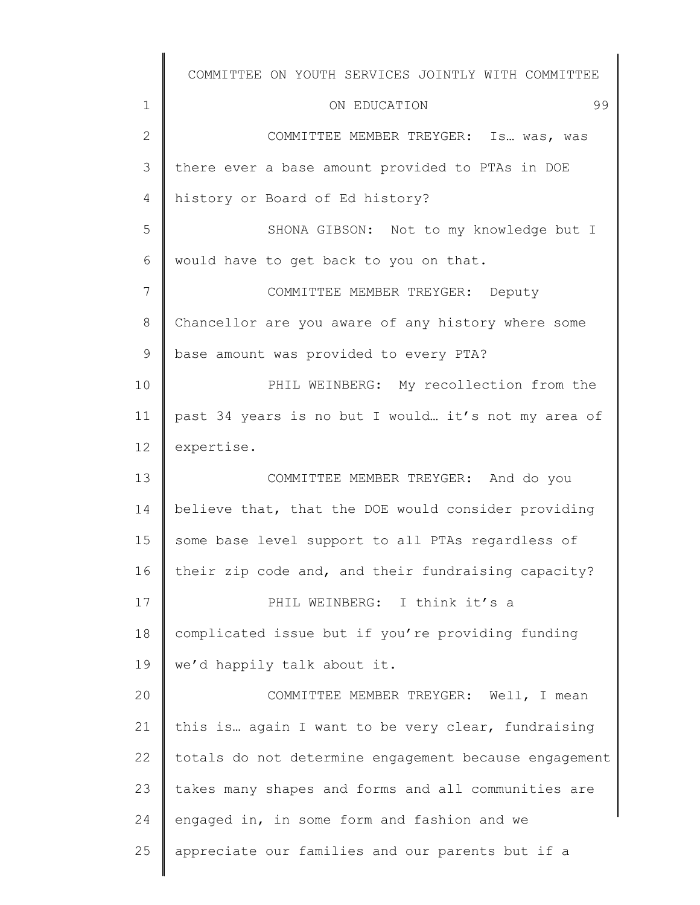1 2 3 4 5 6 7 8 9 10 11 12 13 14 15 16 17 18 19 20 21 22 23 24 25 COMMITTEE ON YOUTH SERVICES JOINTLY WITH COMMITTEE ON EDUCATION 99 COMMITTEE MEMBER TREYGER: Is… was, was there ever a base amount provided to PTAs in DOE history or Board of Ed history? SHONA GIBSON: Not to my knowledge but I would have to get back to you on that. COMMITTEE MEMBER TREYGER: Deputy Chancellor are you aware of any history where some base amount was provided to every PTA? PHIL WEINBERG: My recollection from the past 34 years is no but I would… it's not my area of expertise. COMMITTEE MEMBER TREYGER: And do you believe that, that the DOE would consider providing some base level support to all PTAs regardless of their zip code and, and their fundraising capacity? PHIL WEINBERG: I think it's a complicated issue but if you're providing funding we'd happily talk about it. COMMITTEE MEMBER TREYGER: Well, I mean this is… again I want to be very clear, fundraising totals do not determine engagement because engagement takes many shapes and forms and all communities are engaged in, in some form and fashion and we appreciate our families and our parents but if a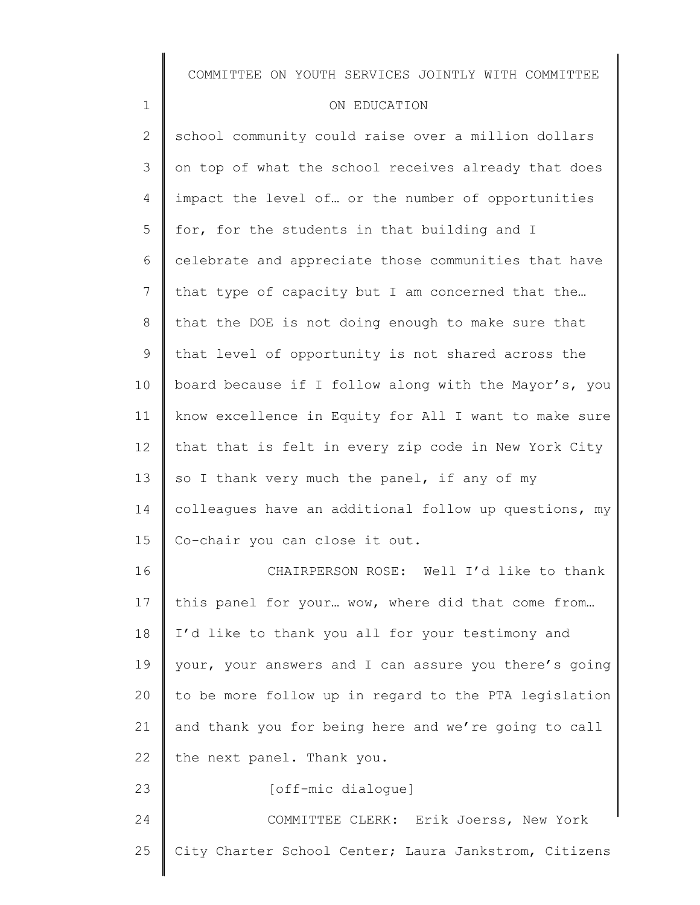#### ON EDUCATION

1

2 3 4 5 6 7 8 9 10 11 12 13 14 15 16 17 18 19 20 21 22 23 school community could raise over a million dollars on top of what the school receives already that does impact the level of… or the number of opportunities for, for the students in that building and I celebrate and appreciate those communities that have that type of capacity but I am concerned that the… that the DOE is not doing enough to make sure that that level of opportunity is not shared across the board because if I follow along with the Mayor's, you know excellence in Equity for All I want to make sure that that is felt in every zip code in New York City so I thank very much the panel, if any of my colleagues have an additional follow up questions, my Co-chair you can close it out. CHAIRPERSON ROSE: Well I'd like to thank this panel for your… wow, where did that come from… I'd like to thank you all for your testimony and your, your answers and I can assure you there's going to be more follow up in regard to the PTA legislation and thank you for being here and we're going to call the next panel. Thank you.

[off-mic dialogue]

24 25 COMMITTEE CLERK: Erik Joerss, New York City Charter School Center; Laura Jankstrom, Citizens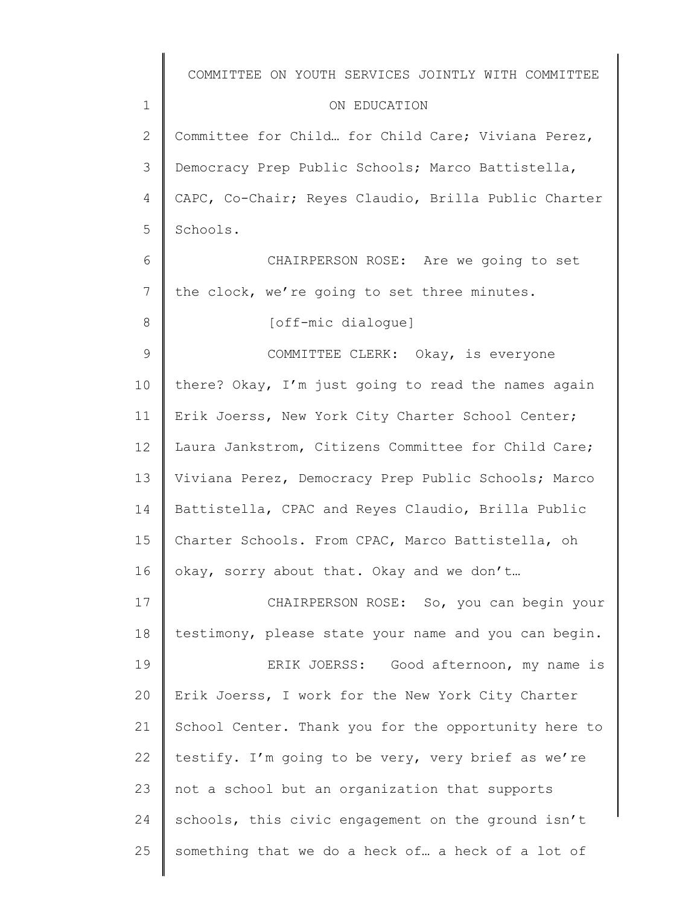| COMMITTEE ON YOUTH SERVICES JOINTLY WITH COMMITTEE   |
|------------------------------------------------------|
| ON EDUCATION                                         |
| Committee for Child for Child Care; Viviana Perez,   |
| Democracy Prep Public Schools; Marco Battistella,    |
| CAPC, Co-Chair; Reyes Claudio, Brilla Public Charter |
| Schools.                                             |
| CHAIRPERSON ROSE: Are we going to set                |
| the clock, we're going to set three minutes.         |
| [off-mic dialoque]                                   |
| COMMITTEE CLERK: Okay, is everyone                   |
| there? Okay, I'm just going to read the names again  |
| Erik Joerss, New York City Charter School Center;    |
| Laura Jankstrom, Citizens Committee for Child Care;  |
| Viviana Perez, Democracy Prep Public Schools; Marco  |
| Battistella, CPAC and Reyes Claudio, Brilla Public   |
| Charter Schools. From CPAC, Marco Battistella, oh    |
| okay, sorry about that. Okay and we don't            |
| CHAIRPERSON ROSE: So, you can begin your             |
| testimony, please state your name and you can begin. |
| ERIK JOERSS: Good afternoon, my name is              |
| Erik Joerss, I work for the New York City Charter    |
| School Center. Thank you for the opportunity here to |
| testify. I'm going to be very, very brief as we're   |
| not a school but an organization that supports       |
| schools, this civic engagement on the ground isn't   |
| something that we do a heck of a heck of a lot of    |
|                                                      |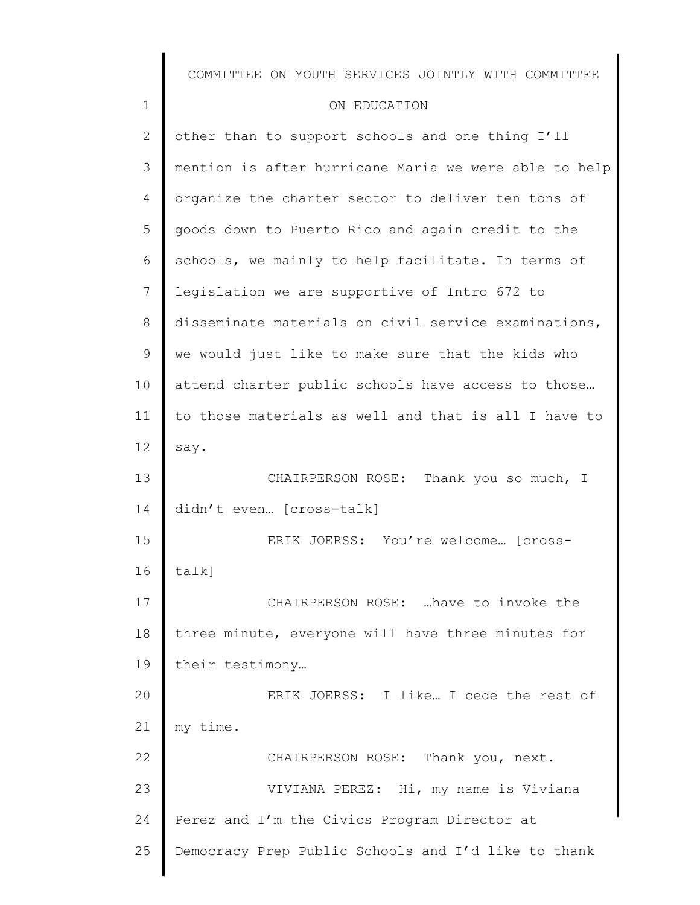|              | COMMITTEE ON YOUTH SERVICES JOINTLY WITH COMMITTEE    |
|--------------|-------------------------------------------------------|
| $\mathbf 1$  | ON EDUCATION                                          |
| $\mathbf{2}$ | other than to support schools and one thing I'll      |
| 3            | mention is after hurricane Maria we were able to help |
| 4            | organize the charter sector to deliver ten tons of    |
| 5            | goods down to Puerto Rico and again credit to the     |
| 6            | schools, we mainly to help facilitate. In terms of    |
| 7            | legislation we are supportive of Intro 672 to         |
| 8            | disseminate materials on civil service examinations,  |
| 9            | we would just like to make sure that the kids who     |
| 10           | attend charter public schools have access to those    |
| 11           | to those materials as well and that is all I have to  |
| 12           | say.                                                  |
| 13           | CHAIRPERSON ROSE: Thank you so much, I                |
| 14           | didn't even [cross-talk]                              |
| 15           | ERIK JOERSS: You're welcome [cross-                   |
| 16           | $talk$ ]                                              |
| 17           | CHAIRPERSON ROSE:  have to invoke the                 |
| 18           | three minute, everyone will have three minutes for    |
| 19           | their testimony                                       |
| 20           | ERIK JOERSS: I like I cede the rest of                |
| 21           | my time.                                              |
| 22           | CHAIRPERSON ROSE: Thank you, next.                    |
| 23           | VIVIANA PEREZ: Hi, my name is Viviana                 |
| 24           | Perez and I'm the Civics Program Director at          |
| 25           | Democracy Prep Public Schools and I'd like to thank   |
|              |                                                       |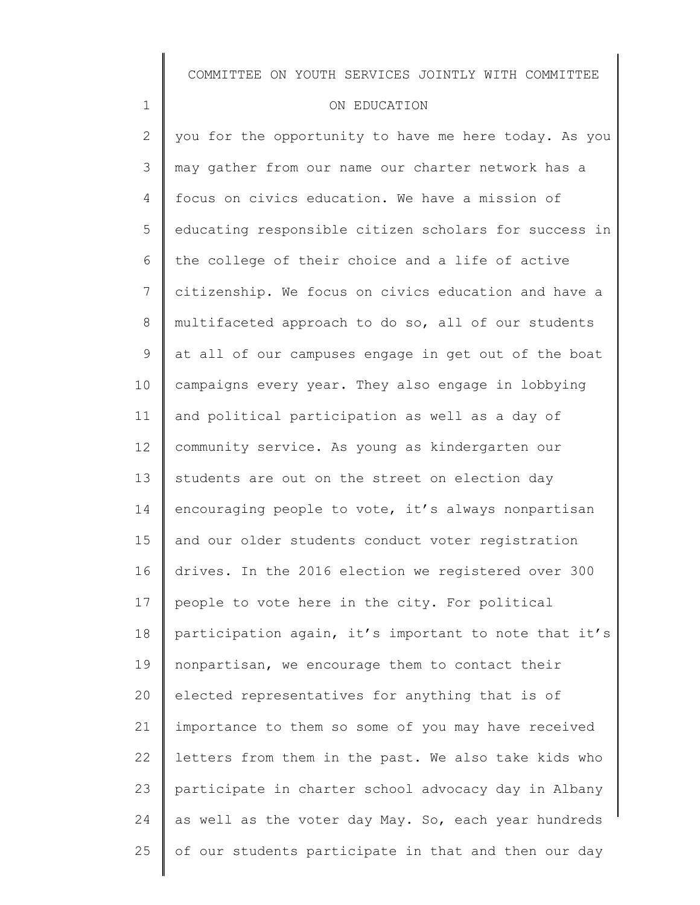#### ON EDUCATION

1

2 3 4 5 6 7 8 9 10 11 12 13 14 15 16 17 18 19 20 21 22 23 24 25 you for the opportunity to have me here today. As you may gather from our name our charter network has a focus on civics education. We have a mission of educating responsible citizen scholars for success in the college of their choice and a life of active citizenship. We focus on civics education and have a multifaceted approach to do so, all of our students at all of our campuses engage in get out of the boat campaigns every year. They also engage in lobbying and political participation as well as a day of community service. As young as kindergarten our students are out on the street on election day encouraging people to vote, it's always nonpartisan and our older students conduct voter registration drives. In the 2016 election we registered over 300 people to vote here in the city. For political participation again, it's important to note that it's nonpartisan, we encourage them to contact their elected representatives for anything that is of importance to them so some of you may have received letters from them in the past. We also take kids who participate in charter school advocacy day in Albany as well as the voter day May. So, each year hundreds of our students participate in that and then our day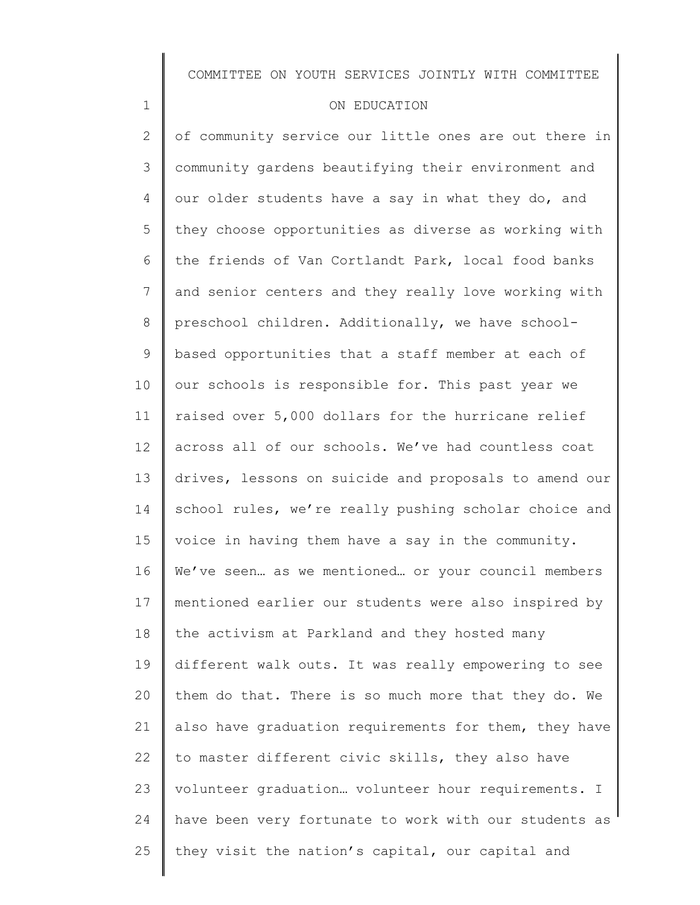#### ON EDUCATION

1

2 3 4 5 6 7 8 9 10 11 12 13 14 15 16 17 18 19 20 21 22 23 24 25 of community service our little ones are out there in community gardens beautifying their environment and our older students have a say in what they do, and they choose opportunities as diverse as working with the friends of Van Cortlandt Park, local food banks and senior centers and they really love working with preschool children. Additionally, we have schoolbased opportunities that a staff member at each of our schools is responsible for. This past year we raised over 5,000 dollars for the hurricane relief across all of our schools. We've had countless coat drives, lessons on suicide and proposals to amend our school rules, we're really pushing scholar choice and voice in having them have a say in the community. We've seen… as we mentioned… or your council members mentioned earlier our students were also inspired by the activism at Parkland and they hosted many different walk outs. It was really empowering to see them do that. There is so much more that they do. We also have graduation requirements for them, they have to master different civic skills, they also have volunteer graduation… volunteer hour requirements. I have been very fortunate to work with our students as they visit the nation's capital, our capital and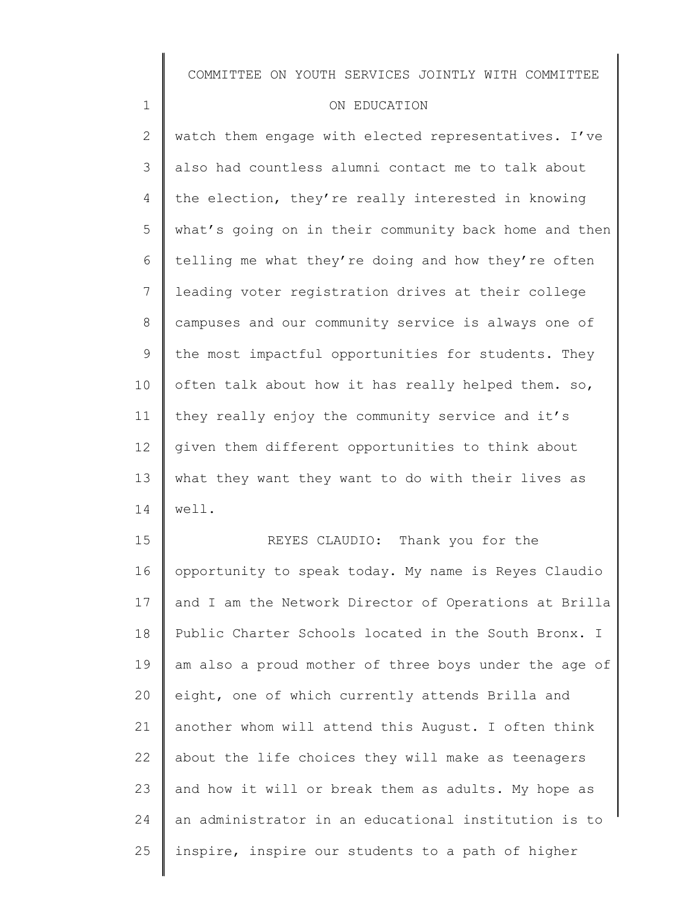#### ON EDUCATION

1

2 3 4 5 6 7 8 9 10 11 12 13 14 watch them engage with elected representatives. I've also had countless alumni contact me to talk about the election, they're really interested in knowing what's going on in their community back home and then telling me what they're doing and how they're often leading voter registration drives at their college campuses and our community service is always one of the most impactful opportunities for students. They often talk about how it has really helped them. so, they really enjoy the community service and it's given them different opportunities to think about what they want they want to do with their lives as well.

15 16 17 18 19 20 21 22 23 24 25 REYES CLAUDIO: Thank you for the opportunity to speak today. My name is Reyes Claudio and I am the Network Director of Operations at Brilla Public Charter Schools located in the South Bronx. I am also a proud mother of three boys under the age of eight, one of which currently attends Brilla and another whom will attend this August. I often think about the life choices they will make as teenagers and how it will or break them as adults. My hope as an administrator in an educational institution is to inspire, inspire our students to a path of higher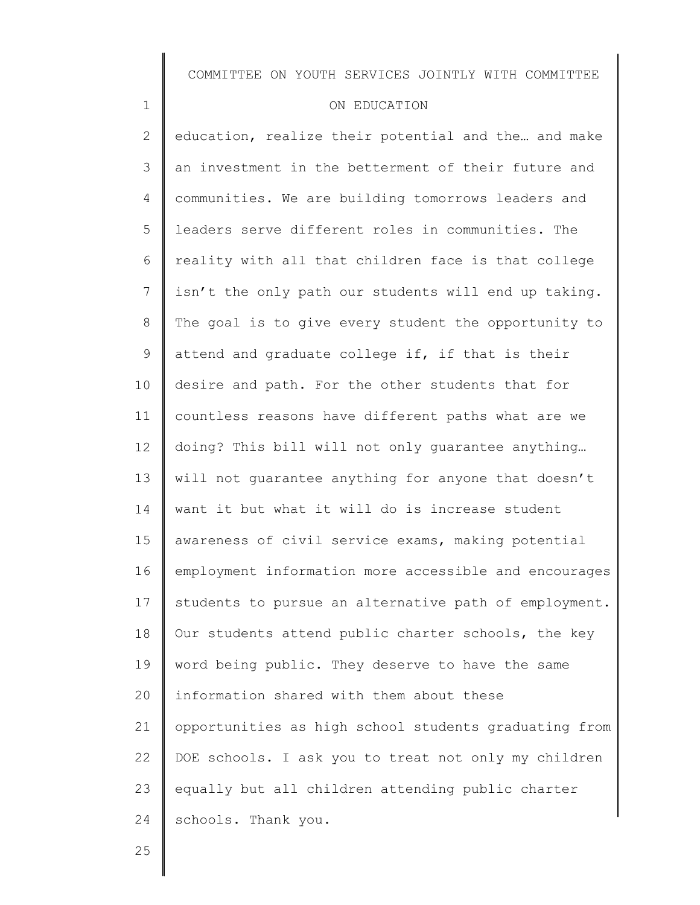#### ON EDUCATION

2 3 4 5 6 7 8 9 10 11 12 13 14 15 16 17 18 19 20 21 22 23 24 education, realize their potential and the... and make an investment in the betterment of their future and communities. We are building tomorrows leaders and leaders serve different roles in communities. The reality with all that children face is that college isn't the only path our students will end up taking. The goal is to give every student the opportunity to attend and graduate college if, if that is their desire and path. For the other students that for countless reasons have different paths what are we doing? This bill will not only guarantee anything… will not guarantee anything for anyone that doesn't want it but what it will do is increase student awareness of civil service exams, making potential employment information more accessible and encourages students to pursue an alternative path of employment. Our students attend public charter schools, the key word being public. They deserve to have the same information shared with them about these opportunities as high school students graduating from DOE schools. I ask you to treat not only my children equally but all children attending public charter schools. Thank you.

25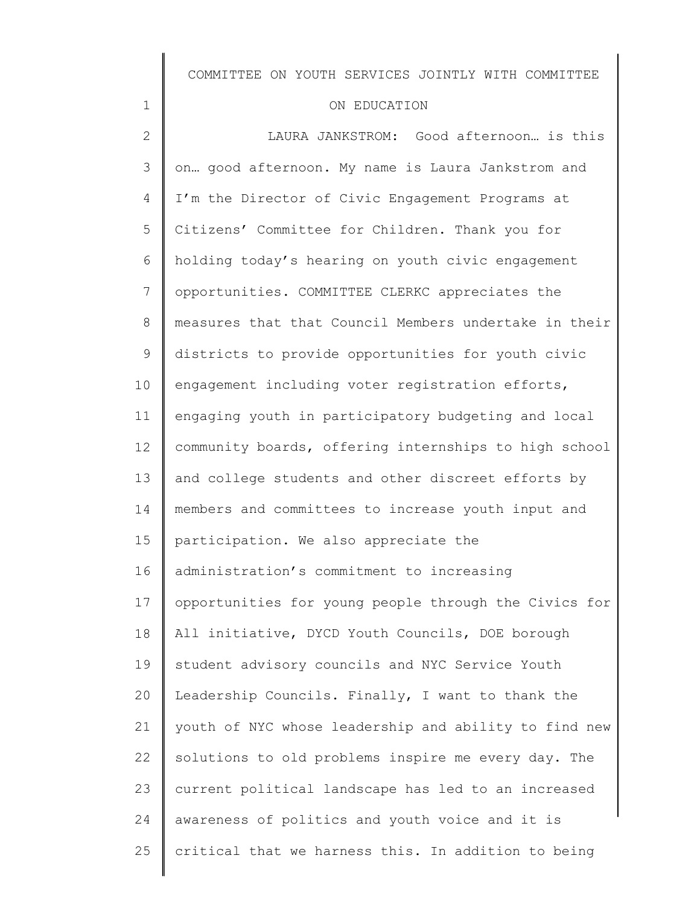### ON EDUCATION

| $\mathbf{2}$ | LAURA JANKSTROM: Good afternoon is this               |
|--------------|-------------------------------------------------------|
| 3            | on good afternoon. My name is Laura Jankstrom and     |
| 4            | I'm the Director of Civic Engagement Programs at      |
| 5            | Citizens' Committee for Children. Thank you for       |
| 6            | holding today's hearing on youth civic engagement     |
| 7            | opportunities. COMMITTEE CLERKC appreciates the       |
| $8\,$        | measures that that Council Members undertake in their |
| $\mathsf 9$  | districts to provide opportunities for youth civic    |
| 10           | engagement including voter registration efforts,      |
| 11           | engaging youth in participatory budgeting and local   |
| 12           | community boards, offering internships to high school |
| 13           | and college students and other discreet efforts by    |
| 14           | members and committees to increase youth input and    |
| 15           | participation. We also appreciate the                 |
| 16           | administration's commitment to increasing             |
| 17           | opportunities for young people through the Civics for |
| 18           | All initiative, DYCD Youth Councils, DOE borough      |
| 19           | student advisory councils and NYC Service Youth       |
| 20           | Leadership Councils. Finally, I want to thank the     |
| 21           | youth of NYC whose leadership and ability to find new |
| 22           | solutions to old problems inspire me every day. The   |
| 23           | current political landscape has led to an increased   |
| 24           | awareness of politics and youth voice and it is       |
| 25           | critical that we harness this. In addition to being   |
|              |                                                       |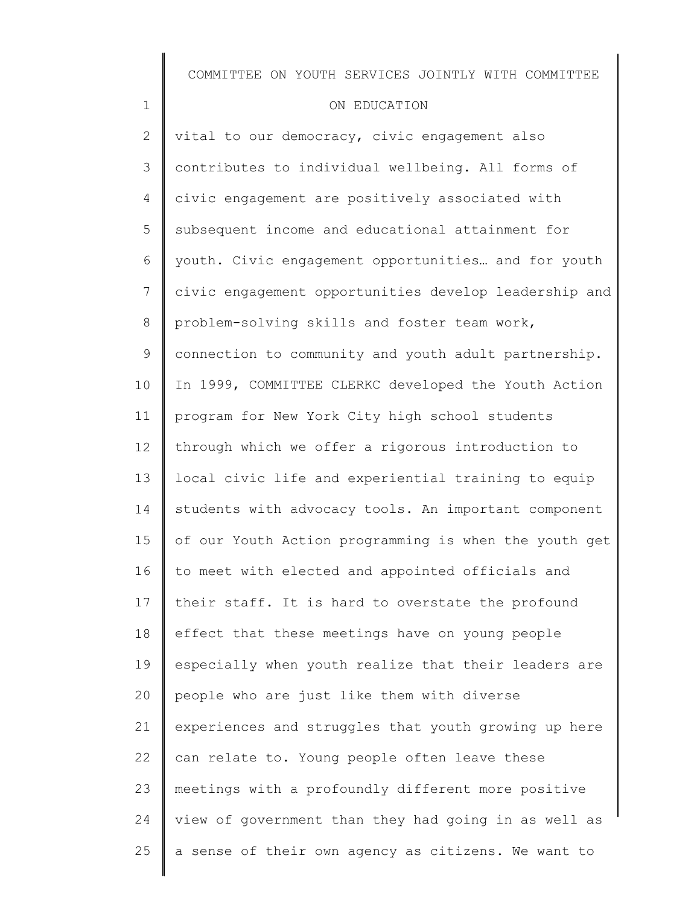#### ON EDUCATION

1

2 3 4 5 6 7 8 9 10 11 12 13 14 15 16 17 18 19 20 21 22 23 24 25 vital to our democracy, civic engagement also contributes to individual wellbeing. All forms of civic engagement are positively associated with subsequent income and educational attainment for youth. Civic engagement opportunities… and for youth civic engagement opportunities develop leadership and problem-solving skills and foster team work, connection to community and youth adult partnership. In 1999, COMMITTEE CLERKC developed the Youth Action program for New York City high school students through which we offer a rigorous introduction to local civic life and experiential training to equip students with advocacy tools. An important component of our Youth Action programming is when the youth get to meet with elected and appointed officials and their staff. It is hard to overstate the profound effect that these meetings have on young people especially when youth realize that their leaders are people who are just like them with diverse experiences and struggles that youth growing up here can relate to. Young people often leave these meetings with a profoundly different more positive view of government than they had going in as well as a sense of their own agency as citizens. We want to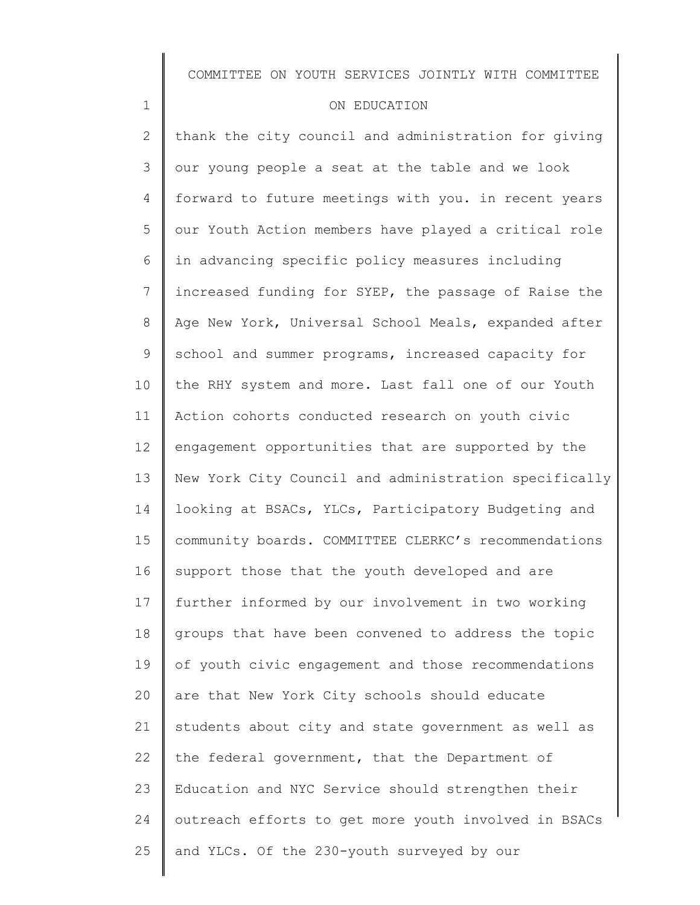#### ON EDUCATION

1

2 3 4 5 6 7 8 9 10 11 12 13 14 15 16 17 18 19 20 21 22 23 24 25 thank the city council and administration for giving our young people a seat at the table and we look forward to future meetings with you. in recent years our Youth Action members have played a critical role in advancing specific policy measures including increased funding for SYEP, the passage of Raise the Age New York, Universal School Meals, expanded after school and summer programs, increased capacity for the RHY system and more. Last fall one of our Youth Action cohorts conducted research on youth civic engagement opportunities that are supported by the New York City Council and administration specifically looking at BSACs, YLCs, Participatory Budgeting and community boards. COMMITTEE CLERKC's recommendations support those that the youth developed and are further informed by our involvement in two working groups that have been convened to address the topic of youth civic engagement and those recommendations are that New York City schools should educate students about city and state government as well as the federal government, that the Department of Education and NYC Service should strengthen their outreach efforts to get more youth involved in BSACs and YLCs. Of the 230-youth surveyed by our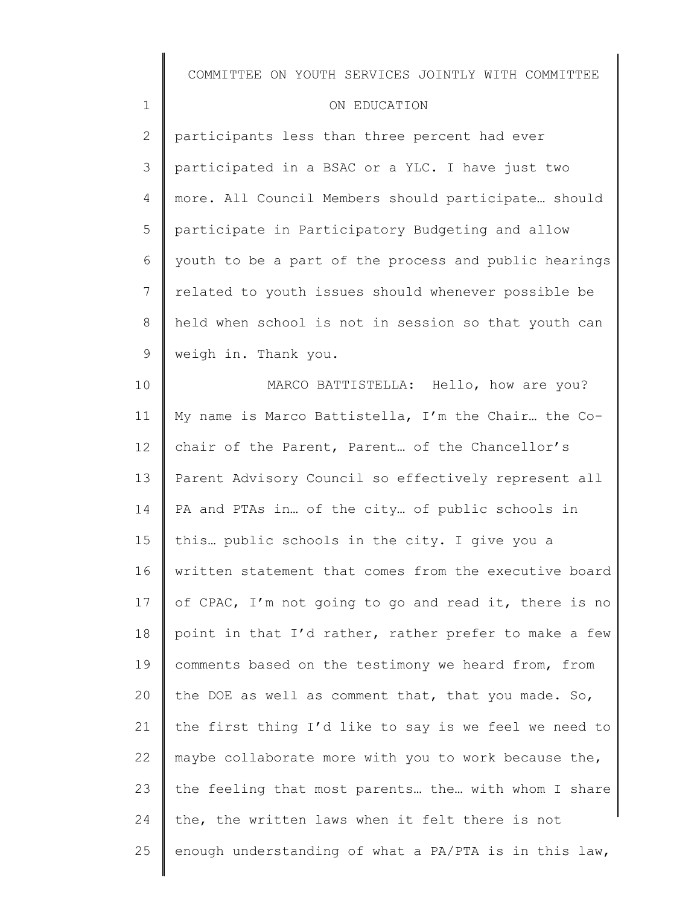| COMMITTEE ON YOUTH SERVICES JOINTLY WITH COMMITTEE |  |  |  |  |  |
|----------------------------------------------------|--|--|--|--|--|
|----------------------------------------------------|--|--|--|--|--|

### ON EDUCATION

1

2 3 4 5 6 7 8 9 participants less than three percent had ever participated in a BSAC or a YLC. I have just two more. All Council Members should participate… should participate in Participatory Budgeting and allow youth to be a part of the process and public hearings related to youth issues should whenever possible be held when school is not in session so that youth can weigh in. Thank you.

10 11 12 13 14 15 16 17 18 19 20 21 22 23 24 25 MARCO BATTISTELLA: Hello, how are you? My name is Marco Battistella, I'm the Chair… the Cochair of the Parent, Parent… of the Chancellor's Parent Advisory Council so effectively represent all PA and PTAs in… of the city… of public schools in this… public schools in the city. I give you a written statement that comes from the executive board of CPAC, I'm not going to go and read it, there is no point in that I'd rather, rather prefer to make a few comments based on the testimony we heard from, from the DOE as well as comment that, that you made. So, the first thing I'd like to say is we feel we need to maybe collaborate more with you to work because the, the feeling that most parents… the… with whom I share the, the written laws when it felt there is not enough understanding of what a PA/PTA is in this law,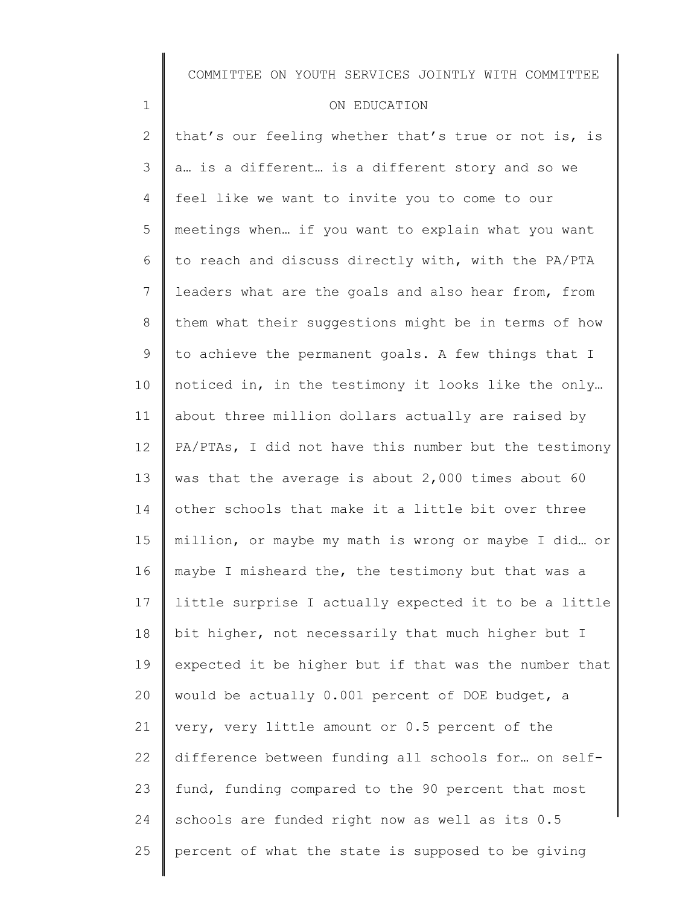#### ON EDUCATION

1

2 3 4 5 6 7 8 9 10 11 12 13 14 15 16 17 18 19 20 21 22 23 24 25 that's our feeling whether that's true or not is, is a… is a different… is a different story and so we feel like we want to invite you to come to our meetings when… if you want to explain what you want to reach and discuss directly with, with the PA/PTA leaders what are the goals and also hear from, from them what their suggestions might be in terms of how to achieve the permanent goals. A few things that I noticed in, in the testimony it looks like the only… about three million dollars actually are raised by PA/PTAs, I did not have this number but the testimony was that the average is about 2,000 times about 60 other schools that make it a little bit over three million, or maybe my math is wrong or maybe I did… or maybe I misheard the, the testimony but that was a little surprise I actually expected it to be a little bit higher, not necessarily that much higher but I expected it be higher but if that was the number that would be actually 0.001 percent of DOE budget, a very, very little amount or 0.5 percent of the difference between funding all schools for… on selffund, funding compared to the 90 percent that most schools are funded right now as well as its 0.5 percent of what the state is supposed to be giving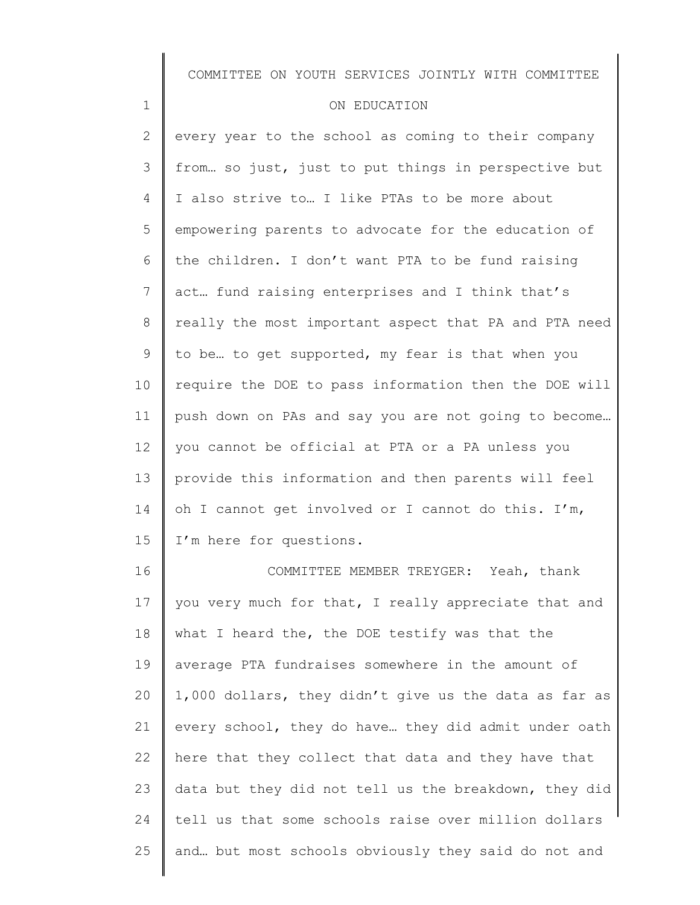#### ON EDUCATION

1

2 3 4 5 6 7 8 9 10 11 12 13 14 15 16 every year to the school as coming to their company from… so just, just to put things in perspective but I also strive to… I like PTAs to be more about empowering parents to advocate for the education of the children. I don't want PTA to be fund raising act… fund raising enterprises and I think that's really the most important aspect that PA and PTA need to be… to get supported, my fear is that when you require the DOE to pass information then the DOE will push down on PAs and say you are not going to become… you cannot be official at PTA or a PA unless you provide this information and then parents will feel oh I cannot get involved or I cannot do this. I'm, I'm here for questions. COMMITTEE MEMBER TREYGER: Yeah, thank

17 18 19 20 21 22 23 24 25 you very much for that, I really appreciate that and what I heard the, the DOE testify was that the average PTA fundraises somewhere in the amount of 1,000 dollars, they didn't give us the data as far as every school, they do have… they did admit under oath here that they collect that data and they have that data but they did not tell us the breakdown, they did tell us that some schools raise over million dollars and… but most schools obviously they said do not and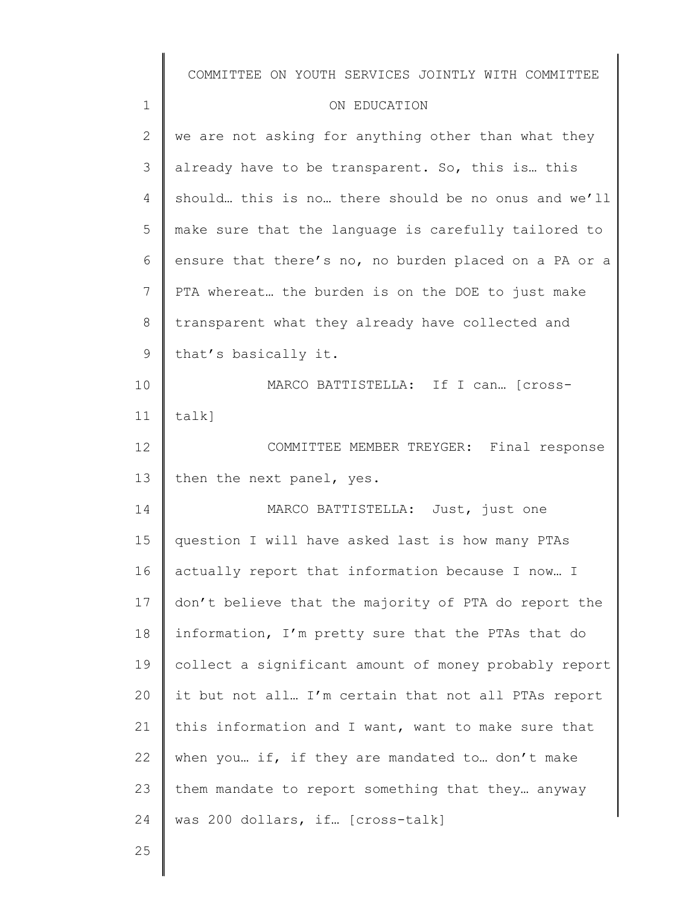|                | COMMITTEE ON YOUTH SERVICES JOINTLY WITH COMMITTEE    |
|----------------|-------------------------------------------------------|
| $\mathbf{1}$   | ON EDUCATION                                          |
| $\mathbf{2}$   | we are not asking for anything other than what they   |
| 3              | already have to be transparent. So, this is this      |
| $\overline{4}$ | should this is no there should be no onus and we'll   |
| 5              | make sure that the language is carefully tailored to  |
| 6              | ensure that there's no, no burden placed on a PA or a |
| $7\phantom{.}$ | PTA whereat the burden is on the DOE to just make     |
| $8\,$          | transparent what they already have collected and      |
| $\mathsf 9$    | that's basically it.                                  |
| 10             | MARCO BATTISTELLA: If I can [cross-                   |
| 11             | $talk$ ]                                              |
| 12             | COMMITTEE MEMBER TREYGER: Final response              |
| 13             | then the next panel, yes.                             |
| 14             | MARCO BATTISTELLA: Just, just one                     |
| 15             | question I will have asked last is how many PTAs      |
| 16             | actually report that information because I now I      |
| 17             | don't believe that the majority of PTA do report the  |
| 18             | information, I'm pretty sure that the PTAs that do    |
| 19             | collect a significant amount of money probably report |
| 20             | it but not all I'm certain that not all PTAs report   |
| 21             | this information and I want, want to make sure that   |
| 22             | when you if, if they are mandated to don't make       |
| 23             | them mandate to report something that they anyway     |
| 24             | was 200 dollars, if [cross-talk]                      |
| 25             |                                                       |
|                |                                                       |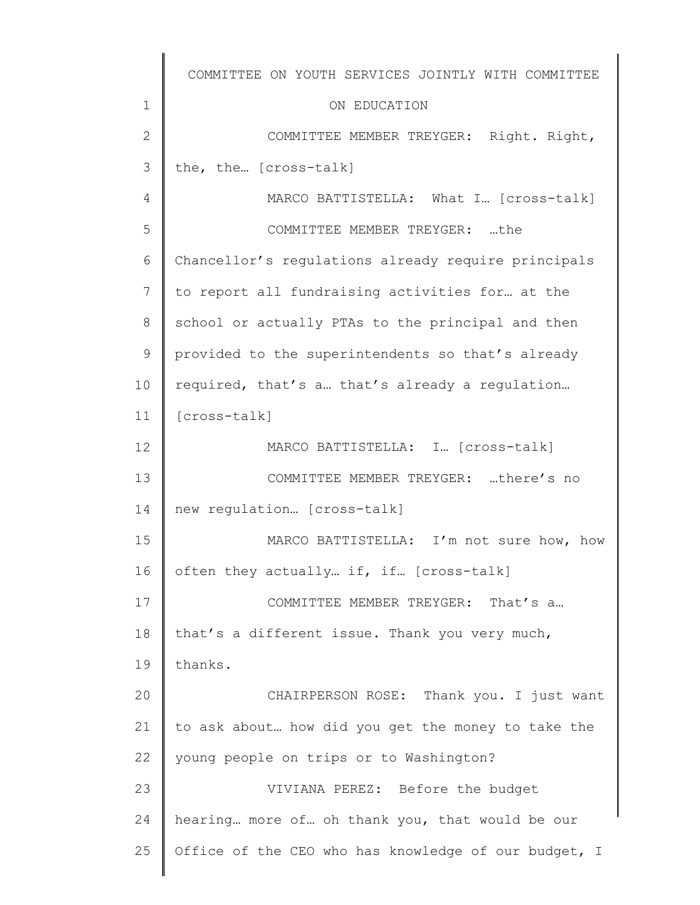|                | COMMITTEE ON YOUTH SERVICES JOINTLY WITH COMMITTEE   |
|----------------|------------------------------------------------------|
| $\mathbf 1$    | ON EDUCATION                                         |
| $\mathbf{2}$   | COMMITTEE MEMBER TREYGER: Right. Right,              |
| 3              | the, the [cross-talk]                                |
| 4              | MARCO BATTISTELLA: What I [cross-talk]               |
| 5              | COMMITTEE MEMBER TREYGER: the                        |
| 6              | Chancellor's regulations already require principals  |
| $7\phantom{.}$ | to report all fundraising activities for at the      |
| 8              | school or actually PTAs to the principal and then    |
| 9              | provided to the superintendents so that's already    |
| 10             | required, that's a that's already a regulation       |
| 11             | [cross-talk]                                         |
| 12             | MARCO BATTISTELLA: I [cross-talk]                    |
| 13             | COMMITTEE MEMBER TREYGER: there's no                 |
| 14             | new regulation [cross-talk]                          |
| 15             | MARCO BATTISTELLA: I'm not sure how, how             |
| 16             | often they actually if, if [cross-talk]              |
| 17             | COMMITTEE MEMBER TREYGER: That's a                   |
| 18             | that's a different issue. Thank you very much,       |
| 19             | thanks.                                              |
| 20             | CHAIRPERSON ROSE: Thank you. I just want             |
| 21             | to ask about how did you get the money to take the   |
| 22             | young people on trips or to Washington?              |
| 23             | VIVIANA PEREZ: Before the budget                     |
| 24             | hearing more of oh thank you, that would be our      |
| 25             | Office of the CEO who has knowledge of our budget, I |
|                |                                                      |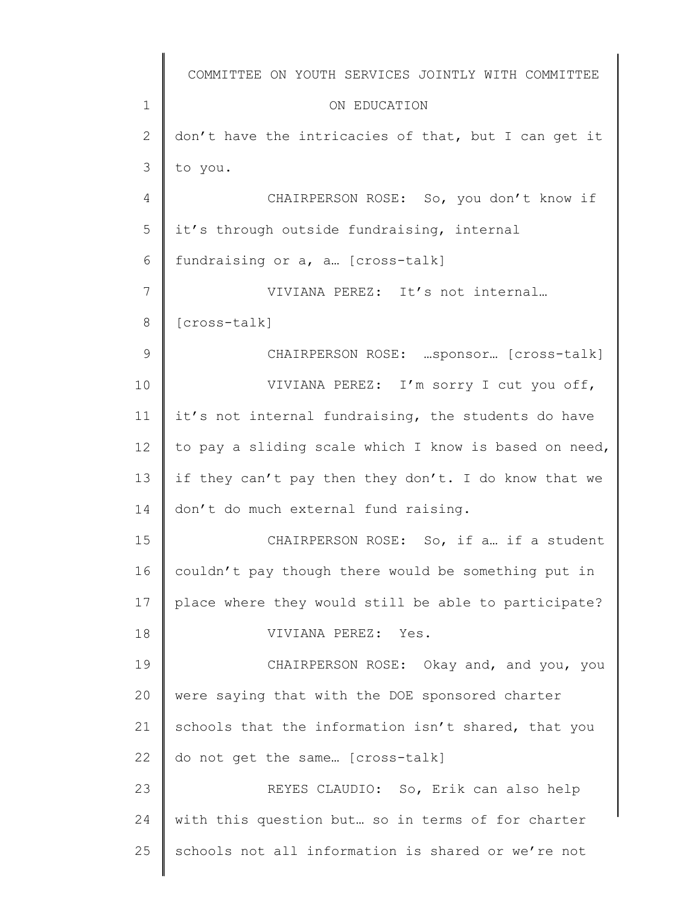|                | COMMITTEE ON YOUTH SERVICES JOINTLY WITH COMMITTEE    |
|----------------|-------------------------------------------------------|
| $\mathbf 1$    | ON EDUCATION                                          |
| $\overline{2}$ | don't have the intricacies of that, but I can get it  |
| 3              | to you.                                               |
| 4              | CHAIRPERSON ROSE: So, you don't know if               |
| 5              | it's through outside fundraising, internal            |
| 6              | fundraising or a, a. [cross-talk]                     |
| 7              | VIVIANA PEREZ: It's not internal                      |
| 8              | [cross-talk]                                          |
| 9              | CHAIRPERSON ROSE: sponsor [cross-talk]                |
| 10             | VIVIANA PEREZ: I'm sorry I cut you off,               |
| 11             | it's not internal fundraising, the students do have   |
| 12             | to pay a sliding scale which I know is based on need, |
| 13             | if they can't pay then they don't. I do know that we  |
| 14             | don't do much external fund raising.                  |
| 15             | CHAIRPERSON ROSE: So, if a if a student               |
| 16             | couldn't pay though there would be something put in   |
| 17             | place where they would still be able to participate?  |
| 18             | VIVIANA PEREZ:<br>Yes.                                |
| 19             | CHAIRPERSON ROSE: Okay and, and you, you              |
| 20             | were saying that with the DOE sponsored charter       |
| 21             | schools that the information isn't shared, that you   |
| 22             | do not get the same [cross-talk]                      |
| 23             | REYES CLAUDIO: So, Erik can also help                 |
| 24             | with this question but so in terms of for charter     |
| 25             | schools not all information is shared or we're not    |
|                |                                                       |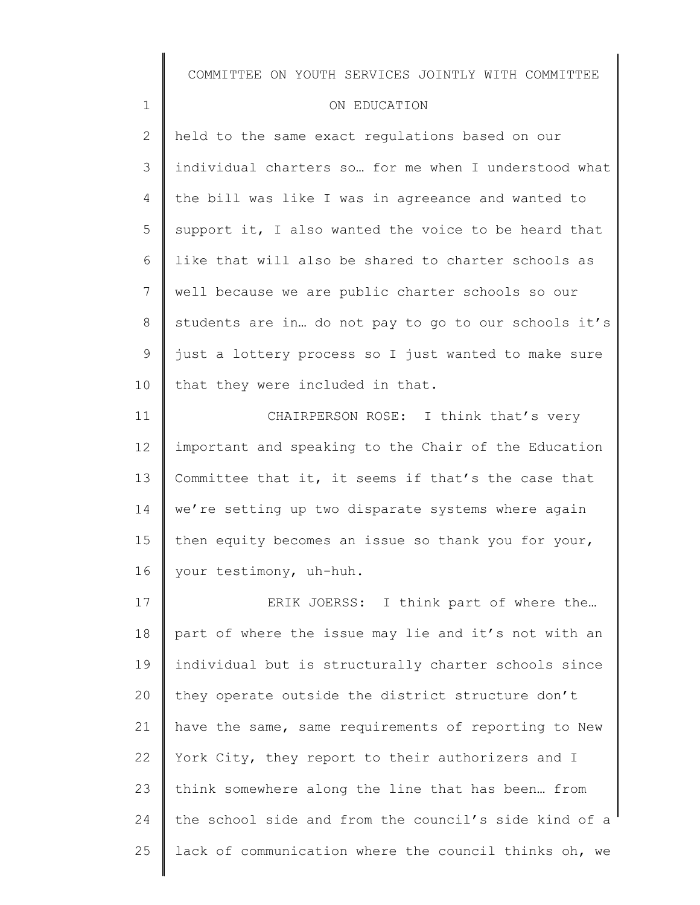| COMMITTEE ON YOUTH SERVICES JOINTLY WITH COMMITTEE |  |  |  |  |  |  |
|----------------------------------------------------|--|--|--|--|--|--|
|----------------------------------------------------|--|--|--|--|--|--|

#### ON EDUCATION

1

2 3 4 5 6 7 8 9 10 held to the same exact regulations based on our individual charters so… for me when I understood what the bill was like I was in agreeance and wanted to support it, I also wanted the voice to be heard that like that will also be shared to charter schools as well because we are public charter schools so our students are in… do not pay to go to our schools it's just a lottery process so I just wanted to make sure that they were included in that.

11 12 13 14 15 16 CHAIRPERSON ROSE: I think that's very important and speaking to the Chair of the Education Committee that it, it seems if that's the case that we're setting up two disparate systems where again then equity becomes an issue so thank you for your, your testimony, uh-huh.

17 18 19 20 21 22 23 24 25 ERIK JOERSS: I think part of where the… part of where the issue may lie and it's not with an individual but is structurally charter schools since they operate outside the district structure don't have the same, same requirements of reporting to New York City, they report to their authorizers and I think somewhere along the line that has been… from the school side and from the council's side kind of a lack of communication where the council thinks oh, we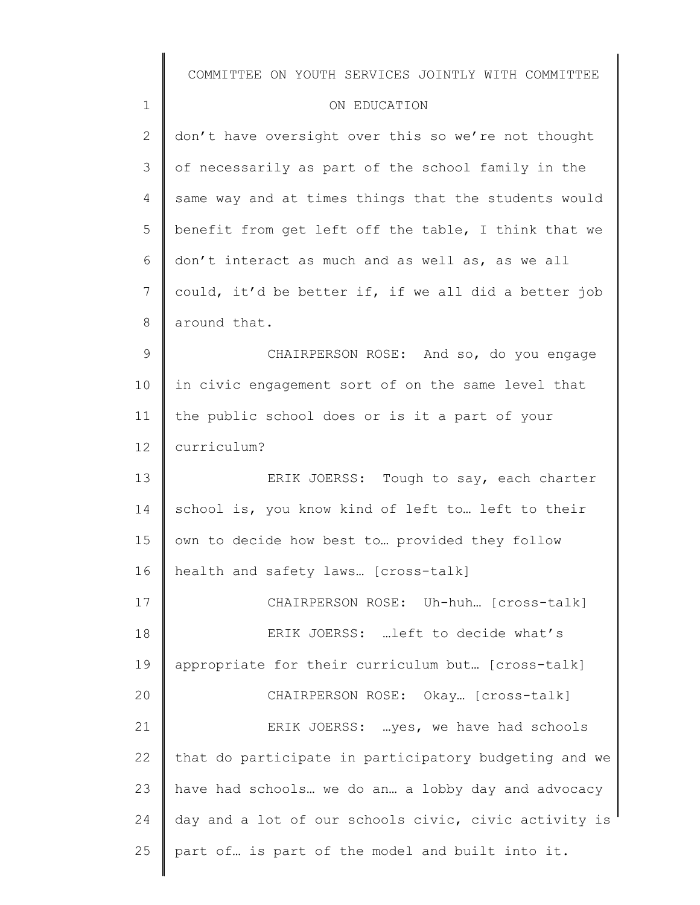|                | COMMITTEE ON YOUTH SERVICES JOINTLY WITH COMMITTEE    |
|----------------|-------------------------------------------------------|
| $\mathbf 1$    | ON EDUCATION                                          |
| $\mathbf{2}$   | don't have oversight over this so we're not thought   |
| 3              | of necessarily as part of the school family in the    |
| $\overline{4}$ | same way and at times things that the students would  |
| 5              | benefit from get left off the table, I think that we  |
| 6              | don't interact as much and as well as, as we all      |
| 7              | could, it'd be better if, if we all did a better job  |
| 8              | around that.                                          |
| $\mathsf 9$    | CHAIRPERSON ROSE: And so, do you engage               |
| 10             | in civic engagement sort of on the same level that    |
| 11             | the public school does or is it a part of your        |
| 12             | curriculum?                                           |
| 13             | ERIK JOERSS: Tough to say, each charter               |
| 14             | school is, you know kind of left to left to their     |
| 15             | own to decide how best to provided they follow        |
| 16             | health and safety laws [cross-talk]                   |
| 17             | CHAIRPERSON ROSE: Uh-huh [cross-talk]                 |
| 18             | ERIK JOERSS:  left to decide what's                   |
| 19             | appropriate for their curriculum but [cross-talk]     |
| 20             | CHAIRPERSON ROSE: Okay [cross-talk]                   |
| 21             | ERIK JOERSS: yes, we have had schools                 |
| 22             | that do participate in participatory budgeting and we |
| 23             | have had schools we do an a lobby day and advocacy    |
| 24             | day and a lot of our schools civic, civic activity is |
| 25             | part of is part of the model and built into it.       |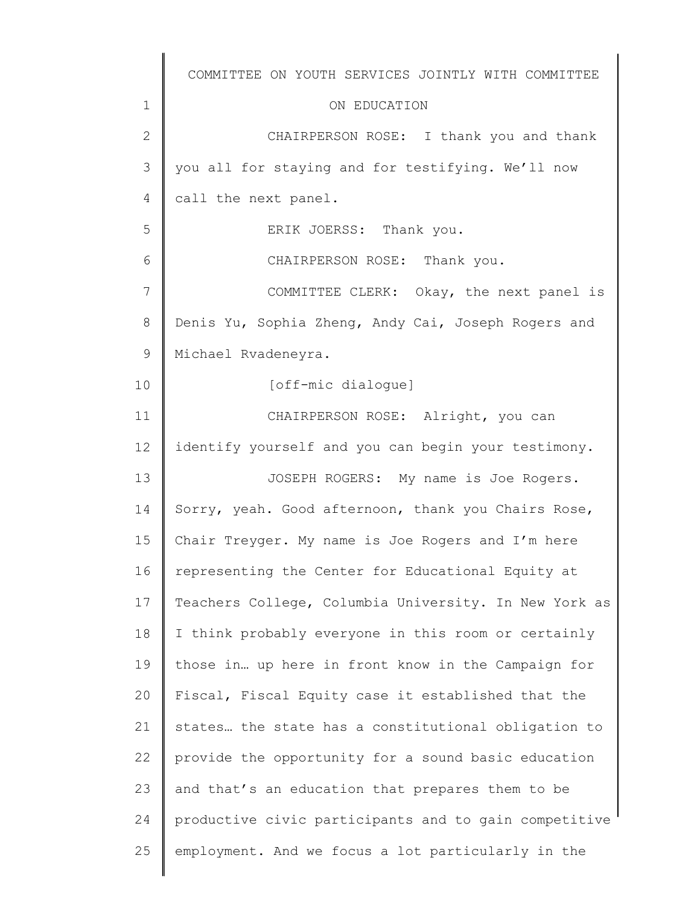|    | COMMITTEE ON YOUTH SERVICES JOINTLY WITH COMMITTEE    |
|----|-------------------------------------------------------|
| 1  | ON EDUCATION                                          |
| 2  | CHAIRPERSON ROSE: I thank you and thank               |
| 3  | you all for staying and for testifying. We'll now     |
| 4  | call the next panel.                                  |
| 5  | ERIK JOERSS: Thank you.                               |
| 6  | CHAIRPERSON ROSE: Thank you.                          |
| 7  | COMMITTEE CLERK: Okay, the next panel is              |
| 8  | Denis Yu, Sophia Zheng, Andy Cai, Joseph Rogers and   |
| 9  | Michael Rvadeneyra.                                   |
| 10 | [off-mic dialogue]                                    |
| 11 | CHAIRPERSON ROSE: Alright, you can                    |
| 12 | identify yourself and you can begin your testimony.   |
| 13 | JOSEPH ROGERS: My name is Joe Rogers.                 |
| 14 | Sorry, yeah. Good afternoon, thank you Chairs Rose,   |
| 15 | Chair Treyger. My name is Joe Rogers and I'm here     |
| 16 | representing the Center for Educational Equity at     |
| 17 | Teachers College, Columbia University. In New York as |
| 18 | I think probably everyone in this room or certainly   |
| 19 | those in up here in front know in the Campaign for    |
| 20 | Fiscal, Fiscal Equity case it established that the    |
| 21 | states the state has a constitutional obligation to   |
| 22 | provide the opportunity for a sound basic education   |
| 23 | and that's an education that prepares them to be      |
| 24 | productive civic participants and to gain competitive |
| 25 | employment. And we focus a lot particularly in the    |
|    |                                                       |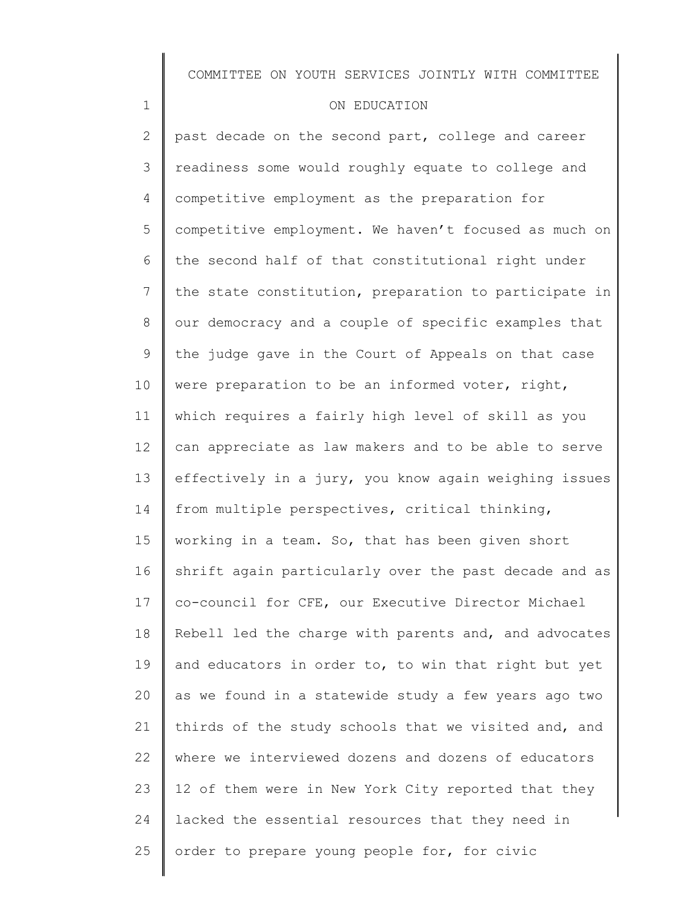### ON EDUCATION

1

2 3 4 5 6 7 8 9 10 11 12 13 14 15 16 17 18 19 20 21 22 23 24 25 past decade on the second part, college and career readiness some would roughly equate to college and competitive employment as the preparation for competitive employment. We haven't focused as much on the second half of that constitutional right under the state constitution, preparation to participate in our democracy and a couple of specific examples that the judge gave in the Court of Appeals on that case were preparation to be an informed voter, right, which requires a fairly high level of skill as you can appreciate as law makers and to be able to serve effectively in a jury, you know again weighing issues from multiple perspectives, critical thinking, working in a team. So, that has been given short shrift again particularly over the past decade and as co-council for CFE, our Executive Director Michael Rebell led the charge with parents and, and advocates and educators in order to, to win that right but yet as we found in a statewide study a few years ago two thirds of the study schools that we visited and, and where we interviewed dozens and dozens of educators 12 of them were in New York City reported that they lacked the essential resources that they need in order to prepare young people for, for civic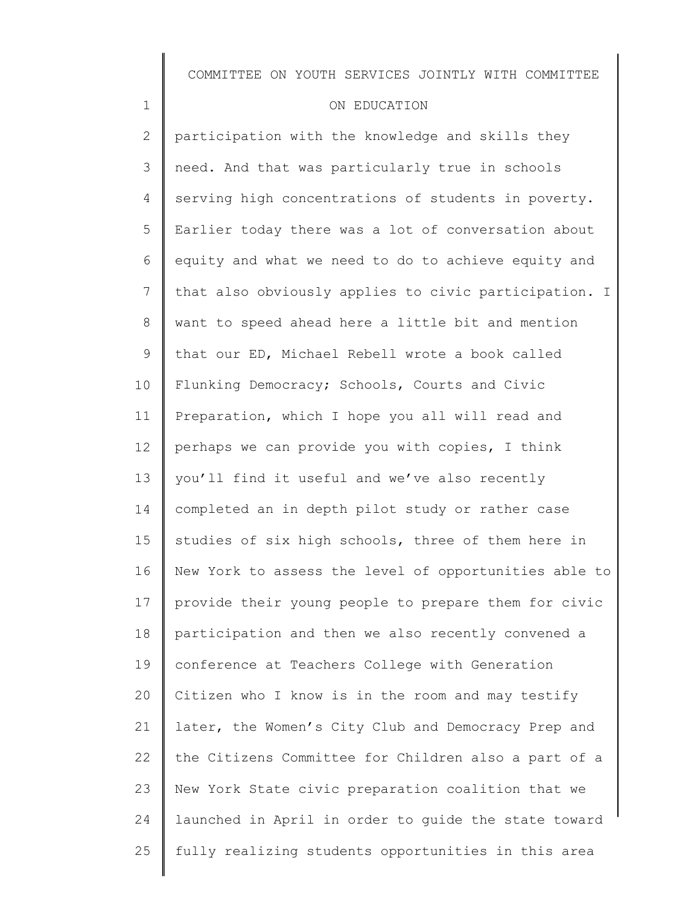### ON EDUCATION

1

2 3 4 5 6 7 8 9 10 11 12 13 14 15 16 17 18 19 20 21 22 23 24 25 participation with the knowledge and skills they need. And that was particularly true in schools serving high concentrations of students in poverty. Earlier today there was a lot of conversation about equity and what we need to do to achieve equity and that also obviously applies to civic participation. I want to speed ahead here a little bit and mention that our ED, Michael Rebell wrote a book called Flunking Democracy; Schools, Courts and Civic Preparation, which I hope you all will read and perhaps we can provide you with copies, I think you'll find it useful and we've also recently completed an in depth pilot study or rather case studies of six high schools, three of them here in New York to assess the level of opportunities able to provide their young people to prepare them for civic participation and then we also recently convened a conference at Teachers College with Generation Citizen who I know is in the room and may testify later, the Women's City Club and Democracy Prep and the Citizens Committee for Children also a part of a New York State civic preparation coalition that we launched in April in order to guide the state toward fully realizing students opportunities in this area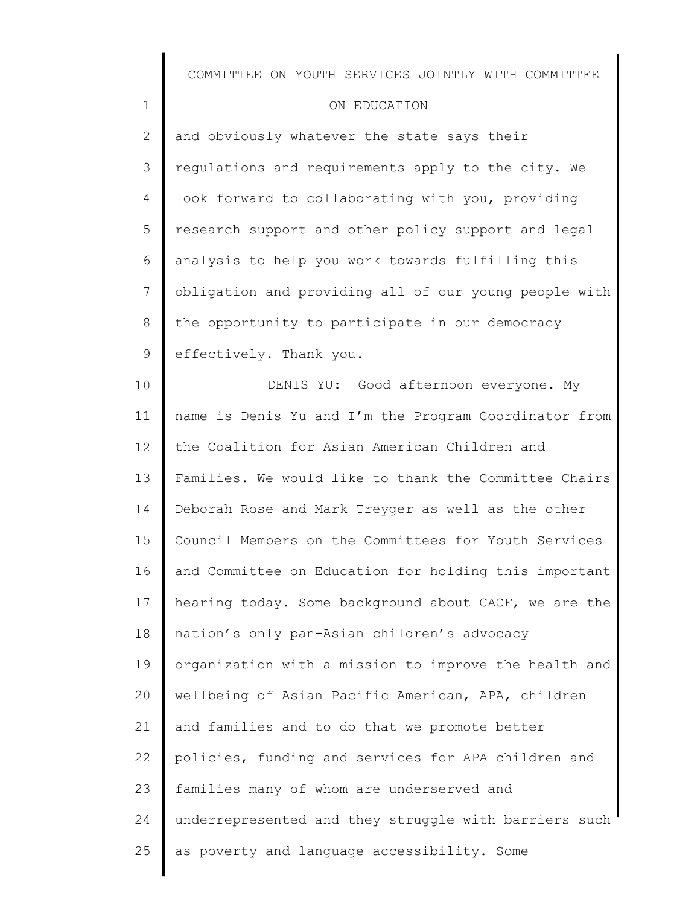### ON EDUCATION

1

2 3 4 5 6 7 8 9 and obviously whatever the state says their regulations and requirements apply to the city. We look forward to collaborating with you, providing research support and other policy support and legal analysis to help you work towards fulfilling this obligation and providing all of our young people with the opportunity to participate in our democracy effectively. Thank you.

10 11 12 13 14 15 16 17 18 19 20 21 22 23 24 25 DENIS YU: Good afternoon everyone. My name is Denis Yu and I'm the Program Coordinator from the Coalition for Asian American Children and Families. We would like to thank the Committee Chairs Deborah Rose and Mark Treyger as well as the other Council Members on the Committees for Youth Services and Committee on Education for holding this important hearing today. Some background about CACF, we are the nation's only pan-Asian children's advocacy organization with a mission to improve the health and wellbeing of Asian Pacific American, APA, children and families and to do that we promote better policies, funding and services for APA children and families many of whom are underserved and underrepresented and they struggle with barriers such as poverty and language accessibility. Some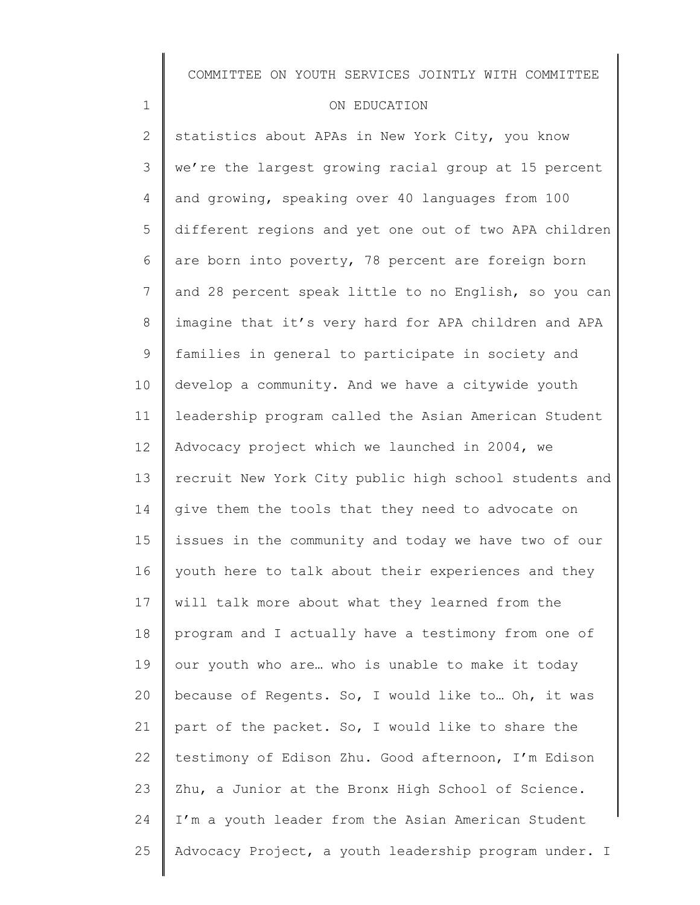### ON EDUCATION

1

2 3 4 5 6 7 8 9 10 11 12 13 14 15 16 17 18 19 20 21 22 23 24 25 statistics about APAs in New York City, you know we're the largest growing racial group at 15 percent and growing, speaking over 40 languages from 100 different regions and yet one out of two APA children are born into poverty, 78 percent are foreign born and 28 percent speak little to no English, so you can imagine that it's very hard for APA children and APA families in general to participate in society and develop a community. And we have a citywide youth leadership program called the Asian American Student Advocacy project which we launched in 2004, we recruit New York City public high school students and give them the tools that they need to advocate on issues in the community and today we have two of our youth here to talk about their experiences and they will talk more about what they learned from the program and I actually have a testimony from one of our youth who are… who is unable to make it today because of Regents. So, I would like to… Oh, it was part of the packet. So, I would like to share the testimony of Edison Zhu. Good afternoon, I'm Edison Zhu, a Junior at the Bronx High School of Science. I'm a youth leader from the Asian American Student Advocacy Project, a youth leadership program under. I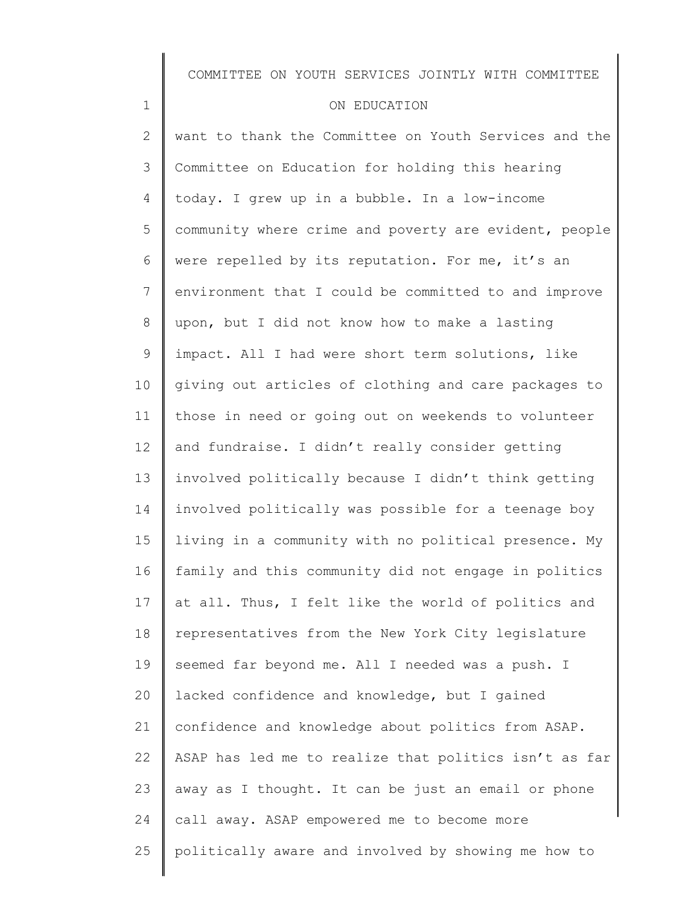#### ON EDUCATION

1

2 3 4 5 6 7 8 9 10 11 12 13 14 15 16 17 18 19 20 21 22 23 24 25 want to thank the Committee on Youth Services and the Committee on Education for holding this hearing today. I grew up in a bubble. In a low-income community where crime and poverty are evident, people were repelled by its reputation. For me, it's an environment that I could be committed to and improve upon, but I did not know how to make a lasting impact. All I had were short term solutions, like giving out articles of clothing and care packages to those in need or going out on weekends to volunteer and fundraise. I didn't really consider getting involved politically because I didn't think getting involved politically was possible for a teenage boy living in a community with no political presence. My family and this community did not engage in politics at all. Thus, I felt like the world of politics and representatives from the New York City legislature seemed far beyond me. All I needed was a push. I lacked confidence and knowledge, but I gained confidence and knowledge about politics from ASAP. ASAP has led me to realize that politics isn't as far away as I thought. It can be just an email or phone call away. ASAP empowered me to become more politically aware and involved by showing me how to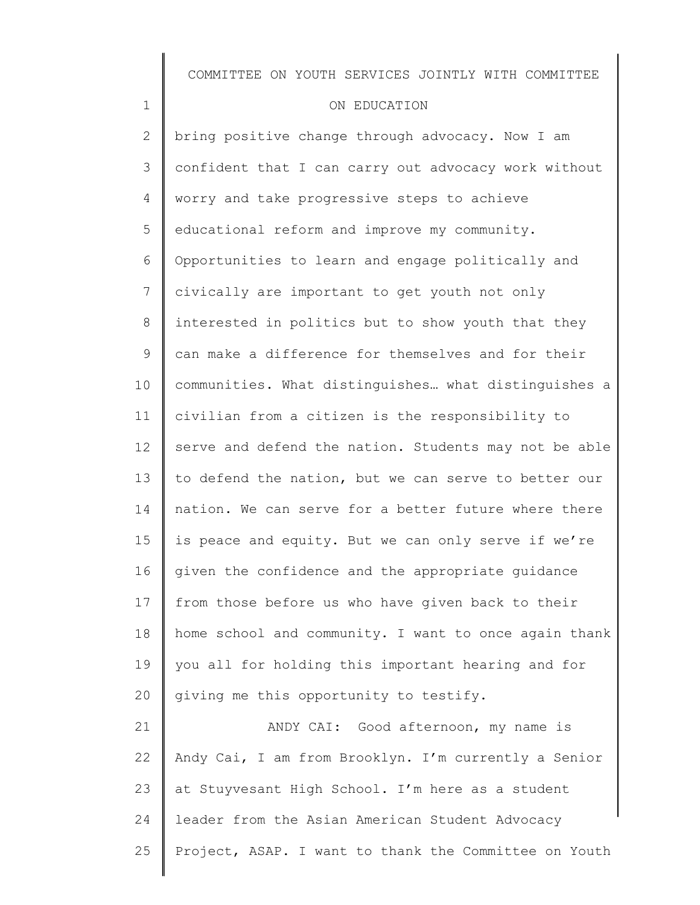### ON EDUCATION

1

25

2 3 4 5 6 7 8 9 10 11 12 13 14 15 16 17 18 19 20 21 22 23 24 bring positive change through advocacy. Now I am confident that I can carry out advocacy work without worry and take progressive steps to achieve educational reform and improve my community. Opportunities to learn and engage politically and civically are important to get youth not only interested in politics but to show youth that they can make a difference for themselves and for their communities. What distinguishes… what distinguishes a civilian from a citizen is the responsibility to serve and defend the nation. Students may not be able to defend the nation, but we can serve to better our nation. We can serve for a better future where there is peace and equity. But we can only serve if we're given the confidence and the appropriate guidance from those before us who have given back to their home school and community. I want to once again thank you all for holding this important hearing and for giving me this opportunity to testify. ANDY CAI: Good afternoon, my name is Andy Cai, I am from Brooklyn. I'm currently a Senior at Stuyvesant High School. I'm here as a student leader from the Asian American Student Advocacy

Project, ASAP. I want to thank the Committee on Youth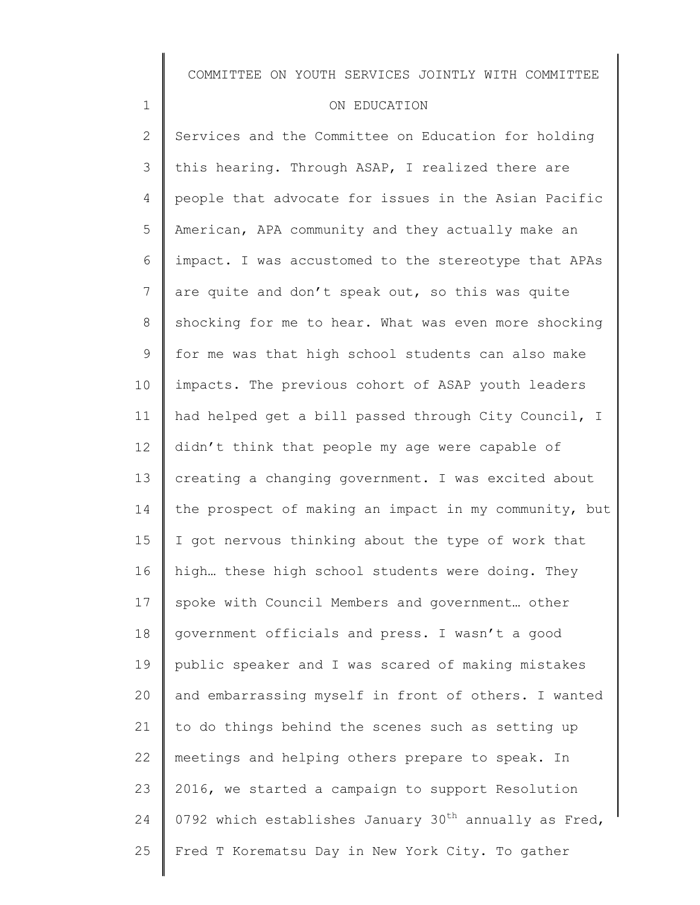#### ON EDUCATION

1

2 3 4 5 6 7 8 9 10 11 12 13 14 15 16 17 18 19 20 21 22 23 24 25 Services and the Committee on Education for holding this hearing. Through ASAP, I realized there are people that advocate for issues in the Asian Pacific American, APA community and they actually make an impact. I was accustomed to the stereotype that APAs are quite and don't speak out, so this was quite shocking for me to hear. What was even more shocking for me was that high school students can also make impacts. The previous cohort of ASAP youth leaders had helped get a bill passed through City Council, I didn't think that people my age were capable of creating a changing government. I was excited about the prospect of making an impact in my community, but I got nervous thinking about the type of work that high… these high school students were doing. They spoke with Council Members and government… other government officials and press. I wasn't a good public speaker and I was scared of making mistakes and embarrassing myself in front of others. I wanted to do things behind the scenes such as setting up meetings and helping others prepare to speak. In 2016, we started a campaign to support Resolution 0792 which establishes January  $30^{th}$  annually as Fred, Fred T Korematsu Day in New York City. To gather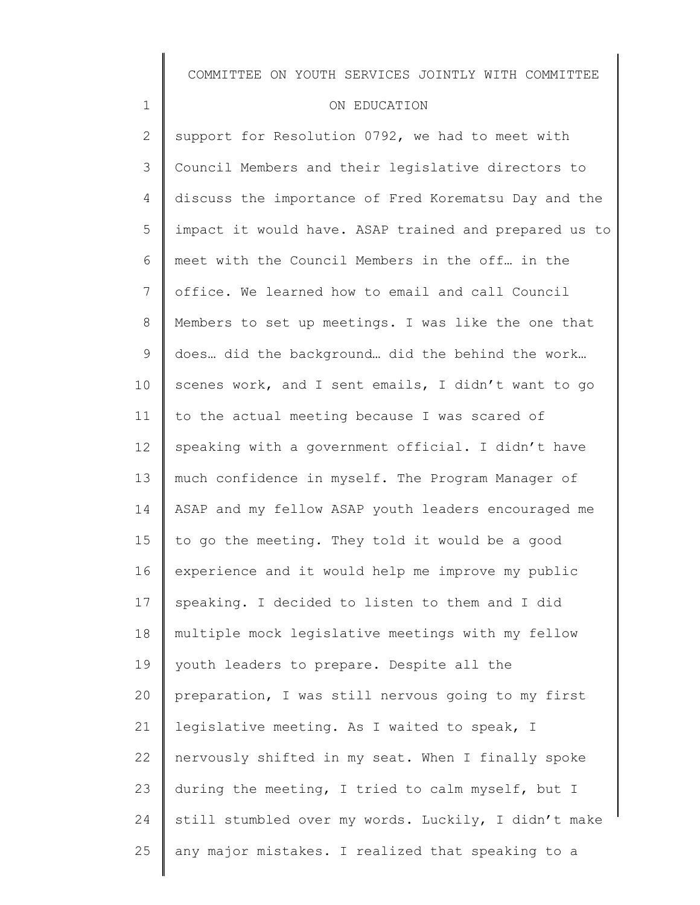### ON EDUCATION

1

2 3 4 5 6 7 8 9 10 11 12 13 14 15 16 17 18 19 20 21 22 23 24 25 support for Resolution  $0792$ , we had to meet with Council Members and their legislative directors to discuss the importance of Fred Korematsu Day and the impact it would have. ASAP trained and prepared us to meet with the Council Members in the off… in the office. We learned how to email and call Council Members to set up meetings. I was like the one that does… did the background… did the behind the work… scenes work, and I sent emails, I didn't want to go to the actual meeting because I was scared of speaking with a government official. I didn't have much confidence in myself. The Program Manager of ASAP and my fellow ASAP youth leaders encouraged me to go the meeting. They told it would be a good experience and it would help me improve my public speaking. I decided to listen to them and I did multiple mock legislative meetings with my fellow youth leaders to prepare. Despite all the preparation, I was still nervous going to my first legislative meeting. As I waited to speak, I nervously shifted in my seat. When I finally spoke during the meeting, I tried to calm myself, but I still stumbled over my words. Luckily, I didn't make any major mistakes. I realized that speaking to a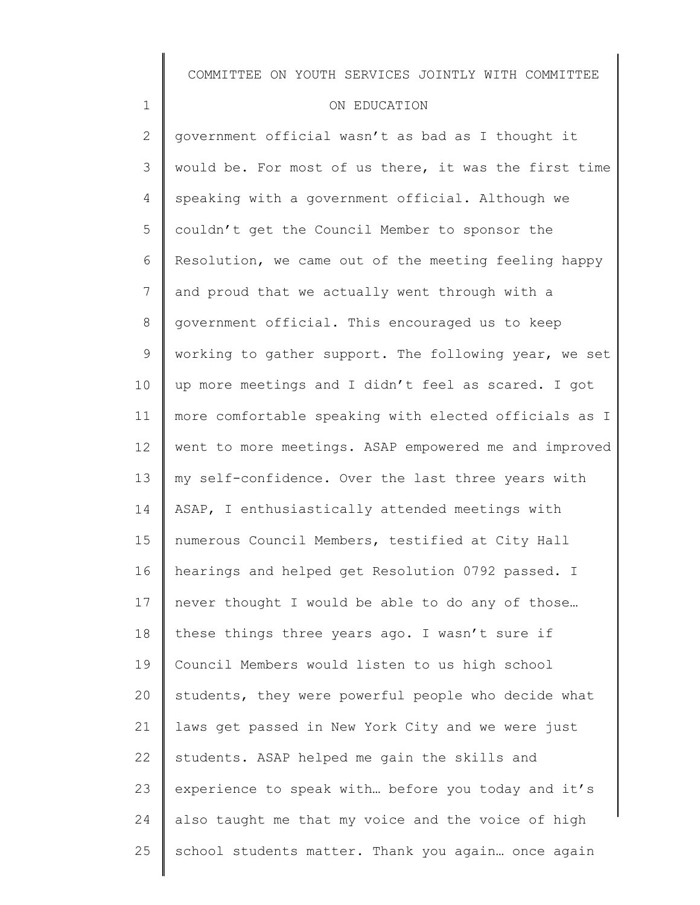### ON EDUCATION

1

2 3 4 5 6 7 8 9 10 11 12 13 14 15 16 17 18 19 20 21 22 23 24 25 government official wasn't as bad as I thought it would be. For most of us there, it was the first time speaking with a government official. Although we couldn't get the Council Member to sponsor the Resolution, we came out of the meeting feeling happy and proud that we actually went through with a government official. This encouraged us to keep working to gather support. The following year, we set up more meetings and I didn't feel as scared. I got more comfortable speaking with elected officials as I went to more meetings. ASAP empowered me and improved my self-confidence. Over the last three years with ASAP, I enthusiastically attended meetings with numerous Council Members, testified at City Hall hearings and helped get Resolution 0792 passed. I never thought I would be able to do any of those… these things three years ago. I wasn't sure if Council Members would listen to us high school students, they were powerful people who decide what laws get passed in New York City and we were just students. ASAP helped me gain the skills and experience to speak with… before you today and it's also taught me that my voice and the voice of high school students matter. Thank you again… once again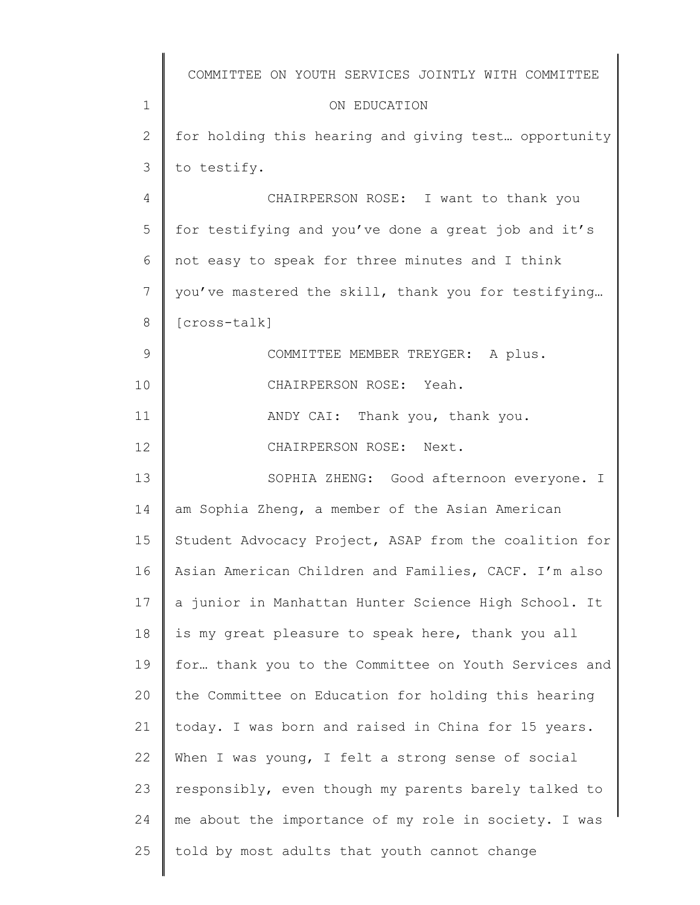|               | COMMITTEE ON YOUTH SERVICES JOINTLY WITH COMMITTEE    |
|---------------|-------------------------------------------------------|
| 1             | ON EDUCATION                                          |
| 2             | for holding this hearing and giving test opportunity  |
| 3             | to testify.                                           |
| 4             | CHAIRPERSON ROSE: I want to thank you                 |
| 5             | for testifying and you've done a great job and it's   |
| 6             | not easy to speak for three minutes and I think       |
| 7             | you've mastered the skill, thank you for testifying   |
| 8             | [cross-talk]                                          |
| $\mathcal{G}$ | COMMITTEE MEMBER TREYGER: A plus.                     |
| 10            | CHAIRPERSON ROSE: Yeah.                               |
| 11            | ANDY CAI: Thank you, thank you.                       |
| 12            | CHAIRPERSON ROSE: Next.                               |
| 13            | SOPHIA ZHENG: Good afternoon everyone. I              |
| 14            | am Sophia Zheng, a member of the Asian American       |
| 15            | Student Advocacy Project, ASAP from the coalition for |
| 16            | Asian American Children and Families, CACF. I'm also  |
| 17            | a junior in Manhattan Hunter Science High School. It  |
| 18            | is my great pleasure to speak here, thank you all     |
| 19            | for thank you to the Committee on Youth Services and  |
| 20            | the Committee on Education for holding this hearing   |
| 21            | today. I was born and raised in China for 15 years.   |
| 22            | When I was young, I felt a strong sense of social     |
| 23            | responsibly, even though my parents barely talked to  |
| 24            | me about the importance of my role in society. I was  |
| 25            | told by most adults that youth cannot change          |
|               |                                                       |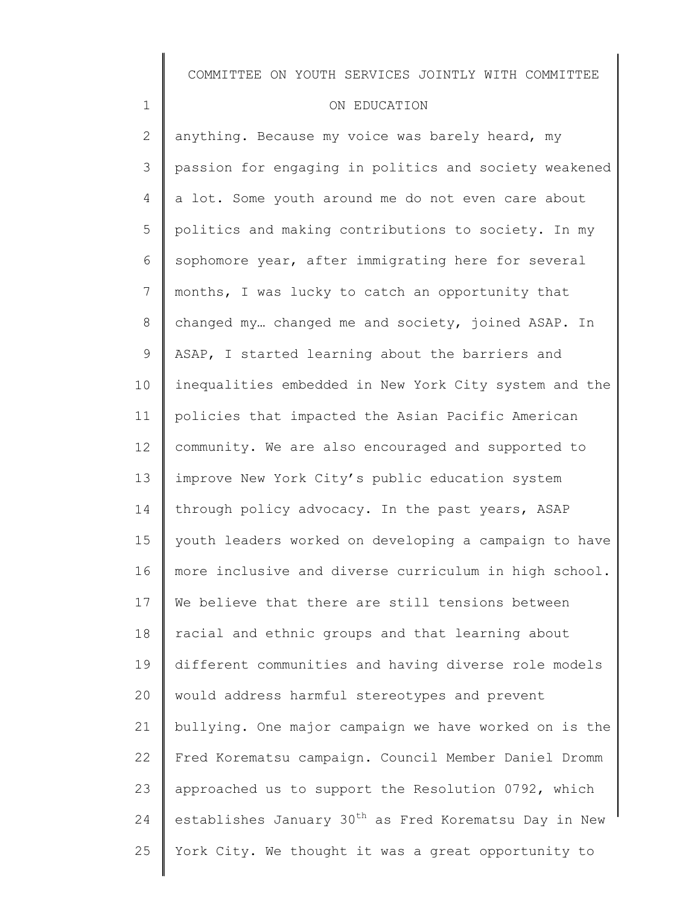### ON EDUCATION

1

2 3 4 5 6 7 8 9 10 11 12 13 14 15 16 17 18 19 20 21 22 23 24 25 anything. Because my voice was barely heard, my passion for engaging in politics and society weakened a lot. Some youth around me do not even care about politics and making contributions to society. In my sophomore year, after immigrating here for several months, I was lucky to catch an opportunity that changed my… changed me and society, joined ASAP. In ASAP, I started learning about the barriers and inequalities embedded in New York City system and the policies that impacted the Asian Pacific American community. We are also encouraged and supported to improve New York City's public education system through policy advocacy. In the past years, ASAP youth leaders worked on developing a campaign to have more inclusive and diverse curriculum in high school. We believe that there are still tensions between racial and ethnic groups and that learning about different communities and having diverse role models would address harmful stereotypes and prevent bullying. One major campaign we have worked on is the Fred Korematsu campaign. Council Member Daniel Dromm approached us to support the Resolution 0792, which establishes January 30<sup>th</sup> as Fred Korematsu Day in New York City. We thought it was a great opportunity to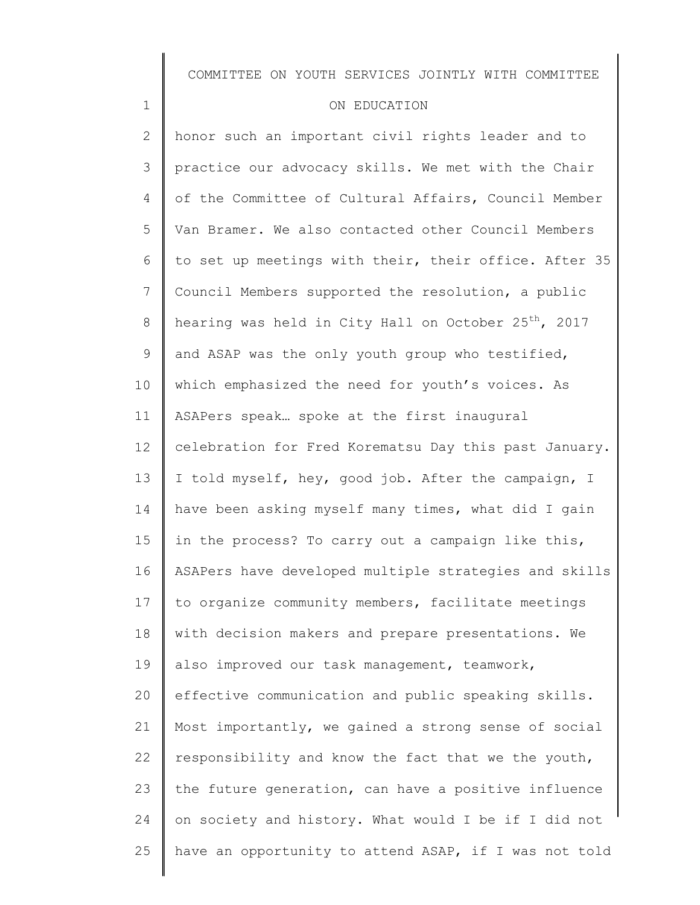### ON EDUCATION

1

2 3 4 5 6 7 8 9 10 11 12 13 14 15 16 17 18 19 20 21 22 23 24 25 honor such an important civil rights leader and to practice our advocacy skills. We met with the Chair of the Committee of Cultural Affairs, Council Member Van Bramer. We also contacted other Council Members to set up meetings with their, their office. After 35 Council Members supported the resolution, a public hearing was held in City Hall on October  $25^{th}$ , 2017 and ASAP was the only youth group who testified, which emphasized the need for youth's voices. As ASAPers speak… spoke at the first inaugural celebration for Fred Korematsu Day this past January. I told myself, hey, good job. After the campaign, I have been asking myself many times, what did I gain in the process? To carry out a campaign like this, ASAPers have developed multiple strategies and skills to organize community members, facilitate meetings with decision makers and prepare presentations. We also improved our task management, teamwork, effective communication and public speaking skills. Most importantly, we gained a strong sense of social responsibility and know the fact that we the youth, the future generation, can have a positive influence on society and history. What would I be if I did not have an opportunity to attend ASAP, if I was not told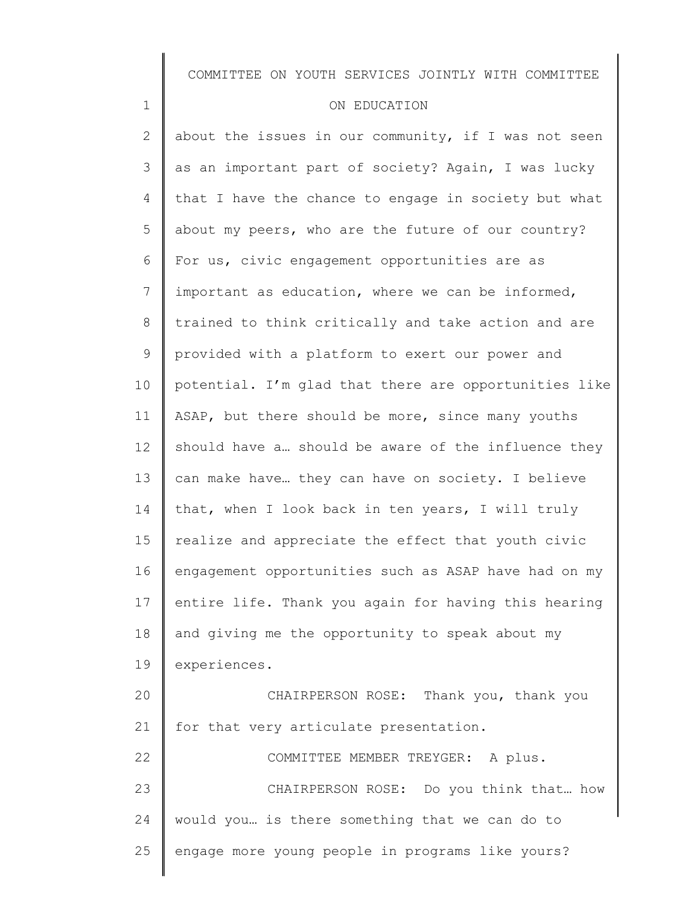#### ON EDUCATION

1

2 3 4 5 6 7 8 9 10 11 12 13 14 15 16 17 18 19 20 21 22 23 24 25 about the issues in our community, if I was not seen as an important part of society? Again, I was lucky that I have the chance to engage in society but what about my peers, who are the future of our country? For us, civic engagement opportunities are as important as education, where we can be informed, trained to think critically and take action and are provided with a platform to exert our power and potential. I'm glad that there are opportunities like ASAP, but there should be more, since many youths should have a… should be aware of the influence they can make have… they can have on society. I believe that, when I look back in ten years, I will truly realize and appreciate the effect that youth civic engagement opportunities such as ASAP have had on my entire life. Thank you again for having this hearing and giving me the opportunity to speak about my experiences. CHAIRPERSON ROSE: Thank you, thank you for that very articulate presentation. COMMITTEE MEMBER TREYGER: A plus. CHAIRPERSON ROSE: Do you think that… how would you… is there something that we can do to engage more young people in programs like yours?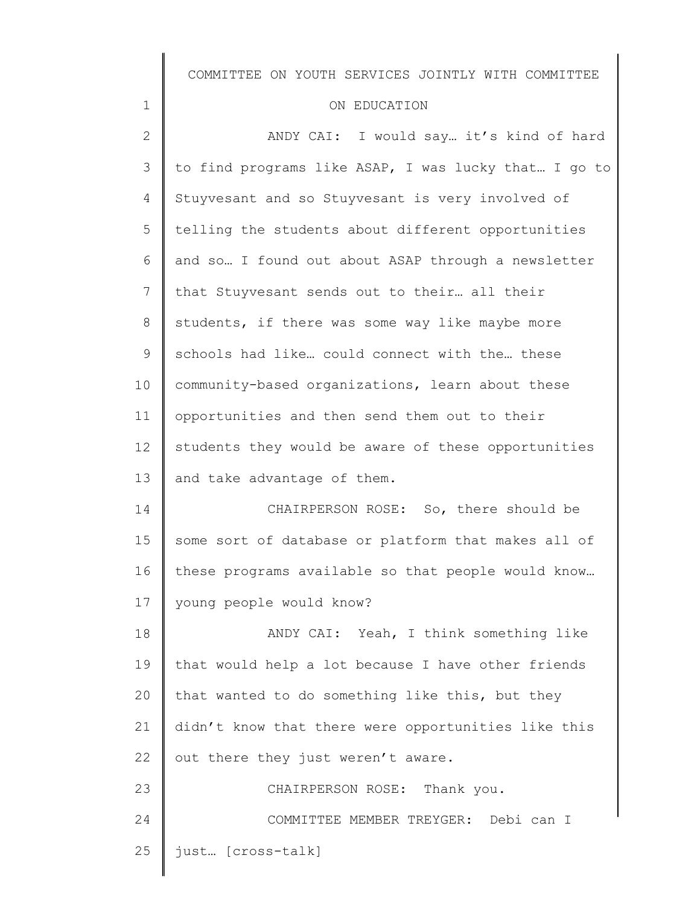## ON EDUCATION

1

| $\mathbf{2}$ | ANDY CAI: I would say it's kind of hard              |
|--------------|------------------------------------------------------|
| 3            | to find programs like ASAP, I was lucky that I go to |
| 4            | Stuyvesant and so Stuyvesant is very involved of     |
| 5            | telling the students about different opportunities   |
| 6            | and so I found out about ASAP through a newsletter   |
| 7            | that Stuyvesant sends out to their all their         |
| 8            | students, if there was some way like maybe more      |
| 9            | schools had like could connect with the these        |
| 10           | community-based organizations, learn about these     |
| 11           | opportunities and then send them out to their        |
| 12           | students they would be aware of these opportunities  |
| 13           | and take advantage of them.                          |
| 14           | CHAIRPERSON ROSE: So, there should be                |
| 15           | some sort of database or platform that makes all of  |
| 16           | these programs available so that people would know   |
| 17           | young people would know?                             |
| 18           | ANDY CAI: Yeah, I think something like               |
| 19           |                                                      |
|              | that would help a lot because I have other friends   |
| 20           | that wanted to do something like this, but they      |
| 21           | didn't know that there were opportunities like this  |
| 22           | out there they just weren't aware.                   |
| 23           | CHAIRPERSON ROSE: Thank you.                         |
| 24           | COMMITTEE MEMBER TREYGER: Debi can I                 |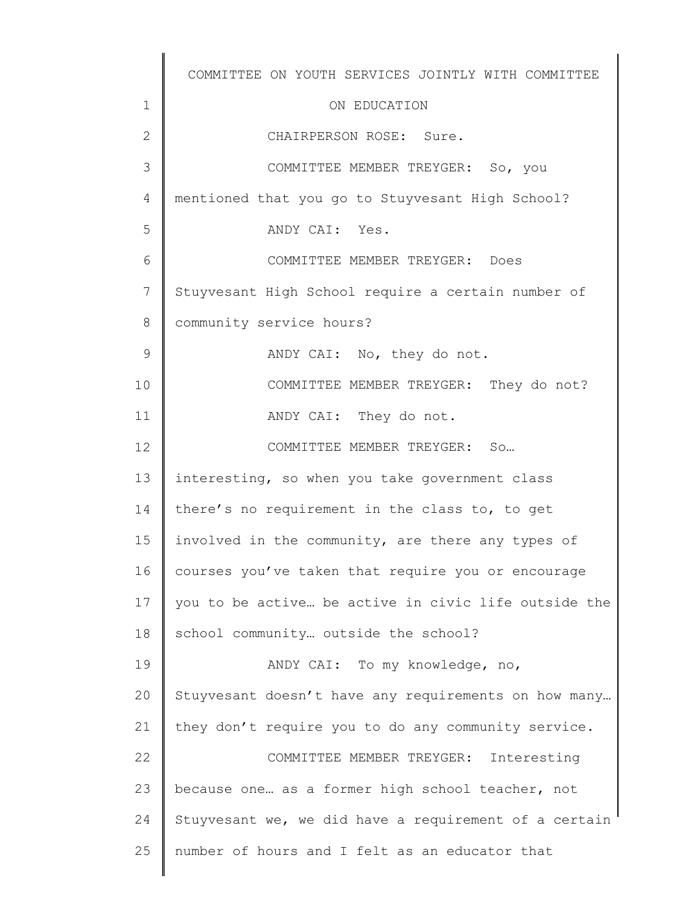1 2 3 4 5 6 7 8 9 10 11 12 13 14 15 16 17 18 19 20 21 22 23 24 25 COMMITTEE ON YOUTH SERVICES JOINTLY WITH COMMITTEE ON EDUCATION CHAIRPERSON ROSE: Sure. COMMITTEE MEMBER TREYGER: So, you mentioned that you go to Stuyvesant High School? ANDY CAI: Yes. COMMITTEE MEMBER TREYGER: Does Stuyvesant High School require a certain number of community service hours? ANDY CAI: No, they do not. COMMITTEE MEMBER TREYGER: They do not? ANDY CAI: They do not. COMMITTEE MEMBER TREYGER: So… interesting, so when you take government class there's no requirement in the class to, to get involved in the community, are there any types of courses you've taken that require you or encourage you to be active… be active in civic life outside the school community… outside the school? ANDY CAI: To my knowledge, no, Stuyvesant doesn't have any requirements on how many… they don't require you to do any community service. COMMITTEE MEMBER TREYGER: Interesting because one… as a former high school teacher, not Stuyvesant we, we did have a requirement of a certain number of hours and I felt as an educator that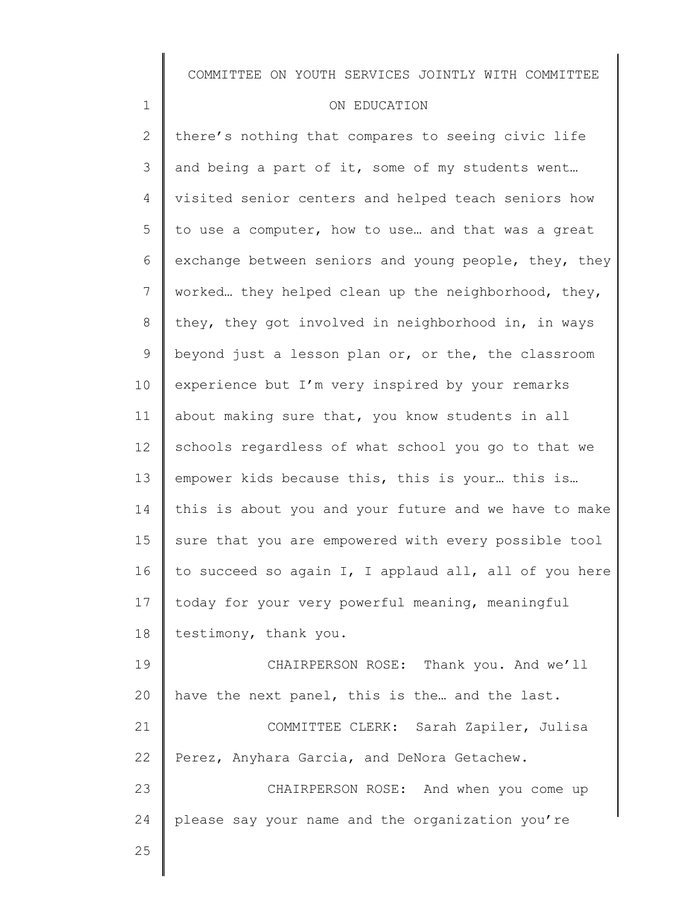#### ON EDUCATION

2 3 4 5 6 7 8 9 10 11 12 13 14 15 16 17 18 19 20 21 22 23 24 there's nothing that compares to seeing civic life and being a part of it, some of my students went… visited senior centers and helped teach seniors how to use a computer, how to use… and that was a great exchange between seniors and young people, they, they worked… they helped clean up the neighborhood, they, they, they got involved in neighborhood in, in ways beyond just a lesson plan or, or the, the classroom experience but I'm very inspired by your remarks about making sure that, you know students in all schools regardless of what school you go to that we empower kids because this, this is your… this is… this is about you and your future and we have to make sure that you are empowered with every possible tool to succeed so again I, I applaud all, all of you here today for your very powerful meaning, meaningful testimony, thank you. CHAIRPERSON ROSE: Thank you. And we'll have the next panel, this is the… and the last. COMMITTEE CLERK: Sarah Zapiler, Julisa Perez, Anyhara Garcia, and DeNora Getachew. CHAIRPERSON ROSE: And when you come up please say your name and the organization you're

25

1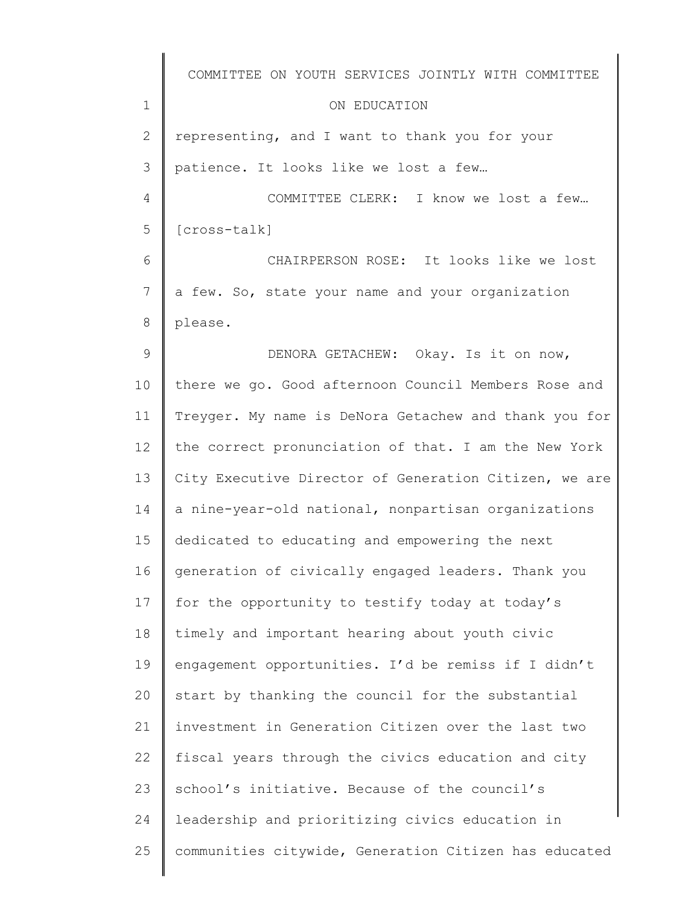|                | COMMITTEE ON YOUTH SERVICES JOINTLY WITH COMMITTEE    |
|----------------|-------------------------------------------------------|
| $\mathbf 1$    | ON EDUCATION                                          |
| $\mathbf{2}$   | representing, and I want to thank you for your        |
| 3              | patience. It looks like we lost a few                 |
| $\overline{4}$ | COMMITTEE CLERK: I know we lost a few                 |
| 5              | [cross-talk]                                          |
| 6              | CHAIRPERSON ROSE: It looks like we lost               |
| 7              | a few. So, state your name and your organization      |
| 8              | please.                                               |
| $\mathcal{G}$  | DENORA GETACHEW: Okay. Is it on now,                  |
| 10             | there we go. Good afternoon Council Members Rose and  |
| 11             | Treyger. My name is DeNora Getachew and thank you for |
| 12             | the correct pronunciation of that. I am the New York  |
| 13             | City Executive Director of Generation Citizen, we are |
| 14             | a nine-year-old national, nonpartisan organizations   |
| 15             | dedicated to educating and empowering the next        |
| 16             | generation of civically engaged leaders. Thank you    |
| 17             | for the opportunity to testify today at today's       |
| 18             | timely and important hearing about youth civic        |
| 19             | engagement opportunities. I'd be remiss if I didn't   |
| 20             | start by thanking the council for the substantial     |
| 21             | investment in Generation Citizen over the last two    |
| 22             | fiscal years through the civics education and city    |
| 23             | school's initiative. Because of the council's         |
| 24             | leadership and prioritizing civics education in       |
| 25             | communities citywide, Generation Citizen has educated |
|                |                                                       |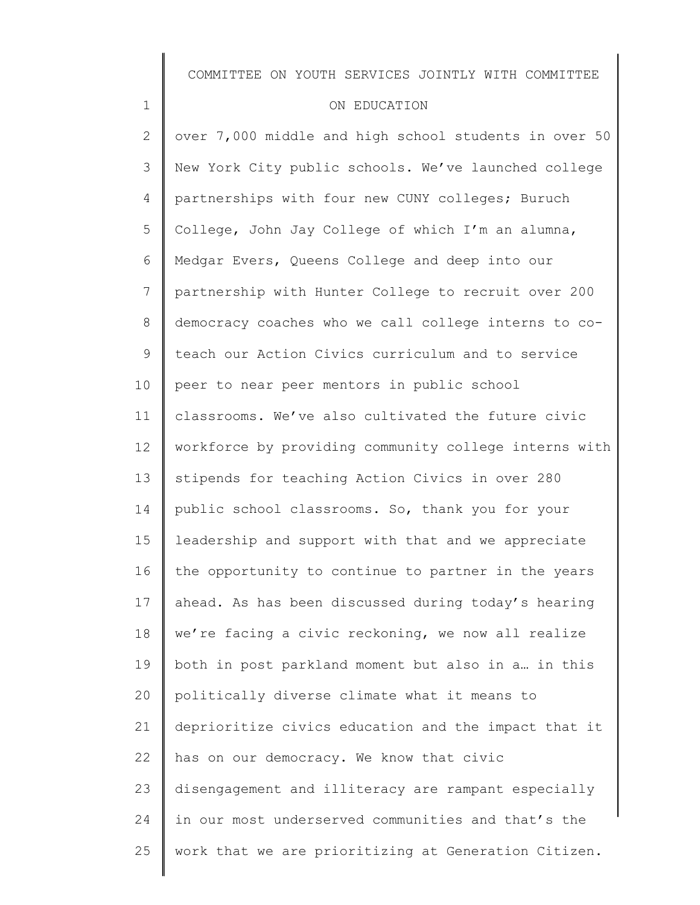#### ON EDUCATION

1

2 3 4 5 6 7 8 9 10 11 12 13 14 15 16 17 18 19 20 21 22 23 24 25 over 7,000 middle and high school students in over 50 New York City public schools. We've launched college partnerships with four new CUNY colleges; Buruch College, John Jay College of which I'm an alumna, Medgar Evers, Queens College and deep into our partnership with Hunter College to recruit over 200 democracy coaches who we call college interns to coteach our Action Civics curriculum and to service peer to near peer mentors in public school classrooms. We've also cultivated the future civic workforce by providing community college interns with stipends for teaching Action Civics in over 280 public school classrooms. So, thank you for your leadership and support with that and we appreciate the opportunity to continue to partner in the years ahead. As has been discussed during today's hearing we're facing a civic reckoning, we now all realize both in post parkland moment but also in a… in this politically diverse climate what it means to deprioritize civics education and the impact that it has on our democracy. We know that civic disengagement and illiteracy are rampant especially in our most underserved communities and that's the work that we are prioritizing at Generation Citizen.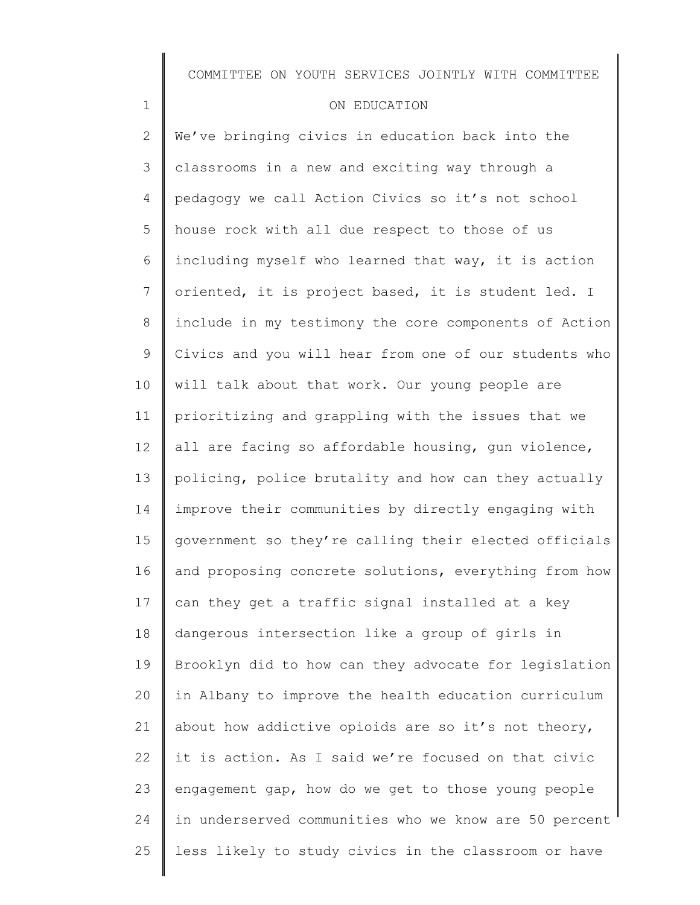### ON EDUCATION

1

2 3 4 5 6 7 8 9 10 11 12 13 14 15 16 17 18 19 20 21 22 23 24 25 We've bringing civics in education back into the classrooms in a new and exciting way through a pedagogy we call Action Civics so it's not school house rock with all due respect to those of us including myself who learned that way, it is action oriented, it is project based, it is student led. I include in my testimony the core components of Action Civics and you will hear from one of our students who will talk about that work. Our young people are prioritizing and grappling with the issues that we all are facing so affordable housing, gun violence, policing, police brutality and how can they actually improve their communities by directly engaging with government so they're calling their elected officials and proposing concrete solutions, everything from how can they get a traffic signal installed at a key dangerous intersection like a group of girls in Brooklyn did to how can they advocate for legislation in Albany to improve the health education curriculum about how addictive opioids are so it's not theory, it is action. As I said we're focused on that civic engagement gap, how do we get to those young people in underserved communities who we know are 50 percent less likely to study civics in the classroom or have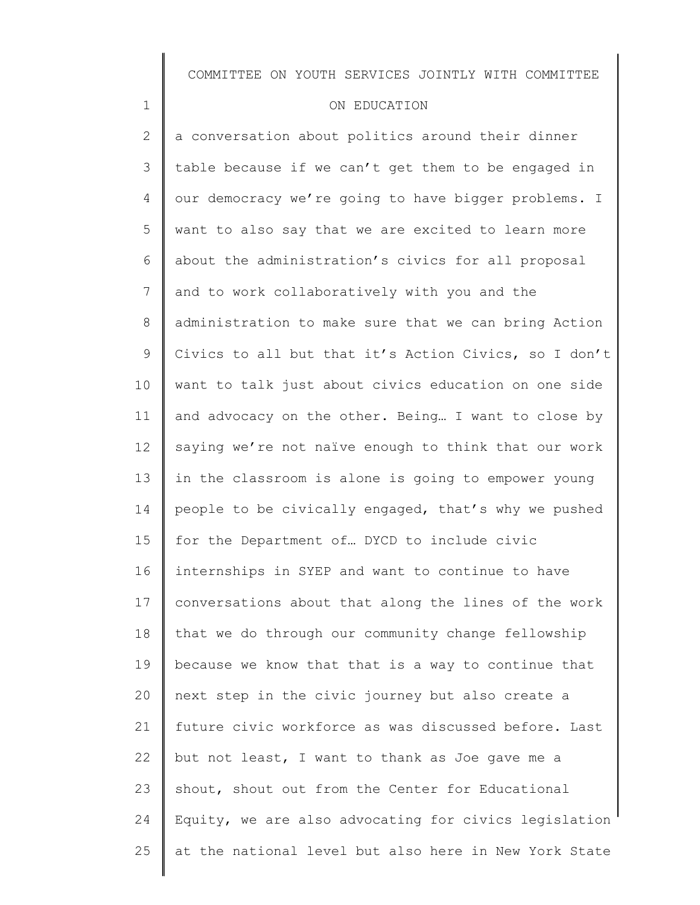### ON EDUCATION

1

2 3 4 5 6 7 8 9 10 11 12 13 14 15 16 17 18 19 20 21 22 23 24 25 a conversation about politics around their dinner table because if we can't get them to be engaged in our democracy we're going to have bigger problems. I want to also say that we are excited to learn more about the administration's civics for all proposal and to work collaboratively with you and the administration to make sure that we can bring Action Civics to all but that it's Action Civics, so I don't want to talk just about civics education on one side and advocacy on the other. Being… I want to close by saying we're not naïve enough to think that our work in the classroom is alone is going to empower young people to be civically engaged, that's why we pushed for the Department of… DYCD to include civic internships in SYEP and want to continue to have conversations about that along the lines of the work that we do through our community change fellowship because we know that that is a way to continue that next step in the civic journey but also create a future civic workforce as was discussed before. Last but not least, I want to thank as Joe gave me a shout, shout out from the Center for Educational Equity, we are also advocating for civics legislation at the national level but also here in New York State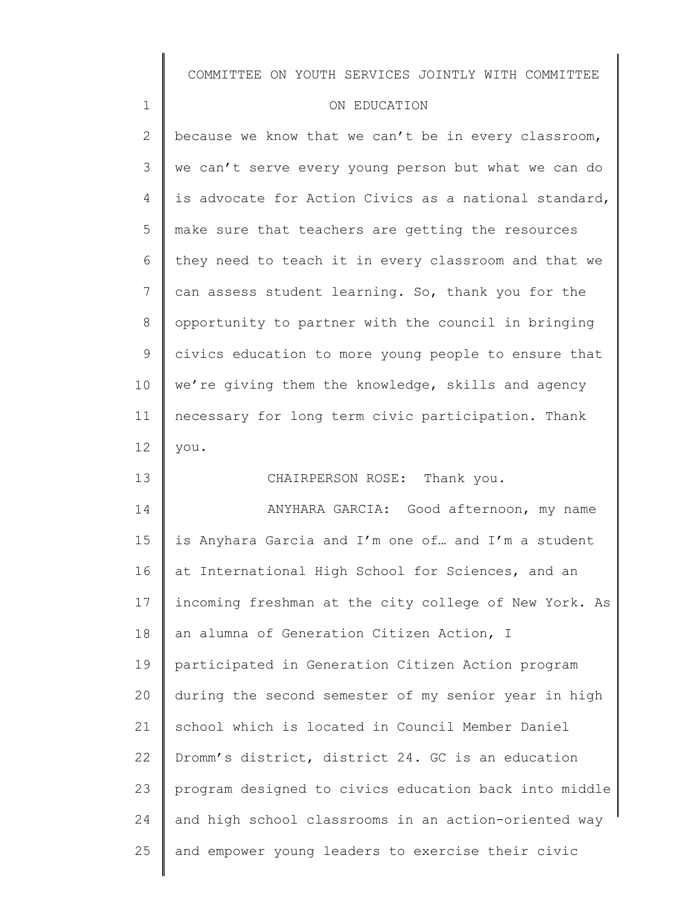#### ON EDUCATION

1

13

2 3 4 5 6 7 8 9 10 11 12 because we know that we can't be in every classroom, we can't serve every young person but what we can do is advocate for Action Civics as a national standard, make sure that teachers are getting the resources they need to teach it in every classroom and that we can assess student learning. So, thank you for the opportunity to partner with the council in bringing civics education to more young people to ensure that we're giving them the knowledge, skills and agency necessary for long term civic participation. Thank you.

CHAIRPERSON ROSE: Thank you.

14 15 16 17 18 19 20 21 22 23 24 25 ANYHARA GARCIA: Good afternoon, my name is Anyhara Garcia and I'm one of… and I'm a student at International High School for Sciences, and an incoming freshman at the city college of New York. As an alumna of Generation Citizen Action, I participated in Generation Citizen Action program during the second semester of my senior year in high school which is located in Council Member Daniel Dromm's district, district 24. GC is an education program designed to civics education back into middle and high school classrooms in an action-oriented way and empower young leaders to exercise their civic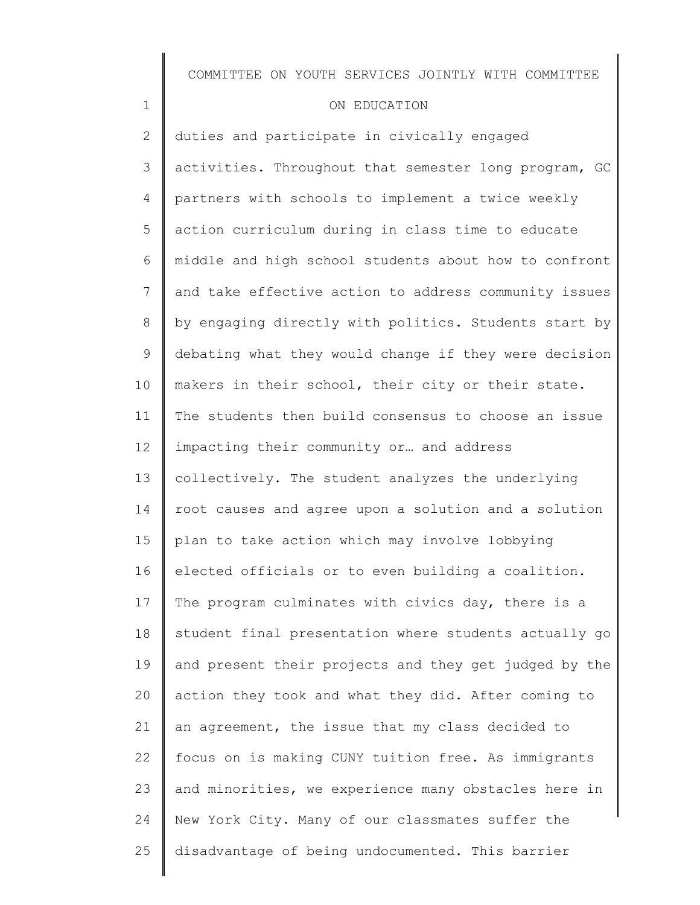### ON EDUCATION

1

2 3 4 5 6 7 8 9 10 11 12 13 14 15 16 17 18 19 20 21 22 23 24 25 duties and participate in civically engaged activities. Throughout that semester long program, GC partners with schools to implement a twice weekly action curriculum during in class time to educate middle and high school students about how to confront and take effective action to address community issues by engaging directly with politics. Students start by debating what they would change if they were decision makers in their school, their city or their state. The students then build consensus to choose an issue impacting their community or… and address collectively. The student analyzes the underlying root causes and agree upon a solution and a solution plan to take action which may involve lobbying elected officials or to even building a coalition. The program culminates with civics day, there is a student final presentation where students actually go and present their projects and they get judged by the action they took and what they did. After coming to an agreement, the issue that my class decided to focus on is making CUNY tuition free. As immigrants and minorities, we experience many obstacles here in New York City. Many of our classmates suffer the disadvantage of being undocumented. This barrier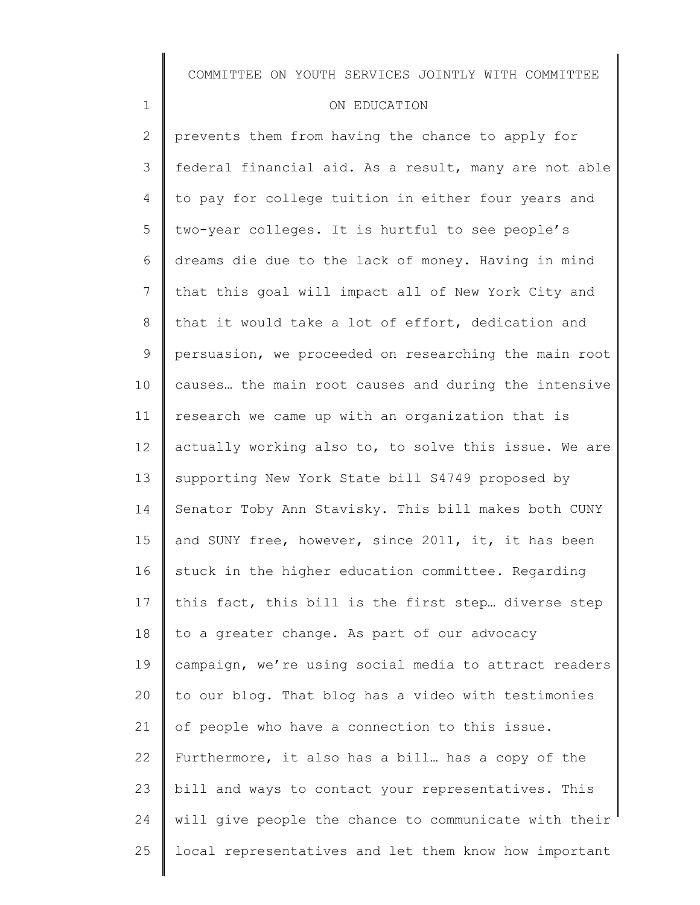### ON EDUCATION

1

2 3 4 5 6 7 8 9 10 11 12 13 14 15 16 17 18 19 20 21 22 23 24 25 prevents them from having the chance to apply for federal financial aid. As a result, many are not able to pay for college tuition in either four years and two-year colleges. It is hurtful to see people's dreams die due to the lack of money. Having in mind that this goal will impact all of New York City and that it would take a lot of effort, dedication and persuasion, we proceeded on researching the main root causes… the main root causes and during the intensive research we came up with an organization that is actually working also to, to solve this issue. We are supporting New York State bill S4749 proposed by Senator Toby Ann Stavisky. This bill makes both CUNY and SUNY free, however, since 2011, it, it has been stuck in the higher education committee. Regarding this fact, this bill is the first step… diverse step to a greater change. As part of our advocacy campaign, we're using social media to attract readers to our blog. That blog has a video with testimonies of people who have a connection to this issue. Furthermore, it also has a bill… has a copy of the bill and ways to contact your representatives. This will give people the chance to communicate with their local representatives and let them know how important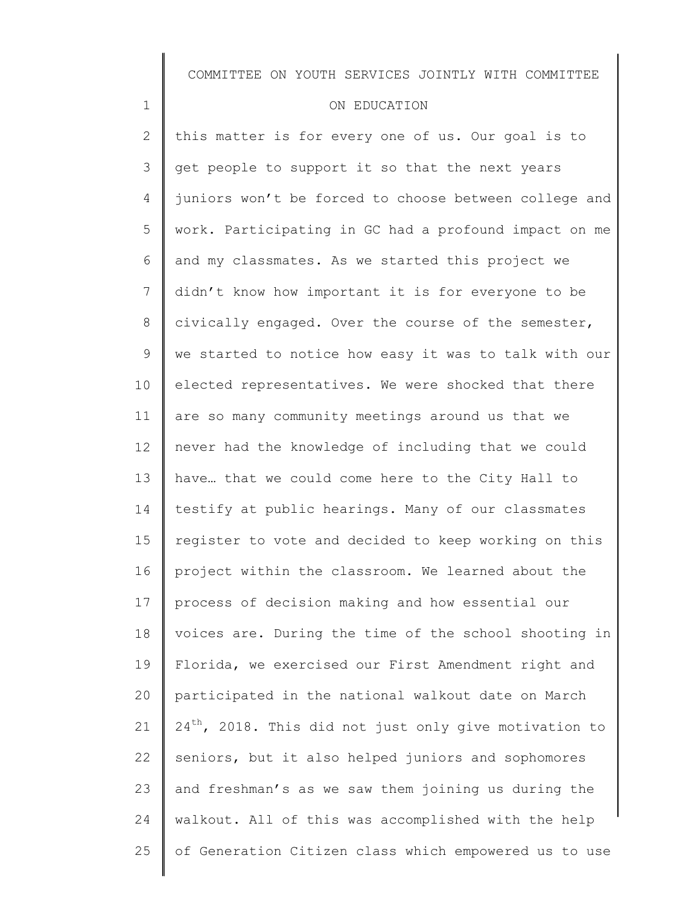### ON EDUCATION

1

2 3 4 5 6 7 8 9 10 11 12 13 14 15 16 17 18 19 20 21 22 23 24 25 this matter is for every one of us. Our goal is to get people to support it so that the next years juniors won't be forced to choose between college and work. Participating in GC had a profound impact on me and my classmates. As we started this project we didn't know how important it is for everyone to be civically engaged. Over the course of the semester, we started to notice how easy it was to talk with our elected representatives. We were shocked that there are so many community meetings around us that we never had the knowledge of including that we could have… that we could come here to the City Hall to testify at public hearings. Many of our classmates register to vote and decided to keep working on this project within the classroom. We learned about the process of decision making and how essential our voices are. During the time of the school shooting in Florida, we exercised our First Amendment right and participated in the national walkout date on March  $24^{th}$ , 2018. This did not just only give motivation to seniors, but it also helped juniors and sophomores and freshman's as we saw them joining us during the walkout. All of this was accomplished with the help of Generation Citizen class which empowered us to use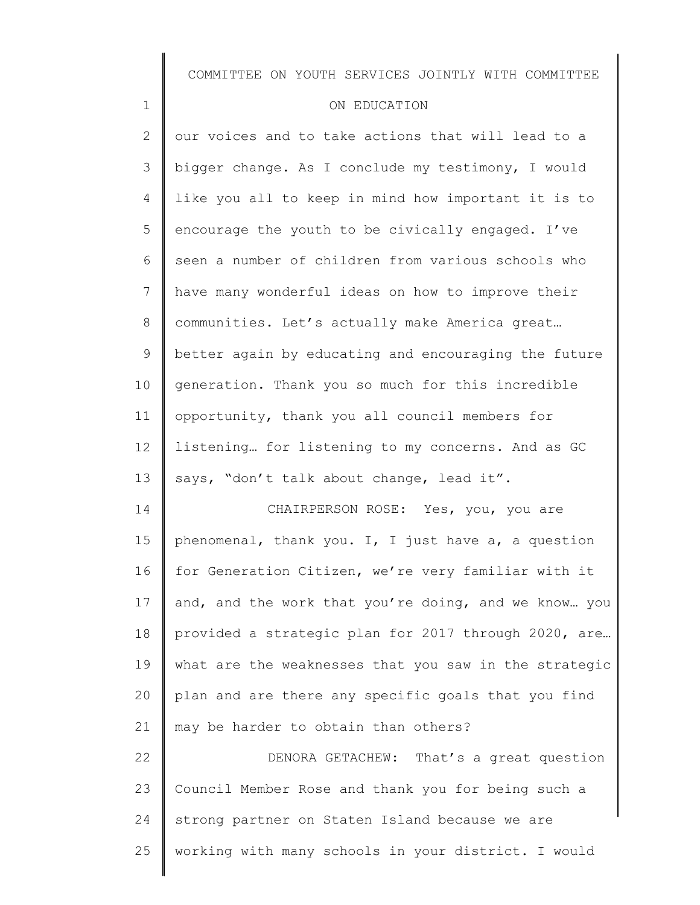#### ON EDUCATION

1

18

19

20

21

2 3 4 5 6 7 8 9 10 11 12 13 14 15 16 17 our voices and to take actions that will lead to a bigger change. As I conclude my testimony, I would like you all to keep in mind how important it is to encourage the youth to be civically engaged. I've seen a number of children from various schools who have many wonderful ideas on how to improve their communities. Let's actually make America great… better again by educating and encouraging the future generation. Thank you so much for this incredible opportunity, thank you all council members for listening… for listening to my concerns. And as GC says, "don't talk about change, lead it". CHAIRPERSON ROSE: Yes, you, you are phenomenal, thank you. I, I just have a, a question for Generation Citizen, we're very familiar with it and, and the work that you're doing, and we know… you

22 23 24 25 DENORA GETACHEW: That's a great question Council Member Rose and thank you for being such a strong partner on Staten Island because we are working with many schools in your district. I would

may be harder to obtain than others?

provided a strategic plan for 2017 through 2020, are…

what are the weaknesses that you saw in the strategic

plan and are there any specific goals that you find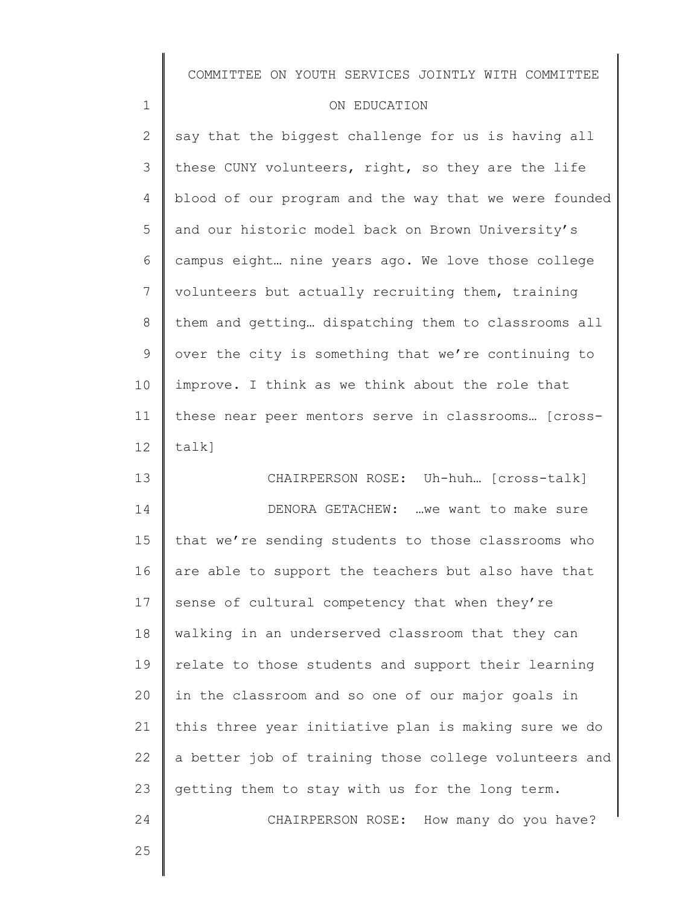### ON EDUCATION

2 3 4 5 6 7 8 9 10 11 12 say that the biggest challenge for us is having all these CUNY volunteers, right, so they are the life blood of our program and the way that we were founded and our historic model back on Brown University's campus eight… nine years ago. We love those college volunteers but actually recruiting them, training them and getting… dispatching them to classrooms all over the city is something that we're continuing to improve. I think as we think about the role that these near peer mentors serve in classrooms… [crosstalk]

13 14 15 16 17 18 19 20 21 22 23 24 CHAIRPERSON ROSE: Uh-huh… [cross-talk] DENORA GETACHEW: …we want to make sure that we're sending students to those classrooms who are able to support the teachers but also have that sense of cultural competency that when they're walking in an underserved classroom that they can relate to those students and support their learning in the classroom and so one of our major goals in this three year initiative plan is making sure we do a better job of training those college volunteers and getting them to stay with us for the long term. CHAIRPERSON ROSE: How many do you have?

25

1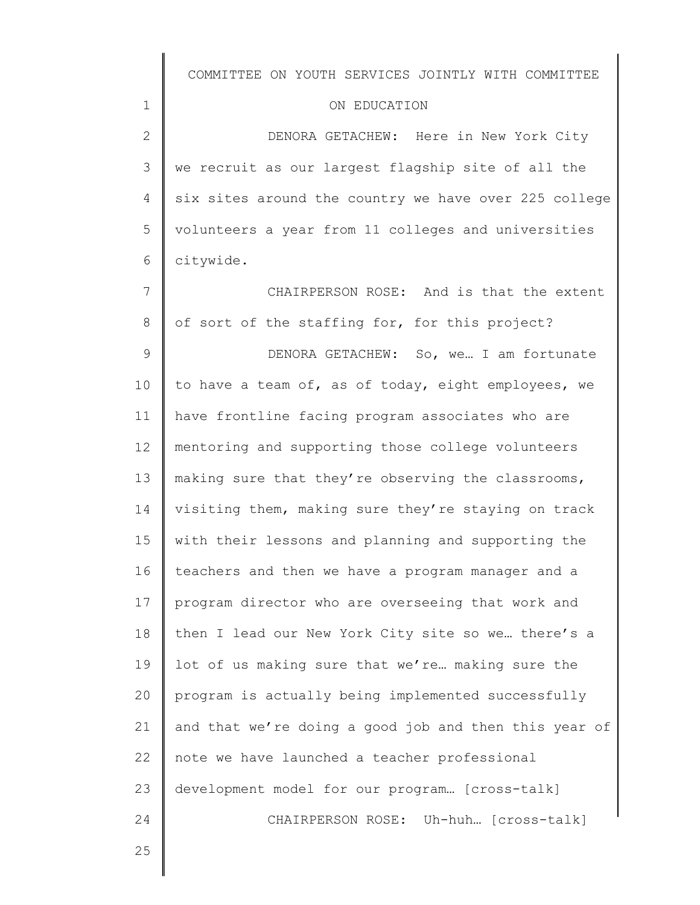#### ON EDUCATION

2 3 4 5 6 DENORA GETACHEW: Here in New York City we recruit as our largest flagship site of all the six sites around the country we have over 225 college volunteers a year from 11 colleges and universities citywide.

7 8 CHAIRPERSON ROSE: And is that the extent of sort of the staffing for, for this project?

9 10 11 12 13 14 15 16 17 18 19 20 21 22 23 24 DENORA GETACHEW: So, we… I am fortunate to have a team of, as of today, eight employees, we have frontline facing program associates who are mentoring and supporting those college volunteers making sure that they're observing the classrooms, visiting them, making sure they're staying on track with their lessons and planning and supporting the teachers and then we have a program manager and a program director who are overseeing that work and then I lead our New York City site so we… there's a lot of us making sure that we're… making sure the program is actually being implemented successfully and that we're doing a good job and then this year of note we have launched a teacher professional development model for our program… [cross-talk] CHAIRPERSON ROSE: Uh-huh… [cross-talk]

25

1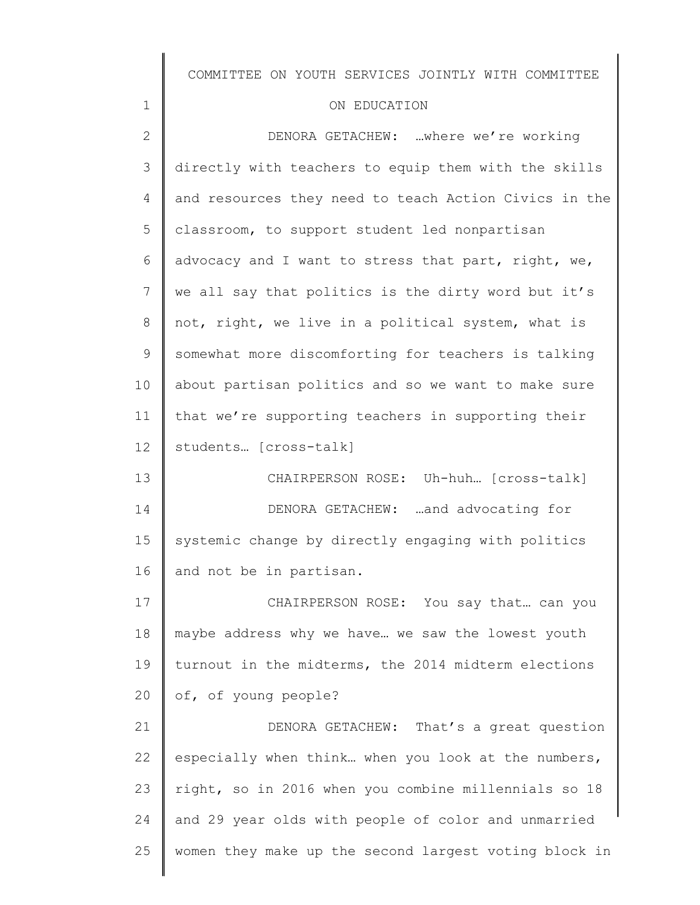| COMMITTEE ON YOUTH SERVICES JOINTLY WITH COMMITTEE |  |  |  |  |  |  |
|----------------------------------------------------|--|--|--|--|--|--|
|----------------------------------------------------|--|--|--|--|--|--|

## ON EDUCATION

1

| $\overline{2}$ | DENORA GETACHEW: where we're working                  |
|----------------|-------------------------------------------------------|
| 3              | directly with teachers to equip them with the skills  |
| 4              | and resources they need to teach Action Civics in the |
| 5              | classroom, to support student led nonpartisan         |
| 6              | advocacy and I want to stress that part, right, we,   |
| 7              | we all say that politics is the dirty word but it's   |
| 8              | not, right, we live in a political system, what is    |
| 9              | somewhat more discomforting for teachers is talking   |
| 10             | about partisan politics and so we want to make sure   |
| 11             | that we're supporting teachers in supporting their    |
| 12             | students [cross-talk]                                 |
| 13             | CHAIRPERSON ROSE: Uh-huh [cross-talk]                 |
| 14             | DENORA GETACHEW: and advocating for                   |
| 15             | systemic change by directly engaging with politics    |
| 16             | and not be in partisan.                               |
| 17             | CHAIRPERSON ROSE: You say that can you                |
| $1\,8$         | maybe address why we have we saw the lowest youth     |
| 19             | turnout in the midterms, the 2014 midterm elections   |
| 20             | of, of young people?                                  |
| 21             | DENORA GETACHEW: That's a great question              |
| 22             | especially when think when you look at the numbers,   |
| 23             | right, so in 2016 when you combine millennials so 18  |
| 24             | and 29 year olds with people of color and unmarried   |
| 25             | women they make up the second largest voting block in |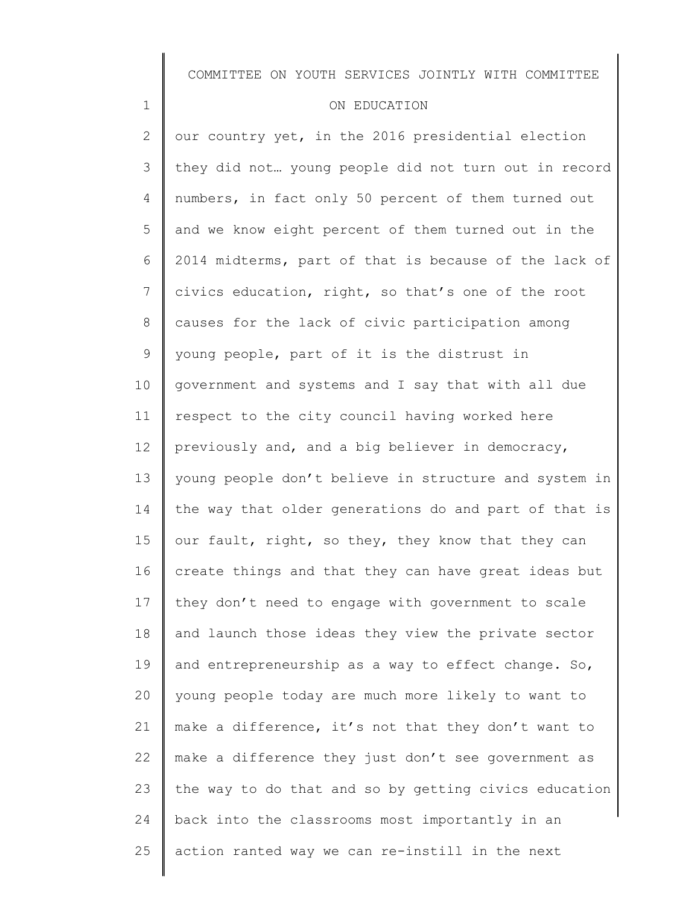### COMMITTEE ON YOUTH SERVICES JOINTLY WITH COMMITTEE

#### ON EDUCATION

1

2 3 4 5 6 7 8 9 10 11 12 13 14 15 16 17 18 19 20 21 22 23 24 25 our country yet, in the 2016 presidential election they did not… young people did not turn out in record numbers, in fact only 50 percent of them turned out and we know eight percent of them turned out in the 2014 midterms, part of that is because of the lack of civics education, right, so that's one of the root causes for the lack of civic participation among young people, part of it is the distrust in government and systems and I say that with all due respect to the city council having worked here previously and, and a big believer in democracy, young people don't believe in structure and system in the way that older generations do and part of that is our fault, right, so they, they know that they can create things and that they can have great ideas but they don't need to engage with government to scale and launch those ideas they view the private sector and entrepreneurship as a way to effect change. So, young people today are much more likely to want to make a difference, it's not that they don't want to make a difference they just don't see government as the way to do that and so by getting civics education back into the classrooms most importantly in an action ranted way we can re-instill in the next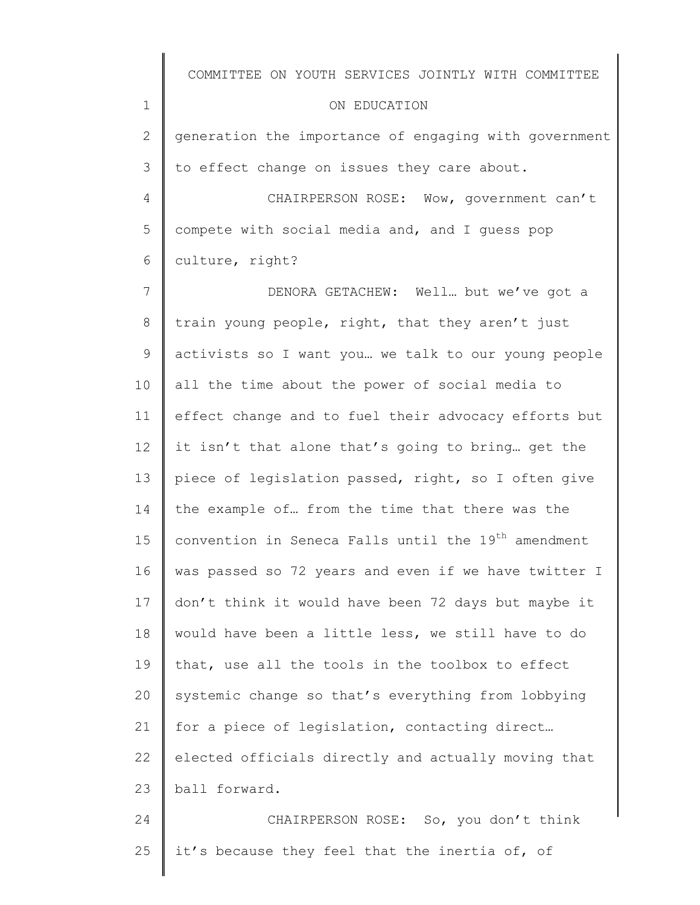|              | COMMITTEE ON YOUTH SERVICES JOINTLY WITH COMMITTEE              |
|--------------|-----------------------------------------------------------------|
| $\mathbf 1$  | ON EDUCATION                                                    |
| $\mathbf{2}$ | generation the importance of engaging with government           |
| 3            | to effect change on issues they care about.                     |
| 4            | CHAIRPERSON ROSE: Wow, government can't                         |
| 5            | compete with social media and, and I guess pop                  |
| 6            | culture, right?                                                 |
| 7            | DENORA GETACHEW: Well but we've got a                           |
| 8            | train young people, right, that they aren't just                |
| 9            | activists so I want you we talk to our young people             |
| 10           | all the time about the power of social media to                 |
| 11           | effect change and to fuel their advocacy efforts but            |
| 12           | it isn't that alone that's going to bring get the               |
| 13           | piece of legislation passed, right, so I often give             |
| 14           | the example of from the time that there was the                 |
| 15           | convention in Seneca Falls until the 19 <sup>th</sup> amendment |
| 16           | was passed so 72 years and even if we have twitter I            |
| 17           | don't think it would have been 72 days but maybe it             |
| 18           | would have been a little less, we still have to do              |
| 19           | that, use all the tools in the toolbox to effect                |
| 20           | systemic change so that's everything from lobbying              |
| 21           | for a piece of legislation, contacting direct                   |
| 22           | elected officials directly and actually moving that             |
| 23           | ball forward.                                                   |
| 24           | CHAIRPERSON ROSE: So, you don't think                           |
| 25           | it's because they feel that the inertia of, of                  |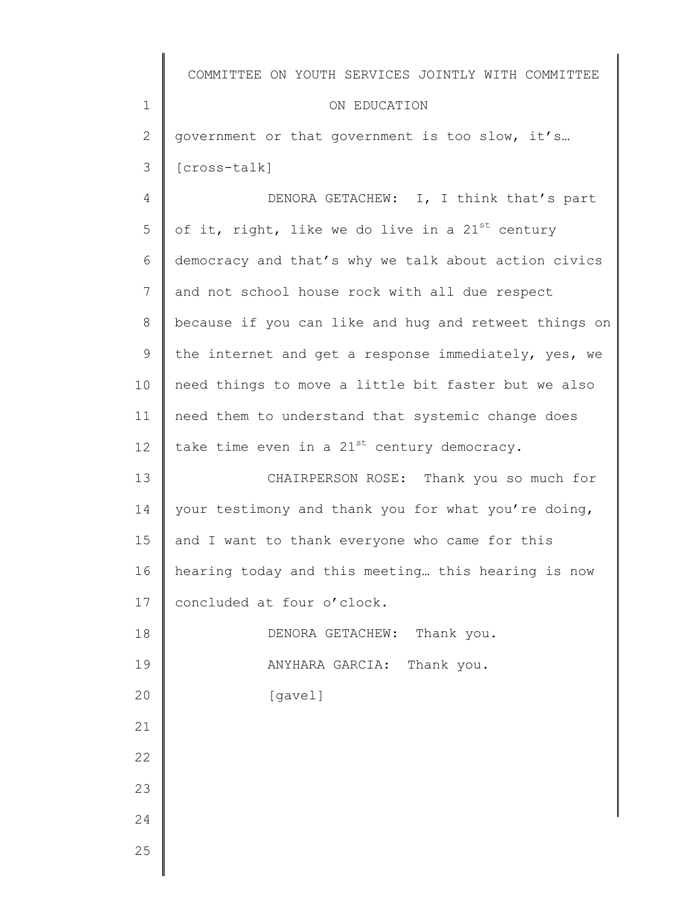|                | COMMITTEE ON YOUTH SERVICES JOINTLY WITH COMMITTEE    |
|----------------|-------------------------------------------------------|
| $\mathbf 1$    | ON EDUCATION                                          |
| $\mathbf{2}$   | government or that government is too slow, it's       |
| 3              | [cross-talk]                                          |
| $\overline{4}$ | DENORA GETACHEW: I, I think that's part               |
| 5              | of it, right, like we do live in a $21^{st}$ century  |
| 6              | democracy and that's why we talk about action civics  |
| 7              | and not school house rock with all due respect        |
| 8              | because if you can like and hug and retweet things on |
| 9              | the internet and get a response immediately, yes, we  |
| 10             | need things to move a little bit faster but we also   |
| 11             | need them to understand that systemic change does     |
| 12             | take time even in a $21^{st}$ century democracy.      |
| 13             | CHAIRPERSON ROSE: Thank you so much for               |
| 14             | your testimony and thank you for what you're doing,   |
| 15             | and I want to thank everyone who came for this        |
| 16             | hearing today and this meeting this hearing is now    |
| 17             | concluded at four o'clock.                            |
| 18             | DENORA GETACHEW: Thank you.                           |
| 19             | Thank you.<br>ANYHARA GARCIA:                         |
| 20             | [gavel]                                               |
| 21             |                                                       |
| 22             |                                                       |
| 23             |                                                       |
| 24             |                                                       |
| 25             |                                                       |
|                |                                                       |